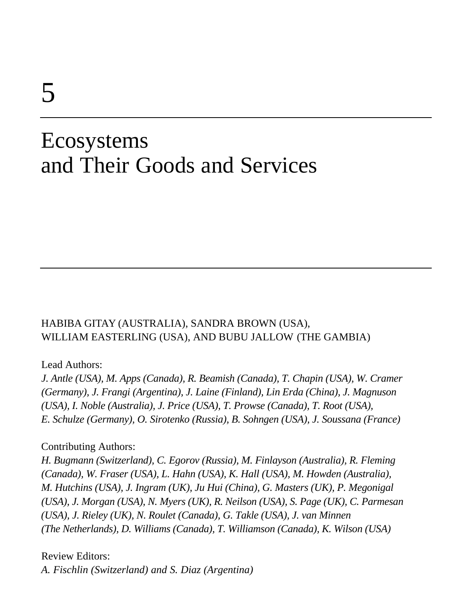# Ecosystems and Their Goods and Services

### HABIBA GITAY (AUSTRALIA), SANDRA BROWN (USA), WILLIAM EASTERLING (USA), AND BUBU JALLOW (THE GAMBIA)

Lead Authors:

*J. Antle (USA), M. Apps (Canada), R. Beamish (Canada), T. Chapin (USA), W. Cramer (Germany), J. Frangi (Argentina), J. Laine (Finland), Lin Erda (China), J. Magnuson (USA), I. Noble (Australia), J. Price (USA), T. Prowse (Canada), T. Root (USA), E. Schulze (Germany), O. Sirotenko (Russia), B. Sohngen (USA), J. Soussana (France)*

### Contributing Authors:

*H. Bugmann (Switzerland), C. Egorov (Russia), M. Finlayson (Australia), R. Fleming (Canada), W. Fraser (USA), L. Hahn (USA), K. Hall (USA), M. Howden (Australia), M. Hutchins (USA), J. Ingram (UK), Ju Hui (China), G. Masters (UK), P. Megonigal (USA), J. Morgan (USA), N. Myers (UK), R. Neilson (USA), S. Page (UK), C. Parmesan (USA), J. Rieley (UK), N. Roulet (Canada), G. Takle (USA), J. van Minnen (The Netherlands), D. Williams (Canada), T. Williamson (Canada), K. Wilson (USA)*

Review Editors: *A. Fischlin (Switzerland) and S. Diaz (Argentina)*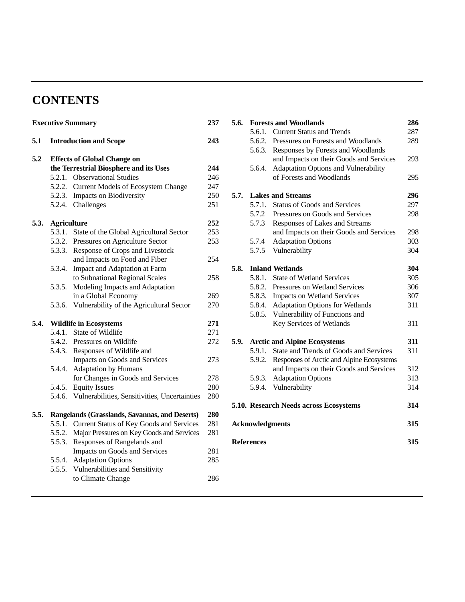### **CONTENTS**

|      |                                    | <b>Executive Summary</b>                        | 237 |  |  |  |  |  |
|------|------------------------------------|-------------------------------------------------|-----|--|--|--|--|--|
| 5.1  |                                    | <b>Introduction and Scope</b>                   | 243 |  |  |  |  |  |
| 5.2  | <b>Effects of Global Change on</b> |                                                 |     |  |  |  |  |  |
|      |                                    | the Terrestrial Biosphere and its Uses          | 244 |  |  |  |  |  |
|      |                                    | 5.2.1. Observational Studies                    | 246 |  |  |  |  |  |
|      |                                    | 5.2.2. Current Models of Ecosystem Change       | 247 |  |  |  |  |  |
|      |                                    | 5.2.3. Impacts on Biodiversity                  | 250 |  |  |  |  |  |
|      |                                    | 5.2.4. Challenges                               | 251 |  |  |  |  |  |
| 5.3. | <b>Agriculture</b>                 |                                                 | 252 |  |  |  |  |  |
|      | 5.3.1.                             | State of the Global Agricultural Sector         | 253 |  |  |  |  |  |
|      |                                    | 5.3.2. Pressures on Agriculture Sector          | 253 |  |  |  |  |  |
|      | 5.3.3.                             | Response of Crops and Livestock                 |     |  |  |  |  |  |
|      |                                    | and Impacts on Food and Fiber                   | 254 |  |  |  |  |  |
|      | 5.3.4.                             | Impact and Adaptation at Farm                   |     |  |  |  |  |  |
|      |                                    | to Subnational Regional Scales                  | 258 |  |  |  |  |  |
|      | 5.3.5.                             | Modeling Impacts and Adaptation                 |     |  |  |  |  |  |
|      |                                    | in a Global Economy                             | 269 |  |  |  |  |  |
|      | 5.3.6.                             | Vulnerability of the Agricultural Sector        | 270 |  |  |  |  |  |
| 5.4. |                                    | <b>Wildlife in Ecosystems</b>                   | 271 |  |  |  |  |  |
|      |                                    | 5.4.1. State of Wildlife                        | 271 |  |  |  |  |  |
|      | 5.4.2.                             | Pressures on Wildlife                           | 272 |  |  |  |  |  |
|      | 5.4.3.                             | Responses of Wildlife and                       |     |  |  |  |  |  |
|      |                                    | Impacts on Goods and Services                   | 273 |  |  |  |  |  |
|      | 5.4.4.                             | Adaptation by Humans                            |     |  |  |  |  |  |
|      |                                    | for Changes in Goods and Services               | 278 |  |  |  |  |  |
|      | 5.4.5.                             | <b>Equity Issues</b>                            | 280 |  |  |  |  |  |
|      | 5.4.6.                             | Vulnerabilities, Sensitivities, Uncertainties   | 280 |  |  |  |  |  |
| 5.5. |                                    | Rangelands (Grasslands, Savannas, and Deserts)  | 280 |  |  |  |  |  |
|      |                                    | 5.5.1. Current Status of Key Goods and Services | 281 |  |  |  |  |  |
|      | 5.5.2.                             | Major Pressures on Key Goods and Services       | 281 |  |  |  |  |  |
|      | 5.5.3.                             | Responses of Rangelands and                     |     |  |  |  |  |  |
|      |                                    | Impacts on Goods and Services                   | 281 |  |  |  |  |  |
|      | 5.5.4.                             | <b>Adaptation Options</b>                       | 285 |  |  |  |  |  |
|      | 5.5.5.                             | Vulnerabilities and Sensitivity                 |     |  |  |  |  |  |
|      |                                    | to Climate Change                               | 286 |  |  |  |  |  |
|      |                                    |                                                 |     |  |  |  |  |  |

| 5.6. |                        | <b>Forests and Woodlands</b>                  | 286 |
|------|------------------------|-----------------------------------------------|-----|
|      |                        | 5.6.1. Current Status and Trends              | 287 |
|      |                        | 5.6.2. Pressures on Forests and Woodlands     | 289 |
|      |                        | 5.6.3. Responses by Forests and Woodlands     |     |
|      |                        | and Impacts on their Goods and Services       | 293 |
|      | 5.6.4.                 | <b>Adaptation Options and Vulnerability</b>   |     |
|      |                        | of Forests and Woodlands                      | 295 |
| 5.7. |                        | <b>Lakes and Streams</b>                      | 296 |
|      | 5.7.1.                 | <b>Status of Goods and Services</b>           | 297 |
|      |                        | 5.7.2 Pressures on Goods and Services         | 298 |
|      | 5.7.3                  | Responses of Lakes and Streams                |     |
|      |                        | and Impacts on their Goods and Services       | 298 |
|      | 5.7.4                  | <b>Adaptation Options</b>                     | 303 |
|      | 5.7.5                  | Vulnerability                                 | 304 |
| 5.8. |                        | <b>Inland Wetlands</b>                        | 304 |
|      |                        | 5.8.1. State of Wetland Services              | 305 |
|      |                        | 5.8.2. Pressures on Wetland Services          | 306 |
|      |                        | 5.8.3. Impacts on Wetland Services            | 307 |
|      |                        | 5.8.4. Adaptation Options for Wetlands        | 311 |
|      |                        | 5.8.5. Vulnerability of Functions and         |     |
|      |                        | Key Services of Wetlands                      | 311 |
|      |                        | 5.9. Arctic and Alpine Ecosystems             | 311 |
|      |                        | 5.9.1. State and Trends of Goods and Services | 311 |
|      | 5.9.2.                 | Responses of Arctic and Alpine Ecosystems     |     |
|      |                        | and Impacts on their Goods and Services       | 312 |
|      |                        | 5.9.3. Adaptation Options                     | 313 |
|      |                        | 5.9.4. Vulnerability                          | 314 |
|      |                        | <b>5.10. Research Needs across Ecosystems</b> | 314 |
|      | <b>Acknowledgments</b> |                                               | 315 |
|      | <b>References</b>      |                                               | 315 |
|      |                        |                                               |     |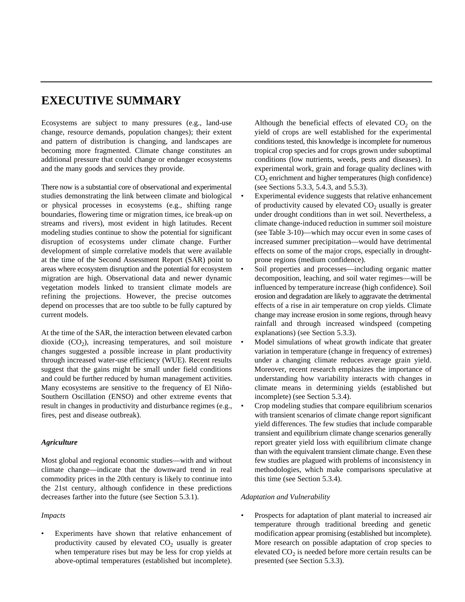### **EXECUTIVE SUMMARY**

Ecosystems are subject to many pressures (e.g., land-use change, resource demands, population changes); their extent and pattern of distribution is changing, and landscapes are becoming more fragmented. Climate change constitutes an additional pressure that could change or endanger ecosystems and the many goods and services they provide.

There now is a substantial core of observational and experimental studies demonstrating the link between climate and biological or physical processes in ecosystems (e.g., shifting range boundaries, flowering time or migration times, ice break-up on streams and rivers), most evident in high latitudes. Recent modeling studies continue to show the potential for significant disruption of ecosystems under climate change. Further development of simple correlative models that were available at the time of the Second Assessment Report (SAR) point to areas where ecosystem disruption and the potential for ecosystem migration are high. Observational data and newer dynamic vegetation models linked to transient climate models are refining the projections. However, the precise outcomes depend on processes that are too subtle to be fully captured by current models.

At the time of the SAR, the interaction between elevated carbon dioxide  $(CO_2)$ , increasing temperatures, and soil moisture changes suggested a possible increase in plant productivity through increased water-use efficiency (WUE). Recent results suggest that the gains might be small under field conditions and could be further reduced by human management activities. Many ecosystems are sensitive to the frequency of El Niño-Southern Oscillation (ENSO) and other extreme events that result in changes in productivity and disturbance regimes (e.g., fires, pest and disease outbreak).

#### *Agriculture*

Most global and regional economic studies—with and without climate change—indicate that the downward trend in real commodity prices in the 20th century is likely to continue into the 21st century, although confidence in these predictions decreases farther into the future (see Section 5.3.1).

#### *Impacts*

Experiments have shown that relative enhancement of productivity caused by elevated  $CO<sub>2</sub>$  usually is greater when temperature rises but may be less for crop yields at above-optimal temperatures (established but incomplete). Although the beneficial effects of elevated  $CO<sub>2</sub>$  on the yield of crops are well established for the experimental conditions tested, this knowledge is incomplete for numerous tropical crop species and for crops grown under suboptimal conditions (low nutrients, weeds, pests and diseases). In experimental work, grain and forage quality declines with  $CO<sub>2</sub>$  enrichment and higher temperatures (high confidence) (see Sections 5.3.3, 5.4.3, and 5.5.3).

Experimental evidence suggests that relative enhancement of productivity caused by elevated  $CO<sub>2</sub>$  usually is greater under drought conditions than in wet soil. Nevertheless, a climate change-induced reduction in summer soil moisture (see Table 3-10)—which may occur even in some cases of increased summer precipitation—would have detrimental effects on some of the major crops, especially in droughtprone regions (medium confidence).

Soil properties and processes—including organic matter decomposition, leaching, and soil water regimes—will be influenced by temperature increase (high confidence). Soil erosion and degradation are likely to aggravate the detrimental effects of a rise in air temperature on crop yields. Climate change may increase erosion in some regions, through heavy rainfall and through increased windspeed (competing explanations) (see Section 5.3.3).

- Model simulations of wheat growth indicate that greater variation in temperature (change in frequency of extremes) under a changing climate reduces average grain yield. Moreover, recent research emphasizes the importance of understanding how variability interacts with changes in climate means in determining yields (established but incomplete) (see Section 5.3.4).
- Crop modeling studies that compare equilibrium scenarios with transient scenarios of climate change report significant yield differences. The few studies that include comparable transient and equilibrium climate change scenarios generally report greater yield loss with equilibrium climate change than with the equivalent transient climate change. Even these few studies are plagued with problems of inconsistency in methodologies, which make comparisons speculative at this time (see Section 5.3.4).

#### *Adaptation and Vulnerability*

• Prospects for adaptation of plant material to increased air temperature through traditional breeding and genetic modification appear promising (established but incomplete). More research on possible adaptation of crop species to elevated  $CO_2$  is needed before more certain results can be presented (see Section 5.3.3).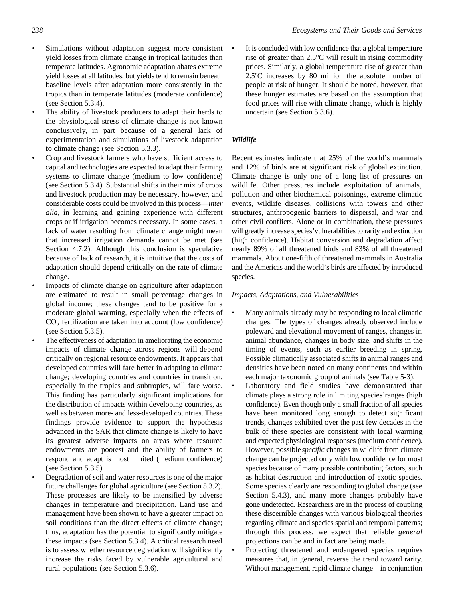- Simulations without adaptation suggest more consistent yield losses from climate change in tropical latitudes than temperate latitudes. Agronomic adaptation abates extreme yield losses at all latitudes, but yields tend to remain beneath baseline levels after adaptation more consistently in the tropics than in temperate latitudes (moderate confidence) (see Section 5.3.4).
- The ability of livestock producers to adapt their herds to the physiological stress of climate change is not known conclusively, in part because of a general lack of experimentation and simulations of livestock adaptation to climate change (see Section 5.3.3).
- Crop and livestock farmers who have sufficient access to capital and technologies are expected to adapt their farming systems to climate change (medium to low confidence) (see Section 5.3.4). Substantial shifts in their mix of crops and livestock production may be necessary, however, and considerable costs could be involved in this process—*inter alia*, in learning and gaining experience with different crops or if irrigation becomes necessary. In some cases, a lack of water resulting from climate change might mean that increased irrigation demands cannot be met (see Section 4.7.2). Although this conclusion is speculative because of lack of research, it is intuitive that the costs of adaptation should depend critically on the rate of climate change.
- Impacts of climate change on agriculture after adaptation are estimated to result in small percentage changes in global income; these changes tend to be positive for a moderate global warming, especially when the effects of  $CO<sub>2</sub>$  fertilization are taken into account (low confidence) (see Section 5.3.5).
- The effectiveness of adaptation in ameliorating the economic impacts of climate change across regions will depend critically on regional resource endowments. It appears that developed countries will fare better in adapting to climate change; developing countries and countries in transition, especially in the tropics and subtropics, will fare worse. This finding has particularly significant implications for the distribution of impacts within developing countries, as well as between more- and less-developed countries. These findings provide evidence to support the hypothesis advanced in the SAR that climate change is likely to have its greatest adverse impacts on areas where resource endowments are poorest and the ability of farmers to respond and adapt is most limited (medium confidence) (see Section 5.3.5).
- Degradation of soil and water resources is one of the major future challenges for global agriculture (see Section 5.3.2). These processes are likely to be intensified by adverse changes in temperature and precipitation. Land use and management have been shown to have a greater impact on soil conditions than the direct effects of climate change; thus, adaptation has the potential to significantly mitigate these impacts (see Section 5.3.4). A critical research need is to assess whether resource degradation will significantly increase the risks faced by vulnerable agricultural and rural populations (see Section 5.3.6).

It is concluded with low confidence that a global temperature rise of greater than 2.5°C will result in rising commodity prices. Similarly, a global temperature rise of greater than 2.5ºC increases by 80 million the absolute number of people at risk of hunger. It should be noted, however, that these hunger estimates are based on the assumption that food prices will rise with climate change, which is highly uncertain (see Section 5.3.6).

#### *Wildlife*

Recent estimates indicate that 25% of the world's mammals and 12% of birds are at significant risk of global extinction. Climate change is only one of a long list of pressures on wildlife. Other pressures include exploitation of animals, pollution and other biochemical poisonings, extreme climatic events, wildlife diseases, collisions with towers and other structures, anthropogenic barriers to dispersal, and war and other civil conflicts. Alone or in combination, these pressures will greatly increase species'vulnerabilities to rarity and extinction (high confidence). Habitat conversion and degradation affect nearly 89% of all threatened birds and 83% of all threatened mammals. About one-fifth of threatened mammals in Australia and the Americas and the world's birds are affected by introduced species.

#### *Impacts, Adaptations, and Vulnerabilities*

- Many animals already may be responding to local climatic changes. The types of changes already observed include poleward and elevational movement of ranges, changes in animal abundance, changes in body size, and shifts in the timing of events, such as earlier breeding in spring. Possible climatically associated shifts in animal ranges and densities have been noted on many continents and within each major taxonomic group of animals (see Table 5-3).
- Laboratory and field studies have demonstrated that climate plays a strong role in limiting species' ranges (high confidence). Even though only a small fraction of all species have been monitored long enough to detect significant trends, changes exhibited over the past few decades in the bulk of these species are consistent with local warming and expected physiological responses (medium confidence). However, possible *specific* changes in wildlife from climate change can be projected only with low confidence for most species because of many possible contributing factors, such as habitat destruction and introduction of exotic species. Some species clearly are responding to global change (see Section 5.4.3), and many more changes probably have gone undetected. Researchers are in the process of coupling these discernible changes with various biological theories regarding climate and species spatial and temporal patterns; through this process, we expect that reliable *general* projections can be and in fact are being made.
- Protecting threatened and endangered species requires measures that, in general, reverse the trend toward rarity. Without management, rapid climate change—in conjunction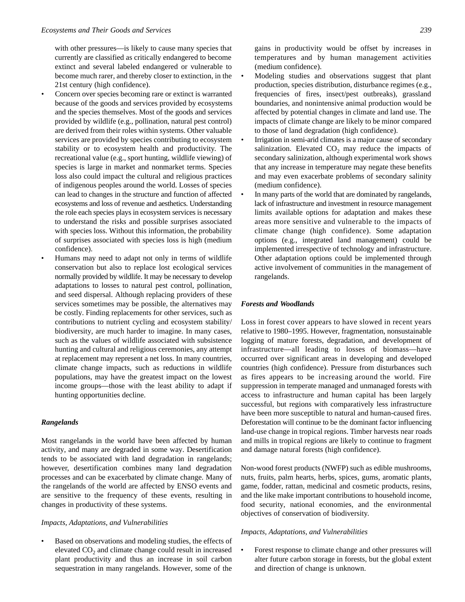with other pressures—is likely to cause many species that currently are classified as critically endangered to become extinct and several labeled endangered or vulnerable to become much rarer, and thereby closer to extinction, in the 21st century (high confidence).

- Concern over species becoming rare or extinct is warranted because of the goods and services provided by ecosystems and the species themselves. Most of the goods and services provided by wildlife (e.g., pollination, natural pest control) are derived from their roles within systems. Other valuable services are provided by species contributing to ecosystem stability or to ecosystem health and productivity. The recreational value (e.g., sport hunting, wildlife viewing) of species is large in market and nonmarket terms. Species loss also could impact the cultural and religious practices of indigenous peoples around the world. Losses of species can lead to changes in the structure and function of affected ecosystems and loss of revenue and aesthetics. Understanding the role each species plays in ecosystem services is necessary to understand the risks and possible surprises associated with species loss. Without this information, the probability of surprises associated with species loss is high (medium confidence).
- Humans may need to adapt not only in terms of wildlife conservation but also to replace lost ecological services normally provided by wildlife. It may be necessary to develop adaptations to losses to natural pest control, pollination, and seed dispersal. Although replacing providers of these services sometimes may be possible, the alternatives may be costly. Finding replacements for other services, such as contributions to nutrient cycling and ecosystem stability/ biodiversity, are much harder to imagine. In many cases, such as the values of wildlife associated with subsistence hunting and cultural and religious ceremonies, any attempt at replacement may represent a net loss. In many countries, climate change impacts, such as reductions in wildlife populations, may have the greatest impact on the lowest income groups—those with the least ability to adapt if hunting opportunities decline.

#### *Rangelands*

Most rangelands in the world have been affected by human activity, and many are degraded in some way. Desertification tends to be associated with land degradation in rangelands; however, desertification combines many land degradation processes and can be exacerbated by climate change. Many of the rangelands of the world are affected by ENSO events and are sensitive to the frequency of these events, resulting in changes in productivity of these systems.

#### *Impacts, Adaptations, and Vulnerabilities*

Based on observations and modeling studies, the effects of elevated  $CO<sub>2</sub>$  and climate change could result in increased plant productivity and thus an increase in soil carbon sequestration in many rangelands. However, some of the gains in productivity would be offset by increases in temperatures and by human management activities (medium confidence).

- Modeling studies and observations suggest that plant production, species distribution, disturbance regimes (e.g., frequencies of fires, insect/pest outbreaks), grassland boundaries, and nonintensive animal production would be affected by potential changes in climate and land use. The impacts of climate change are likely to be minor compared to those of land degradation (high confidence).
- Irrigation in semi-arid climates is a major cause of secondary salinization. Elevated  $CO<sub>2</sub>$  may reduce the impacts of secondary salinization, although experimental work shows that any increase in temperature may negate these benefits and may even exacerbate problems of secondary salinity (medium confidence).
- In many parts of the world that are dominated by rangelands, lack of infrastructure and investment in resource management limits available options for adaptation and makes these areas more sensitive and vulnerable to the impacts of climate change (high confidence). Some adaptation options (e.g., integrated land management) could be implemented irrespective of technology and infrastructure. Other adaptation options could be implemented through active involvement of communities in the management of rangelands.

#### *Forests and Woodlands*

Loss in forest cover appears to have slowed in recent years relative to 1980–1995. However, fragmentation, nonsustainable logging of mature forests, degradation, and development of infrastructure—all leading to losses of biomass—have occurred over significant areas in developing and developed countries (high confidence). Pressure from disturbances such as fires appears to be increasing around the world. Fire suppression in temperate managed and unmanaged forests with access to infrastructure and human capital has been largely successful, but regions with comparatively less infrastructure have been more susceptible to natural and human-caused fires. Deforestation will continue to be the dominant factor influencing land-use change in tropical regions. Timber harvests near roads and mills in tropical regions are likely to continue to fragment and damage natural forests (high confidence).

Non-wood forest products (NWFP) such as edible mushrooms, nuts, fruits, palm hearts, herbs, spices, gums, aromatic plants, game, fodder, rattan, medicinal and cosmetic products, resins, and the like make important contributions to household income, food security, national economies, and the environmental objectives of conservation of biodiversity.

#### *Impacts, Adaptations, and Vulnerabilities*

Forest response to climate change and other pressures will alter future carbon storage in forests, but the global extent and direction of change is unknown.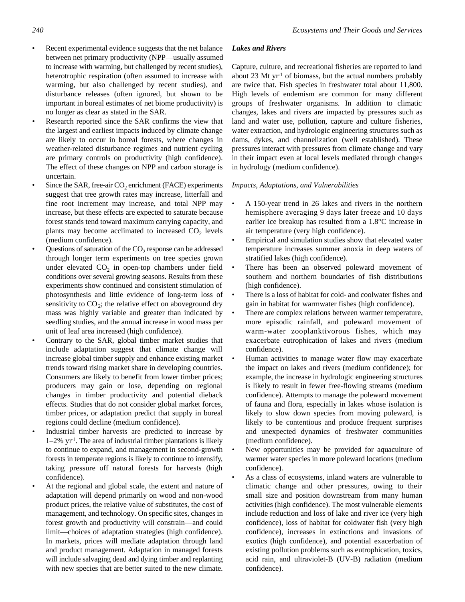- Recent experimental evidence suggests that the net balance between net primary productivity (NPP—usually assumed to increase with warming, but challenged by recent studies), heterotrophic respiration (often assumed to increase with warming, but also challenged by recent studies), and disturbance releases (often ignored, but shown to be important in boreal estimates of net biome productivity) is no longer as clear as stated in the SAR.
- Research reported since the SAR confirms the view that the largest and earliest impacts induced by climate change are likely to occur in boreal forests, where changes in weather-related disturbance regimes and nutrient cycling are primary controls on productivity (high confidence). The effect of these changes on NPP and carbon storage is uncertain.
- Since the SAR, free-air  $CO_2$  enrichment (FACE) experiments suggest that tree growth rates may increase, litterfall and fine root increment may increase, and total NPP may increase, but these effects are expected to saturate because forest stands tend toward maximum carrying capacity, and plants may become acclimated to increased  $CO<sub>2</sub>$  levels (medium confidence).
- Questions of saturation of the  $CO<sub>2</sub>$  response can be addressed through longer term experiments on tree species grown under elevated  $CO<sub>2</sub>$  in open-top chambers under field conditions over several growing seasons. Results from these experiments show continued and consistent stimulation of photosynthesis and little evidence of long-term loss of sensitivity to  $CO_2$ ; the relative effect on aboveground dry mass was highly variable and greater than indicated by seedling studies, and the annual increase in wood mass per unit of leaf area increased (high confidence).
- Contrary to the SAR, global timber market studies that include adaptation suggest that climate change will increase global timber supply and enhance existing market trends toward rising market share in developing countries. Consumers are likely to benefit from lower timber prices; producers may gain or lose, depending on regional changes in timber productivity and potential dieback effects. Studies that do not consider global market forces, timber prices, or adaptation predict that supply in boreal regions could decline (medium confidence).
- Industrial timber harvests are predicted to increase by  $1-2\%$  yr<sup>1</sup>. The area of industrial timber plantations is likely to continue to expand, and management in second-growth forests in temperate regions is likely to continue to intensify, taking pressure off natural forests for harvests (high confidence).
- At the regional and global scale, the extent and nature of adaptation will depend primarily on wood and non-wood product prices, the relative value of substitutes, the cost of management, and technology. On specific sites, changes in forest growth and productivity will constrain—and could limit—choices of adaptation strategies (high confidence). In markets, prices will mediate adaptation through land and product management. Adaptation in managed forests will include salvaging dead and dying timber and replanting with new species that are better suited to the new climate.

#### *Lakes and Rivers*

Capture, culture, and recreational fisheries are reported to land about 23 Mt  $yr<sup>1</sup>$  of biomass, but the actual numbers probably are twice that. Fish species in freshwater total about 11,800. High levels of endemism are common for many different groups of freshwater organisms. In addition to climatic changes, lakes and rivers are impacted by pressures such as land and water use, pollution, capture and culture fisheries, water extraction, and hydrologic engineering structures such as dams, dykes, and channelization (well established). These pressures interact with pressures from climate change and vary in their impact even at local levels mediated through changes in hydrology (medium confidence).

#### *Impacts, Adaptations, and Vulnerabilities*

- A 150-year trend in 26 lakes and rivers in the northern hemisphere averaging 9 days later freeze and 10 days earlier ice breakup has resulted from a 1.8°C increase in air temperature (very high confidence).
- Empirical and simulation studies show that elevated water temperature increases summer anoxia in deep waters of stratified lakes (high confidence).
- There has been an observed poleward movement of southern and northern boundaries of fish distributions (high confidence).
- There is a loss of habitat for cold- and coolwater fishes and gain in habitat for warmwater fishes (high confidence).
- There are complex relations between warmer temperature, more episodic rainfall, and poleward movement of warm-water zooplanktivorous fishes, which may exacerbate eutrophication of lakes and rivers (medium confidence).
- Human activities to manage water flow may exacerbate the impact on lakes and rivers (medium confidence); for example, the increase in hydrologic engineering structures is likely to result in fewer free-flowing streams (medium confidence). Attempts to manage the poleward movement of fauna and flora, especially in lakes whose isolation is likely to slow down species from moving poleward, is likely to be contentious and produce frequent surprises and unexpected dynamics of freshwater communities (medium confidence).
- New opportunities may be provided for aquaculture of warmer water species in more poleward locations (medium confidence).
- As a class of ecosystems, inland waters are vulnerable to climatic change and other pressures, owing to their small size and position downstream from many human activities (high confidence). The most vulnerable elements include reduction and loss of lake and river ice (very high confidence), loss of habitat for coldwater fish (very high confidence), increases in extinctions and invasions of exotics (high confidence), and potential exacerbation of existing pollution problems such as eutrophication, toxics, acid rain, and ultraviolet-B (UV-B) radiation (medium confidence).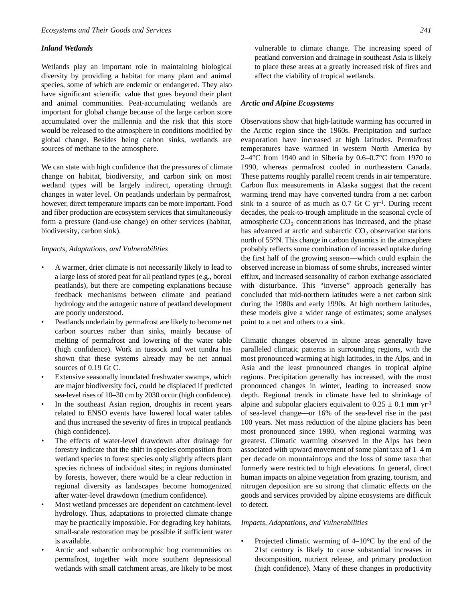#### *Inland Wetlands*

Wetlands play an important role in maintaining biological diversity by providing a habitat for many plant and animal species, some of which are endemic or endangered. They also have significant scientific value that goes beyond their plant and animal communities. Peat-accumulating wetlands are important for global change because of the large carbon store accumulated over the millennia and the risk that this store would be released to the atmosphere in conditions modified by global change. Besides being carbon sinks, wetlands are sources of methane to the atmosphere.

We can state with high confidence that the pressures of climate change on habitat, biodiversity, and carbon sink on most wetland types will be largely indirect, operating through changes in water level. On peatlands underlain by permafrost, however, direct temperature impacts can be more important. Food and fiber production are ecosystem services that simultaneously form a pressure (land-use change) on other services (habitat, biodiversity, carbon sink).

#### *Impacts, Adaptations, and Vulnerabilities*

- A warmer, drier climate is not necessarily likely to lead to a large loss of stored peat for all peatland types (e.g., boreal peatlands), but there are competing explanations because feedback mechanisms between climate and peatland hydrology and the autogenic nature of peatland development are poorly understood.
- Peatlands underlain by permafrost are likely to become net carbon sources rather than sinks, mainly because of melting of permafrost and lowering of the water table (high confidence). Work in tussock and wet tundra has shown that these systems already may be net annual sources of 0.19 Gt C.
- Extensive seasonally inundated freshwater swamps, which are major biodiversity foci, could be displaced if predicted sea-level rises of 10–30 cm by 2030 occur (high confidence).
- In the southeast Asian region, droughts in recent years related to ENSO events have lowered local water tables and thus increased the severity of fires in tropical peatlands (high confidence).
- The effects of water-level drawdown after drainage for forestry indicate that the shift in species composition from wetland species to forest species only slightly affects plant species richness of individual sites; in regions dominated by forests, however, there would be a clear reduction in regional diversity as landscapes become homogenized after water-level drawdown (medium confidence).
- Most wetland processes are dependent on catchment-level hydrology. Thus, adaptations to projected climate change may be practically impossible. For degrading key habitats, small-scale restoration may be possible if sufficient water is available.
- Arctic and subarctic ombrotrophic bog communities on permafrost, together with more southern depressional wetlands with small catchment areas, are likely to be most

vulnerable to climate change. The increasing speed of peatland conversion and drainage in southeast Asia is likely to place these areas at a greatly increased risk of fires and affect the viability of tropical wetlands.

#### *Arctic and Alpine Ecosystems*

Observations show that high-latitude warming has occurred in the Arctic region since the 1960s. Precipitation and surface evaporation have increased at high latitudes. Permafrost temperatures have warmed in western North America by 2–4°C from 1940 and in Siberia by 0.6–0.7°C from 1970 to 1990, whereas permafrost cooled in northeastern Canada. These patterns roughly parallel recent trends in air temperature. Carbon flux measurements in Alaska suggest that the recent warming trend may have converted tundra from a net carbon sink to a source of as much as  $0.7$  Gt C yr<sup>-1</sup>. During recent decades, the peak-to-trough amplitude in the seasonal cycle of atmospheric  $CO_2$  concentrations has increased, and the phase has advanced at arctic and subarctic  $CO<sub>2</sub>$  observation stations north of 55°N. This change in carbon dynamics in the atmosphere probably reflects some combination of increased uptake during the first half of the growing season—which could explain the observed increase in biomass of some shrubs, increased winter e fflux, and increased seasonality of carbon exchange associated with disturbance. This "inverse" approach generally has concluded that mid-northern latitudes were a net carbon sink during the 1980s and early 1990s. At high northern latitudes, these models give a wider range of estimates; some analyses point to a net and others to a sink.

Climatic changes observed in alpine areas generally have paralleled climatic patterns in surrounding regions, with the most pronounced warming at high latitudes, in the Alps, and in Asia and the least pronounced changes in tropical alpine regions. Precipitation generally has increased, with the most pronounced changes in winter, leading to increased snow depth. Regional trends in climate have led to shrinkage of alpine and subpolar glaciers equivalent to  $0.25 \pm 0.1$  mm yr<sup>-1</sup> of sea-level change—or 16% of the sea-level rise in the past 100 years. Net mass reduction of the alpine glaciers has been most pronounced since 1980, when regional warming was greatest. Climatic warming observed in the Alps has been associated with upward movement of some plant taxa of 1–4 m per decade on mountaintops and the loss of some taxa that formerly were restricted to high elevations. In general, direct human impacts on alpine vegetation from grazing, tourism, and nitrogen deposition are so strong that climatic effects on the goods and services provided by alpine ecosystems are difficult to detect.

#### *Impacts, Adaptations, and Vulnerabilities*

Projected climatic warming of  $4-10^{\circ}$ C by the end of the 21st century is likely to cause substantial increases in decomposition, nutrient release, and primary production (high confidence). Many of these changes in productivity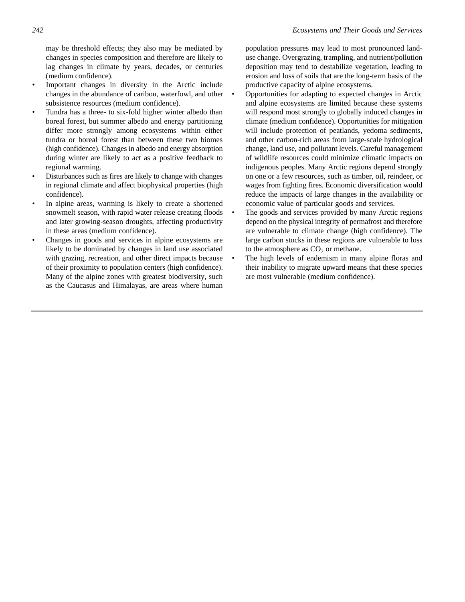may be threshold effects; they also may be mediated by changes in species composition and therefore are likely to lag changes in climate by years, decades, or centuries (medium confidence).

- Important changes in diversity in the Arctic include changes in the abundance of caribou, waterfowl, and other subsistence resources (medium confidence).
- Tundra has a three- to six-fold higher winter albedo than boreal forest, but summer albedo and energy partitioning differ more strongly among ecosystems within either tundra or boreal forest than between these two biomes (high confidence). Changes in albedo and energy absorption during winter are likely to act as a positive feedback to regional warming.
- Disturbances such as fires are likely to change with changes in regional climate and affect biophysical properties (high confidence).
- In alpine areas, warming is likely to create a shortened snowmelt season, with rapid water release creating floods and later growing-season droughts, affecting productivity in these areas (medium confidence).
- Changes in goods and services in alpine ecosystems are likely to be dominated by changes in land use associated with grazing, recreation, and other direct impacts because of their proximity to population centers (high confidence). Many of the alpine zones with greatest biodiversity, such as the Caucasus and Himalayas, are areas where human

population pressures may lead to most pronounced landuse change. Overgrazing, trampling, and nutrient/pollution deposition may tend to destabilize vegetation, leading to erosion and loss of soils that are the long-term basis of the productive capacity of alpine ecosystems.

- Opportunities for adapting to expected changes in Arctic and alpine ecosystems are limited because these systems will respond most strongly to globally induced changes in climate (medium confidence). Opportunities for mitigation will include protection of peatlands, yedoma sediments, and other carbon-rich areas from large-scale hydrological change, land use, and pollutant levels. Careful management of wildlife resources could minimize climatic impacts on indigenous peoples. Many Arctic regions depend strongly on one or a few resources, such as timber, oil, reindeer, or wages from fighting fires. Economic diversification would reduce the impacts of large changes in the availability or economic value of particular goods and services.
- The goods and services provided by many Arctic regions depend on the physical integrity of permafrost and therefore are vulnerable to climate change (high confidence). The large carbon stocks in these regions are vulnerable to loss to the atmosphere as  $CO<sub>2</sub>$  or methane.
- The high levels of endemism in many alpine floras and their inability to migrate upward means that these species are most vulnerable (medium confidence).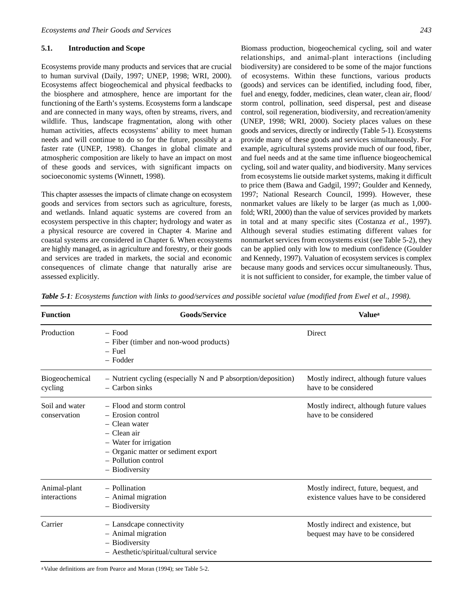#### **5.1. Introduction and Scope**

Ecosystems provide many products and services that are crucial to human survival (Daily, 1997; UNEP, 1998; WRI, 2000). Ecosystems affect biogeochemical and physical feedbacks to the biosphere and atmosphere, hence are important for the functioning of the Earth's systems. Ecosystems form a landscape and are connected in many ways, often by streams, rivers, and wildlife. Thus, landscape fragmentation, along with other human activities, affects ecosystems' ability to meet human needs and will continue to do so for the future, possibly at a faster rate (UNEP, 1998). Changes in global climate and atmospheric composition are likely to have an impact on most of these goods and services, with significant impacts on socioeconomic systems (Winnett, 1998).

This chapter assesses the impacts of climate change on ecosystem goods and services from sectors such as agriculture, forests, and wetlands. Inland aquatic systems are covered from an ecosystem perspective in this chapter; hydrology and water as a physical resource are covered in Chapter 4. Marine and coastal systems are considered in Chapter 6. When ecosystems are highly managed, as in agriculture and forestry, or their goods and services are traded in markets, the social and economic consequences of climate change that naturally arise are assessed explicitly.

Biomass production, biogeochemical cycling, soil and water relationships, and animal-plant interactions (including biodiversity) are considered to be some of the major functions of ecosystems. Within these functions, various products (goods) and services can be identified, including food, fiber, fuel and energy, fodder, medicines, clean water, clean air, flood/ storm control, pollination, seed dispersal, pest and disease control, soil regeneration, biodiversity, and recreation/amenity (UNEP, 1998; WRI, 2000). Society places values on these goods and services, directly or indirectly (Table 5-1). Ecosystems provide many of these goods and services simultaneously. For example, agricultural systems provide much of our food, fiber, and fuel needs and at the same time influence biogeochemical cycling, soil and water quality, and biodiversity. Many services from ecosystems lie outside market systems, making it difficult to price them (Bawa and Gadgil, 1997; Goulder and Kennedy, 1997; National Research Council, 1999). However, these nonmarket values are likely to be larger (as much as 1,000fold; WRI, 2000) than the value of services provided by markets in total and at many specific sites (Costanza *et al.*, 1997). Although several studies estimating different values for nonmarket services from ecosystems exist (see Table 5-2), they can be applied only with low to medium confidence (Goulder and Kennedy, 1997). Valuation of ecosystem services is complex because many goods and services occur simultaneously. Thus, it is not sufficient to consider, for example, the timber value of

*Table 5-1: Ecosystems function with links to good/services and possible societal value (modified from Ewel et al., 1998).*

| <b>Function</b>                | <b>Goods/Service</b>                                                                                                                                                                         | <b>Value</b> <sup>a</sup>                                                       |
|--------------------------------|----------------------------------------------------------------------------------------------------------------------------------------------------------------------------------------------|---------------------------------------------------------------------------------|
| Production                     | $-$ Food<br>- Fiber (timber and non-wood products)<br>$-$ Fuel<br>- Fodder                                                                                                                   | <b>Direct</b>                                                                   |
| Biogeochemical<br>cycling      | - Nutrient cycling (especially N and P absorption/deposition)<br>$-$ Carbon sinks                                                                                                            | Mostly indirect, although future values<br>have to be considered                |
| Soil and water<br>conservation | - Flood and storm control<br>$-$ Erosion control<br>- Clean water<br>- Clean air<br>- Water for irrigation<br>- Organic matter or sediment export<br>$-$ Pollution control<br>- Biodiversity | Mostly indirect, although future values<br>have to be considered                |
| Animal-plant<br>interactions   | - Pollination<br>- Animal migration<br>- Biodiversity                                                                                                                                        | Mostly indirect, future, bequest, and<br>existence values have to be considered |
| Carrier                        | - Lansdcape connectivity<br>- Animal migration<br>- Biodiversity<br>- Aesthetic/spiritual/cultural service                                                                                   | Mostly indirect and existence, but<br>bequest may have to be considered         |

aValue definitions are from Pearce and Moran (1994); see Table 5-2.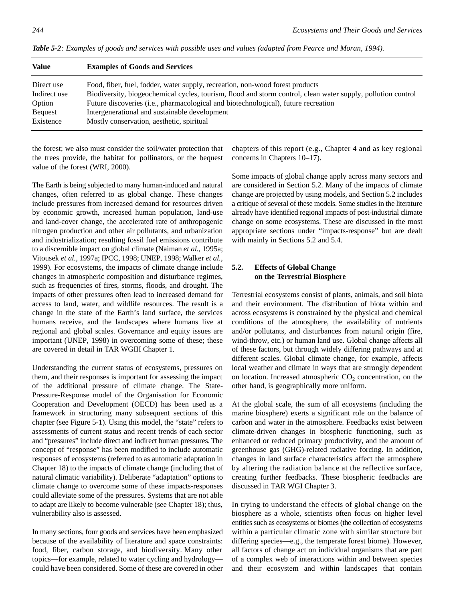| Value          | <b>Examples of Goods and Services</b>                                                                        |
|----------------|--------------------------------------------------------------------------------------------------------------|
| Direct use     | Food, fiber, fuel, fodder, water supply, recreation, non-wood forest products                                |
| Indirect use   | Biodiversity, biogeochemical cycles, tourism, flood and storm control, clean water supply, pollution control |
| Option         | Future discoveries (i.e., pharmacological and biotechnological), future recreation                           |
| <b>Bequest</b> | Intergenerational and sustainable development                                                                |
| Existence      | Mostly conservation, aesthetic, spiritual                                                                    |

*Table 5-2: Examples of goods and services with possible uses and values (adapted from Pearce and Moran, 1994).*

the forest; we also must consider the soil/water protection that the trees provide, the habitat for pollinators, or the bequest value of the forest (WRI, 2000).

The Earth is being subjected to many human-induced and natural changes, often referred to as global change. These changes include pressures from increased demand for resources driven by economic growth, increased human population, land-use and land-cover change, the accelerated rate of anthropogenic nitrogen production and other air pollutants, and urbanization and industrialization; resulting fossil fuel emissions contribute to a discernible impact on global climate (Naiman *et al.*, 1995a; Vitousek *et al.,* 1997a; IPCC, 1998; UNEP, 1998; Walker *et al.,* 1999). For ecosystems, the impacts of climate change include changes in atmospheric composition and disturbance regimes, such as frequencies of fires, storms, floods, and drought. The impacts of other pressures often lead to increased demand for access to land, water, and wildlife resources. The result is a change in the state of the Earth's land surface, the services humans receive, and the landscapes where humans live at regional and global scales. Governance and equity issues are important (UNEP, 1998) in overcoming some of these; these are covered in detail in TAR WGIII Chapter 1.

Understanding the current status of ecosystems, pressures on them, and their responses is important for assessing the impact of the additional pressure of climate change. The State-Pressure-Response model of the Organisation for Economic Cooperation and Development (OECD) has been used as a framework in structuring many subsequent sections of this chapter (see Figure 5-1). Using this model, the "state" refers to assessments of current status and recent trends of each sector and "pressures" include direct and indirect human pressures. The concept of "response" has been modified to include automatic responses of ecosystems (referred to as automatic adaptation in Chapter 18) to the impacts of climate change (including that of natural climatic variability). Deliberate "adaptation" options to climate change to overcome some of these impacts-responses could alleviate some of the pressures. Systems that are not able to adapt are likely to become vulnerable (see Chapter 18); thus, vulnerability also is assessed.

In many sections, four goods and services have been emphasized because of the availability of literature and space constraints: food, fiber, carbon storage, and biodiversity. Many other topics—for example, related to water cycling and hydrology could have been considered. Some of these are covered in other chapters of this report (e.g., Chapter 4 and as key regional concerns in Chapters 10–17).

Some impacts of global change apply across many sectors and are considered in Section 5.2. Many of the impacts of climate change are projected by using models, and Section 5.2 includes a critique of several of these models. Some studies in the literature already have identified regional impacts of post-industrial climate change on some ecosystems. These are discussed in the most appropriate sections under "impacts-response" but are dealt with mainly in Sections 5.2 and 5.4.

#### **5.2. Effects of Global Change on the Terrestrial Biosphere**

Terrestrial ecosystems consist of plants, animals, and soil biota and their environment. The distribution of biota within and across ecosystems is constrained by the physical and chemical conditions of the atmosphere, the availability of nutrients and/or pollutants, and disturbances from natural origin (fire, wind-throw, etc.) or human land use. Global change affects all of these factors, but through widely differing pathways and at different scales. Global climate change, for example, affects local weather and climate in ways that are strongly dependent on location. Increased atmospheric  $CO<sub>2</sub>$  concentration, on the other hand, is geographically more uniform.

At the global scale, the sum of all ecosystems (including the marine biosphere) exerts a significant role on the balance of carbon and water in the atmosphere. Feedbacks exist between climate-driven changes in biospheric functioning, such as enhanced or reduced primary productivity, and the amount of greenhouse gas (GHG)-related radiative forcing. In addition, changes in land surface characteristics affect the atmosphere by altering the radiation balance at the reflective surface, creating further feedbacks. These biospheric feedbacks are discussed in TAR WGI Chapter 3.

In trying to understand the effects of global change on the biosphere as a whole, scientists often focus on higher level entities such as ecosystems or biomes (the collection of ecosystems within a particular climatic zone with similar structure but differing species—e.g., the temperate forest biome). However, all factors of change act on individual organisms that are part of a complex web of interactions within and between species and their ecosystem and within landscapes that contain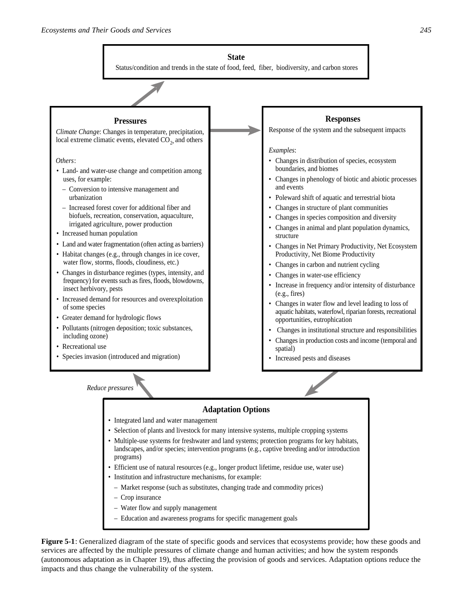

- landscapes, and/or species; intervention programs (e.g., captive breeding and/or introduction programs)
- Efficient use of natural resources (e.g., longer product lifetime, residue use, water use)
- Institution and infrastructure mechanisms, for example:
	- Market response (such as substitutes, changing trade and commodity prices)
	- Crop insurance
	- Water flow and supply management
	- Education and awareness programs for specific management goals

**Figure 5-1**: Generalized diagram of the state of specific goods and services that ecosystems provide; how these goods and services are affected by the multiple pressures of climate change and human activities; and how the system responds (autonomous adaptation as in Chapter 19), thus affecting the provision of goods and services. Adaptation options reduce the impacts and thus change the vulnerability of the system.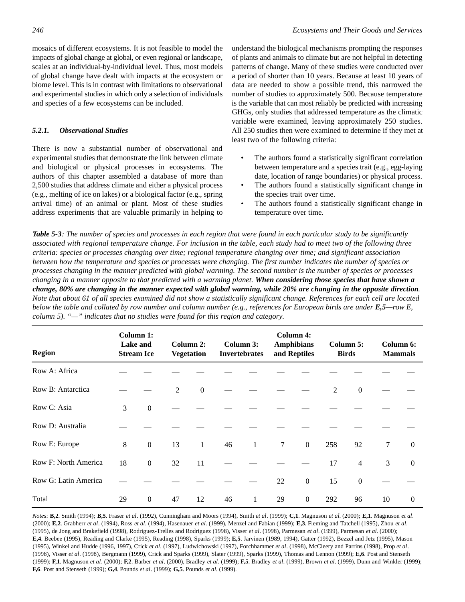mosaics of different ecosystems. It is not feasible to model the impacts of global change at global, or even regional or landscape, scales at an individual-by-individual level. Thus, most models of global change have dealt with impacts at the ecosystem or biome level. This is in contrast with limitations to observational and experimental studies in which only a selection of individuals and species of a few ecosystems can be included.

#### *5.2.1. Observational Studies*

There is now a substantial number of observational and experimental studies that demonstrate the link between climate and biological or physical processes in ecosystems. The authors of this chapter assembled a database of more than 2,500 studies that address climate and either a physical process (e.g., melting of ice on lakes) or a biological factor (e.g., spring arrival time) of an animal or plant. Most of these studies address experiments that are valuable primarily in helping to understand the biological mechanisms prompting the responses of plants and animals to climate but are not helpful in detecting patterns of change. Many of these studies were conducted over a period of shorter than 10 years. Because at least 10 years of data are needed to show a possible trend, this narrowed the number of studies to approximately 500. Because temperature is the variable that can most reliably be predicted with increasing GHGs, only studies that addressed temperature as the climatic variable were examined, leaving approximately 250 studies. All 250 studies then were examined to determine if they met at least two of the following criteria:

- The authors found a statistically significant correlation between temperature and a species trait (e.g., egg-laying date, location of range boundaries) or physical process.
- The authors found a statistically significant change in the species trait over time.
- The authors found a statistically significant change in temperature over time.

*Table 5-3: The number of species and processes in each region that were found in each particular study to be significantly* associated with regional temperature change. For inclusion in the table, each study had to meet two of the following three *c r iteria: species or processes changing over time; regional temperature changing over time; and significant association between how the temperature and species or processes were changing. The first number indicates the number of species or processes changing in the manner predicted with global warming. The second number is the number of species or processes changing in a manner opposite to that predicted with a warming planet. When considering those species that have shown a change, 80% are changing in the manner expected with global warming, while 20% are changing in the opposite direction. Note that about 61 of all species examined did not show a statistically significant change. References for each cell are located below the table and collated by row number and column number (e.g., references for European birds are under E,5—row E, column 5). "—" indicates that no studies were found for this region and category.*

| <b>Region</b>        |    | Column 1:<br><b>Lake and</b><br><b>Stream Ice</b> |    | Column 2:<br><b>Vegetation</b> |    | Column 3:<br><b>Invertebrates</b> |                 | Column 4:<br><b>Amphibians</b><br>and Reptiles |     | Column 5:<br><b>Birds</b> |        | Column 6:<br><b>Mammals</b> |
|----------------------|----|---------------------------------------------------|----|--------------------------------|----|-----------------------------------|-----------------|------------------------------------------------|-----|---------------------------|--------|-----------------------------|
| Row A: Africa        |    |                                                   |    |                                |    |                                   |                 |                                                |     |                           |        |                             |
| Row B: Antarctica    |    |                                                   | 2  | $\boldsymbol{0}$               |    |                                   |                 |                                                | 2   | $\overline{0}$            |        |                             |
| Row C: Asia          | 3  | $\mathbf{0}$                                      |    |                                |    |                                   |                 |                                                |     |                           |        |                             |
| Row D: Australia     |    |                                                   |    |                                |    |                                   |                 |                                                |     |                           |        |                             |
| Row E: Europe        | 8  | $\boldsymbol{0}$                                  | 13 | $\mathbf{1}$                   | 46 | $\mathbf{1}$                      | $7\phantom{.0}$ | $\boldsymbol{0}$                               | 258 | 92                        | $\tau$ | $\boldsymbol{0}$            |
| Row F: North America | 18 | $\boldsymbol{0}$                                  | 32 | 11                             |    |                                   |                 |                                                | 17  | $\overline{4}$            | 3      | $\overline{0}$              |
| Row G: Latin America |    |                                                   |    |                                |    |                                   | 22              | $\mathbf{0}$                                   | 15  | $\boldsymbol{0}$          |        |                             |
| Total                | 29 | $\mathbf{0}$                                      | 47 | 12                             | 46 | $\mathbf{1}$                      | 29              | $\boldsymbol{0}$                               | 292 | 96                        | 10     | $\theta$                    |

*Notes*: **B,2**. Smith (1994); **B,5**. Fraser *et al*. (1992), Cunningham and Moors (1994), Smith *et al*. (1999); **C,1**. Magnuson *et al*. (2000); **E,1**. Magnuson *et al*. (2000); **E,2**. Grabherr *et al*. (1994), Ross *et al*. (1994), Hasenauer *et al*. (1999), Menzel and Fabian (1999); **E,3**. Fleming and Tatchell (1995), Zhou *et al*. (1995), de Jong and Brakefield (1998), Rodriguez-Trelles and Rodriguez (1998), Visser *et al*. (1998), Parmesan *et al*. (1999), Parmesan *et al*. (2000); **E,4**. Beebee (1995), Reading and Clarke (1995), Reading (1998), Sparks (1999); **E,5**. Jarvinen (1989, 1994), Gatter (1992), Bezzel and Jetz (1995), Mason (1995), Winkel and Hudde (1996, 1997), Crick *et al*. (1997), Ludwichowski (1997), Forchhammer *et al*. (1998), McCleery and Parrins (1998), Prop *et al*. (1998), Visser *et al*. (1998), Bergmann (1999), Crick and Sparks (1999), Slater (1999), Sparks (1999), Thomas and Lennon (1999); **E,6**. Post and Stenseth (1999); **F,1**. Magnuson *et al*. (2000); **F,2**. Barber *et al*. (2000), Bradley *et al*. (1999); **F,5**. Bradley *et al*. (1999), Brown *et al*. (1999), Dunn and Winkler (1999); **F,6**. Post and Stenseth (1999); **G,4**. Pounds *et al*. (1999); **G,5**. Pounds *et al*. (1999).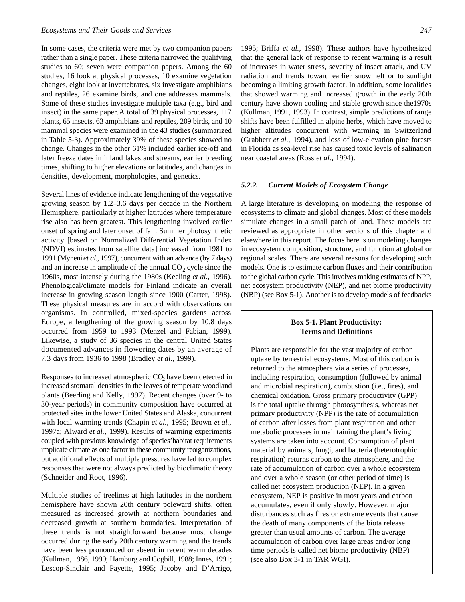In some cases, the criteria were met by two companion papers rather than a single paper. These criteria narrowed the qualifying studies to 60; seven were companion papers. Among the 60 studies, 16 look at physical processes, 10 examine vegetation changes, eight look at invertebrates, six investigate amphibians and reptiles, 26 examine birds, and one addresses mammals. Some of these studies investigate multiple taxa (e.g., bird and insect) in the same paper.A total of 39 physical processes, 117 plants, 65 insects, 63 amphibians and reptiles, 209 birds, and 10 mammal species were examined in the 43 studies (summarized in Table 5-3). Approximately 39% of these species showed no change. Changes in the other 61% included earlier ice-off and later freeze dates in inland lakes and streams, earlier breeding times, shifting to higher elevations or latitudes, and changes in densities, development, morphologies, and genetics.

Several lines of evidence indicate lengthening of the vegetative growing season by 1.2–3.6 days per decade in the Northern Hemisphere, particularly at higher latitudes where temperature rise also has been greatest. This lengthening involved earlier onset of spring and later onset of fall. Summer photosynthetic activity [based on Normalized Differential Vegetation Index (NDVI) estimates from satellite data] increased from 1981 to 1991 (Myneni *et al.,* 1997), concurrent with an advance (by 7 days) and an increase in amplitude of the annual  $CO<sub>2</sub>$  cycle since the 1960s, most intensely during the 1980s (Keeling *et al.,* 1996). Phenological/climate models for Finland indicate an overall increase in growing season length since 1900 (Carter, 1998). These physical measures are in accord with observations on organisms. In controlled, mixed-species gardens across Europe, a lengthening of the growing season by 10.8 days occurred from 1959 to 1993 (Menzel and Fabian, 1999). Likewise, a study of 36 species in the central United States documented advances in flowering dates by an average of 7.3 days from 1936 to 1998 (Bradley *et al.*, 1999).

Responses to increased atmospheric CO<sub>2</sub> have been detected in increased stomatal densities in the leaves of temperate woodland plants (Beerling and Kelly, 1997). Recent changes (over 9- to 30-year periods) in community composition have occurred at protected sites in the lower United States and Alaska, concurrent with local warming trends (Chapin *et al.,* 1995; Brown *et al.,* 1997a; Alward *et al.,* 1999). Results of warming experiments coupled with previous knowledge of species'habitat requirements implicate climate as one factor in these community reorganizations, but additional effects of multiple pressures have led to complex responses that were not always predicted by bioclimatic theory (Schneider and Root, 1996).

Multiple studies of treelines at high latitudes in the northern hemisphere have shown 20th century poleward shifts, often measured as increased growth at northern boundaries and decreased growth at southern boundaries. Interpretation of these trends is not straightforward because most change occurred during the early 20th century warming and the trends have been less pronounced or absent in recent warm decades (Kullman, 1986, 1990; Hamburg and Cogbill, 1988; Innes, 1991; Lescop-Sinclair and Payette, 1995; Jacoby and D'Arrigo,

1995; Briffa *et al.,* 1998). These authors have hypothesized that the general lack of response to recent warming is a result of increases in water stress, severity of insect attack, and UV radiation and trends toward earlier snowmelt or to sunlight becoming a limiting growth factor. In addition, some localities that showed warming and increased growth in the early 20th century have shown cooling and stable growth since the1970s (Kullman, 1991, 1993). In contrast, simple predictions of range shifts have been fulfilled in alpine herbs, which have moved to higher altitudes concurrent with warming in Switzerland (Grabherr *et al.,* 1994), and loss of low-elevation pine forests in Florida as sea-level rise has caused toxic levels of salination near coastal areas (Ross *et al.,* 1994).

#### *5.2.2. Current Models of Ecosystem Change*

A large literature is developing on modeling the response of ecosystems to climate and global changes. Most of these models simulate changes in a small patch of land. These models are reviewed as appropriate in other sections of this chapter and elsewhere in this report. The focus here is on modeling changes in ecosystem composition, structure, and function at global or regional scales. There are several reasons for developing such models. One is to estimate carbon fluxes and their contribution to the global carbon cycle. This involves making estimates of NPP, net ecosystem productivity (NEP), and net biome productivity (NBP) (see Box 5-1). Another is to develop models of feedbacks

#### **Box 5-1. Plant Productivity: Terms and Definitions**

Plants are responsible for the vast majority of carbon uptake by terrestrial ecosystems. Most of this carbon is returned to the atmosphere via a series of processes, including respiration, consumption (followed by animal and microbial respiration), combustion (i.e., fires), and chemical oxidation. Gross primary productivity (GPP) is the total uptake through photosynthesis, whereas net primary productivity (NPP) is the rate of accumulation of carbon after losses from plant respiration and other metabolic processes in maintaining the plant's living systems are taken into account. Consumption of plant material by animals, fungi, and bacteria (heterotrophic respiration) returns carbon to the atmosphere, and the rate of accumulation of carbon over a whole ecosystem and over a whole season (or other period of time) is called net ecosystem production (NEP). In a given ecosystem, NEP is positive in most years and carbon accumulates, even if only slowly. However, major disturbances such as fires or extreme events that cause the death of many components of the biota release greater than usual amounts of carbon. The average accumulation of carbon over large areas and/or long time periods is called net biome productivity (NBP) (see also Box 3-1 in TAR WGI).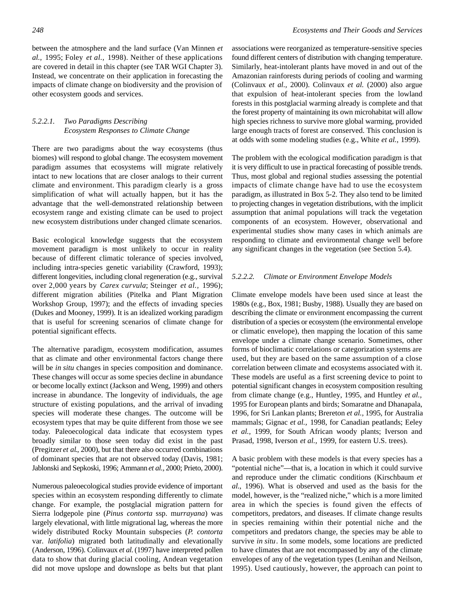between the atmosphere and the land surface (Van Minnen *et al.,* 1995; Foley *et al.,* 1998). Neither of these applications are covered in detail in this chapter (see TAR WGI Chapter 3). Instead, we concentrate on their application in forecasting the impacts of climate change on biodiversity and the provision of other ecosystem goods and services.

#### *5.2.2.1. Two Paradigms Describing Ecosystem Responses to Climate Change*

There are two paradigms about the way ecosystems (thus biomes) will respond to global change. The ecosystem movement paradigm assumes that ecosystems will migrate relatively intact to new locations that are closer analogs to their current climate and environment. This paradigm clearly is a gross simplification of what will actually happen, but it has the advantage that the well-demonstrated relationship between ecosystem range and existing climate can be used to project new ecosystem distributions under changed climate scenarios.

Basic ecological knowledge suggests that the ecosystem movement paradigm is most unlikely to occur in reality because of different climatic tolerance of species involved, including intra-species genetic variability (Crawford, 1993); different longevities, including clonal regeneration (e.g., survival over 2,000 years by *Carex curvula*; Steinger *et al.*, 1996); different migration abilities (Pitelka and Plant Migration Workshop Group*,* 1997); and the effects of invading species (Dukes and Mooney, 1999). It is an idealized working paradigm that is useful for screening scenarios of climate change for potential significant effects.

The alternative paradigm, ecosystem modification, assumes that as climate and other environmental factors change there will be *in situ* changes in species composition and dominance. These changes will occur as some species decline in abundance or become locally extinct (Jackson and Weng, 1999) and others increase in abundance. The longevity of individuals, the age structure of existing populations, and the arrival of invading species will moderate these changes. The outcome will be ecosystem types that may be quite different from those we see today. Paleoecological data indicate that ecosystem types broadly similar to those seen today did exist in the past (Pregitzer *et al*., 2000), but that there also occurred combinations of dominant species that are not observed today (Davis, 1981; Jablonski and Sepkoski, 1996; Ammann *et al.,* 2000; Prieto, 2000).

Numerous paleoecological studies provide evidence of important species within an ecosystem responding differently to climate change. For example, the postglacial migration pattern for Sierra lodgepole pine (*Pinus contorta* ssp. m*urrayana*) was largely elevational, with little migrational lag, whereas the more widely distributed Rocky Mountain subspecies (*P. contorta* var*. latifolia*) migrated both latitudinally and elevationally (Anderson, 1996). Colinvaux *et al.*(1997) have interpreted pollen data to show that during glacial cooling, Andean vegetation did not move upslope and downslope as belts but that plant associations were reorganized as temperature-sensitive species found different centers of distribution with changing temperature. Similarly, heat-intolerant plants have moved in and out of the Amazonian rainforests during periods of cooling and warming (Colinvaux *et al.,* 2000). Colinvaux *et al.* (2000) also argue that expulsion of heat-intolerant species from the lowland forests in this postglacial warming already is complete and that the forest property of maintaining its own microhabitat will allow high species richness to survive more global warming, provided large enough tracts of forest are conserved. This conclusion is at odds with some modeling studies (e.g., White *et al.,* 1999).

The problem with the ecological modification paradigm is that it is very difficult to use in practical forecasting of possible trends. Thus, most global and regional studies assessing the potential impacts of climate change have had to use the ecosystem paradigm, as illustrated in Box 5-2. They also tend to be limited to projecting changes in vegetation distributions, with the implicit assumption that animal populations will track the vegetation components of an ecosystem. However, observational and experimental studies show many cases in which animals are responding to climate and environmental change well before any significant changes in the vegetation (see Section 5.4).

#### *5.2.2.2. Climate or Environment Envelope Models*

Climate envelope models have been used since at least the 1980s (e.g., Box, 1981; Busby, 1988). Usually they are based on describing the climate or environment encompassing the current distribution of a species or ecosystem (the environmental envelope or climatic envelope), then mapping the location of this same envelope under a climate change scenario. Sometimes, other forms of bioclimatic correlations or categorization systems are used, but they are based on the same assumption of a close correlation between climate and ecosystems associated with it. These models are useful as a first screening device to point to potential significant changes in ecosystem composition resulting from climate change (e.g., Huntley, 1995, and Huntley *et al.,* 1995 for European plants and birds; Somaratne and Dhanapala, 1996, for Sri Lankan plants; Brereton *et al.,* 1995, for Australia mammals; Gignac *et al.,* 1998, for Canadian peatlands; Eeley *et al.,* 1999, for South African woody plants; Iverson and Prasad, 1998, Iverson *et al.,* 1999, for eastern U.S. trees).

A basic problem with these models is that every species has a "potential niche"—that is, a location in which it could survive and reproduce under the climatic conditions (Kirschbaum *et al*., 1996). What is observed and used as the basis for the model, however, is the "realized niche," which is a more limited area in which the species is found given the effects of competitors, predators, and diseases. If climate change results in species remaining within their potential niche and the competitors and predators change, the species may be able to survive *in situ*. In some models, some locations are predicted to have climates that are not encompassed by any of the climate envelopes of any of the vegetation types (Lenihan and Neilson, 1995). Used cautiously, however, the approach can point to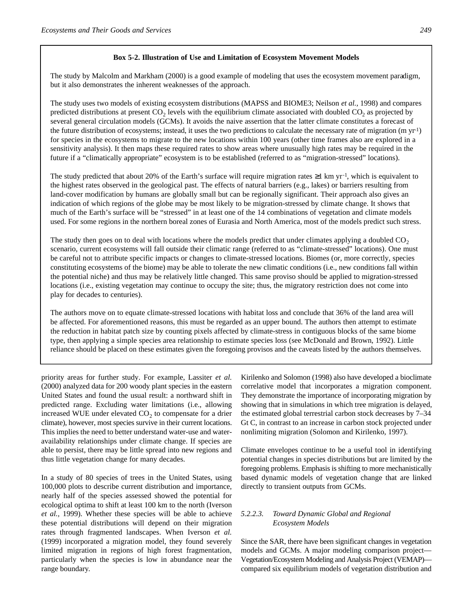The study by Malcolm and Markham (2000) is a good example of modeling that uses the ecosystem movement paradigm, but it also demonstrates the inherent weaknesses of the approach.

The study uses two models of existing ecosystem distributions (MAPSS and BIOME3; Neilson *et al.,* 1998) and compares predicted distributions at present  $CO_2$  levels with the equilibrium climate associated with doubled  $CO_2$  as projected by several general circulation models (GCMs). It avoids the naive assertion that the latter climate constitutes a forecast of the future distribution of ecosystems; instead, it uses the two predictions to calculate the necessary rate of migration  $(m yr<sup>1</sup>)$ for species in the ecosystems to migrate to the new locations within 100 years (other time frames also are explored in a sensitivity analysis). It then maps these required rates to show areas where unusually high rates may be required in the future if a "climatically appropriate" ecosystem is to be established (referred to as "migration-stressed" locations).

The study predicted that about 20% of the Earth's surface will require migration rates  $1 \text{ km yr}^{-1}$ , which is equivalent to the highest rates observed in the geological past. The effects of natural barriers (e.g., lakes) or barriers resulting from land-cover modification by humans are globally small but can be regionally significant. Their approach also gives an indication of which regions of the globe may be most likely to be migration-stressed by climate change. It shows that much of the Earth's surface will be "stressed" in at least one of the 14 combinations of vegetation and climate models used. For some regions in the northern boreal zones of Eurasia and North America, most of the models predict such stress.

The study then goes on to deal with locations where the models predict that under climates applying a doubled  $CO<sub>2</sub>$ scenario, current ecosystems will fall outside their climatic range (referred to as "climate-stressed" locations). One must be careful not to attribute specific impacts or changes to climate-stressed locations. Biomes (or, more correctly, species constituting ecosystems of the biome) may be able to tolerate the new climatic conditions (i.e., new conditions fall within the potential niche) and thus may be relatively little changed. This same proviso should be applied to migration-stressed locations (i.e., existing vegetation may continue to occupy the site; thus, the migratory restriction does not come into play for decades to centuries).

The authors move on to equate climate-stressed locations with habitat loss and conclude that 36% of the land area will be affected. For aforementioned reasons, this must be regarded as an upper bound. The authors then attempt to estimate the reduction in habitat patch size by counting pixels affected by climate-stress in contiguous blocks of the same biome type, then applying a simple species area relationship to estimate species loss (see McDonald and Brown, 1992). Little reliance should be placed on these estimates given the foregoing provisos and the caveats listed by the authors themselves.

priority areas for further study. For example, Lassiter *et al.* (2000) analyzed data for 200 woody plant species in the eastern United States and found the usual result: a northward shift in predicted range. Excluding water limitations (i.e., allowing increased WUE under elevated  $CO<sub>2</sub>$  to compensate for a drier climate), however, most species survive in their current locations. This implies the need to better understand water-use and wateravailability relationships under climate change. If species are able to persist, there may be little spread into new regions and thus little vegetation change for many decades.

In a study of 80 species of trees in the United States, using 100,000 plots to describe current distribution and importance, nearly half of the species assessed showed the potential for ecological optima to shift at least 100 km to the north (Iverson *et al.,* 1999). Whether these species will be able to achieve these potential distributions will depend on their migration rates through fragmented landscapes. When Iverson *et al.* (1999) incorporated a migration model, they found severely limited migration in regions of high forest fragmentation, particularly when the species is low in abundance near the range boundary.

Kirilenko and Solomon (1998) also have developed a bioclimate correlative model that incorporates a migration component. They demonstrate the importance of incorporating migration by showing that in simulations in which tree migration is delayed, the estimated global terrestrial carbon stock decreases by 7–34 Gt C, in contrast to an increase in carbon stock projected under nonlimiting migration (Solomon and Kirilenko, 1997).

Climate envelopes continue to be a useful tool in identifying potential changes in species distributions but are limited by the foregoing problems. Emphasis is shifting to more mechanistically based dynamic models of vegetation change that are linked directly to transient outputs from GCMs.

#### *5.2.2.3. Toward Dynamic Global and Regional Ecosystem Models*

Since the SAR, there have been significant changes in vegetation models and GCMs. A major modeling comparison project— Vegetation/Ecosystem Modeling and Analysis Project (VEMAP) compared six equilibrium models of vegetation distribution and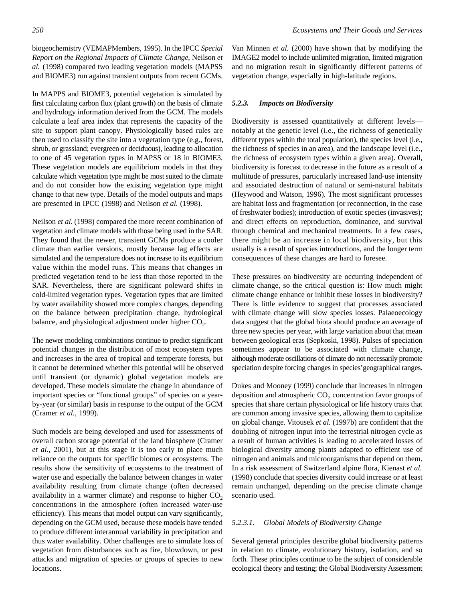In MAPPS and BIOME3, potential vegetation is simulated by first calculating carbon flux (plant growth) on the basis of climate and hydrology information derived from the GCM. The models calculate a leaf area index that represents the capacity of the site to support plant canopy. Physiologically based rules are then used to classify the site into a vegetation type (e.g., forest, shrub, or grassland; evergreen or deciduous), leading to allocation to one of 45 vegetation types in MAPSS or 18 in BIOME3. These vegetation models are equilibrium models in that they calculate which vegetation type might be most suited to the climate and do not consider how the existing vegetation type might change to that new type. Details of the model outputs and maps are presented in IPCC (1998) and Neilson *et al.* (1998).

Neilson *et al.* (1998) compared the more recent combination of vegetation and climate models with those being used in the SAR. They found that the newer, transient GCMs produce a cooler climate than earlier versions, mostly because lag effects are simulated and the temperature does not increase to its equilibrium value within the model runs. This means that changes in predicted vegetation tend to be less than those reported in the SAR. Nevertheless, there are significant poleward shifts in cold-limited vegetation types. Vegetation types that are limited by water availability showed more complex changes, depending on the balance between precipitation change, hydrological balance, and physiological adjustment under higher CO<sub>2</sub>.

The newer modeling combinations continue to predict significant potential changes in the distribution of most ecosystem types and increases in the area of tropical and temperate forests, but it cannot be determined whether this potential will be observed until transient (or dynamic) global vegetation models are developed. These models simulate the change in abundance of important species or "functional groups" of species on a yearby-year (or similar) basis in response to the output of the GCM (Cramer *et al.,* 1999).

Such models are being developed and used for assessments of overall carbon storage potential of the land biosphere (Cramer *et al.*, 2001), but at this stage it is too early to place much reliance on the outputs for specific biomes or ecosystems. The results show the sensitivity of ecosystems to the treatment of water use and especially the balance between changes in water availability resulting from climate change (often decreased availability in a warmer climate) and response to higher  $CO<sub>2</sub>$ concentrations in the atmosphere (often increased water-use e fficiency). This means that model output can vary significantly, depending on the GCM used, because these models have tended to produce different interannual variability in precipitation and thus water availability. Other challenges are to simulate loss of vegetation from disturbances such as fire, blowdown, or pest attacks and migration of species or groups of species to new locations.

Van Minnen *et al.* (2000) have shown that by modifying the IMAGE2 model to include unlimited migration, limited migration and no migration result in significantly different patterns of vegetation change, especially in high-latitude regions.

#### *5.2.3. Impacts on Biodiversity*

Biodiversity is assessed quantitatively at different levels notably at the genetic level (i.e., the richness of genetically different types within the total population), the species level (i.e., the richness of species in an area), and the landscape level (i.e., the richness of ecosystem types within a given area). Overall, biodiversity is forecast to decrease in the future as a result of a multitude of pressures, particularly increased land-use intensity and associated destruction of natural or semi-natural habitats (Heywood and Watson, 1996). The most significant processes are habitat loss and fragmentation (or reconnection, in the case of freshwater bodies); introduction of exotic species (invasives); and direct effects on reproduction, dominance, and survival through chemical and mechanical treatments. In a few cases, there might be an increase in local biodiversity, but this usually is a result of species introductions, and the longer term consequences of these changes are hard to foresee.

These pressures on biodiversity are occurring independent of climate change, so the critical question is: How much might climate change enhance or inhibit these losses in biodiversity? There is little evidence to suggest that processes associated with climate change will slow species losses. Palaeoecology data suggest that the global biota should produce an average of three new species per year, with large variation about that mean between geological eras (Sepkoski, 1998). Pulses of speciation sometimes appear to be associated with climate change, although moderate oscillations of climate do not necessarily promote speciation despite forcing changes in species'geographical ranges.

Dukes and Mooney (1999) conclude that increases in nitrogen deposition and atmospheric  $CO_2$  concentration favor groups of species that share certain physiological or life history traits that are common among invasive species, allowing them to capitalize on global change. Vitousek *et al.* (1997b) are confident that the doubling of nitrogen input into the terrestrial nitrogen cycle as a result of human activities is leading to accelerated losses of biological diversity among plants adapted to efficient use of nitrogen and animals and microorganisms that depend on them. In a risk assessment of Switzerland alpine flora, Kienast *et al.* (1998) conclude that species diversity could increase or at least remain unchanged, depending on the precise climate change scenario used.

#### *5.2.3.1. Global Models of Biodiversity Change*

Several general principles describe global biodiversity patterns in relation to climate, evolutionary history, isolation, and so forth. These principles continue to be the subject of considerable ecological theory and testing; the Global Biodiversity Assessment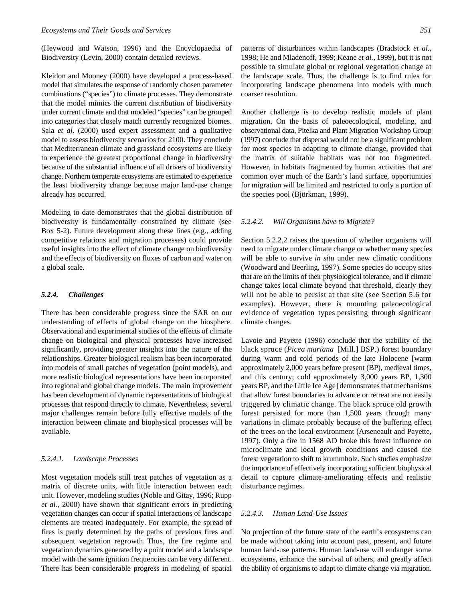(Heywood and Watson, 1996) and the Encyclopaedia of Biodiversity (Levin, 2000) contain detailed reviews.

Kleidon and Mooney (2000) have developed a process-based model that simulates the response of randomly chosen parameter combinations ("species") to climate processes. They demonstrate that the model mimics the current distribution of biodiversity under current climate and that modeled "species" can be grouped into categories that closely match currently recognized biomes. Sala *et al.* (2000) used expert assessment and a qualitative model to assess biodiversity scenarios for 2100. They conclude that Mediterranean climate and grassland ecosystems are likely to experience the greatest proportional change in biodiversity because of the substantial influence of all drivers of biodiversity change. Northern temperate ecosystems are estimated to experience the least biodiversity change because major land-use change already has occurred.

Modeling to date demonstrates that the global distribution of biodiversity is fundamentally constrained by climate (see Box 5-2). Future development along these lines (e.g., adding competitive relations and migration processes) could provide useful insights into the effect of climate change on biodiversity and the effects of biodiversity on fluxes of carbon and water on a global scale.

#### *5.2.4. Challenges*

There has been considerable progress since the SAR on our understanding of effects of global change on the biosphere. Observational and experimental studies of the effects of climate change on biological and physical processes have increased significantly, providing greater insights into the nature of the relationships. Greater biological realism has been incorporated into models of small patches of vegetation (point models), and more realistic biological representations have been incorporated into regional and global change models. The main improvement has been development of dynamic representations of biological processes that respond directly to climate. Nevertheless, several major challenges remain before fully effective models of the interaction between climate and biophysical processes will be available.

#### *5.2.4.1. Landscape Processes*

Most vegetation models still treat patches of vegetation as a matrix of discrete units, with little interaction between each unit. However, modeling studies (Noble and Gitay, 1996; Rupp *et al.,* 2000) have shown that significant errors in predicting vegetation changes can occur if spatial interactions of landscape elements are treated inadequately. For example, the spread of fires is partly determined by the paths of previous fires and subsequent vegetation regrowth. Thus, the fire regime and vegetation dynamics generated by a point model and a landscape model with the same ignition frequencies can be very different. There has been considerable progress in modeling of spatial patterns of disturbances within landscapes (Bradstock *et al.,* 1998; He and Mladenoff, 1999; Keane *et al.,* 1999), but it is not possible to simulate global or regional vegetation change at the landscape scale. Thus, the challenge is to find rules for incorporating landscape phenomena into models with much coarser resolution.

Another challenge is to develop realistic models of plant migration. On the basis of paleoecological, modeling, and observational data, Pitelka and Plant Migration Workshop Group  $(1997)$  conclude that dispersal would not be a significant problem for most species in adapting to climate change, provided that the matrix of suitable habitats was not too fragmented. However, in habitats fragmented by human activities that are common over much of the Earth's land surface, opportunities for migration will be limited and restricted to only a portion of the species pool (Björkman, 1999).

#### *5.2.4.2. Will Organisms have to Migrate?*

Section 5.2.2.2 raises the question of whether organisms will need to migrate under climate change or whether many species will be able to survive *in situ* under new climatic conditions (Woodward and Beerling, 1997). Some species do occupy sites that are on the limits of their physiological tolerance, and if climate change takes local climate beyond that threshold, clearly they will not be able to persist at that site (see Section 5.6 for examples). However, there is mounting paleoecological evidence of vegetation types persisting through significant climate changes.

Lavoie and Payette (1996) conclude that the stability of the black spruce (*Picea mariana* [Mill.] BSP.) forest boundary during warm and cold periods of the late Holocene [warm approximately 2,000 years before present (BP), medieval times, and this century; cold approximately 3,000 years BP, 1,300 years BP, and the Little Ice Age] demonstrates that mechanisms that allow forest boundaries to advance or retreat are not easily triggered by climatic change. The black spruce old growth forest persisted for more than  $1,500$  years through many variations in climate probably because of the buffering effect of the trees on the local environment (Arseneault and Payette, 1997). Only a fire in 1568 AD broke this forest influence on microclimate and local growth conditions and caused the forest vegetation to shift to krummholz. Such studies emphasize the importance of effectively incorporating sufficient biophysical detail to capture climate-ameliorating effects and realistic disturbance regimes.

#### *5.2.4.3. Human Land-Use Issues*

No projection of the future state of the earth's ecosystems can be made without taking into account past, present, and future human land-use patterns. Human land-use will endanger some ecosystems, enhance the survival of others, and greatly affect the ability of organisms to adapt to climate change via migration.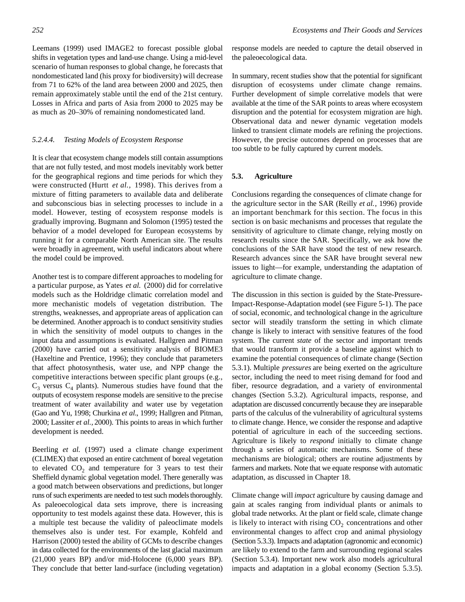Leemans (1999) used IMAGE2 to forecast possible global shifts in vegetation types and land-use change. Using a mid-level scenario of human responses to global change, he forecasts that nondomesticated land (his proxy for biodiversity) will decrease from 71 to  $62\%$  of the land area between 2000 and 2025, then remain approximately stable until the end of the 21st century. Losses in Africa and parts of Asia from 2000 to 2025 may be as much as 20–30% of remaining nondomesticated land.

#### *5.2.4.4. Testing Models of Ecosystem Response*

It is clear that ecosystem change models still contain assumptions that are not fully tested, and most models inevitably work better for the geographical regions and time periods for which they were constructed (Hurtt *et al.,* 1998). This derives from a mixture of fitting parameters to available data and deliberate and subconscious bias in selecting processes to include in a model. However, testing of ecosystem response models is gradually improving. Bugmann and Solomon (1995) tested the behavior of a model developed for European ecosystems by running it for a comparable North American site. The results were broadly in agreement, with useful indicators about where the model could be improved.

Another test is to compare different approaches to modeling for a particular purpose, as Yates *et al.* (2000) did for correlative models such as the Holdridge climatic correlation model and more mechanistic models of vegetation distribution. The strengths, weaknesses, and appropriate areas of application can be determined. Another approach is to conduct sensitivity studies in which the sensitivity of model outputs to changes in the input data and assumptions is evaluated. Hallgren and Pitman (2000) have carried out a sensitivity analysis of BIOME3 (Haxeltine and Prentice, 1996); they conclude that parameters that affect photosynthesis, water use, and NPP change the competitive interactions between specific plant groups (e.g.,  $C_3$  versus  $C_4$  plants). Numerous studies have found that the outputs of ecosystem response models are sensitive to the precise treatment of water availability and water use by vegetation (Gao and Yu, 1998; Churkina *et al.*, 1999; Hallgren and Pitman, 2000; Lassiter *et al.,* 2000). This points to areas in which further development is needed.

Beerling *et al.* (1997) used a climate change experiment (CLIMEX) that exposed an entire catchment of boreal vegetation to elevated  $CO<sub>2</sub>$  and temperature for 3 years to test their Sheffield dynamic global vegetation model. There generally was a good match between observations and predictions, but longer runs of such experiments are needed to test such models thoroughly. As paleoecological data sets improve, there is increasing opportunity to test models against these data. However, this is a multiple test because the validity of paleoclimate models themselves also is under test. For example, Kohfeld and Harrison (2000) tested the ability of GCMs to describe changes in data collected for the environments of the last glacial maximum (21,000 years BP) and/or mid-Holocene (6,000 years BP). They conclude that better land-surface (including vegetation) response models are needed to capture the detail observed in the paleoecological data.

In summary, recent studies show that the potential for significant disruption of ecosystems under climate change remains. Further development of simple correlative models that were available at the time of the SAR points to areas where ecosystem disruption and the potential for ecosystem migration are high. Observational data and newer dynamic vegetation models linked to transient climate models are refining the projections. However, the precise outcomes depend on processes that are too subtle to be fully captured by current models.

#### **5.3. Agriculture**

Conclusions regarding the consequences of climate change for the agriculture sector in the SAR (Reilly *et al.*, 1996) provide an important benchmark for this section. The focus in this section is on basic mechanisms and processes that regulate the sensitivity of agriculture to climate change, relying mostly on research results since the SAR. Specifically, we ask how the conclusions of the SAR have stood the test of new research. Research advances since the SAR have brought several new issues to light—for example, understanding the adaptation of agriculture to climate change.

The discussion in this section is guided by the State-Pressure-Impact-Response-Adaptation model (see Figure 5-1). The pace of social, economic, and technological change in the agriculture sector will steadily transform the setting in which climate change is likely to interact with sensitive features of the food system. The current *state* of the sector and important trends that would transform it provide a baseline against which to examine the potential consequences of climate change (Section 5.3.1). Multiple *pressures* are being exerted on the agriculture sector, including the need to meet rising demand for food and fiber, resource degradation, and a variety of environmental changes (Section 5.3.2). Agricultural impacts, response, and adaptation are discussed concurrently because they are inseparable parts of the calculus of the vulnerability of agricultural systems to climate change. Hence, we consider the response and adaptive potential of agriculture in each of the succeeding sections. Agriculture is likely to *respond* initially to climate change through a series of automatic mechanisms. Some of these mechanisms are biological; others are routine adjustments by farmers and markets. Note that we equate response with automatic adaptation, as discussed in Chapter 18.

Climate change will *impact* agriculture by causing damage and gain at scales ranging from individual plants or animals to global trade networks. At the plant or field scale, climate change is likely to interact with rising  $CO<sub>2</sub>$  concentrations and other environmental changes to affect crop and animal physiology (Section 5.3.3). Impacts and adaptation (agronomic and economic) are likely to extend to the farm and surrounding regional scales (Section 5.3.4). Important new work also models agricultural impacts and adaptation in a global economy (Section 5.3.5).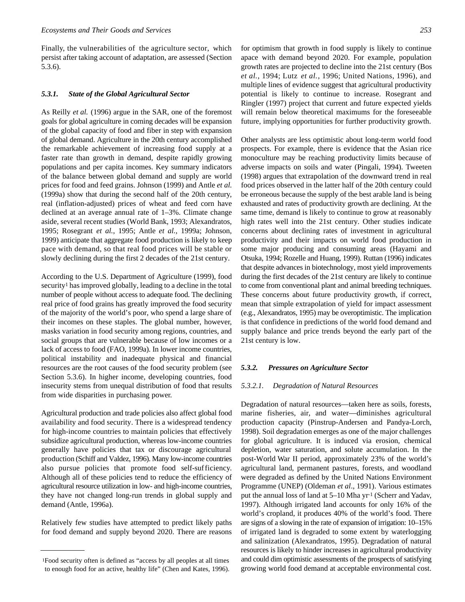Finally, the vulnerabilities of the agriculture sector, which persist after taking account of adaptation, are assessed (Section 5.3.6).

#### *5.3.1. State of the Global Agricultural Sector*

As Reilly *et al.* (1996) argue in the SAR, one of the foremost goals for global agriculture in coming decades will be expansion of the global capacity of food and fiber in step with expansion of global demand. Agriculture in the 20th century accomplished the remarkable achievement of increasing food supply at a faster rate than growth in demand, despite rapidly growing populations and per capita incomes. Key summary indicators of the balance between global demand and supply are world prices for food and feed grains. Johnson (1999) and Antle *et al.* (1999a) show that during the second half of the 20th century, real (inflation-adjusted) prices of wheat and feed corn have declined at an average annual rate of 1–3%. Climate change aside, several recent studies (World Bank, 1993; Alexandratos, 1995; Rosegrant *et al.*, 1995; Antle *et al.*, 1999a; Johnson, 1999) anticipate that aggregate food production is likely to keep pace with demand, so that real food prices will be stable or slowly declining during the first 2 decades of the 21st century.

According to the U.S. Department of Agriculture (1999), food security<sup>1</sup> has improved globally, leading to a decline in the total number of people without access to adequate food. The declining real price of food grains has greatly improved the food security of the majority of the world's poor, who spend a large share of their incomes on these staples. The global number, however, masks variation in food security among regions, countries, and social groups that are vulnerable because of low incomes or a lack of access to food (FAO, 1999a). In lower income countries, political instability and inadequate physical and financial resources are the root causes of the food security problem (see Section 5.3.6). In higher income, developing countries, food insecurity stems from unequal distribution of food that results from wide disparities in purchasing power.

Agricultural production and trade policies also affect global food availability and food security. There is a widespread tendency for high-income countries to maintain policies that effectively subsidize agricultural production, whereas low-income countries generally have policies that tax or discourage agricultural production (Schiff and Valdez, 1996). Many low-income countries also pursue policies that promote food self-sufficiency. Although all of these policies tend to reduce the efficiency of agricultural resource utilization in low- and high-income countries, they have not changed long-run trends in global supply and demand (Antle, 1996a).

Relatively few studies have attempted to predict likely paths for food demand and supply beyond 2020. There are reasons

for optimism that growth in food supply is likely to continue apace with demand beyond 2020. For example, population growth rates are projected to decline into the 21st century (Bos *et al.*, 1994; Lutz *et al.*, 1996; United Nations, 1996), and multiple lines of evidence suggest that agricultural productivity potential is likely to continue to increase. Rosegrant and Ringler (1997) project that current and future expected yields will remain below theoretical maximums for the foreseeable future, implying opportunities for further productivity growth.

Other analysts are less optimistic about long-term world food prospects. For example, there is evidence that the Asian rice monoculture may be reaching productivity limits because of adverse impacts on soils and water (Pingali, 1994). Tweeten (1998) argues that extrapolation of the downward trend in real food prices observed in the latter half of the 20th century could be erroneous because the supply of the best arable land is being exhausted and rates of productivity growth are declining. At the same time, demand is likely to continue to grow at reasonably high rates well into the 21st century. Other studies indicate concerns about declining rates of investment in agricultural productivity and their impacts on world food production in some major producing and consuming areas (Hayami and Otsuka, 1994; Rozelle and Huang, 1999). Ruttan (1996) indicates that despite advances in biotechnology, most yield improvements during the first decades of the 21st century are likely to continue to come from conventional plant and animal breeding techniques. These concerns about future productivity growth, if correct, mean that simple extrapolation of yield for impact assessment (e.g., Alexandratos, 1995) may be overoptimistic. The implication is that confidence in predictions of the world food demand and supply balance and price trends beyond the early part of the 21st century is low.

#### *5.3.2. Pressures on Agriculture Sector*

#### *5.3.2.1. Degradation of Natural Resources*

Degradation of natural resources—taken here as soils, forests, marine fisheries, air, and water—diminishes agricultural production capacity (Pinstrup-Andersen and Pandya-Lorch, 1998). Soil degradation emerges as one of the major challenges for global agriculture. It is induced via erosion, chemical depletion, water saturation, and solute accumulation. In the post-World War II period, approximately 23% of the world's agricultural land, permanent pastures, forests, and woodland were degraded as defined by the United Nations Environment Programme (UNEP) (Oldeman *et al*., 1991). Various estimates put the annual loss of land at 5–10 Mha yr-1 (Scherr and Yadav, 1997). Although irrigated land accounts for only 16% of the world's cropland, it produces 40% of the world's food. There are signs of a slowing in the rate of expansion of irrigation: 10–15% of irrigated land is degraded to some extent by waterlogging and salinization (Alexandratos, 1995). Degradation of natural resources is likely to hinder increases in agricultural productivity and could dim optimistic assessments of the prospects of satisfying growing world food demand at acceptable environmental cost.

<sup>1</sup>Food security often is defined as "access by all peoples at all times to enough food for an active, healthy life" (Chen and Kates, 1996).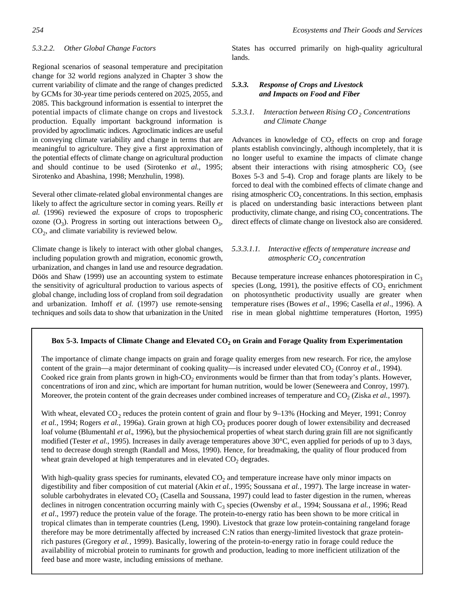#### *5.3.2.2. Other Global Change Factors*

Regional scenarios of seasonal temperature and precipitation change for 32 world regions analyzed in Chapter 3 show the current variability of climate and the range of changes predicted by GCMs for 30-year time periods centered on 2025, 2055, and 2085. This background information is essential to interpret the potential impacts of climate change on crops and livestock production. Equally important background information is provided by agroclimatic indices. Agroclimatic indices are useful in conveying climate variability and change in terms that are meaningful to agriculture. They give a first approximation of the potential effects of climate change on agricultural production and should continue to be used (Sirotenko *et al.*, 1995; Sirotenko and Abashina, 1998; Menzhulin, 1998).

Several other climate-related global environmental changes are likely to affect the agriculture sector in coming years. Reilly *et al.* (1996) reviewed the exposure of crops to tropospheric ozone  $(O_3)$ . Progress in sorting out interactions between  $O_3$ ,  $CO<sub>2</sub>$ , and climate variability is reviewed below.

Climate change is likely to interact with other global changes, including population growth and migration, economic growth, urbanization, and changes in land use and resource degradation. Döös and Shaw (1999) use an accounting system to estimate the sensitivity of agricultural production to various aspects of global change, including loss of cropland from soil degradation and urbanization. Imhoff *et al.* (1997) use remote-sensing techniques and soils data to show that urbanization in the United States has occurred primarily on high-quality agricultural lands.

#### *5.3.3. Response of Crops and Livestock and Impacts on Food and Fiber*

#### *5.3.3.1. Interaction between Rising CO<sup>2</sup> Concentrations and Climate Change*

Advances in knowledge of  $CO<sub>2</sub>$  effects on crop and forage plants establish convincingly, although incompletely, that it is no longer useful to examine the impacts of climate change absent their interactions with rising atmospheric  $CO<sub>2</sub>$  (see Boxes 5-3 and 5-4). Crop and forage plants are likely to be forced to deal with the combined effects of climate change and rising atmospheric  $CO_2$  concentrations. In this section, emphasis is placed on understanding basic interactions between plant productivity, climate change, and rising  $CO<sub>2</sub>$  concentrations. The direct effects of climate change on livestock also are considered.

#### *5.3.3.1.1. Interactive effects of temperature increase and atmospheric CO<sup>2</sup> concentration*

Because temperature increase enhances photorespiration in  $C_3$ species (Long, 1991), the positive effects of  $CO_2$  enrichment on photosynthetic productivity usually are greater when temperature rises (Bowes et al., 1996; Casella et al., 1996). A rise in mean global nighttime temperatures (Horton, 1995)

#### **Box 5-3. Impacts of Climate Change and Elevated CO<sup>2</sup> on Grain and Forage Quality from Experimentation**

The importance of climate change impacts on grain and forage quality emerges from new research. For rice, the amylose content of the grain—a major determinant of cooking quality—is increased under elevated  $CO_2$  (Conroy *et al.*, 1994). Cooked rice grain from plants grown in high- $CO_2$  environments would be firmer than that from today's plants. However, concentrations of iron and zinc, which are important for human nutrition, would be lower (Seneweera and Conroy, 1997). Moreover, the protein content of the grain decreases under combined increases of temperature and CO<sub>2</sub> (Ziska *et al.*, 1997).

With wheat, elevated  $CO_2$  reduces the protein content of grain and flour by 9-13% (Hocking and Meyer, 1991; Conroy *et al.*, 1994; Rogers *et al.*, 1996a). Grain grown at high CO<sub>2</sub> produces poorer dough of lower extensibility and decreased loaf volume (Blumentahl *et al.*, 1996), but the physiochemical properties of wheat starch during grain fill are not significantly modified (Tester *et al.*, 1995). Increases in daily average temperatures above 30°C, even applied for periods of up to 3 days, tend to decrease dough strength (Randall and Moss, 1990). Hence, for breadmaking, the quality of flour produced from wheat grain developed at high temperatures and in elevated  $CO<sub>2</sub>$  degrades.

With high-quality grass species for ruminants, elevated  $CO<sub>2</sub>$  and temperature increase have only minor impacts on digestibility and fiber composition of cut material (Akin *et al.*, 1995; Soussana *et al.*, 1997). The large increase in watersoluble carbohydrates in elevated  $CO_2$  (Casella and Soussana, 1997) could lead to faster digestion in the rumen, whereas declines in nitrogen concentration occurring mainly with C<sub>3</sub> species (Owensby *et al.*, 1994; Soussana *et al.*, 1996; Read *et al*., 1997) reduce the protein value of the forage. The protein-to-energy ratio has been shown to be more critical in tropical climates than in temperate countries (Leng, 1990). Livestock that graze low protein-containing rangeland forage therefore may be more detrimentally affected by increased C:N ratios than energy-limited livestock that graze proteinrich pastures (Gregory *et al.*, 1999). Basically, lowering of the protein-to-energy ratio in forage could reduce the availability of microbial protein to ruminants for growth and production, leading to more inefficient utilization of the feed base and more waste, including emissions of methane.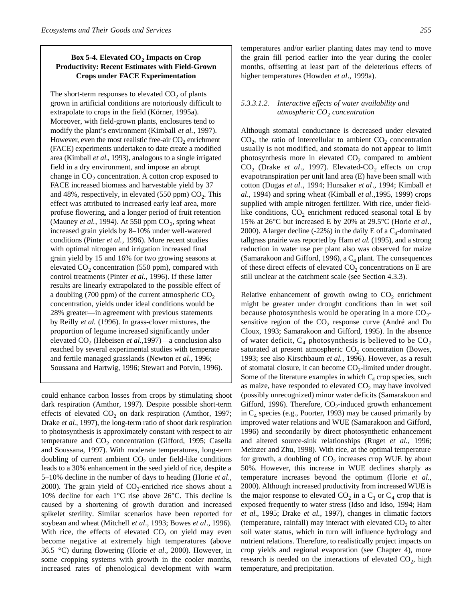#### **Box 5-4. Elevated CO<sup>2</sup> Impacts on Crop Productivity: Recent Estimates with Field-Grown Crops under FACE Experimentation**

The short-term responses to elevated  $CO<sub>2</sub>$  of plants grown in artificial conditions are notoriously difficult to extrapolate to crops in the field (Körner, 1995a). Moreover, with field-grown plants, enclosures tend to modify the plant's environment (Kimball *et al.*, 1997). However, even the most realistic free-air  $CO<sub>2</sub>$  enrichment ( FACE) experiments undertaken to date create a modified area (Kimball *et al.*, 1993), analogous to a single irrigated field in a dry environment, and impose an abrupt change in  $CO_2$  concentration. A cotton crop exposed to FACE increased biomass and harvestable yield by 37 and 48%, respectively, in elevated  $(550$  ppm)  $CO<sub>2</sub>$ . This effect was attributed to increased early leaf area, more profuse flowering, and a longer period of fruit retention (Mauney *et al.*, 1994). At 550 ppm  $CO_2$ , spring wheat increased grain yields by 8–10% under well-watered conditions (Pinter *et al.*, 1996). More recent studies with optimal nitrogen and irrigation increased final grain yield by 15 and 16% for two growing seasons at elevated  $CO_2$  concentration (550 ppm), compared with control treatments (Pinter *et al.*, 1996). If these latter results are linearly extrapolated to the possible effect of a doubling (700 ppm) of the current atmospheric  $CO<sub>2</sub>$ concentration, yields under ideal conditions would be 28% greater—in agreement with previous statements by Reilly *et al.* (1996). In grass-clover mixtures, the proportion of legume increased significantly under elevated CO<sub>2</sub> (Hebeisen *et al.*, 1997)—a conclusion also reached by several experimental studies with temperate and fertile managed grasslands (Newton *et al.*, 1996; Soussana and Hartwig, 1996; Stewart and Potvin, 1996).

could enhance carbon losses from crops by stimulating shoot dark respiration (Amthor, 1997). Despite possible short-term effects of elevated  $CO<sub>2</sub>$  on dark respiration (Amthor, 1997; Drake *et al*., 1997), the long-term ratio of shoot dark respiration to photosynthesis is approximately constant with respect to air temperature and  $CO_2$  concentration (Gifford, 1995; Casella and Soussana, 1997). With moderate temperatures, long-term doubling of current ambient  $CO<sub>2</sub>$  under field-like conditions leads to a 30% enhancement in the seed yield of rice, despite a 5–10% decline in the number of days to heading (Horie *et al*., 2000). The grain yield of  $CO_2$ -enriched rice shows about a 10% decline for each  $1^{\circ}$ C rise above  $26^{\circ}$ C. This decline is caused by a shortening of growth duration and increased spikelet sterility. Similar scenarios have been reported for soybean and wheat (Mitchell *et al.*, 1993; Bowes *et al.*, 1996). With rice, the effects of elevated  $CO<sub>2</sub>$  on yield may even become negative at extremely high temperatures (above 36.5 °C) during flowering (Horie *et al*., 2000). However, in some cropping systems with growth in the cooler months, increased rates of phenological development with warm

temperatures and/or earlier planting dates may tend to move the grain fill period earlier into the year during the cooler months, offsetting at least part of the deleterious effects of higher temperatures (Howden *et al*., 1999a).

#### *5.3.3.1.2. Interactive effects of water availability and atmospheric CO<sup>2</sup> concentration*

Although stomatal conductance is decreased under elevated  $CO<sub>2</sub>$ , the ratio of intercellular to ambient  $CO<sub>2</sub>$  concentration usually is not modified, and stomata do not appear to limit photosynthesis more in elevated  $CO<sub>2</sub>$  compared to ambient  $CO_2$  (Drake *et al.*, 1997). Elevated- $CO_2$  effects on crop ev a potranspiration per unit land area  $(E)$  have been small with cotton (Dugas *et al*., 1994; Hunsaker *et al*., 1994; Kimball *et al*., 1994) and spring wheat (Kimball *et al*.,1995, 1999) crops supplied with ample nitrogen fertilizer. With rice, under fieldlike conditions,  $CO_2$  enrichment reduced seasonal total E by 15% at 26°C but increased E by 20% at 29.5°C (Horie *et al*., 2000). A larger decline  $(-22%)$  in the daily E of a  $C_4$ -dominated tallgrass prairie was reported by Ham *et al*. (1995), and a strong reduction in water use per plant also was observed for maize (Samarakoon and Gifford, 1996), a  $C_4$  plant. The consequences of these direct effects of elevated  $CO<sub>2</sub>$  concentrations on E are still unclear at the catchment scale (see Section 4.3.3).

Relative enhancement of growth owing to  $CO<sub>2</sub>$  enrichment might be greater under drought conditions than in wet soil because photosynthesis would be operating in a more  $CO_2$ sensitive region of the  $CO_2$  response curve (André and Du Cloux, 1993; Samarakoon and Gifford, 1995). In the absence of water deficit,  $C_4$  photosynthesis is believed to be  $CO_2$ saturated at present atmospheric  $CO<sub>2</sub>$  concentration (Bowes, 1993; see also Kirschbaum *et al.*, 1996). However, as a result of stomatal closure, it can become  $CO_2$ -limited under drought. Some of the literature examples in which  $C_4$  crop species, such as maize, have responded to elevated  $CO<sub>2</sub>$  may have involved (possibly unrecognized) minor water deficits (Samarakoon and Gifford, 1996). Therefore,  $CO_2$ -induced growth enhancement in C<sup>4</sup> species (e.g., Poorter, 1993) may be caused primarily by improved water relations and WUE (Samarakoon and Gifford, 1996) and secondarily by direct photosynthetic enhancement and altered source-sink relationships (Ruget *et al.*, 1996; Meinzer and Zhu, 1998). With rice, at the optimal temperature for growth, a doubling of  $CO_2$  increases crop WUE by about 50%. However, this increase in WUE declines sharply as temperature increases beyond the optimum (Horie *et al.*, 2000). Although increased productivity from increased WUE is the major response to elevated  $CO_2$  in a  $C_3$  or  $C_4$  crop that is exposed frequently to water stress (Idso and Idso, 1994; Ham *et al.*, 1995; Drake *et al.*, 1997), changes in climatic factors (temperature, rainfall) may interact with elevated  $CO<sub>2</sub>$  to alter soil water status, which in turn will influence hydrology and nutrient relations. Therefore, to realistically project impacts on crop yields and regional evaporation (see Chapter 4), more research is needed on the interactions of elevated  $CO<sub>2</sub>$ , high temperature, and precipitation.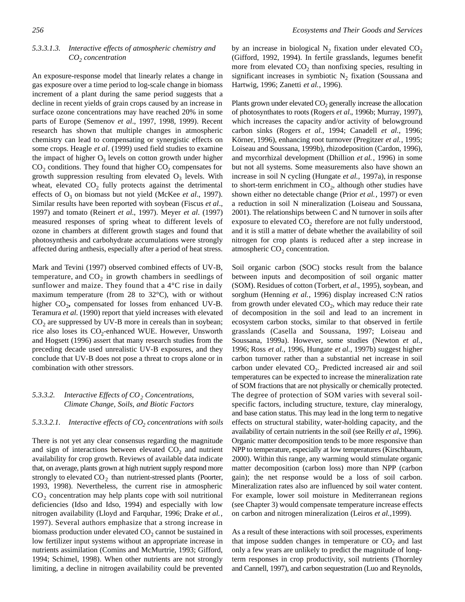#### *5.3.3.1.3. Interactive effects of atmospheric chemistry and CO<sup>2</sup> concentration*

An exposure-response model that linearly relates a change in gas exposure over a time period to log-scale change in biomass increment of a plant during the same period suggests that a decline in recent yields of grain crops caused by an increase in surface ozone concentrations may have reached 20% in some parts of Europe (Semenov *et al*., 1997, 1998, 1999). Recent research has shown that multiple changes in atmospheric chemistry can lead to compensating or synergistic effects on some crops. Heagle *et al*. (1999) used field studies to examine the impact of higher  $O_3$  levels on cotton growth under higher  $CO<sub>2</sub>$  conditions. They found that higher  $CO<sub>2</sub>$  compensates for growth suppression resulting from elevated  $O_3$  levels. With wheat, elevated  $CO<sub>2</sub>$  fully protects against the detrimental effects of O<sub>3</sub> on biomass but not yield (McKee *et al.*, 1997). Similar results have been reported with soybean (Fiscus *et al*., 1997) and tomato (Reinert *et al*., 1997). Meyer *et al*. (1997) measured responses of spring wheat to different levels of ozone in chambers at different growth stages and found that photosynthesis and carbohydrate accumulations were strongly affected during anthesis, especially after a period of heat stress.

Mark and Tevini (1997) observed combined effects of UV-B, temperature, and  $CO<sub>2</sub>$  in growth chambers in seedlings of sunflower and maize. They found that a  $4^{\circ}$ C rise in daily maximum temperature (from 28 to  $32^{\circ}$ C), with or without higher CO<sub>2</sub>, compensated for losses from enhanced UV-B. Teramura *et al*. (1990) report that yield increases with elevated  $CO<sub>2</sub>$  are suppressed by UV-B more in cereals than in soybean; rice also loses its CO<sub>2</sub>-enhanced WUE. However, Unsworth and Hogsett (1996) assert that many research studies from the preceding decade used unrealistic UV-B exposures, and they conclude that UV-B does not pose a threat to crops alone or in combination with other stressors.

#### *5.3.3.2. Interactive Effects of CO<sup>2</sup> Concentrations, Climate Change, Soils, and Biotic Factors*

#### *5.3.3.2.1. Interactive effects of CO<sup>2</sup> concentrations with soils*

There is not yet any clear consensus regarding the magnitude and sign of interactions between elevated  $CO<sub>2</sub>$  and nutrient availability for crop growth. Reviews of available data indicate that, on average, plants grown at high nutrient supply respond more strongly to elevated  $CO_2$  than nutrient-stressed plants (Poorter, 1993, 1998). Nevertheless, the current rise in atmospheric  $CO<sub>2</sub>$  concentration may help plants cope with soil nutritional deficiencies (Idso and Idso, 1994) and especially with low nitrogen availability (Lloyd and Farquhar, 1996; Drake *et al.*, 1997). Several authors emphasize that a strong increase in biomass production under elevated  $CO_2$  cannot be sustained in low fertilizer input systems without an appropriate increase in nutrients assimilation (Comins and McMurtrie, 1993; Gifford, 1994; Schimel, 1998). When other nutrients are not strongly limiting, a decline in nitrogen availability could be prevented

by an increase in biological  $N_2$  fixation under elevated  $CO_2$ (Gifford, 1992, 1994). In fertile grasslands, legumes benefit more from elevated  $CO<sub>2</sub>$  than nonfixing species, resulting in significant increases in symbiotic  $N_2$  fixation (Soussana and Hartwig, 1996; Zanetti *et al.*, 1996).

Plants grown under elevated  $CO<sub>2</sub>$  generally increase the allocation of photosynthates to roots (Rogers *et al.*, 1996b; Murray, 1997), which increases the capacity and/or activity of belowground carbon sinks (Rogers *et al.*, 1994; Canadell *et al.*, 1996; Körner, 1996), enhancing root turnover (Pregitzer *et al.*, 1995; Loiseau and Soussana, 1999b), rhizodeposition (Cardon, 1996), and mycorrhizal development (Dhillion *et al.*, 1996) in some but not all systems. Some measurements also have shown an increase in soil N cycling (Hungate *et al.,* 1997a), in response to short-term enrichment in  $CO<sub>2</sub>$ , although other studies have shown either no detectable change (Prior *et al.*, 1997) or even a reduction in soil N mineralization (Loiseau and Soussana, 2001). The relationships between C and N turnover in soils after exposure to elevated  $CO<sub>2</sub>$  therefore are not fully understood, and it is still a matter of debate whether the availability of soil nitrogen for crop plants is reduced after a step increase in atmospheric  $CO<sub>2</sub>$  concentration.

Soil organic carbon (SOC) stocks result from the balance between inputs and decomposition of soil organic matter (SOM). Residues of cotton (Torbert, *et al.*, 1995), soybean, and sorghum (Henning *et al.*, 1996) display increased C:N ratios from growth under elevated  $CO<sub>2</sub>$ , which may reduce their rate of decomposition in the soil and lead to an increment in ecosystem carbon stocks, similar to that observed in fertile grasslands (Casella and Soussana, 1997; Loiseau and Soussana, 1999a). However, some studies (Newton *et al.*, 1996; Ross *et al.*, 1996, Hungate *et al.*, 1997b) suggest higher carbon turnover rather than a substantial net increase in soil carbon under elevated  $CO<sub>2</sub>$ . Predicted increased air and soil temperatures can be expected to increase the mineralization rate of SOM fractions that are not physically or chemically protected. The degree of protection of SOM varies with several soilspecific factors, including structure, texture, clay mineralogy, and base cation status. This may lead in the long term to negative effects on structural stability, water-holding capacity, and the availability of certain nutrients in the soil (see Reilly *et al.*, 1996). Organic matter decomposition tends to be more responsive than NPP to temperature, especially at low temperatures (Kirschbaum, 2000). Within this range, any warming would stimulate organic matter decomposition (carbon loss) more than NPP (carbon gain); the net response would be a loss of soil carbon. Mineralization rates also are influenced by soil water content. For example, lower soil moisture in Mediterranean regions (see Chapter 3) would compensate temperature increase effects on carbon and nitrogen mineralization (Leiros *et al.,*1999).

As a result of these interactions with soil processes, experiments that impose sudden changes in temperature or  $CO<sub>2</sub>$  and last only a few years are unlikely to predict the magnitude of longterm responses in crop productivity, soil nutrients (Thornley and Cannell, 1997), and carbon sequestration (Luo and Reynolds,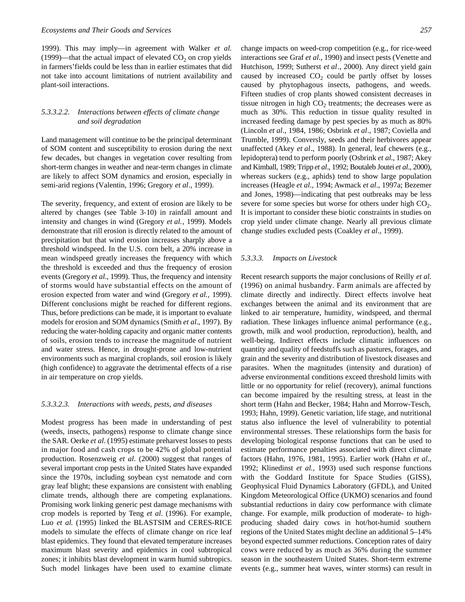1999). This may imply—in agreement with Walker *et al.* (1999)—that the actual impact of elevated  $CO<sub>2</sub>$  on crop yields in farmers'fields could be less than in earlier estimates that did not take into account limitations of nutrient availability and plant-soil interactions.

#### *5.3.3.2.2. Interactions between effects of climate change and soil degradation*

Land management will continue to be the principal determinant of SOM content and susceptibility to erosion during the next few decades, but changes in vegetation cover resulting from short-term changes in weather and near-term changes in climate are likely to affect SOM dynamics and erosion, especially in semi-arid regions (Valentin, 1996; Gregory *et al*., 1999).

The severity, frequency, and extent of erosion are likely to be altered by changes (see Table 3-10) in rainfall amount and intensity and changes in wind (Gregory *et al.*, 1999). Models demonstrate that rill erosion is directly related to the amount of precipitation but that wind erosion increases sharply above a threshold windspeed. In the U.S. corn belt, a 20% increase in mean windspeed greatly increases the frequency with which the threshold is exceeded and thus the frequency of erosion events (Gregory *et al.*, 1999). Thus, the frequency and intensity of storms would have substantial effects on the amount of erosion expected from water and wind (Gregory *et al.*, 1999). Different conclusions might be reached for different regions. Thus, before predictions can be made, it is important to evaluate models for erosion and SOM dynamics (Smith *et al.*, 1997). By reducing the water-holding capacity and organic matter contents of soils, erosion tends to increase the magnitude of nutrient and water stress. Hence, in drought-prone and low-nutrient environments such as marginal croplands, soil erosion is likely (high confidence) to aggravate the detrimental effects of a rise in air temperature on crop yields.

#### *5.3.3.2.3. Interactions with weeds, pests, and diseases*

Modest progress has been made in understanding of pest (weeds, insects, pathogens) response to climate change since the SAR. Oerke *et al*. (1995) estimate preharvest losses to pests in major food and cash crops to be 42% of global potential production. Rosenzweig *et al.* (2000) suggest that ranges of several important crop pests in the United States have expanded since the 1970s, including soybean cyst nematode and corn gray leaf blight; these expansions are consistent with enabling climate trends, although there are competing explanations. Promising work linking generic pest damage mechanisms with crop models is reported by Teng *et al*. (1996). For example, Luo *et al*. (1995) linked the BLASTSIM and CERES-RICE models to simulate the effects of climate change on rice leaf blast epidemics. They found that elevated temperature increases maximum blast severity and epidemics in cool subtropical zones; it inhibits blast development in warm humid subtropics. Such model linkages have been used to examine climate change impacts on weed-crop competition (e.g., for rice-weed interactions see Graf *et al*., 1990) and insect pests (Venette and Hutchison, 1999; Sutherst *et al*., 2000). Any direct yield gain caused by increased  $CO<sub>2</sub>$  could be partly offset by losses caused by phytophagous insects, pathogens, and weeds. Fifteen studies of crop plants showed consistent decreases in tissue nitrogen in high  $CO<sub>2</sub>$  treatments; the decreases were as much as 30%. This reduction in tissue quality resulted in increased feeding damage by pest species by as much as 80% (Lincoln *et al*., 1984, 1986; Osbrink *et al*., 1987; Coviella and Trumble, 1999). Conversly, seeds and their herbivores appear unaffected (Akey *et al*., 1988). In general, leaf chewers (e.g., lepidoptera) tend to perform poorly (Osbrink *et al*., 1987; Akey and Kimball, 1989; Tripp *et al*., 1992; Boutaleb Joutei *et al*., 2000), whereas suckers (e.g., aphids) tend to show large population increases (Heagle *et al*., 1994; Awmack *et al*., 1997a; Bezemer and Jones, 1998)—indicating that pest outbreaks may be less severe for some species but worse for others under high  $CO<sub>2</sub>$ . It is important to consider these biotic constraints in studies on crop yield under climate change. Nearly all previous climate change studies excluded pests (Coakley *et al*., 1999).

#### *5.3.3.3. Impacts on Livestock*

Recent research supports the major conclusions of Reilly *et al.* (1996) on animal husbandry. Farm animals are affected by climate directly and indirectly. Direct effects involve heat exchanges between the animal and its environment that are linked to air temperature, humidity, windspeed, and thermal radiation. These linkages influence animal performance (e.g., growth, milk and wool production, reproduction), health, and well-being. Indirect effects include climatic influences on quantity and quality of feedstuffs such as pastures, forages, and grain and the severity and distribution of livestock diseases and parasites. When the magnitudes (intensity and duration) of adverse environmental conditions exceed threshold limits with little or no opportunity for relief (recovery), animal functions can become impaired by the resulting stress, at least in the short term (Hahn and Becker, 1984; Hahn and Morrow-Tesch, 1993; Hahn, 1999). Genetic variation, life stage, and nutritional status also influence the level of vulnerability to potential environmental stresses. These relationships form the basis for developing biological response functions that can be used to estimate performance penalties associated with direct climate factors (Hahn, 1976, 1981, 1995). Earlier work (Hahn *et al.*, 1992; Klinedinst *et al.*, 1993) used such response functions with the Goddard Institute for Space Studies (GISS), Geophysical Fluid Dynamics Laboratory (GFDL), and United Kingdom Meteorological Office (UKMO) scenarios and found substantial reductions in dairy cow performance with climate change. For example, milk production of moderate- to highproducing shaded dairy cows in hot/hot-humid southern regions of the United States might decline an additional 5–14% beyond expected summer reductions. Conception rates of dairy cows were reduced by as much as 36% during the summer season in the southeastern United States. Short-term extreme events (e.g., summer heat waves, winter storms) can result in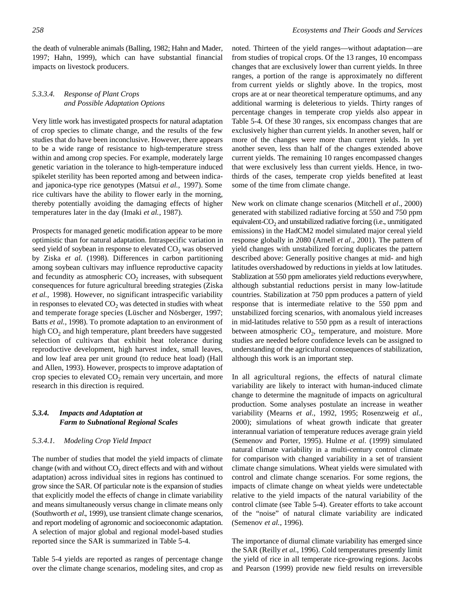the death of vulnerable animals (Balling, 1982; Hahn and Mader, 1997; Hahn, 1999), which can have substantial financial impacts on livestock producers.

#### *5.3.3.4. Response of Plant Crops and Possible Adaptation Options*

Very little work has investigated prospects for natural adaptation of crop species to climate change, and the results of the few studies that do have been inconclusive. However, there appears to be a wide range of resistance to high-temperature stress within and among crop species. For example, moderately large genetic variation in the tolerance to high-temperature induced spikelet sterility has been reported among and between indicaand japonica-type rice genotypes (Matsui *et al.,* 1997). Some rice cultivars have the ability to flower early in the morning, thereby potentially avoiding the damaging effects of higher temperatures later in the day (Imaki *et al.*, 1987).

Prospects for managed genetic modification appear to be more optimistic than for natural adaptation. Intraspecific variation in seed yield of soybean in response to elevated  $CO<sub>2</sub>$  was observed by Ziska *et al.* (1998). Differences in carbon partitioning among soybean cultivars may influence reproductive capacity and fecundity as atmospheric  $CO<sub>2</sub>$  increases, with subsequent consequences for future agricultural breeding strategies (Ziska *et al.,* 1998). However, no significant intraspecific variability in responses to elevated  $CO<sub>2</sub>$  was detected in studies with wheat and temperate forage species (Lüscher and Nösberger, 1997; Batts *et al.,* 1998). To promote adaptation to an environment of high  $CO<sub>2</sub>$  and high temperature, plant breeders have suggested selection of cultivars that exhibit heat tolerance during reproductive development, high harvest index, small leaves, and low leaf area per unit ground (to reduce heat load) (Hall and Allen, 1993). However, prospects to improve adaptation of crop species to elevated  $CO_2$  remain very uncertain, and more research in this direction is required.

#### *5.3.4. Impacts and Adaptation at Farm to Subnational Regional Scales*

#### *5.3.4.1. Modeling Crop Yield Impact*

The number of studies that model the yield impacts of climate change (with and without  $CO<sub>2</sub>$  direct effects and with and without adaptation) across individual sites in regions has continued to grow since the SAR. Of particular note is the expansion of studies that explicitly model the effects of change in climate variability and means simultaneously versus change in climate means only (Southworth *et al.*, 1999), use transient climate change scenarios, and report modeling of agronomic and socioeconomic adaptation. A selection of major global and regional model-based studies reported since the SAR is summarized in Table 5-4.

Table 5-4 yields are reported as ranges of percentage change over the climate change scenarios, modeling sites, and crop as noted. Thirteen of the yield ranges—without adaptation—are from studies of tropical crops. Of the 13 ranges, 10 encompass changes that are exclusively lower than current yields. In three ranges, a portion of the range is approximately no different from current yields or slightly above. In the tropics, most crops are at or near theoretical temperature optimums, and any additional warming is deleterious to yields. Thirty ranges of percentage changes in temperate crop yields also appear in Table 5-4. Of these 30 ranges, six encompass changes that are exclusively higher than current yields. In another seven, half or more of the changes were more than current yields. In yet another seven, less than half of the changes extended above current yields. The remaining 10 ranges encompassed changes that were exclusively less than current yields. Hence, in twothirds of the cases, temperate crop yields benefited at least some of the time from climate change.

New work on climate change scenarios (Mitchell *et al*., 2000) generated with stabilized radiative forcing at 550 and 750 ppm equivalent- $CO<sub>2</sub>$  and unstabilized radiative forcing (i.e., unmitigated emissions) in the HadCM2 model simulated major cereal yield response globally in 2080 (Arnell *et al*., 2001). The pattern of yield changes with unstabilized forcing duplicates the pattern described above: Generally positive changes at mid- and high latitudes overshadowed by reductions in yields at low latitudes. Stablization at 550 ppm ameliorates yield reductions everywhere, although substantial reductions persist in many low-latitude countries. Stabilization at 750 ppm produces a pattern of yield response that is intermediate relative to the 550 ppm and unstabilized forcing scenarios, with anomalous yield increases in mid-latitudes relative to 550 ppm as a result of interactions between atmospheric  $CO_2$ , temperature, and moisture. More studies are needed before confidence levels can be assigned to understanding of the agricultural consequences of stabilization, although this work is an important step.

In all agricultural regions, the effects of natural climate variability are likely to interact with human-induced climate change to determine the magnitude of impacts on agricultural production. Some analyses postulate an increase in weather variability (Mearns *et al.*, 1992, 1995; Rosenzweig *et al.*, 2000); simulations of wheat growth indicate that greater interannual variation of temperature reduces average grain yield (Semenov and Porter, 1995). Hulme *et al*. (1999) simulated natural climate variability in a multi-century control climate for comparison with changed variability in a set of transient climate change simulations. Wheat yields were simulated with control and climate change scenarios. For some regions, the impacts of climate change on wheat yields were undetectable relative to the yield impacts of the natural variability of the control climate (see Table 5-4). Greater efforts to take account of the "noise" of natural climate variability are indicated (Semenov *et al.*, 1996).

The importance of diurnal climate variability has emerged since the SAR (Reilly *et al.*, 1996). Cold temperatures presently limit the yield of rice in all temperate rice-growing regions. Jacobs and Pearson (1999) provide new field results on irreversible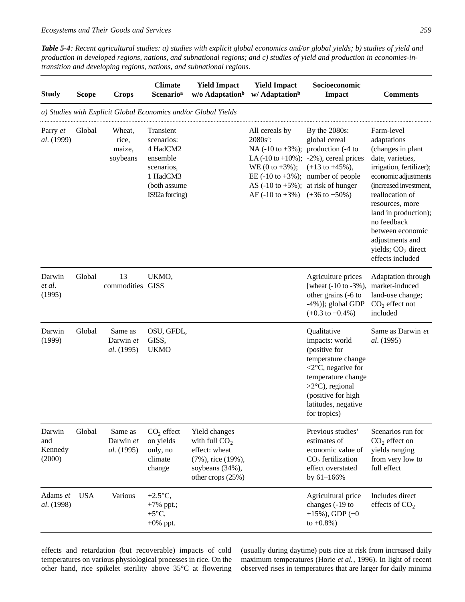*Table 5-4: Recent agricultural studies: a) studies with explicit global economics and/or global yields; b) studies of yield and production in developed regions, nations, and subnational regions; and c) studies of yield and production in economies-intransition and developing regions, nations, and subnational regions.*

| <b>Study</b>                       | <b>Scope</b> | <b>Crops</b>                          | <b>Climate</b><br><b>Scenario</b> <sup>a</sup>                                                              | <b>Yield Impact</b><br>w/o Adaptationb                                                                         | <b>Yield Impact</b><br>w/ Adaptationb                                                                                                                                                           | Socioeconomic<br><b>Impact</b>                                                                                                                                                                                       | <b>Comments</b>                                                                                                                                                                                                                                                                                                  |
|------------------------------------|--------------|---------------------------------------|-------------------------------------------------------------------------------------------------------------|----------------------------------------------------------------------------------------------------------------|-------------------------------------------------------------------------------------------------------------------------------------------------------------------------------------------------|----------------------------------------------------------------------------------------------------------------------------------------------------------------------------------------------------------------------|------------------------------------------------------------------------------------------------------------------------------------------------------------------------------------------------------------------------------------------------------------------------------------------------------------------|
|                                    |              |                                       |                                                                                                             | a) Studies with Explicit Global Economics and/or Global Yields                                                 |                                                                                                                                                                                                 |                                                                                                                                                                                                                      |                                                                                                                                                                                                                                                                                                                  |
| Parry et<br>al. (1999)             | Global       | Wheat.<br>rice,<br>maize,<br>soybeans | Transient<br>scenarios:<br>4 HadCM2<br>ensemble<br>scenarios,<br>1 HadCM3<br>(both assume<br>IS92a forcing) |                                                                                                                | All cereals by<br>2080sc:<br>NA $(-10 \text{ to } +3\%)$ ; production $(-4 \text{ to }$<br>WE $(0 to +3\%)$ ;<br>AS $(-10 \text{ to } +5\%)$ ; at risk of hunger<br>AF $(-10 \text{ to } +3\%)$ | By the $2080s$ :<br>global cereal<br>LA $(-10 \text{ to } +10\%)$ ; $-2\%$ ), cereal prices<br>$(+13 \text{ to } +45\%)$ ,<br>EE $(-10 \text{ to } +3\%)$ ; number of people<br>$(+36 \text{ to } +50\%)$            | Farm-level<br>adaptations<br>(changes in plant<br>date, varieties,<br>irrigation, fertilizer);<br>economic adjustments<br>(increased investment,<br>reallocation of<br>resources, more<br>land in production);<br>no feedback<br>between economic<br>adjustments and<br>yields; $CO2$ direct<br>effects included |
| Darwin<br>et al.<br>(1995)         | Global       | 13<br>commodities GISS                | UKMO,                                                                                                       |                                                                                                                |                                                                                                                                                                                                 | Agriculture prices<br>[wheat (-10 to -3%),<br>other grains (-6 to<br>-4%)]; global GDP<br>$(+0.3 \text{ to } +0.4\%)$                                                                                                | Adaptation through<br>market-induced<br>land-use change;<br>$CO2$ effect not<br>included                                                                                                                                                                                                                         |
| Darwin<br>(1999)                   | Global       | Same as<br>Darwin et<br>al. (1995)    | OSU, GFDL,<br>GISS,<br><b>UKMO</b>                                                                          |                                                                                                                |                                                                                                                                                                                                 | Qualitative<br>impacts: world<br>(positive for<br>temperature change<br>$\langle 2^{\circ}$ C, negative for<br>temperature change<br>$>2$ °C), regional<br>(positive for high<br>latitudes, negative<br>for tropics) | Same as Darwin et<br>al. (1995)                                                                                                                                                                                                                                                                                  |
| Darwin<br>and<br>Kennedy<br>(2000) | Global       | Same as<br>Darwin et<br>al. (1995)    | $CO2$ effect<br>on yields<br>only, no<br>climate<br>change                                                  | Yield changes<br>with full $CO2$<br>effect: wheat<br>(7%), rice (19%),<br>soybeans (34%),<br>other crops (25%) |                                                                                                                                                                                                 | Previous studies'<br>estimates of<br>economic value of<br>$CO2$ fertilization<br>effect overstated<br>by 61-166%                                                                                                     | Scenarios run for<br>$CO2$ effect on<br>yields ranging<br>from very low to<br>full effect                                                                                                                                                                                                                        |
| Adams et<br>al. (1998)             | <b>USA</b>   | Various                               | $+2.5$ °C,<br>$+7\%$ ppt.;<br>$+5^{\circ}C,$<br>$+0\%$ ppt.                                                 |                                                                                                                |                                                                                                                                                                                                 | Agricultural price<br>changes (-19 to<br>$+15\%$ ), GDP $(+0$<br>to $+0.8\%$ )                                                                                                                                       | Includes direct<br>effects of $CO2$                                                                                                                                                                                                                                                                              |

e ffects and retardation (but recoverable) impacts of cold temperatures on various physiological processes in rice. On the other hand, rice spikelet sterility above 35°C at flowering (usually during daytime) puts rice at risk from increased daily maximum temperatures (Horie *et al.*, 1996). In light of recent observed rises in temperatures that are larger for daily minima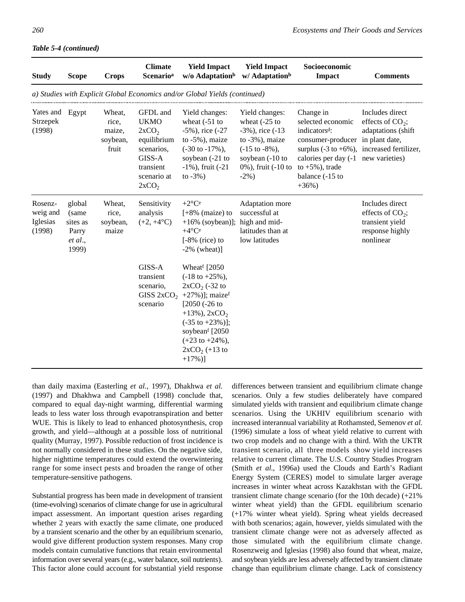| <b>Study</b>                              | <b>Scope</b>                                                               | <b>Crops</b>                                   | <b>Climate</b><br><b>Scenario</b> <sup>a</sup>                                                                                       | <b>Yield Impact</b><br>w/o Adaptationb                                                                                                                                                                                                                                         | <b>Yield Impact</b><br>w/ Adaptationb                                                                                                                                 | Socioeconomic<br>Impact                                                                                                                                                                      | <b>Comments</b>                                                                                                         |  |  |  |  |
|-------------------------------------------|----------------------------------------------------------------------------|------------------------------------------------|--------------------------------------------------------------------------------------------------------------------------------------|--------------------------------------------------------------------------------------------------------------------------------------------------------------------------------------------------------------------------------------------------------------------------------|-----------------------------------------------------------------------------------------------------------------------------------------------------------------------|----------------------------------------------------------------------------------------------------------------------------------------------------------------------------------------------|-------------------------------------------------------------------------------------------------------------------------|--|--|--|--|
|                                           | a) Studies with Explicit Global Economics and/or Global Yields (continued) |                                                |                                                                                                                                      |                                                                                                                                                                                                                                                                                |                                                                                                                                                                       |                                                                                                                                                                                              |                                                                                                                         |  |  |  |  |
| Yates and Egypt<br>Strzepek<br>(1998)     |                                                                            | Wheat.<br>rice,<br>maize,<br>soybean,<br>fruit | GFDL and<br><b>UKMO</b><br>2xCO <sub>2</sub><br>equilibrium<br>scenarios,<br>GISS-A<br>transient<br>scenario at<br>2xCO <sub>2</sub> | Yield changes:<br>wheat $(-51)$ to<br>$-5\%$ ), rice $(-27)$<br>to $-5\%$ ), maize<br>$(-30 \text{ to } -17\%)$ ,<br>soybean (-21 to<br>$-1\%$ ), fruit $(-21)$<br>to $-3\%$ )                                                                                                 | Yield changes:<br>wheat $(-25)$ to<br>$-3\%$ ), rice $(-13)$<br>to $-3\%$ ), maize<br>$(-15 \text{ to } -8\%)$ ,<br>soybean (-10 to<br>0%), fruit (-10 to<br>$-2\%$ ) | Change in<br>selected economic<br>indicators <sup>d</sup> :<br>consumer-producer in plant date,<br>calories per day (-1 new varieties)<br>to $+5\%$ ), trade<br>balance (-15 to<br>$+36\%$ ) | Includes direct<br>effects of $CO_2$ ;<br>adaptations (shift<br>surplus $(-3 \text{ to } +6\%)$ , increased fertilizer, |  |  |  |  |
| Rosenz-<br>weig and<br>Iglesias<br>(1998) | global<br>(same<br>sites as<br>Parry<br>et al.,<br>1999)                   | Wheat.<br>rice,<br>soybean,<br>maize           | Sensitivity<br>analysis<br>$(+2, +4\degree C)$                                                                                       | $+2$ °Ce<br>$[+8\%$ (maize) to<br>$+16\%$ (soybean)];<br>$+4$ °Ce<br>$[-8\%$ (rice) to<br>$-2\%$ (wheat)]                                                                                                                                                                      | <b>Adaptation</b> more<br>successful at<br>high and mid-<br>latitudes than at<br>low latitudes                                                                        |                                                                                                                                                                                              | Includes direct<br>effects of $CO_2$ ;<br>transient yield<br>response highly<br>nonlinear                               |  |  |  |  |
|                                           |                                                                            |                                                | GISS-A<br>transient<br>scenario,<br>GISS $2xCO$<br>scenario                                                                          | Wheatf [2050]<br>$(-18 \text{ to } +25\%)$ ,<br>$2xCO2$ (-32 to<br>$+27\%)$ ; maize <sup>f</sup><br>$[2050 (-26)$<br>$+13\%$ ), 2xCO <sub>2</sub><br>$(-35 \text{ to } +23\%)$ ];<br>soybean <sup>f</sup> [2050<br>$(+23 \text{ to } +24\%)$ ,<br>$2xCO2 (+13)$ to<br>$+17\%)$ |                                                                                                                                                                       |                                                                                                                                                                                              |                                                                                                                         |  |  |  |  |

than daily maxima (Easterling *et al.*, 1997), Dhakhwa *et al.* (1997) and Dhakhwa and Campbell (1998) conclude that, compared to equal day-night warming, differential warming leads to less water loss through evapotranspiration and better WUE. This is likely to lead to enhanced photosynthesis, crop growth, and yield—although at a possible loss of nutritional quality (Murray, 1997). Possible reduction of frost incidence is not normally considered in these studies. On the negative side, higher nighttime temperatures could extend the overwintering range for some insect pests and broaden the range of other temperature-sensitive pathogens.

Substantial progress has been made in development of transient (time-evolving) scenarios of climate change for use in agricultural impact assessment. An important question arises regarding whether 2 years with exactly the same climate, one produced by a transient scenario and the other by an equilibrium scenario, would give different production system responses. Many crop models contain cumulative functions that retain environmental information over several years (e.g., water balance, soil nutrients). This factor alone could account for substantial yield response differences between transient and equilibrium climate change scenarios. Only a few studies deliberately have compared simulated yields with transient and equilibrium climate change scenarios. Using the UKHIV equilibrium scenario with increased interannual variability at Rothamsted, Semenov *et al.* (1996) simulate a loss of wheat yield relative to current with two crop models and no change with a third. With the UKTR transient scenario, all three models show yield increases relative to current climate. The U.S. Country Studies Program (Smith *et al.*, 1996a) used the Clouds and Earth's Radiant Energy System (CERES) model to simulate larger average increases in winter wheat across Kazakhstan with the GFDL transient climate change scenario (for the 10th decade) (+21% winter wheat yield) than the GFDL equilibrium scenario (+17% winter wheat yield). Spring wheat yields decreased with both scenarios; again, however, yields simulated with the transient climate change were not as adversely affected as those simulated with the equilibrium climate change. Rosenzweig and Iglesias (1998) also found that wheat, maize, and soybean yields are less adversely affected by transient climate change than equilibrium climate change. Lack of consistency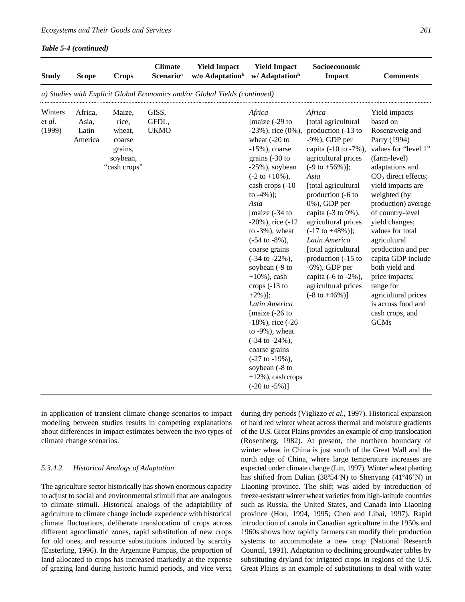| <b>Study</b>                | <b>Scope</b>                         | <b>Crops</b>                                                               | <b>Climate</b><br><b>Scenario</b> <sup>a</sup> | <b>Yield Impact</b><br>w/o Adaptation <sup>b</sup>                         | <b>Yield Impact</b><br>w/ Adaptationb                                                                                                                                                                                                                                                                                                                                                                                                                                                                                                                                                                                                                                                  | Socioeconomic<br>Impact                                                                                                                                                                                                                                                                                                                                                                                                                                                             | <b>Comments</b>                                                                                                                                                                                                                                                                                                                                                                                                                                                   |
|-----------------------------|--------------------------------------|----------------------------------------------------------------------------|------------------------------------------------|----------------------------------------------------------------------------|----------------------------------------------------------------------------------------------------------------------------------------------------------------------------------------------------------------------------------------------------------------------------------------------------------------------------------------------------------------------------------------------------------------------------------------------------------------------------------------------------------------------------------------------------------------------------------------------------------------------------------------------------------------------------------------|-------------------------------------------------------------------------------------------------------------------------------------------------------------------------------------------------------------------------------------------------------------------------------------------------------------------------------------------------------------------------------------------------------------------------------------------------------------------------------------|-------------------------------------------------------------------------------------------------------------------------------------------------------------------------------------------------------------------------------------------------------------------------------------------------------------------------------------------------------------------------------------------------------------------------------------------------------------------|
|                             |                                      |                                                                            |                                                | a) Studies with Explicit Global Economics and/or Global Yields (continued) |                                                                                                                                                                                                                                                                                                                                                                                                                                                                                                                                                                                                                                                                                        |                                                                                                                                                                                                                                                                                                                                                                                                                                                                                     |                                                                                                                                                                                                                                                                                                                                                                                                                                                                   |
| Winters<br>et al.<br>(1999) | Africa,<br>Asia,<br>Latin<br>America | Maize,<br>rice,<br>wheat,<br>coarse<br>grains,<br>soybean,<br>"cash crops" | GISS,<br>GFDL,<br><b>UKMO</b>                  |                                                                            | Africa<br>[maize (-29 to<br>$-23\%$ ), rice $(0\%)$ ,<br>wheat $(-20)$ to<br>$-15\%$ ), coarse<br>grains (-30 to<br>$-25\%$ ), soybean<br>$(-2 \text{ to } +10\%),$<br>cash crops (-10<br>to $-4\%$ )];<br>Asia<br>[maize $(-34)$ to<br>$-20\%$ ), rice $(-12)$<br>to $-3\%$ ), wheat<br>$(-54 \text{ to } -8\%)$ ,<br>coarse grains<br>$(-34 \text{ to } -22\%)$ ,<br>soybean (-9 to<br>$+10\%$ ), cash<br>crops $(-13)$ to<br>$+2\%$ )];<br>Latin America<br>[maize $(-26)$ to<br>$-18\%$ ), rice $(-26)$<br>to $-9\%$ ), wheat<br>$(-34 \text{ to } -24\%)$ ,<br>coarse grains<br>$(-27 \text{ to } -19\%),$<br>soybean (-8 to<br>$+12\%$ ), cash crops<br>$(-20 \text{ to } -5\%)$ | Africa<br>[total agricultural<br>production (-13 to<br>$-9\%$ ), GDP per<br>capita (-10 to -7%),<br>agricultural prices<br>$(-9 \text{ to } +56\%)$ ;<br>Asia<br>[total agricultural<br>production (-6 to<br>$0\%$ ), GDP per<br>capita $(-3 \text{ to } 0\%)$ ,<br>agricultural prices<br>$(-17 \text{ to } +48\%)$ ;<br>Latin America<br>[total agricultural<br>production (-15 to<br>$-6\%$ ), GDP per<br>capita (-6 to -2%),<br>agricultural prices<br>$(-8 \text{ to } +46\%)$ | Yield impacts<br>based on<br>Rosenzweig and<br>Parry (1994)<br>values for "level 1"<br>(farm-level)<br>adaptations and<br>$CO2$ direct effects;<br>yield impacts are<br>weighted (by<br>production) average<br>of country-level<br>yield changes;<br>values for total<br>agricultural<br>production and per<br>capita GDP include<br>both yield and<br>price impacts;<br>range for<br>agricultural prices<br>is across food and<br>cash crops, and<br><b>GCMs</b> |

in application of transient climate change scenarios to impact modeling between studies results in competing explanations about differences in impact estimates between the two types of climate change scenarios.

#### *5.3.4.2. Historical Analogs of Adaptation*

The agriculture sector historically has shown enormous capacity to adjust to social and environmental stimuli that are analogous to climate stimuli. Historical analogs of the adaptability of agriculture to climate change include experience with historical climate fluctuations, deliberate translocation of crops across different agroclimatic zones, rapid substitution of new crops for old ones, and resource substitutions induced by scarcity (Easterling, 1996). In the Argentine Pampas, the proportion of land allocated to crops has increased markedly at the expense of grazing land during historic humid periods, and vice versa

during dry periods (Viglizzo *et al*., 1997). Historical expansion of hard red winter wheat across thermal and moisture gradients of the U.S. Great Plains provides an example of crop translocation (Rosenberg, 1982). At present, the northern boundary of winter wheat in China is just south of the Great Wall and the north edge of China, where large temperature increases are expected under climate change (Lin, 1997). Winter wheat planting has shifted from Dalian (38º54'N) to Shenyang (41º46'N) in Liaoning province. The shift was aided by introduction of freeze-resistant winter wheat varieties from high-latitude countries such as Russia, the United States, and Canada into Liaoning province (Hou, 1994, 1995; Chen and Libai, 1997). Rapid introduction of canola in Canadian agriculture in the 1950s and 1960s shows how rapidly farmers can modify their production systems to accommodate a new crop (National Research Council, 1991). Adaptation to declining groundwater tables by substituting dryland for irrigated crops in regions of the U.S. Great Plains is an example of substitutions to deal with water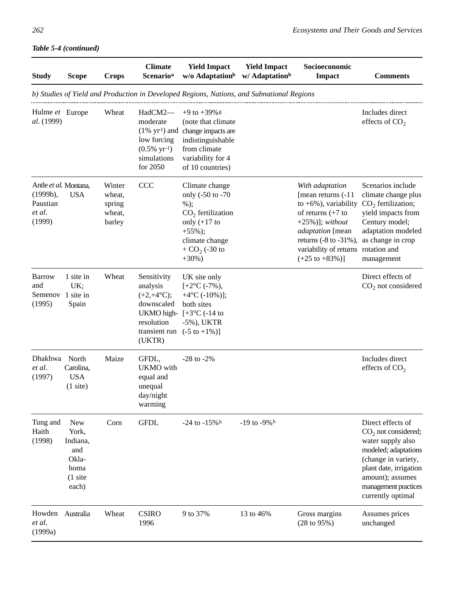| <b>Study</b>                                                      | <b>Scope</b>                                                                          | <b>Crops</b>                                   | <b>Climate</b><br>Scenario <sup>a</sup>                                                                                                     | <b>Yield Impact</b><br>w/o Adaptationb                                                                                                                               | <b>Yield Impact</b><br>w/ Adaptationb | Socioeconomic<br><b>Impact</b>                                                                                                                                                                                                                | <b>Comments</b>                                                                                                                                                                                           |
|-------------------------------------------------------------------|---------------------------------------------------------------------------------------|------------------------------------------------|---------------------------------------------------------------------------------------------------------------------------------------------|----------------------------------------------------------------------------------------------------------------------------------------------------------------------|---------------------------------------|-----------------------------------------------------------------------------------------------------------------------------------------------------------------------------------------------------------------------------------------------|-----------------------------------------------------------------------------------------------------------------------------------------------------------------------------------------------------------|
|                                                                   |                                                                                       |                                                |                                                                                                                                             | b) Studies of Yield and Production in Developed Regions, Nations, and Subnational Regions                                                                            |                                       |                                                                                                                                                                                                                                               |                                                                                                                                                                                                           |
| Hulme et Europe<br>al. (1999)                                     |                                                                                       | Wheat                                          | HadCM2-<br>moderate<br>low forcing<br>$(0.5\% \text{ yr-1})$<br>simulations<br>for 2050                                                     | $+9$ to $+39\%$ g<br>(note that climate<br>$(1\% \text{ yr}^1)$ and change impacts are<br>indistinguishable<br>from climate<br>variability for 4<br>of 10 countries) |                                       |                                                                                                                                                                                                                                               | Includes direct<br>effects of $CO2$                                                                                                                                                                       |
| Antle et al. Montana,<br>(1999b),<br>Paustian<br>et al.<br>(1999) | <b>USA</b>                                                                            | Winter<br>wheat,<br>spring<br>wheat,<br>barley | CCC                                                                                                                                         | Climate change<br>only (-50 to -70<br>$%$ );<br>$CO2$ fertilization<br>only $(+17$ to<br>$+55\%$ ;<br>climate change<br>+ $CO_2$ (-30 to<br>$+30\%$ )                |                                       | With adaptation<br>[mean returns (-11<br>to $+6\%$ ), variability<br>of returns $(+7)$ to<br>$+25\%)$ ; without<br>adaptation [mean<br>returns $(-8 \text{ to } -31\%)$ ,<br>variability of returns rotation and<br>$(+25 \text{ to } +83\%)$ | Scenarios include<br>climate change plus<br>$CO2$ fertilization;<br>yield impacts from<br>Century model;<br>adaptation modeled<br>as change in crop<br>management                                         |
| <b>Barrow</b><br>and<br>Semenov<br>(1995)                         | 1 site in<br>UK;<br>1 site in<br>Spain                                                | Wheat                                          | Sensitivity<br>analysis<br>$(+2,+4^{\circ}C);$<br>downscaled<br>UKMO high-<br>resolution<br>transient run $(-5 \text{ to } +1\%)$<br>(UKTR) | UK site only<br>$[+2$ °C (-7%),<br>+4 $°C$ (-10%)];<br>both sites<br>$[-3^{\circ}C (-14)$<br>$-5\%$ ), UKTR                                                          |                                       |                                                                                                                                                                                                                                               | Direct effects of<br>$CO2$ not considered                                                                                                                                                                 |
| Dhakhwa<br>et al.<br>(1997)                                       | North<br>Carolina,<br><b>USA</b><br>$(1$ site)                                        | Maize                                          | GFDL,<br><b>UKMO</b> with<br>equal and<br>unequal<br>day/night<br>warming                                                                   | $-28$ to $-2%$                                                                                                                                                       |                                       |                                                                                                                                                                                                                                               | Includes direct<br>effects of $CO2$                                                                                                                                                                       |
| Tung and<br>Haith<br>(1998)                                       | <b>New</b><br>York,<br>Indiana,<br>and<br>Okla-<br>homa<br>$(1 \text{ site}$<br>each) | Corn                                           | <b>GFDL</b>                                                                                                                                 | $-24$ to $-15\%$ <sup>h</sup>                                                                                                                                        | $-19$ to $-9\%$ <sup>h</sup>          |                                                                                                                                                                                                                                               | Direct effects of<br>$CO2$ not considered;<br>water supply also<br>modeled; adaptations<br>(change in variety,<br>plant date, irrigation<br>amount); assumes<br>management practices<br>currently optimal |
| Howden<br>et al.<br>(1999a)                                       | Australia                                                                             | Wheat                                          | <b>CSIRO</b><br>1996                                                                                                                        | 9 to 37%                                                                                                                                                             | 13 to 46%                             | Gross margins<br>$(28 \text{ to } 95\%)$                                                                                                                                                                                                      | Assumes prices<br>unchanged                                                                                                                                                                               |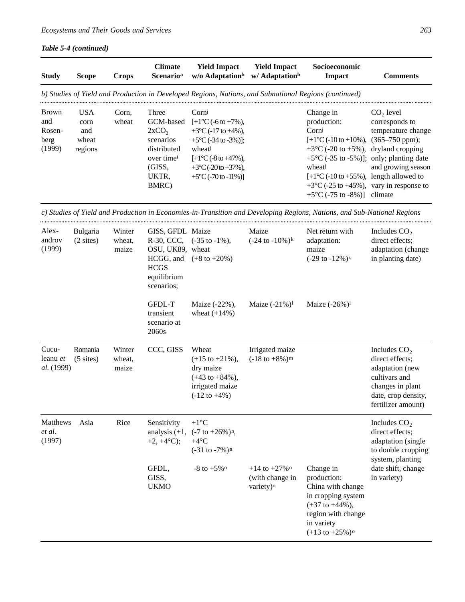| <b>Study</b>                                    | <b>Scope</b>                                  | <b>Crops</b>                                                                             | <b>Climate</b><br>Scenario <sup>a</sup>                                                                       | <b>Yield Impact</b><br>w/o Adaptationb                                                                                                                                                                                           | <b>Yield Impact</b><br>w/ Adaptationb                                                                                                                                           | Socioeconomic<br><b>Impact</b>                                                                                                                                                                                                                                                                                                                                   | <b>Comments</b>                                                                                                                        |
|-------------------------------------------------|-----------------------------------------------|------------------------------------------------------------------------------------------|---------------------------------------------------------------------------------------------------------------|----------------------------------------------------------------------------------------------------------------------------------------------------------------------------------------------------------------------------------|---------------------------------------------------------------------------------------------------------------------------------------------------------------------------------|------------------------------------------------------------------------------------------------------------------------------------------------------------------------------------------------------------------------------------------------------------------------------------------------------------------------------------------------------------------|----------------------------------------------------------------------------------------------------------------------------------------|
|                                                 |                                               |                                                                                          |                                                                                                               | b) Studies of Yield and Production in Developed Regions, Nations, and Subnational Regions (continued)                                                                                                                            |                                                                                                                                                                                 |                                                                                                                                                                                                                                                                                                                                                                  |                                                                                                                                        |
| <b>Brown</b><br>and<br>Rosen-<br>berg<br>(1999) | <b>USA</b><br>corn<br>and<br>wheat<br>regions | Corn,<br>wheat                                                                           | Three<br>GCM-based<br>2xCO <sub>2</sub><br>scenarios<br>distributed<br>over timei<br>(GISS,<br>UKTR,<br>BMRC) | Corni<br>$[+1^{\circ}C(-6 \text{ to } +7\%)]$<br>$+3$ °C (-17 to $+4$ %),<br>+5 $\mathrm{^{\circ}C}$ (-34 to -3%)];<br>wheat<br>$[+1^{\circ}C(-8 \text{ to } +47\%)]$<br>$+3$ °C (-20 to +37%),<br>$+5^{\circ}$ C (-70 to -11%)] |                                                                                                                                                                                 | Change in<br>production:<br>Corni<br>$[+1^{\circ}C(-10 \text{ to } +10\%), (365-750 \text{ ppm});$<br>$+3$ °C (-20 to +5%), dryland cropping<br>$+5^{\circ}$ C (-35 to -5%)]; only; planting date<br>wheat<br>$[+1^{\circ}C (-10 \text{ to } +55\%)]$ , length allowed to<br>$+3$ °C (-25 to +45%), vary in response to<br>+5 $^{\circ}$ C (-75 to -8%)] climate | $CO2$ level<br>corresponds to<br>temperature change<br>and growing season                                                              |
|                                                 |                                               |                                                                                          |                                                                                                               |                                                                                                                                                                                                                                  |                                                                                                                                                                                 | c) Studies of Yield and Production in Economies-in-Transition and Developing Regions, Nations, and Sub-National Regions                                                                                                                                                                                                                                          |                                                                                                                                        |
| Alex-<br>androv<br>(1999)                       | Bulgaria<br>$(2 \text{ sites})$               | Winter<br>wheat,<br>maize                                                                | GISS, GFDL Maize<br>OSU, UK89, wheat<br><b>HCGS</b><br>equilibrium<br>scenarios;                              | R-30, CCC, $(-35 \text{ to } -1\%)$ ,<br>HCGG, and $(+8 \text{ to } +20\%)$                                                                                                                                                      | Maize<br>$(-24 \text{ to } -10\%)$ <sup>k</sup>                                                                                                                                 | Net return with<br>adaptation:<br>maize<br>$(-29 \text{ to } -12\%)$ <sup>k</sup>                                                                                                                                                                                                                                                                                | Includes $CO2$<br>direct effects;<br>adaptation (change<br>in planting date)                                                           |
|                                                 |                                               |                                                                                          | GFDL-T<br>transient<br>scenario at<br>2060s                                                                   | Maize (-22%),<br>wheat $(+14%)$                                                                                                                                                                                                  | Maize $(-21\%)$ <sup>1</sup>                                                                                                                                                    | Maize $(-26%)$ <sup>1</sup>                                                                                                                                                                                                                                                                                                                                      |                                                                                                                                        |
| Cucu-<br>leanu et<br>al. (1999)                 | Romania<br>$(5 \text{ sites})$                | Winter<br>wheat,<br>maize                                                                | CCC, GISS                                                                                                     | Wheat<br>$(+15 \text{ to } +21\%),$<br>dry maize<br>$(+43 \text{ to } +84\%),$<br>irrigated maize<br>$(-12 \text{ to } +4\%)$                                                                                                    | Irrigated maize<br>$(-18 \text{ to } +8\%)$ <sup>m</sup>                                                                                                                        |                                                                                                                                                                                                                                                                                                                                                                  | Includes $CO2$<br>direct effects;<br>adaptation (new<br>cultivars and<br>changes in plant<br>date, crop density,<br>fertilizer amount) |
| Matthews<br>et al.<br>(1997)                    | Asia                                          | Rice<br>Sensitivity<br>analysis $(+1,$<br>$+2, +4$ °C);<br>GFDL,<br>GISS,<br><b>UKMO</b> |                                                                                                               | $+1$ °C<br>$(-7 \text{ to } +26\%)$ <sup>n</sup> ,<br>$+4^{\circ}C$<br>$(-31 \text{ to } -7\%)$ <sup>n</sup>                                                                                                                     |                                                                                                                                                                                 |                                                                                                                                                                                                                                                                                                                                                                  | Includes $CO2$<br>direct effects;<br>adaptation (single<br>to double cropping                                                          |
|                                                 |                                               |                                                                                          | $-8$ to $+5\%$ <sup>o</sup>                                                                                   | $+14$ to $+27\%$ <sup>o</sup><br>(with change in<br>variety) <sup>o</sup>                                                                                                                                                        | Change in<br>production:<br>China with change<br>in cropping system<br>$(+37 \text{ to } +44\%),$<br>region with change<br>in variety<br>$(+13 \text{ to } +25\%)$ <sup>o</sup> | system, planting<br>date shift, change<br>in variety)                                                                                                                                                                                                                                                                                                            |                                                                                                                                        |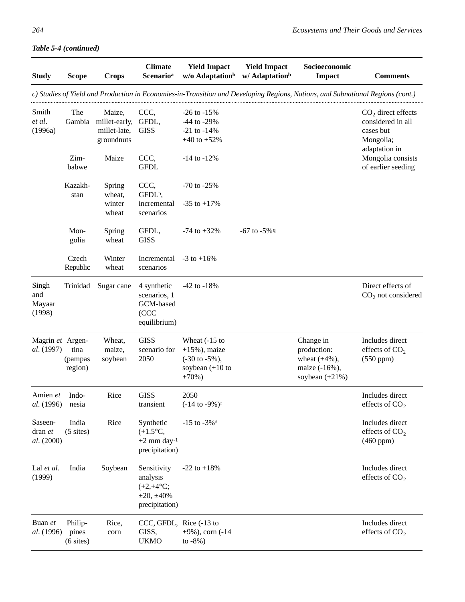| <b>Study</b>                     | <b>Scope</b>                    | <b>Crops</b>                                          | <b>Climate</b><br>Scenario <sup>a</sup>                                               | <b>Yield Impact</b><br>w/o Adaptationb                                                              | <b>Yield Impact</b><br>w/ Adaptationb | Socioeconomic<br><b>Impact</b>                                                                                                 | <b>Comments</b>                                                                      |
|----------------------------------|---------------------------------|-------------------------------------------------------|---------------------------------------------------------------------------------------|-----------------------------------------------------------------------------------------------------|---------------------------------------|--------------------------------------------------------------------------------------------------------------------------------|--------------------------------------------------------------------------------------|
|                                  |                                 |                                                       |                                                                                       |                                                                                                     |                                       | c) Studies of Yield and Production in Economies-in-Transition and Developing Regions, Nations, and Subnational Regions (cont.) |                                                                                      |
| Smith<br>et al.<br>(1996a)       | The<br>Gambia                   | Maize,<br>millet-early,<br>millet-late,<br>groundnuts | CCC,<br>GFDL,<br><b>GISS</b>                                                          | $-26$ to $-15%$<br>-44 to -29%<br>$-21$ to $-14%$<br>$+40$ to $+52%$                                |                                       |                                                                                                                                | $CO2$ direct effects<br>considered in all<br>cases but<br>Mongolia;<br>adaptation in |
|                                  | Zim-<br>babwe                   | Maize                                                 | CCC,<br><b>GFDL</b>                                                                   | $-14$ to $-12\%$                                                                                    |                                       |                                                                                                                                | Mongolia consists<br>of earlier seeding                                              |
|                                  | Kazakh-<br>stan                 | Spring<br>wheat,<br>winter<br>wheat                   | CCC,<br>GFDLP,<br>incremental<br>scenarios                                            | $-70$ to $-25%$<br>$-35$ to $+17%$                                                                  |                                       |                                                                                                                                |                                                                                      |
|                                  | Mon-<br>golia                   | Spring<br>wheat                                       | GFDL,<br><b>GISS</b>                                                                  | $-74$ to $+32\%$                                                                                    | $-67$ to $-5\%$ <sup>q</sup>          |                                                                                                                                |                                                                                      |
|                                  | Czech<br>Republic               | Winter<br>wheat                                       | Incremental<br>scenarios                                                              | $-3$ to $+16%$                                                                                      |                                       |                                                                                                                                |                                                                                      |
| Singh<br>and<br>Mayaar<br>(1998) | Trinidad                        | Sugar cane                                            | 4 synthetic<br>scenarios, 1<br>GCM-based<br>(CCC<br>equilibrium)                      | -42 to -18%                                                                                         |                                       |                                                                                                                                | Direct effects of<br>$CO2$ not considered                                            |
| Magrin et Argen-<br>al. (1997)   | tina<br>(pampas<br>region)      | Wheat,<br>maize,<br>soybean                           | <b>GISS</b><br>scenario for<br>2050                                                   | Wheat $(-15$ to<br>$+15\%$ ), maize<br>$(-30 \text{ to } -5\%)$ ,<br>soybean $(+10)$ to<br>$+70%$ ) |                                       | Change in<br>production:<br>wheat $(+4%)$ ,<br>maize (-16%),<br>soybean $(+21%)$                                               | Includes direct<br>effects of $CO2$<br>$(550$ ppm $)$                                |
| Amien et<br>al. (1996)           | Indo-<br>nesia                  | Rice                                                  | <b>GISS</b><br>transient                                                              | 2050<br>$(-14 \text{ to } -9\%)$ <sup>r</sup>                                                       |                                       |                                                                                                                                | Includes direct<br>effects of $CO2$                                                  |
| Saseen-<br>dran et<br>al. (2000) | India<br>$(5 \text{ sites})$    | Rice                                                  | Synthetic<br>$(+1.5^{\circ}C,$<br>$+2$ mm day-1<br>precipitation)                     | $-15$ to $-3\%$ s                                                                                   |                                       |                                                                                                                                | Includes direct<br>effects of $CO2$<br>$(460$ ppm $)$                                |
| Lal et al.<br>(1999)             | India                           | Soybean                                               | Sensitivity<br>analysis<br>$(+2,+4\degree C;$<br>$\pm 20, \pm 40\%$<br>precipitation) | $-22$ to $+18%$                                                                                     |                                       |                                                                                                                                | Includes direct<br>effects of $CO2$                                                  |
| Buan et<br>al. (1996)            | Philip-<br>pines<br>$(6$ sites) | Rice,<br>corn                                         | CCC, GFDL, Rice (-13 to<br>GISS,<br><b>UKMO</b>                                       | $+9\%$ ), corn $(-14)$<br>to $-8\%$ )                                                               |                                       |                                                                                                                                | Includes direct<br>effects of $CO2$                                                  |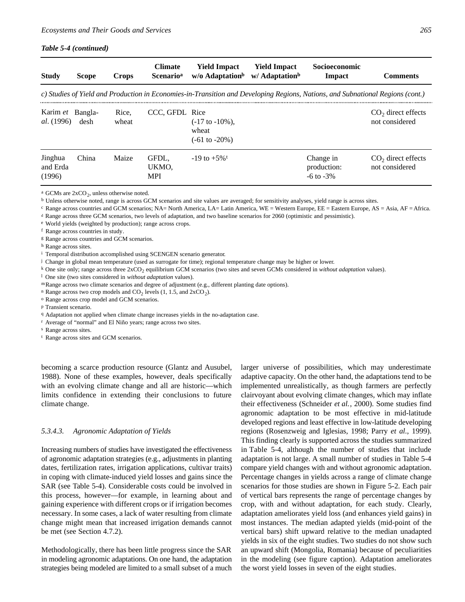| <b>Study</b>                          | <b>Scope</b> | <b>Crops</b>   | <b>Climate</b><br><b>Scenario</b> <sup>a</sup> | <b>Yield Impact</b><br>w/o Adaptationb                            | <b>Yield Impact</b><br>w/ Adaptation <sup>b</sup> | <b>Socioeconomic</b><br>Impact                                                                                                 | Comments                               |
|---------------------------------------|--------------|----------------|------------------------------------------------|-------------------------------------------------------------------|---------------------------------------------------|--------------------------------------------------------------------------------------------------------------------------------|----------------------------------------|
|                                       |              |                |                                                |                                                                   |                                                   | c) Studies of Yield and Production in Economies-in-Transition and Developing Regions, Nations, and Subnational Regions (cont.) |                                        |
| Karim et Bangla-<br><i>al.</i> (1996) | desh         | Rice.<br>wheat | CCC. GFDL Rice                                 | $(-17 \text{ to } -10\%)$ .<br>wheat<br>$(-61 \text{ to } -20\%)$ |                                                   |                                                                                                                                | $CO2$ direct effects<br>not considered |
| Jinghua<br>and Erda<br>(1996)         | China        | Maize          | GFDL.<br>UKMO.<br><b>MPI</b>                   | $-19$ to $+5\%$ <sup>t</sup>                                      |                                                   | Change in<br>production:<br>$-6$ to $-3\%$                                                                                     | $CO2$ direct effects<br>not considered |

<sup>a</sup> GCMs are  $2xCO_2$ , unless otherwise noted.

b Unless otherwise noted, range is across GCM scenarios and site values are averaged; for sensitivity analyses, yield range is across sites.

 $c$  Range across countries and GCM scenarios; NA= North America, LA= Latin America, WE = Western Europe, EE = Eastern Europe, AS = Asia, AF = Africa.

d Range across three GCM scenarios, two levels of adaptation, and two baseline scenarios for 2060 (optimistic and pessimistic).

e World yields (weighted by production); range across crops.

f Range across countries in study.

g Range across countries and GCM scenarios.

h Range across sites.

<sup>i</sup> Temporal distribution accomplished using SCENGEN scenario generator.

j Change in global mean temperature (used as surrogate for time); regional temperature change may be higher or lower.

<sup>k</sup> One site only; range across three 2xCO<sup>2</sup> equilibrium GCM scenarios (two sites and seven GCMs considered in *without adaptation* values).

l One site (two sites considered in *without adaptation* values).

mRange across two climate scenarios and degree of adjustment (e.g., different planting date options).

<sup>n</sup> Range across two crop models and  $CO_2$  levels (1, 1.5, and  $2xCO_2$ ).

o Range across crop model and GCM scenarios.

p Transient scenario.

q Adaptation not applied when climate change increases yields in the no-adaptation case.

r Average of "normal" and El Niño years; range across two sites.

s Range across sites.

t Range across sites and GCM scenarios.

becoming a scarce production resource (Glantz and Ausubel, 1988). None of these examples, however, deals specifically with an evolving climate change and all are historic—which limits confidence in extending their conclusions to future climate change.

#### *5.3.4.3. Agronomic Adaptation of Yields*

Increasing numbers of studies have investigated the effectiveness of agronomic adaptation strategies (e.g., adjustments in planting dates, fertilization rates, irrigation applications, cultivar traits) in coping with climate-induced yield losses and gains since the SAR (see Table 5-4). Considerable costs could be involved in this process, however—for example, in learning about and gaining experience with different crops or if irrigation becomes necessary. In some cases, a lack of water resulting from climate change might mean that increased irrigation demands cannot be met (see Section 4.7.2).

Methodologically, there has been little progress since the SAR in modeling agronomic adaptations. On one hand, the adaptation strategies being modeled are limited to a small subset of a much

larger universe of possibilities, which may underestimate adaptive capacity. On the other hand, the adaptations tend to be implemented unrealistically, as though farmers are perfectly clairvoyant about evolving climate changes, which may inflate their effectiveness (Schneider *et al.*, 2000). Some studies find agronomic adaptation to be most effective in mid-latitude developed regions and least effective in low-latitude developing regions (Rosenzweig and Iglesias, 1998; Parry *et al.*, 1999). This finding clearly is supported across the studies summarized in Table 5-4, although the number of studies that include adaptation is not large. A small number of studies in Table 5-4 compare yield changes with and without agronomic adaptation. Percentage changes in yields across a range of climate change scenarios for those studies are shown in Figure 5-2. Each pair of vertical bars represents the range of percentage changes by crop, with and without adaptation, for each study. Clearly, adaptation ameliorates yield loss (and enhances yield gains) in most instances. The median adapted yields (mid-point of the vertical bars) shift upward relative to the median unadapted yields in six of the eight studies. Two studies do not show such an upward shift (Mongolia, Romania) because of peculiarities in the modeling (see figure caption). Adaptation ameliorates the worst yield losses in seven of the eight studies.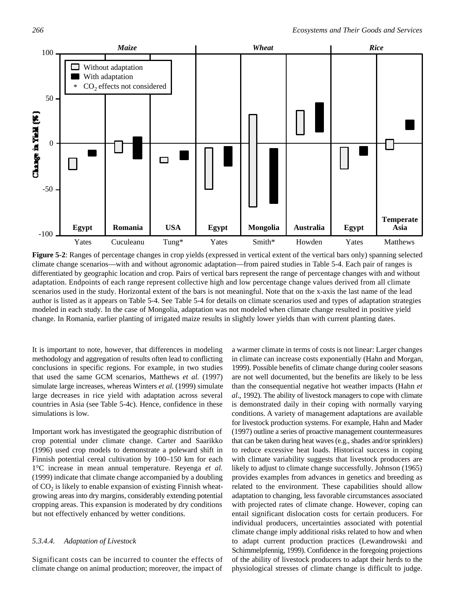

**Figure 5-2**: Ranges of percentage changes in crop yields (expressed in vertical extent of the vertical bars only) spanning selected climate change scenarios—with and without agronomic adaptation—from paired studies in Table 5-4. Each pair of ranges is differentiated by geographic location and crop. Pairs of vertical bars represent the range of percentage changes with and without adaptation. Endpoints of each range represent collective high and low percentage change values derived from all climate scenarios used in the study. Horizontal extent of the bars is not meaningful. Note that on the x-axis the last name of the lead author is listed as it appears on Table 5-4. See Table 5-4 for details on climate scenarios used and types of adaptation strategies modeled in each study. In the case of Mongolia, adaptation was not modeled when climate change resulted in positive yield change. In Romania, earlier planting of irrigated maize results in slightly lower yields than with current planting dates.

It is important to note, however, that differences in modeling methodology and aggregation of results often lead to conflicting conclusions in specific regions. For example, in two studies that used the same GCM scenarios, Matthews *et al.* (1997) simulate large increases, whereas Winters *et al.* (1999) simulate large decreases in rice yield with adaptation across several countries in Asia (see Table 5-4c). Hence, confidence in these simulations is low.

Important work has investigated the geographic distribution of crop potential under climate change. Carter and Saarikko (1996) used crop models to demonstrate a poleward shift in Finnish potential cereal cultivation by 100–150 km for each 1°C increase in mean annual temperature. Reyenga *et al.* (1999) indicate that climate change accompanied by a doubling of  $CO<sub>2</sub>$  is likely to enable expansion of existing Finnish wheatgrowing areas into dry margins, considerably extending potential cropping areas. This expansion is moderated by dry conditions but not effectively enhanced by wetter conditions.

#### *5.3.4.4. Adaptation of Livestock*

Significant costs can be incurred to counter the effects of climate change on animal production; moreover, the impact of a warmer climate in terms of costs is not linear: Larger changes in climate can increase costs exponentially (Hahn and Morgan, 1999). Possible benefits of climate change during cooler seasons are not well documented, but the benefits are likely to be less than the consequential negative hot weather impacts (Hahn *et al.*, 1992). The ability of livestock managers to cope with climate is demonstrated daily in their coping with normally varying conditions. A variety of management adaptations are available for livestock production systems. For example, Hahn and Mader (1997) outline a series of proactive management countermeasures that can be taken during heat waves (e.g., shades and/or sprinklers) to reduce excessive heat loads. Historical success in coping with climate variability suggests that livestock producers are likely to adjust to climate change successfully. Johnson (1965) provides examples from advances in genetics and breeding as related to the environment. These capabilities should allow adaptation to changing, less favorable circumstances associated with projected rates of climate change. However, coping can entail significant dislocation costs for certain producers. For individual producers, uncertainties associated with potential climate change imply additional risks related to how and when to adapt current production practices (Lewandrowski and Schimmelpfennig, 1999). Confidence in the foregoing projections of the ability of livestock producers to adapt their herds to the physiological stresses of climate change is difficult to judge.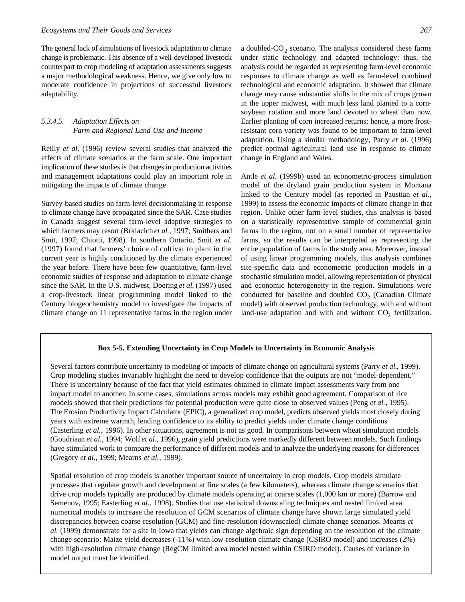The general lack of simulations of livestock adaptation to climate change is problematic. This absence of a well-developed livestock counterpart to crop modeling of adaptation assessments suggests a major methodological weakness. Hence, we give only low to moderate confidence in projections of successful livestock adaptability.

#### *5.3.4.5. Adaptation Effects on Farm and Regional Land Use and Income*

Reilly *et al*. (1996) review several studies that analyzed the effects of climate scenarios at the farm scale. One important implication of these studies is that changes in production activities and management adaptations could play an important role in mitigating the impacts of climate change.

Survey-based studies on farm-level decisionmaking in response to climate change have propagated since the SAR. Case studies in Canada suggest several farm-level adaptive strategies to which farmers may resort (Brklacich *et al.,* 1997; Smithers and Smit, 1997; Chiotti*,* 1998). In southern Ontario, Smit *et al.* (1997) found that farmers' choice of cultivar to plant in the current year is highly conditioned by the climate experienced the year before. There have been few quantitative, farm-level economic studies of response and adaptation to climate change since the SAR. In the U.S. midwest, Doering *et al.* (1997) used a crop-livestock linear programming model linked to the Century biogeochemistry model to investigate the impacts of climate change on 11 representative farms in the region under

a doubled- $CO_2$  scenario. The analysis considered these farms under static technology and adapted technology; thus, the analysis could be regarded as representing farm-level economic responses to climate change as well as farm-level combined technological and economic adaptation. It showed that climate change may cause substantial shifts in the mix of crops grown in the upper midwest, with much less land planted to a cornsoybean rotation and more land devoted to wheat than now. Earlier planting of corn increased returns; hence, a more frostresistant corn variety was found to be important to farm-level adaptation. Using a similar methodology, Parry *et al.* (1996) predict optimal agricultural land use in response to climate change in England and Wales.

Antle *et al.* (1999b) used an econometric-process simulation model of the dryland grain production system in Montana linked to the Century model (as reported in Paustian *et al.*, 1999) to assess the economic impacts of climate change in that region. Unlike other farm-level studies, this analysis is based on a statistically representative sample of commercial grain farms in the region, not on a small number of representative farms, so the results can be interpreted as representing the entire population of farms in the study area. Moreover, instead of using linear programming models, this analysis combines site-specific data and econometric production models in a stochastic simulation model, allowing representation of physical and economic heterogeneity in the region. Simulations were conducted for baseline and doubled  $CO<sub>2</sub>$  (Canadian Climate model) with observed production technology, with and without land-use adaptation and with and without  $CO<sub>2</sub>$  fertilization.

#### **Box 5-5. Extending Uncertainty in Crop Models to Uncertainty in Economic Analysis**

Several factors contribute uncertainty to modeling of impacts of climate change on agricultural systems (Parry *et al.*, 1999). Crop modeling studies invariably highlight the need to develop confidence that the outputs are not "model-dependent." There is uncertainty because of the fact that yield estimates obtained in climate impact assessments vary from one impact model to another. In some cases, simulations across models may exhibit good agreement. Comparison of rice models showed that their predictions for potential production were quite close to observed values (Peng *et al.*, 1995). The Erosion Productivity Impact Calculator (EPIC), a generalized crop model, predicts observed yields most closely during years with extreme warmth, lending confidence to its ability to predict yields under climate change conditions (Easterling *et al.*, 1996). In other situations, agreement is not as good. In comparisons between wheat simulation models (Goudriaan *et al.*, 1994; Wolf *et al.*, 1996), grain yield predictions were markedly different between models. Such findings have stimulated work to compare the performance of different models and to analyze the underlying reasons for differences (Gregory *et al.*, 1999; Mearns *et al.*, 1999).

Spatial resolution of crop models is another important source of uncertainty in crop models. Crop models simulate processes that regulate growth and development at fine scales (a few kilometers), whereas climate change scenarios that drive crop models typically are produced by climate models operating at coarse scales (1,000 km or more) (Barrow and Semenov, 1995; Easterling *et al.*, 1998). Studies that use statistical downscaling techniques and nested limited area numerical models to increase the resolution of GCM scenarios of climate change have shown large simulated yield discrepancies between coarse-resolution (GCM) and fine-resolution (downscaled) climate change scenarios. Mearns *et al.* (1999) demonstrate for a site in Iowa that yields can change algebraic sign depending on the resolution of the climate change scenario: Maize yield decreases (-11%) with low-resolution climate change (CSIRO model) and increases (2%) with high-resolution climate change (RegCM limited area model nested within CSIRO model). Causes of variance in model output must be identified.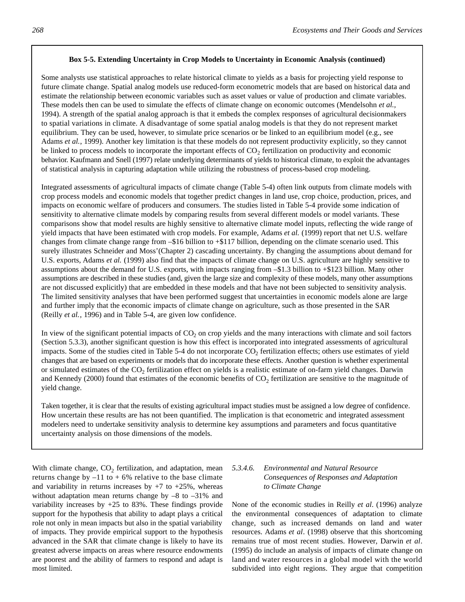#### **Box 5-5. Extending Uncertainty in Crop Models to Uncertainty in Economic Analysis (continued)**

Some analysts use statistical approaches to relate historical climate to yields as a basis for projecting yield response to future climate change. Spatial analog models use reduced-form econometric models that are based on historical data and estimate the relationship between economic variables such as asset values or value of production and climate variables. These models then can be used to simulate the effects of climate change on economic outcomes (Mendelsohn *et al.,* 1994). A strength of the spatial analog approach is that it embeds the complex responses of agricultural decisionmakers to spatial variations in climate. A disadvantage of some spatial analog models is that they do not represent market equilibrium. They can be used, however, to simulate price scenarios or be linked to an equilibrium model (e.g., see Adams *et al.*, 1999). Another key limitation is that these models do not represent productivity explicitly, so they cannot be linked to process models to incorporate the important effects of  $CO_2$  fertilization on productivity and economic behavior. Kaufmann and Snell (1997) relate underlying determinants of yields to historical climate, to exploit the advantages of statistical analysis in capturing adaptation while utilizing the robustness of process-based crop modeling.

Integrated assessments of agricultural impacts of climate change (Table 5-4) often link outputs from climate models with crop process models and economic models that together predict changes in land use, crop choice, production, prices, and impacts on economic welfare of producers and consumers. The studies listed in Table 5-4 provide some indication of sensitivity to alternative climate models by comparing results from several different models or model variants. These comparisons show that model results are highly sensitive to alternative climate model inputs, reflecting the wide range of yield impacts that have been estimated with crop models. For example, Adams *et al.* (1999) report that net U.S. welfare changes from climate change range from –\$16 billion to +\$117 billion, depending on the climate scenario used. This surely illustrates Schneider and Moss'(Chapter 2) cascading uncertainty. By changing the assumptions about demand for U.S. exports, Adams *et al.* (1999) also find that the impacts of climate change on U.S. agriculture are highly sensitive to assumptions about the demand for U.S. exports, with impacts ranging from –\$1.3 billion to +\$123 billion. Many other assumptions are described in these studies (and, given the large size and complexity of these models, many other assumptions are not discussed explicitly) that are embedded in these models and that have not been subjected to sensitivity analysis. The limited sensitivity analyses that have been performed suggest that uncertainties in economic models alone are large and further imply that the economic impacts of climate change on agriculture, such as those presented in the SAR (Reilly *et al.*, 1996) and in Table 5-4, are given low confidence.

In view of the significant potential impacts of  $CO<sub>2</sub>$  on crop yields and the many interactions with climate and soil factors (Section 5.3.3), another significant question is how this effect is incorporated into integrated assessments of agricultural impacts. Some of the studies cited in Table 5-4 do not incorporate  $CO_2$  fertilization effects; others use estimates of yield changes that are based on experiments or models that do incorporate these effects. Another question is whether experimental or simulated estimates of the  $CO_2$  fertilization effect on yields is a realistic estimate of on-farm yield changes. Darwin and Kennedy (2000) found that estimates of the economic benefits of  $CO_2$  fertilization are sensitive to the magnitude of yield change.

Taken together, it is clear that the results of existing agricultural impact studies must be assigned a low degree of confidence. How uncertain these results are has not been quantified. The implication is that econometric and integrated assessment modelers need to undertake sensitivity analysis to determine key assumptions and parameters and focus quantitative uncertainty analysis on those dimensions of the models.

With climate change,  $CO_2$  fertilization, and adaptation, mean returns change by  $-11$  to  $+6\%$  relative to the base climate and variability in returns increases by  $+7$  to  $+25\%$ , whereas without adaptation mean returns change by  $-8$  to  $-31\%$  and variability increases by  $+25$  to 83%. These findings provide support for the hypothesis that ability to adapt plays a critical role not only in mean impacts but also in the spatial variability of impacts. They provide empirical support to the hypothesis advanced in the SAR that climate change is likely to have its greatest adverse impacts on areas where resource endowments are poorest and the ability of farmers to respond and adapt is most limited.

#### *5.3.4.6. Environmental and Natural Resource Consequences of Responses and Adaptation to Climate Change*

None of the economic studies in Reilly *et al*. (1996) analyze the environmental consequences of adaptation to climate change, such as increased demands on land and water resources. Adams *et al*. (1998) observe that this shortcoming remains true of most recent studies. However, Darwin *et al*. (1995) do include an analysis of impacts of climate change on land and water resources in a global model with the world subdivided into eight regions. They argue that competition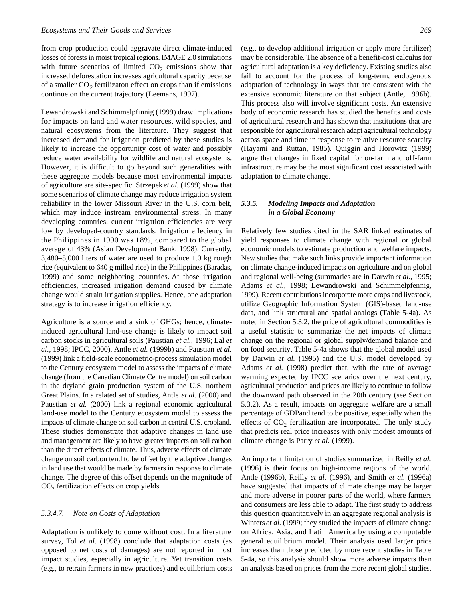from crop production could aggravate direct climate-induced losses of forests in moist tropical regions. IMAGE 2.0 simulations with future scenarios of limited  $CO<sub>2</sub>$  emissions show that increased deforestation increases agricultural capacity because of a smaller  $CO_2$  fertilizaton effect on crops than if emissions continue on the current trajectory (Leemans, 1997).

Lewandrowski and Schimmelpfinnig (1999) draw implications for impacts on land and water resources, wild species, and natural ecosystems from the literature. They suggest that increased demand for irrigation predicted by these studies is likely to increase the opportunity cost of water and possibly reduce water availability for wildlife and natural ecosystems. However, it is difficult to go beyond such generalities with these aggregate models because most environmental impacts of agriculture are site-specific. Strzepek *et al.* (1999) show that some scenarios of climate change may reduce irrigation system reliability in the lower Missouri River in the U.S. corn belt, which may induce instream environmental stress. In many developing countries, current irrigation efficiencies are very low by developed-country standards. Irrigation effeciency in the Philippines in 1990 was 18%, compared to the global average of 43% (Asian Development Bank, 1998). Currently, 3,480–5,000 liters of water are used to produce 1.0 kg rough rice (equivalent to 640 g milled rice) in the Philippines (Baradas, 1999) and some neighboring countries. At those irrigation efficiencies, increased irrigation demand caused by climate change would strain irrigation supplies. Hence, one adaptation strategy is to increase irrigation efficiency.

Agriculture is a source and a sink of GHGs; hence, climateinduced agricultural land-use change is likely to impact soil carbon stocks in agricultural soils (Paustian *et al.,* 1996; Lal *et al.,* 1998; IPCC, 2000). Antle *et al.* (1999b) and Paustian *et al.* (1999) link a field-scale econometric-process simulation model to the Century ecosystem model to assess the impacts of climate change (from the Canadian Climate Centre model) on soil carbon in the dryland grain production system of the U.S. northern Great Plains. In a related set of studies, Antle *et al.* (2000) and Paustian *et al.* (2000) link a regional economic agricultural land-use model to the Century ecosystem model to assess the impacts of climate change on soil carbon in central U.S. cropland. These studies demonstrate that adaptive changes in land use and management are likely to have greater impacts on soil carbon than the direct effects of climate. Thus, adverse effects of climate change on soil carbon tend to be offset by the adaptive changes in land use that would be made by farmers in response to climate change. The degree of this offset depends on the magnitude of CO<sup>2</sup> fertilization effects on crop yields.

#### *5.3.4.7. Note on Costs of Adaptation*

Adaptation is unlikely to come without cost. In a literature survey, Tol *et al.* (1998) conclude that adaptation costs (as opposed to net costs of damages) are not reported in most impact studies, especially in agriculture. Yet transition costs (e.g., to retrain farmers in new practices) and equilibrium costs

(e.g., to develop additional irrigation or apply more fertilizer) may be considerable. The absence of a benefit-cost calculus for agricultural adaptation is a key deficiency. Existing studies also fail to account for the process of long-term, endogenous adaptation of technology in ways that are consistent with the extensive economic literature on that subject (Antle, 1996b). This process also will involve significant costs. An extensive body of economic research has studied the benefits and costs of agricultural research and has shown that institutions that are responsible for agricultural research adapt agricultural technology across space and time in response to relative resource scarcity (Hayami and Ruttan, 1985). Quiggin and Horowitz (1999) argue that changes in fixed capital for on-farm and off-farm infrastructure may be the most significant cost associated with adaptation to climate change.

#### *5.3.5. Modeling Impacts and Adaptation in a Global Economy*

Relatively few studies cited in the SAR linked estimates of yield responses to climate change with regional or global economic models to estimate production and welfare impacts. New studies that make such links provide important information on climate change-induced impacts on agriculture and on global and regional well-being (summaries are in Darwin *et al.,* 1995; Adams *et al.,* 1998; Lewandrowski and Schimmelpfennig, 1999). Recent contributions incorporate more crops and livestock, utilize Geographic Information System (GIS)-based land-use data, and link structural and spatial analogs (Table 5-4a). As noted in Section 5.3.2, the price of agricultural commodities is a useful statistic to summarize the net impacts of climate change on the regional or global supply/demand balance and on food security. Table 5-4a shows that the global model used by Darwin *et al.* (1995) and the U.S. model developed by Adams *et al.* (1998) predict that, with the rate of average warming expected by IPCC scenarios over the next century, agricultural production and prices are likely to continue to follow the downward path observed in the 20th century (see Section 5.3.2). As a result, impacts on aggregate welfare are a small percentage of GDPand tend to be positive, especially when the effects of  $CO_2$  fertilization are incorporated. The only study that predicts real price increases with only modest amounts of climate change is Parry *et al.* (1999).

An important limitation of studies summarized in Reilly *et al.* (1996) is their focus on high-income regions of the world. Antle (1996b), Reilly *et al.* (1996), and Smith *et al.* (1996a) have suggested that impacts of climate change may be larger and more adverse in poorer parts of the world, where farmers and consumers are less able to adapt. The first study to address this question quantitatively in an aggregate regional analysis is Winters *et al.* (1999; they studied the impacts of climate change on Africa, Asia, and Latin America by using a computable general equilibrium model. Their analysis used larger price increases than those predicted by more recent studies in Table 5-4a, so this analysis should show more adverse impacts than an analysis based on prices from the more recent global studies.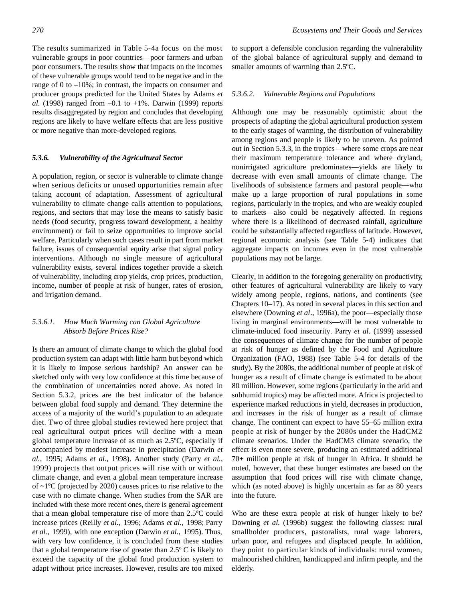The results summarized in Table 5-4a focus on the most vulnerable groups in poor countries—poor farmers and urban poor consumers. The results show that impacts on the incomes of these vulnerable groups would tend to be negative and in the range of 0 to –10%; in contrast, the impacts on consumer and producer groups predicted for the United States by Adams *et al.* (1998) ranged from  $-0.1$  to  $+1\%$ . Darwin (1999) reports results disaggregated by region and concludes that developing regions are likely to have welfare effects that are less positive or more negative than more-developed regions.

#### *5.3.6. Vulnerability of the Agricultural Sector*

A population, region, or sector is vulnerable to climate change when serious deficits or unused opportunities remain after taking account of adaptation. Assessment of agricultural vulnerability to climate change calls attention to populations, regions, and sectors that may lose the means to satisfy basic needs (food security, progress toward development, a healthy environment) or fail to seize opportunities to improve social welfare. Particularly when such cases result in part from market failure, issues of consequential equity arise that signal policy interventions. Although no single measure of agricultural vulnerability exists, several indices together provide a sketch of vulnerability, including crop yields, crop prices, production, income, number of people at risk of hunger, rates of erosion, and irrigation demand.

#### *5.3.6.1. How Much Warming can Global Agriculture Absorb Before Prices Rise?*

Is there an amount of climate change to which the global food production system can adapt with little harm but beyond which it is likely to impose serious hardship? An answer can be sketched only with very low confidence at this time because of the combination of uncertainties noted above. As noted in Section 5.3.2, prices are the best indicator of the balance between global food supply and demand. They determine the access of a majority of the world's population to an adequate diet. Two of three global studies reviewed here project that real agricultural output prices will decline with a mean global temperature increase of as much as 2.5ºC, especially if accompanied by modest increase in precipitation (Darwin *et al.,* 1995; Adams *et al.,* 1998). Another study (Parry *et al.,* 1999) projects that output prices will rise with or without climate change, and even a global mean temperature increase of ~1ºC (projected by 2020) causes prices to rise relative to the case with no climate change. When studies from the SAR are included with these more recent ones, there is general agreement that a mean global temperature rise of more than 2.5ºC could increase prices (Reilly *et al.,* 1996; Adams *et al.,* 1998; Parry *et al.,* 1999), with one exception (Darwin *et al.,* 1995). Thus, with very low confidence, it is concluded from these studies that a global temperature rise of greater than 2.5º C is likely to exceed the capacity of the global food production system to adapt without price increases. However, results are too mixed to support a defensible conclusion regarding the vulnerability of the global balance of agricultural supply and demand to smaller amounts of warming than 2.5ºC.

#### *5.3.6.2. Vulnerable Regions and Populations*

Although one may be reasonably optimistic about the prospects of adapting the global agricultural production system to the early stages of warming, the distribution of vulnerability among regions and people is likely to be uneven. As pointed out in Section 5.3.3, in the tropics—where some crops are near their maximum temperature tolerance and where dryland, nonirrigated agriculture predominates—yields are likely to decrease with even small amounts of climate change. The livelihoods of subsistence farmers and pastoral people—who make up a large proportion of rural populations in some regions, particularly in the tropics, and who are weakly coupled to markets—also could be negatively affected. In regions where there is a likelihood of decreased rainfall, agriculture could be substantially affected regardless of latitude. However, regional economic analysis (see Table 5-4) indicates that aggregate impacts on incomes even in the most vulnerable populations may not be large.

Clearly, in addition to the foregoing generality on productivity, other features of agricultural vulnerability are likely to vary widely among people, regions, nations, and continents (see Chapters 10–17). As noted in several places in this section and elsewhere (Downing *et al*., 1996a), the poor—especially those living in marginal environments—will be most vulnerable to climate-induced food insecurity. Parry *et al.* (1999) assessed the consequences of climate change for the number of people at risk of hunger as defined by the Food and Agriculture Organization (FAO, 1988) (see Table 5-4 for details of the study). By the 2080s, the additional number of people at risk of hunger as a result of climate change is estimated to be about 80 million. However, some regions (particularly in the arid and subhumid tropics) may be affected more. Africa is projected to experience marked reductions in yield, decreases in production, and increases in the risk of hunger as a result of climate change. The continent can expect to have 55–65 million extra people at risk of hunger by the 2080s under the HadCM2 climate scenarios. Under the HadCM3 climate scenario, the effect is even more severe, producing an estimated additional 70+ million people at risk of hunger in Africa. It should be noted, however, that these hunger estimates are based on the assumption that food prices will rise with climate change, which (as noted above) is highly uncertain as far as 80 years into the future.

Who are these extra people at risk of hunger likely to be? Downing *et al.* (1996b) suggest the following classes: rural smallholder producers, pastoralists, rural wage laborers, urban poor, and refugees and displaced people. In addition, they point to particular kinds of individuals: rural women, malnourished children, handicapped and infirm people, and the elderly.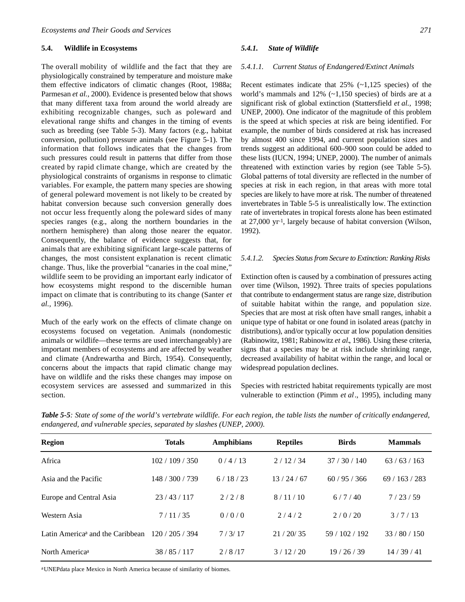# **5.4. Wildlife in Ecosystems**

The overall mobility of wildlife and the fact that they are physiologically constrained by temperature and moisture make them effective indicators of climatic changes (Root, 1988a; Parmesan *et al.,* 2000). Evidence is presented below that shows that many different taxa from around the world already are exhibiting recognizable changes, such as poleward and elevational range shifts and changes in the timing of events such as breeding (see Table 5-3). Many factors (e.g., habitat conversion, pollution) pressure animals (see Figure 5-1). The information that follows indicates that the changes from such pressures could result in patterns that differ from those created by rapid climate change, which are created by the physiological constraints of organisms in response to climatic variables. For example, the pattern many species are showing of general poleward movement is not likely to be created by habitat conversion because such conversion generally does not occur less frequently along the poleward sides of many species ranges (e.g., along the northern boundaries in the northern hemisphere) than along those nearer the equator. Consequently, the balance of evidence suggests that, for animals that are exhibiting significant large-scale patterns of changes, the most consistent explanation is recent climatic change. Thus, like the proverbial "canaries in the coal mine," wildlife seem to be providing an important early indicator of how ecosystems might respond to the discernible human impact on climate that is contributing to its change (Santer *et al.*, 1996).

Much of the early work on the effects of climate change on ecosystems focused on vegetation. Animals (nondomestic animals or wildlife—these terms are used interchangeably) are important members of ecosystems and are affected by weather and climate (Andrewartha and Birch, 1954). Consequently, concerns about the impacts that rapid climatic change may have on wildlife and the risks these changes may impose on ecosystem services are assessed and summarized in this section.

## *5.4.1. State of Wildlife*

### *5.4.1.1. Current Status of Endangered/Extinct Animals*

Recent estimates indicate that 25% (~1,125 species) of the world's mammals and 12% (~1,150 species) of birds are at a significant risk of global extinction (Stattersfield *et al.,* 1998; UNEP, 2000). One indicator of the magnitude of this problem is the speed at which species at risk are being identified. For example, the number of birds considered at risk has increased by almost 400 since 1994, and current population sizes and trends suggest an additional 600–900 soon could be added to these lists (IUCN, 1994; UNEP, 2000). The number of animals threatened with extinction varies by region (see Table 5-5). Global patterns of total diversity are reflected in the number of species at risk in each region, in that areas with more total species are likely to have more at risk. The number of threatened invertebrates in Table 5-5 is unrealistically low. The extinction rate of invertebrates in tropical forests alone has been estimated at 27,000 yr-1, largely because of habitat conversion (Wilson, 1992).

#### *5.4.1.2. Species Status from Secure to Extinction: Ranking Risks*

Extinction often is caused by a combination of pressures acting over time (Wilson, 1992). Three traits of species populations that contribute to endangerment status are range size, distribution of suitable habitat within the range, and population size. Species that are most at risk often have small ranges, inhabit a unique type of habitat or one found in isolated areas (patchy in distributions), and/or typically occur at low population densities (Rabinowitz, 1981; Rabinowitz *et al.*, 1986). Using these criteria, signs that a species may be at risk include shrinking range, decreased availability of habitat within the range, and local or widespread population declines.

Species with restricted habitat requirements typically are most vulnerable to extinction (Pimm *et al*., 1995), including many

| <b>Region</b>                                | <b>Totals</b>   | Amphibians | <b>Reptiles</b> | <b>Birds</b>   | <b>Mammals</b> |
|----------------------------------------------|-----------------|------------|-----------------|----------------|----------------|
| Africa                                       | 102 / 109 / 350 | 0/4/13     | 2/12/34         | 37/30/140      | 63/63/163      |
| Asia and the Pacific                         | 148 / 300 / 739 | 6/18/23    | 13/24/67        | 60/95/366      | 69/163/283     |
| Europe and Central Asia                      | 23/43/117       | 2/2/8      | 8/11/10         | 6/7/40         | 7/23/59        |
| Western Asia                                 | 7/11/35         | 0/0/0      | 2/4/2           | 2/0/20         | 3/7/13         |
| Latin America <sup>a</sup> and the Caribbean | 120/205/394     | 7/3/17     | 21/20/35        | 59 / 102 / 192 | 33/80/150      |
| North America <sup>a</sup>                   | 38/85/117       | 2/8/17     | 3/12/20         | 19/26/39       | 14/39/41       |

*Table 5-5: State of some of the world's vertebrate wildlife. For each region, the table lists the number of critically endangered, endangered, and vulnerable species, separated by slashes (UNEP, 2000).*

aUNEPdata place Mexico in North America because of similarity of biomes.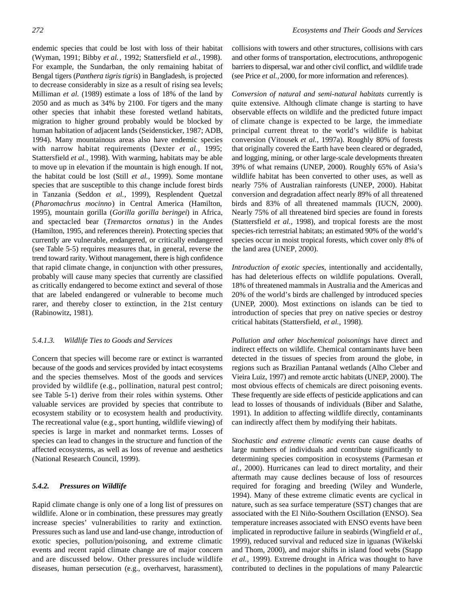endemic species that could be lost with loss of their habitat (Wyman, 1991; Bibby *et al.*, 1992; Stattersfield *et al.*, 1998). For example, the Sundarban, the only remaining habitat of Bengal tigers (*Panthera tigris tigris*) in Bangladesh, is projected to decrease considerably in size as a result of rising sea levels; Milliman *et al.* (1989) estimate a loss of 18% of the land by 2050 and as much as 34% by 2100. For tigers and the many other species that inhabit these forested wetland habitats, migration to higher ground probably would be blocked by human habitation of adjacent lands (Seidensticker, 1987; ADB, 1994). Many mountainous areas also have endemic species with narrow habitat requirements (Dexter *et al.*, 1995; Stattersfield *et al.*, 1998). With warming, habitats may be able to move up in elevation if the mountain is high enough. If not, the habitat could be lost (Still *et al.*, 1999). Some montane species that are susceptible to this change include forest birds in Tanzania (Seddon *et al.*, 1999), Resplendent Quetzal (*Pharomachrus mocinno*) in Central America (Hamilton, 1995), mountain gorilla (*Gorilla gorilla beringei*) in Africa, and spectacled bear (*Tremarctos ornatus*) in the Andes (Hamilton, 1995, and references therein). Protecting species that currently are vulnerable, endangered, or critically endangered (see Table 5-5) requires measures that, in general, reverse the trend toward rarity. Without management, there is high confidence that rapid climate change, in conjunction with other pressures, probably will cause many species that currently are classified as critically endangered to become extinct and several of those that are labeled endangered or vulnerable to become much rarer, and thereby closer to extinction, in the 21st century (Rabinowitz, 1981).

# *5.4.1.3. Wildlife Ties to Goods and Services*

Concern that species will become rare or extinct is warranted because of the goods and services provided by intact ecosystems and the species themselves. Most of the goods and services provided by wildlife (e.g., pollination, natural pest control; see Table 5-1) derive from their roles within systems. Other valuable services are provided by species that contribute to ecosystem stability or to ecosystem health and productivity. The recreational value (e.g., sport hunting, wildlife viewing) of species is large in market and nonmarket terms. Losses of species can lead to changes in the structure and function of the affected ecosystems, as well as loss of revenue and aesthetics (National Research Council, 1999).

### *5.4.2. Pressures on Wildlife*

Rapid climate change is only one of a long list of pressures on wildlife. Alone or in combination, these pressures may greatly increase species' vulnerabilities to rarity and extinction. Pressures such as land use and land-use change, introduction of exotic species, pollution/poisoning, and extreme climatic events and recent rapid climate change are of major concern and are discussed below. Other pressures include wildlife diseases, human persecution (e.g., overharvest, harassment),

collisions with towers and other structures, collisions with cars and other forms of transportation, electrocutions, anthropogenic barriers to dispersal, war and other civil conflict, and wildlife trade (see Price *et al.,*2000, for more information and references).

*Conversion of natural and semi-natural habitats* currently is quite extensive. Although climate change is starting to have observable effects on wildlife and the predicted future impact of climate change is expected to be large, the immediate principal current threat to the world's wildlife is habitat conversion (Vitousek et al., 1997a). Roughly 80% of forests that originally covered the Earth have been cleared or degraded, and logging, mining, or other large-scale developments threaten 39% of what remains (UNEP, 2000). Roughly 65% of Asia's wildlife habitat has been converted to other uses, as well as nearly 75% of Australian rainforests (UNEP, 2000). Habitat conversion and degradation affect nearly 89% of all threatened birds and 83% of all threatened mammals (IUCN, 2000). Nearly 75% of all threatened bird species are found in forests (Stattersfield *et al.,* 1998), and tropical forests are the most species-rich terrestrial habitats; an estimated 90% of the world's species occur in moist tropical forests, which cover only 8% of the land area (UNEP, 2000).

*Introduction of exotic species*, intentionally and accidentally, has had deleterious effects on wildlife populations. Overall, 18% of threatened mammals in Australia and the Americas and 20% of the world's birds are challenged by introduced species (UNEP, 2000). Most extinctions on islands can be tied to introduction of species that prey on native species or destroy critical habitats (Stattersfield, *et al.,* 1998).

*Pollution and other biochemical poisonings* have direct and indirect effects on wildlife. Chemical contaminants have been detected in the tissues of species from around the globe, in regions such as Brazilian Pantanal wetlands (Alho Cleber and Vieira Luiz, 1997) and remote arctic habitats (UNEP, 2000). The most obvious effects of chemicals are direct poisoning events. These frequently are side effects of pesticide applications and can lead to losses of thousands of individuals (Biber and Salathe, 1991). In addition to affecting wildlife directly, contaminants can indirectly affect them by modifying their habitats.

*Stochastic and extreme climatic events* can cause deaths of large numbers of individuals and contribute significantly to determining species composition in ecosystems (Parmesan *et al.,* 2000). Hurricanes can lead to direct mortality, and their aftermath may cause declines because of loss of resources required for foraging and breeding (Wiley and Wunderle, 1994). Many of these extreme climatic events are cyclical in nature, such as sea surface temperature (SST) changes that are associated with the El Niño-Southern Oscillation (ENSO). Sea temperature increases associated with ENSO events have been implicated in reproductive failure in seabirds (Wingfield *et al.,* 1999), reduced survival and reduced size in iguanas (Wikelski and Thom, 2000), and major shifts in island food webs (Stapp *et al.,* 1999). Extreme drought in Africa was thought to have contributed to declines in the populations of many Palearctic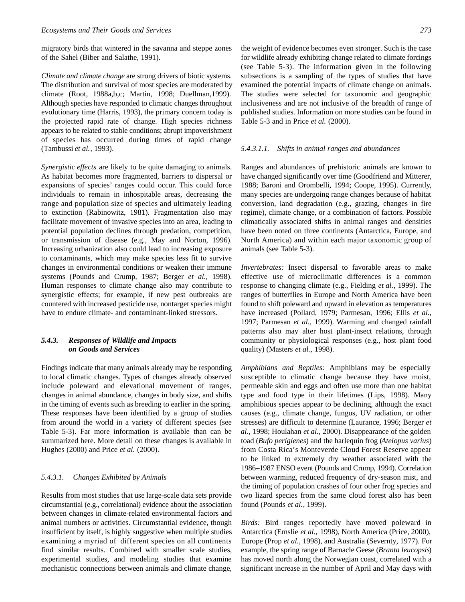migratory birds that wintered in the savanna and steppe zones of the Sahel (Biber and Salathe, 1991).

*Climate and climate change* are strong drivers of biotic systems. The distribution and survival of most species are moderated by climate (Root, 1988a,b,c; Martin, 1998; Duellman,1999). Although species have responded to climatic changes throughout evolutionary time (Harris, 1993), the primary concern today is the projected rapid rate of change. High species richness appears to be related to stable conditions; abrupt impoverishment of species has occurred during times of rapid change (Tambussi *et al.*, 1993).

*Synergistic effects* are likely to be quite damaging to animals. As habitat becomes more fragmented, barriers to dispersal or expansions of species' ranges could occur. This could force individuals to remain in inhospitable areas, decreasing the range and population size of species and ultimately leading to extinction (Rabinowitz, 1981). Fragmentation also may facilitate movement of invasive species into an area, leading to potential population declines through predation, competition, or transmission of disease (e.g., May and Norton, 1996). Increasing urbanization also could lead to increasing exposure to contaminants, which may make species less fit to survive changes in environmental conditions or weaken their immune systems (Pounds and Crump, 1987; Berger *et al.,* 1998). Human responses to climate change also may contribute to synergistic effects; for example, if new pest outbreaks are countered with increased pesticide use, nontarget species might have to endure climate- and contaminant-linked stressors.

# *5.4.3. Responses of Wildlife and Impacts on Goods and Services*

Findings indicate that many animals already may be responding to local climatic changes. Types of changes already observed include poleward and elevational movement of ranges, changes in animal abundance, changes in body size, and shifts in the timing of events such as breeding to earlier in the spring. These responses have been identified by a group of studies from around the world in a variety of different species (see Table 5-3). Far more information is available than can be summarized here. More detail on these changes is available in Hughes (2000) and Price *et al.* (2000).

## *5.4.3.1. Changes Exhibited by Animals*

Results from most studies that use large-scale data sets provide circumstantial (e.g., correlational) evidence about the association between changes in climate-related environmental factors and animal numbers or activities. Circumstantial evidence, though in sufficient by itself, is highly suggestive when multiple studies examining a myriad of different species on all continents find similar results. Combined with smaller scale studies, experimental studies, and modeling studies that examine mechanistic connections between animals and climate change,

the weight of evidence becomes even stronger. Such is the case for wildlife already exhibiting change related to climate forcings (see Table 5-3). The information given in the following subsections is a sampling of the types of studies that have examined the potential impacts of climate change on animals. The studies were selected for taxonomic and geographic inclusiveness and are not inclusive of the breadth of range of published studies. Information on more studies can be found in Table 5-3 and in Price *et al.* (2000).

#### *5.4.3.1.1. Shifts in animal ranges and abundances*

Ranges and abundances of prehistoric animals are known to have changed significantly over time (Goodfriend and Mitterer, 1988; Baroni and Orombelli, 1994; Coope, 1995). Currently, many species are undergoing range changes because of habitat conversion, land degradation (e.g., grazing, changes in fire regime), climate change, or a combination of factors. Possible climatically associated shifts in animal ranges and densities have been noted on three continents (Antarctica, Europe, and North America) and within each major taxonomic group of animals (see Table 5-3).

*Invertebrates:* Insect dispersal to favorable areas to make e ffective use of microclimatic differences is a common response to changing climate (e.g., Fielding *et al.*, 1999). The ranges of butterflies in Europe and North America have been found to shift poleward and upward in elevation as temperatures have increased (Pollard, 1979; Parmesan, 1996; Ellis *et al.,* 1997; Parmesan *et al.,* 1999). Warming and changed rainfall patterns also may alter host plant-insect relations, through community or physiological responses (e.g., host plant food quality) (Masters *et al.,* 1998).

*Amphibians and Reptiles:* Amphibians may be especially susceptible to climatic change because they have moist, permeable skin and eggs and often use more than one habitat type and food type in their lifetimes (Lips, 1998). Many amphibious species appear to be declining, although the exact causes (e.g., climate change, fungus, UV radiation, or other stresses) are difficult to determine (Laurance, 1996; Berger *et al.,* 1998; Houlahan *et al.,* 2000). Disappearance of the golden toad (*Bufo periglenes*) and the harlequin frog (*Atelopus varius*) from Costa Rica's Monteverde Cloud Forest Reserve appear to be linked to extremely dry weather associated with the 1986–1987 ENSO event (Pounds and Crump, 1994). Correlation between warming, reduced frequency of dry-season mist, and the timing of population crashes of four other frog species and two lizard species from the same cloud forest also has been found (Pounds *et al.*, 1999).

*Birds:* Bird ranges reportedly have moved poleward in Antarctica (Emslie *et al.,* 1998), North America (Price, 2000), Europe (Prop *et al.,* 1998), and Australia (Severnty, 1977). For example, the spring range of Barnacle Geese (*Branta leucopsis*) has moved north along the Norwegian coast, correlated with a significant increase in the number of April and May days with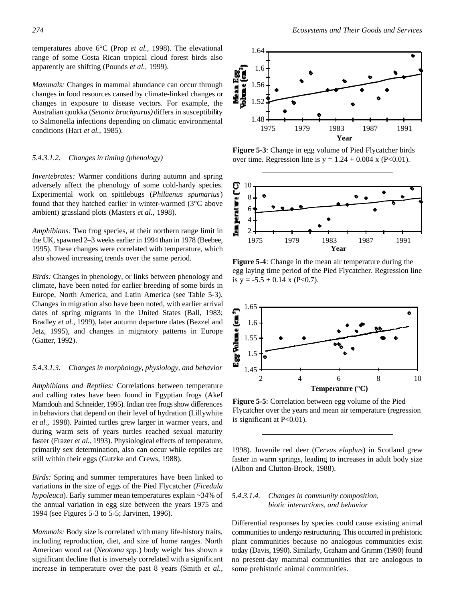*Mammals:* Changes in mammal abundance can occur through changes in food resources caused by climate-linked changes or changes in exposure to disease vectors. For example, the Australian quokka (*Setonix brachyurus*) differs in susceptibility to Salmonella infections depending on climatic environmental conditions (Hart *et al.,* 1985).

## *5.4.3.1.2. Changes in timing (phenology)*

*Invertebrates:* Warmer conditions during autumn and spring adversely affect the phenology of some cold-hardy species. Experimental work on spittlebugs (*Philaenus spumarius*) found that they hatched earlier in winter-warmed (3°C above ambient) grassland plots (Masters *et al.,* 1998).

*Amphibians:* Two frog species, at their northern range limit in the UK, spawned 2–3 weeks earlier in 1994 than in 1978 (Beebee, 1995). These changes were correlated with temperature, which also showed increasing trends over the same period.

*Birds:* Changes in phenology, or links between phenology and climate, have been noted for earlier breeding of some birds in Europe, North America, and Latin America (see Table 5-3). Changes in migration also have been noted, with earlier arrival dates of spring migrants in the United States (Ball, 1983; Bradley *et al.*, 1999), later autumn departure dates (Bezzel and Jetz, 1995), and changes in migratory patterns in Europe (Gatter, 1992).

# *5.4.3.1.3. Changes in morphology, physiology, and behavior*

*Amphibians and Reptiles:* Correlations between temperature and calling rates have been found in Egyptian frogs (Akef Mamdouh and Schneider, 1995). Indian tree frogs show differences in behaviors that depend on their level of hydration (Lillywhite *et al.,* 1998). Painted turtles grew larger in warmer years, and during warm sets of years turtles reached sexual maturity faster (Frazer *et al.,* 1993). Physiological effects of temperature, primarily sex determination, also can occur while reptiles are still within their eggs (Gutzke and Crews, 1988).

*Birds:* Spring and summer temperatures have been linked to variations in the size of eggs of the Pied Flycatcher (*Ficedula hypoleuca*). Early summer mean temperatures explain ~34% of the annual variation in egg size between the years 1975 and 1994 (see Figures 5-3 to 5-5; Jarvinen, 1996).

*Mammals:* Body size is correlated with many life-history traits, including reproduction, diet, and size of home ranges. North American wood rat (*Neotoma spp.*) body weight has shown a significant decline that is inversely correlated with a significant increase in temperature over the past 8 years (Smith *et al.,*



**Figure 5-3**: Change in egg volume of Pied Flycatcher birds over time. Regression line is  $y = 1.24 + 0.004$  x (P<0.01).



**Figure 5-4**: Change in the mean air temperature during the egg laying time period of the Pied Flycatcher. Regression line is  $y = -5.5 + 0.14$  x (P<0.7).



**Figure 5-5**: Correlation between egg volume of the Pied Flycatcher over the years and mean air temperature (regression is significant at P<0.01).

1998). Juvenile red deer (*Cervus elaphus*) in Scotland grew faster in warm springs, leading to increases in adult body size (Albon and Clutton-Brock, 1988).

# *5.4.3.1.4. Changes in community composition, biotic interactions, and behavior*

Differential responses by species could cause existing animal communities to undergo restructuring. This occurred in prehistoric plant communities because no analogous communities exist today (Davis, 1990). Similarly, Graham and Grimm (1990) found no present-day mammal communities that are analogous to some prehistoric animal communities.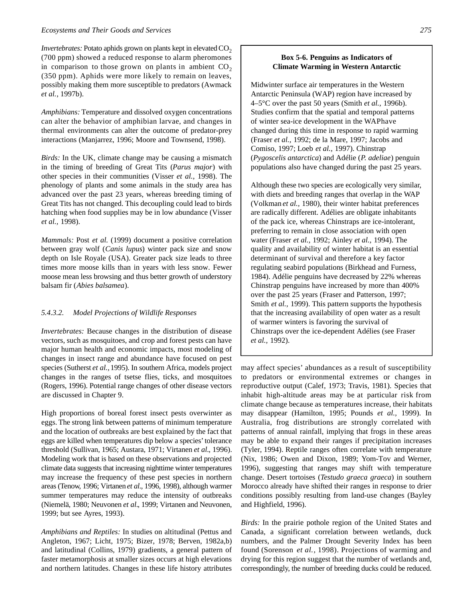### *Ecosystems and Their Goods and Services 275*

*Invertebrates:* Potato aphids grown on plants kept in elevated CO<sub>2</sub> (700 ppm) showed a reduced response to alarm pheromones in comparison to those grown on plants in ambient  $CO<sub>2</sub>$ (350 ppm). Aphids were more likely to remain on leaves, possibly making them more susceptible to predators (Awmack *et al.*, 1997b).

*Amphibians:* Temperature and dissolved oxygen concentrations can alter the behavior of amphibian larvae, and changes in thermal environments can alter the outcome of predator-prey interactions (Manjarrez, 1996; Moore and Townsend, 1998).

*Birds:* In the UK, climate change may be causing a mismatch in the timing of breeding of Great Tits (*Parus major*) with other species in their communities (Visser *et al.*, 1998). The phenology of plants and some animals in the study area has advanced over the past 23 years, whereas breeding timing of Great Tits has not changed. This decoupling could lead to birds hatching when food supplies may be in low abundance (Visser *et al.,* 1998).

*Mammals:* Post *et al.* (1999) document a positive correlation between gray wolf (*Canis lupus*) winter pack size and snow depth on Isle Royale (USA). Greater pack size leads to three times more moose kills than in years with less snow. Fewer moose mean less browsing and thus better growth of understory balsam fir (*Abies balsamea*).

#### *5.4.3.2. Model Projections of Wildlife Responses*

*Invertebrates:* Because changes in the distribution of disease vectors, such as mosquitoes, and crop and forest pests can have major human health and economic impacts, most modeling of changes in insect range and abundance have focused on pest species (Sutherst *et al.,*1995). In southern Africa, models project changes in the ranges of tsetse flies, ticks, and mosquitoes (Rogers, 1996). Potential range changes of other disease vectors are discussed in Chapter 9.

High proportions of boreal forest insect pests overwinter as eggs. The strong link between patterns of minimum temperature and the location of outbreaks are best explained by the fact that eggs are killed when temperatures dip below a species' tolerance threshold (Sullivan, 1965; Austara, 1971; Virtanen *et al.*, 1996). Modeling work that is based on these observations and projected climate data suggests that increasing nighttime winter temperatures may increase the frequency of these pest species in northern areas (Tenow, 1996; Virtanen et al., 1996, 1998), although warmer summer temperatures may reduce the intensity of outbreaks (Niemelä, 1980; Neuvonen *et al.*, 1999; Virtanen and Neuvonen, 1999; but see Ayres, 1993).

*Amphibians and Reptiles:* In studies on altitudinal (Pettus and Angleton, 1967; Licht, 1975; Bizer, 1978; Berven, 1982a,b) and latitudinal (Collins, 1979) gradients, a general pattern of faster metamorphosis at smaller sizes occurs at high elevations and northern latitudes. Changes in these life history attributes

# **Box 5-6. Penguins as Indicators of Climate Warming in Western Antarctic**

Midwinter surface air temperatures in the Western Antarctic Peninsula (WAP) region have increased by 4–5°C over the past 50 years (Smith *et al.,* 1996b). Studies confirm that the spatial and temporal patterns of winter sea-ice development in the WAPhave changed during this time in response to rapid warming (Fraser *et al.,* 1992; de la Mare, 1997; Jacobs and Comiso, 1997; Loeb *et al.,* 1997). Chinstrap (*Pygoscelis antarctica*) and Adélie (*P. adeliae*) penguin populations also have changed during the past 25 years.

Although these two species are ecologically very similar, with diets and breeding ranges that overlap in the WAP (Volkman *et al.,* 1980), their winter habitat preferences are radically different. Adélies are obligate inhabitants of the pack ice, whereas Chinstraps are ice-intolerant, preferring to remain in close association with open water (Fraser *et al.,* 1992; Ainley *et al.,* 1994). The quality and availability of winter habitat is an essential determinant of survival and therefore a key factor regulating seabird populations (Birkhead and Furness, 1984). Adélie penguins have decreased by 22% whereas Chinstrap penguins have increased by more than 400% over the past 25 years (Fraser and Patterson, 1997; Smith *et al.*, 1999). This pattern supports the hypothesis that the increasing availability of open water as a result of warmer winters is favoring the survival of Chinstraps over the ice-dependent Adélies (see Fraser *et al.,* 1992).

may affect species' abundances as a result of susceptibility to predators or environmental extremes or changes in reproductive output (Calef, 1973; Travis, 1981). Species that inhabit high-altitude areas may be at particular risk from climate change because as temperatures increase, their habitats may disappear (Hamilton, 1995; Pounds *et al.,* 1999). In Australia, frog distributions are strongly correlated with patterns of annual rainfall, implying that frogs in these areas may be able to expand their ranges if precipitation increases (Tyler, 1994). Reptile ranges often correlate with temperature (Nix, 1986; Owen and Dixon, 1989; Yom-Tov and Werner, 1996), suggesting that ranges may shift with temperature change. Desert tortoises (*Testudo graeca graeca*) in southern Morocco already have shifted their ranges in response to drier conditions possibly resulting from land-use changes (Bayley and Highfield, 1996).

*Birds:* In the prairie pothole region of the United States and Canada, a significant correlation between wetlands, duck numbers, and the Palmer Drought Severity Index has been found (Sorenson *et al.*, 1998). Projections of warming and drying for this region suggest that the number of wetlands and, correspondingly, the number of breeding ducks could be reduced.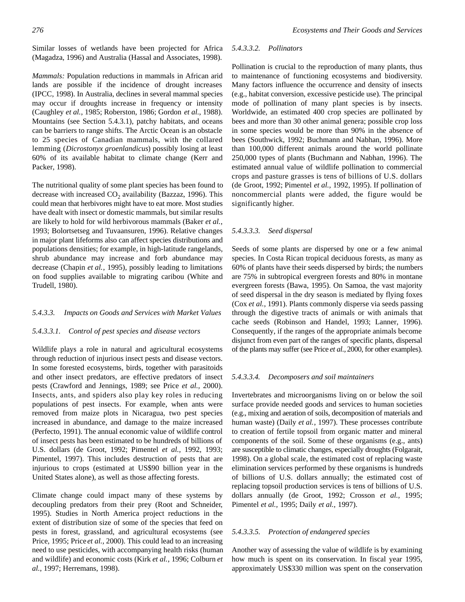*Mammals:* Population reductions in mammals in African arid lands are possible if the incidence of drought increases (IPCC, 1998). In Australia, declines in several mammal species may occur if droughts increase in frequency or intensity (Caughley *et al.*, 1985; Roberston, 1986; Gordon *et al.*, 1988). Mountains (see Section 5.4.3.1), patchy habitats, and oceans can be barriers to range shifts. The Arctic Ocean is an obstacle to 25 species of Canadian mammals, with the collared lemming (*Dicrostonyx groenlandicus*) possibly losing at least 60% of its available habitat to climate change (Kerr and Packer, 1998).

The nutritional quality of some plant species has been found to decrease with increased  $CO_2$  availability (Bazzaz, 1996). This could mean that herbivores might have to eat more. Most studies have dealt with insect or domestic mammals, but similar results are likely to hold for wild herbivorous mammals (Baker *et al.*, 1993; Bolortsetseg and Tuvaansuren, 1996). Relative changes in major plant lifeforms also can affect species distributions and populations densities; for example, in high-latitude rangelands, shrub abundance may increase and forb abundance may decrease (Chapin *et al.*, 1995), possibly leading to limitations on food supplies available to migrating caribou (White and Trudell, 1980).

# *5.4.3.3. Impacts on Goods and Services with Market Values*

# *5.4.3.3.1. Control of pest species and disease vectors*

Wildlife plays a role in natural and agricultural ecosystems through reduction of injurious insect pests and disease vectors. In some forested ecosystems, birds, together with parasitoids and other insect predators, are effective predators of insect pests (Crawford and Jennings, 1989; see Price *et al.,* 2000). Insects, ants, and spiders also play key roles in reducing populations of pest insects. For example, when ants were removed from maize plots in Nicaragua, two pest species increased in abundance, and damage to the maize increased (Perfecto, 1991). The annual economic value of wildlife control of insect pests has been estimated to be hundreds of billions of U.S. dollars (de Groot, 1992; Pimentel *et al.,* 1992, 1993; Pimentel, 1997). This includes destruction of pests that are injurious to crops (estimated at US\$90 billion year in the United States alone), as well as those affecting forests.

Climate change could impact many of these systems by decoupling predators from their prey (Root and Schneider, 1995). Studies in North America project reductions in the extent of distribution size of some of the species that feed on pests in forest, grassland, and agricultural ecosystems (see Price, 1995; Price *et al.,* 2000). This could lead to an increasing need to use pesticides, with accompanying health risks (human and wildlife) and economic costs (Kirk *et al.*, 1996; Colburn *et al.*, 1997; Herremans, 1998).

### *5.4.3.3.2. Pollinators*

Pollination is crucial to the reproduction of many plants, thus to maintenance of functioning ecosystems and biodiversity. Many factors influence the occurrence and density of insects (e.g., habitat conversion, excessive pesticide use). The principal mode of pollination of many plant species is by insects. Worldwide, an estimated 400 crop species are pollinated by bees and more than 30 other animal genera; possible crop loss in some species would be more than 90% in the absence of bees (Southwick, 1992; Buchmann and Nabhan, 1996). More than 100,000 different animals around the world pollinate 250,000 types of plants (Buchmann and Nabhan, 1996). The estimated annual value of wildlife pollination to commercial crops and pasture grasses is tens of billions of U.S. dollars (de Groot, 1992; Pimentel *et al.,* 1992, 1995). If pollination of noncommercial plants were added, the figure would be significantly higher.

# *5.4.3.3.3. Seed dispersal*

Seeds of some plants are dispersed by one or a few animal species. In Costa Rican tropical deciduous forests, as many as 60% of plants have their seeds dispersed by birds; the numbers are 75% in subtropical evergreen forests and 80% in montane evergreen forests (Bawa, 1995). On Samoa, the vast majority of seed dispersal in the dry season is mediated by flying foxes (Cox *et al.*, 1991). Plants commonly disperse via seeds passing through the digestive tracts of animals or with animals that cache seeds (Robinson and Handel, 1993; Lanner, 1996). Consequently, if the ranges of the appropriate animals become disjunct from even part of the ranges of specific plants, dispersal of the plants may suffer (see Price *et al.,* 2000, for other examples).

# *5.4.3.3.4. Decomposers and soil maintainers*

Invertebrates and microorganisms living on or below the soil surface provide needed goods and services to human societies (e.g., mixing and aeration of soils, decomposition of materials and human waste) (Daily *et al.*, 1997). These processes contribute to creation of fertile topsoil from organic matter and mineral components of the soil. Some of these organisms (e.g., ants) are susceptible to climatic changes, especially droughts (Folgarait, 1998). On a global scale, the estimated cost of replacing waste elimination services performed by these organisms is hundreds of billions of U.S. dollars annually; the estimated cost of replacing topsoil production services is tens of billions of U.S. dollars annually (de Groot, 1992; Crosson *et al.*, 1995; Pimentel *et al.,* 1995; Daily *et al.,* 1997).

## *5.4.3.3.5. Protection of endangered species*

Another way of assessing the value of wildlife is by examining how much is spent on its conservation. In fiscal year 1995, approximately US\$330 million was spent on the conservation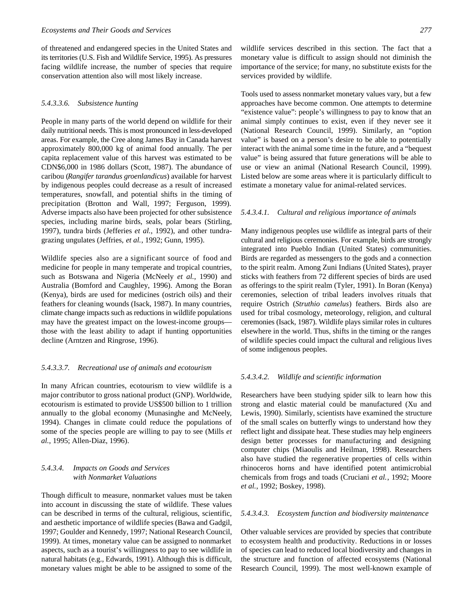of threatened and endangered species in the United States and its territories (U.S. Fish and Wildlife Service, 1995). As pressures facing wildlife increase, the number of species that require conservation attention also will most likely increase.

#### *5.4.3.3.6. Subsistence hunting*

People in many parts of the world depend on wildlife for their daily nutritional needs. This is most pronounced in less-developed areas. For example, the Cree along James Bay in Canada harvest approximately 800,000 kg of animal food annually. The per capita replacement value of this harvest was estimated to be CDN\$6,000 in 1986 dollars (Scott, 1987). The abundance of caribou (*Rangifer tarandus groenlandicus*) available for harvest by indigenous peoples could decrease as a result of increased temperatures, snowfall, and potential shifts in the timing of precipitation (Brotton and Wall, 1997; Ferguson, 1999). Adverse impacts also have been projected for other subsistence species, including marine birds, seals, polar bears (Stirling, 1997), tundra birds (Jefferies *et al.*, 1992), and other tundragrazing ungulates (Jeffries, *et al.*, 1992; Gunn, 1995).

Wildlife species also are a significant source of food and medicine for people in many temperate and tropical countries, such as Botswana and Nigeria (McNeely *et al.*, 1990) and Australia (Bomford and Caughley, 1996). Among the Boran (Kenya), birds are used for medicines (ostrich oils) and their feathers for cleaning wounds (Isack, 1987). In many countries, climate change impacts such as reductions in wildlife populations may have the greatest impact on the lowest-income groups those with the least ability to adapt if hunting opportunities decline (Arntzen and Ringrose, 1996).

### *5.4.3.3.7. Recreational use of animals and ecotourism*

In many African countries, ecotourism to view wildlife is a major contributor to gross national product (GNP). Worldwide, ecotourism is estimated to provide US\$500 billion to 1 trillion annually to the global economy (Munasinghe and McNeely, 1994). Changes in climate could reduce the populations of some of the species people are willing to pay to see (Mills *et al.*, 1995; Allen-Diaz, 1996).

# *5.4.3.4. Impacts on Goods and Services with Nonmarket Valuations*

Though difficult to measure, nonmarket values must be taken into account in discussing the state of wildlife. These values can be described in terms of the cultural, religious, scientific, and aesthetic importance of wildlife species (Bawa and Gadgil, 1997; Goulder and Kennedy, 1997; National Research Council, 1999). At times, monetary value can be assigned to nonmarket aspects, such as a tourist's willingness to pay to see wildlife in natural habitats (e.g., Edwards, 1991). Although this is difficult, monetary values might be able to be assigned to some of the

wildlife services described in this section. The fact that a monetary value is difficult to assign should not diminish the importance of the service; for many, no substitute exists for the services provided by wildlife.

Tools used to assess nonmarket monetary values vary, but a few approaches have become common. One attempts to determine "existence value": people's willingness to pay to know that an animal simply continues to exist, even if they never see it (National Research Council, 1999). Similarly, an "option value" is based on a person's desire to be able to potentially interact with the animal some time in the future, and a "bequest value" is being assured that future generations will be able to use or view an animal (National Research Council, 1999). Listed below are some areas where it is particularly difficult to estimate a monetary value for animal-related services.

#### *5.4.3.4.1. Cultural and religious importance of animals*

Many indigenous peoples use wildlife as integral parts of their cultural and religious ceremonies. For example, birds are strongly integrated into Pueblo Indian (United States) communities. Birds are regarded as messengers to the gods and a connection to the spirit realm. Among Zuni Indians (United States), prayer sticks with feathers from 72 different species of birds are used as offerings to the spirit realm (Tyler, 1991). In Boran (Kenya) ceremonies, selection of tribal leaders involves rituals that require Ostrich (*Struthio camelus*) feathers. Birds also are used for tribal cosmology, meteorology, religion, and cultural ceremonies (Isack, 1987). Wildlife plays similar roles in cultures elsewhere in the world. Thus, shifts in the timing or the ranges of wildlife species could impact the cultural and religious lives of some indigenous peoples.

#### *5.4.3.4.2. Wildlife and scientific information*

Researchers have been studying spider silk to learn how this strong and elastic material could be manufactured (Xu and Lewis, 1990). Similarly, scientists have examined the structure of the small scales on butterfly wings to understand how they reflect light and dissipate heat. These studies may help engineers design better processes for manufacturing and designing computer chips (Miaoulis and Heilman, 1998). Researchers also have studied the regenerative properties of cells within rhinoceros horns and have identified potent antimicrobial chemicals from frogs and toads (Cruciani *et al.*, 1992; Moore *et al.*, 1992; Boskey, 1998).

## *5.4.3.4.3. Ecosystem function and biodiversity maintenance*

Other valuable services are provided by species that contribute to ecosystem health and productivity. Reductions in or losses of species can lead to reduced local biodiversity and changes in the structure and function of affected ecosystems (National Research Council, 1999). The most well-known example of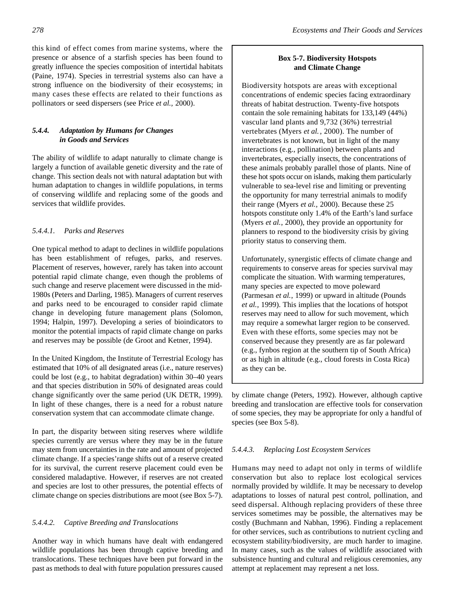this kind of effect comes from marine systems, where the presence or absence of a starfish species has been found to greatly influence the species composition of intertidal habitats (Paine, 1974). Species in terrestrial systems also can have a strong influence on the biodiversity of their ecosystems; in many cases these effects are related to their functions as pollinators or seed dispersers (see Price *et al.*, 2000).

# *5.4.4. Adaptation by Humans for Changes in Goods and Services*

The ability of wildlife to adapt naturally to climate change is largely a function of available genetic diversity and the rate of change. This section deals not with natural adaptation but with human adaptation to changes in wildlife populations, in terms of conserving wildlife and replacing some of the goods and services that wildlife provides.

# *5.4.4.1. Parks and Reserves*

One typical method to adapt to declines in wildlife populations has been establishment of refuges, parks, and reserves. Placement of reserves, however, rarely has taken into account potential rapid climate change, even though the problems of such change and reserve placement were discussed in the mid-1980s (Peters and Darling, 1985). Managers of current reserves and parks need to be encouraged to consider rapid climate change in developing future management plans (Solomon, 1994; Halpin, 1997). Developing a series of bioindicators to monitor the potential impacts of rapid climate change on parks and reserves may be possible (de Groot and Ketner, 1994).

In the United Kingdom, the Institute of Terrestrial Ecology has estimated that 10% of all designated areas (i.e., nature reserves) could be lost (e.g., to habitat degradation) within 30–40 years and that species distribution in 50% of designated areas could change significantly over the same period (UK DETR, 1999). In light of these changes, there is a need for a robust nature conservation system that can accommodate climate change.

In part, the disparity between siting reserves where wildlife species currently are versus where they may be in the future may stem from uncertainties in the rate and amount of projected climate change. If a species'range shifts out of a reserve created for its survival, the current reserve placement could even be considered maladaptive. However, if reserves are not created and species are lost to other pressures, the potential effects of climate change on species distributions are moot (see Box 5-7).

# *5.4.4.2. Captive Breeding and Translocations*

Another way in which humans have dealt with endangered wildlife populations has been through captive breeding and translocations. These techniques have been put forward in the past as methods to deal with future population pressures caused

# **Box 5-7. Biodiversity Hotspots and Climate Change**

Biodiversity hotspots are areas with exceptional concentrations of endemic species facing extraordinary threats of habitat destruction. Twenty-five hotspots contain the sole remaining habitats for 133,149 (44%) vascular land plants and 9,732 (36%) terrestrial vertebrates (Myers et al., 2000). The number of invertebrates is not known, but in light of the many interactions (e.g., pollination) between plants and invertebrates, especially insects, the concentrations of these animals probably parallel those of plants. Nine of these hot spots occur on islands, making them particularly vulnerable to sea-level rise and limiting or preventing the opportunity for many terrestrial animals to modify their range (Myers *et al.,* 2000). Because these 25 hotspots constitute only 1.4% of the Earth's land surface (Myers *et al.*, 2000), they provide an opportunity for planners to respond to the biodiversity crisis by giving priority status to conserving them.

Unfortunately, synergistic effects of climate change and requirements to conserve areas for species survival may complicate the situation. With warming temperatures, many species are expected to move poleward (Parmesan *et al.*, 1999) or upward in altitude (Pounds *et al.*, 1999). This implies that the locations of hotspot reserves may need to allow for such movement, which may require a somewhat larger region to be conserved. Even with these efforts, some species may not be conserved because they presently are as far poleward (e.g., fynbos region at the southern tip of South Africa) or as high in altitude (e.g., cloud forests in Costa Rica) as they can be.

by climate change (Peters, 1992). However, although captive breeding and translocation are effective tools for conservation of some species, they may be appropriate for only a handful of species (see Box 5-8).

# *5.4.4.3. Replacing Lost Ecosystem Services*

Humans may need to adapt not only in terms of wildlife conservation but also to replace lost ecological services normally provided by wildlife. It may be necessary to develop adaptations to losses of natural pest control, pollination, and seed dispersal. Although replacing providers of these three services sometimes may be possible, the alternatives may be costly (Buchmann and Nabhan, 1996). Finding a replacement for other services, such as contributions to nutrient cycling and ecosystem stability/biodiversity, are much harder to imagine. In many cases, such as the values of wildlife associated with subsistence hunting and cultural and religious ceremonies, any attempt at replacement may represent a net loss.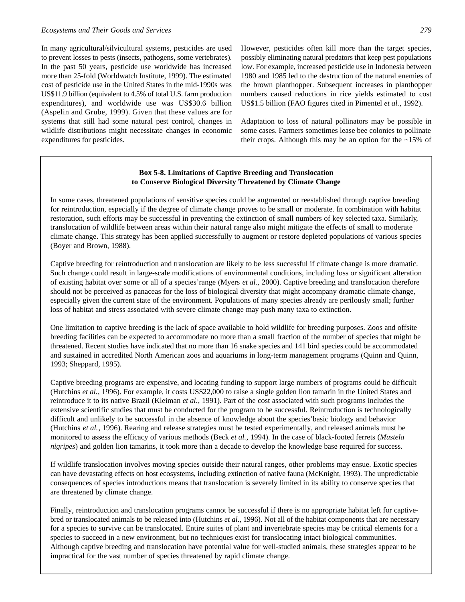In many agricultural/silvicultural systems, pesticides are used to prevent losses to pests (insects, pathogens, some vertebrates). In the past 50 years, pesticide use worldwide has increased more than 25-fold (Worldwatch Institute, 1999). The estimated cost of pesticide use in the United States in the mid-1990s was US\$11.9 billion (equivalent to 4.5% of total U.S. farm production expenditures), and worldwide use was US\$30.6 billion (Aspelin and Grube, 1999). Given that these values are for systems that still had some natural pest control, changes in wildlife distributions might necessitate changes in economic expenditures for pesticides.

However, pesticides often kill more than the target species, possibly eliminating natural predators that keep pest populations low. For example, increased pesticide use in Indonesia between 1980 and 1985 led to the destruction of the natural enemies of the brown planthopper. Subsequent increases in planthopper numbers caused reductions in rice yields estimated to cost US\$1.5 billion (FAO figures cited in Pimentel *et al.*, 1992).

Adaptation to loss of natural pollinators may be possible in some cases. Farmers sometimes lease bee colonies to pollinate their crops. Although this may be an option for the  $\sim$ 15% of

# **Box 5-8. Limitations of Captive Breeding and Translocation to Conserve Biological Diversity Threatened by Climate Change**

In some cases, threatened populations of sensitive species could be augmented or reestablished through captive breeding for reintroduction, especially if the degree of climate change proves to be small or moderate. In combination with habitat restoration, such efforts may be successful in preventing the extinction of small numbers of key selected taxa. Similarly, translocation of wildlife between areas within their natural range also might mitigate the effects of small to moderate climate change. This strategy has been applied successfully to augment or restore depleted populations of various species (Boyer and Brown, 1988).

Captive breeding for reintroduction and translocation are likely to be less successful if climate change is more dramatic. Such change could result in large-scale modifications of environmental conditions, including loss or significant alteration of existing habitat over some or all of a species'range (Myers *et al.,* 2000). Captive breeding and translocation therefore should not be perceived as panaceas for the loss of biological diversity that might accompany dramatic climate change, especially given the current state of the environment. Populations of many species already are perilously small; further loss of habitat and stress associated with severe climate change may push many taxa to extinction.

One limitation to captive breeding is the lack of space available to hold wildlife for breeding purposes. Zoos and offsite breeding facilities can be expected to accommodate no more than a small fraction of the number of species that might be threatened. Recent studies have indicated that no more than 16 snake species and 141 bird species could be accommodated and sustained in accredited North American zoos and aquariums in long-term management programs (Quinn and Quinn, 1993; Sheppard, 1995).

Captive breeding programs are expensive, and locating funding to support large numbers of programs could be difficult (Hutchins *et al.*, 1996). For example, it costs US\$22,000 to raise a single golden lion tamarin in the United States and reintroduce it to its native Brazil (Kleiman *et al.*, 1991). Part of the cost associated with such programs includes the extensive scientific studies that must be conducted for the program to be successful. Reintroduction is technologically difficult and unlikely to be successful in the absence of knowledge about the species'basic biology and behavior (Hutchins *et al.*, 1996). Rearing and release strategies must be tested experimentally, and released animals must be monitored to assess the efficacy of various methods (Beck *et al.*, 1994). In the case of black-footed ferrets (*Mustela nigripes*) and golden lion tamarins, it took more than a decade to develop the knowledge base required for success.

If wildlife translocation involves moving species outside their natural ranges, other problems may ensue. Exotic species can have devastating effects on host ecosystems, including extinction of native fauna (McKnight, 1993). The unpredictable consequences of species introductions means that translocation is severely limited in its ability to conserve species that are threatened by climate change.

Finally, reintroduction and translocation programs cannot be successful if there is no appropriate habitat left for captivebred or translocated animals to be released into (Hutchins *et al.*, 1996). Not all of the habitat components that are necessary for a species to survive can be translocated. Entire suites of plant and invertebrate species may be critical elements for a species to succeed in a new environment, but no techniques exist for translocating intact biological communities. Although captive breeding and translocation have potential value for well-studied animals, these strategies appear to be impractical for the vast number of species threatened by rapid climate change.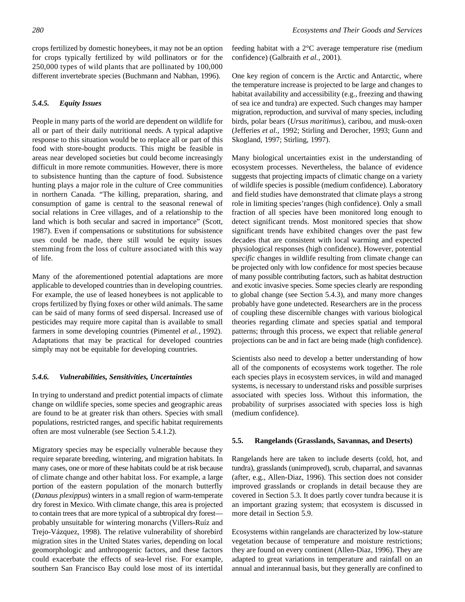crops fertilized by domestic honeybees, it may not be an option for crops typically fertilized by wild pollinators or for the 250,000 types of wild plants that are pollinated by 100,000 different invertebrate species (Buchmann and Nabhan, 1996).

## *5.4.5. Equity Issues*

People in many parts of the world are dependent on wildlife for all or part of their daily nutritional needs. A typical adaptive response to this situation would be to replace all or part of this food with store-bought products. This might be feasible in areas near developed societies but could become increasingly difficult in more remote communities. However, there is more to subsistence hunting than the capture of food. Subsistence hunting plays a major role in the culture of Cree communities in northern Canada. "The killing, preparation, sharing, and consumption of game is central to the seasonal renewal of social relations in Cree villages, and of a relationship to the land which is both secular and sacred in importance" (Scott, 1987). Even if compensations or substitutions for subsistence uses could be made, there still would be equity issues stemming from the loss of culture associated with this way of life.

Many of the aforementioned potential adaptations are more applicable to developed countries than in developing countries. For example, the use of leased honeybees is not applicable to crops fertilized by flying foxes or other wild animals. The same can be said of many forms of seed dispersal. Increased use of pesticides may require more capital than is available to small farmers in some developing countries (Pimentel *et al.*, 1992). Adaptations that may be practical for developed countries simply may not be equitable for developing countries.

### *5.4.6. Vulnerabilities, Sensitivities, Uncertainties*

In trying to understand and predict potential impacts of climate change on wildlife species, some species and geographic areas are found to be at greater risk than others. Species with small populations, restricted ranges, and specific habitat requirements often are most vulnerable (see Section 5.4.1.2).

Migratory species may be especially vulnerable because they require separate breeding, wintering, and migration habitats. In many cases, one or more of these habitats could be at risk because of climate change and other habitat loss. For example, a large portion of the eastern population of the monarch butterfly (*Danaus plexippus*) winters in a small region of warm-temperate dry forest in Mexico. With climate change, this area is projected to contain trees that are more typical of a subtropical dry forest probably unsuitable for wintering monarchs (Villers-Ruíz and Trejo-Vázquez, 1998). The relative vulnerability of shorebird migration sites in the United States varies, depending on local geomorphologic and anthropogenic factors, and these factors could exacerbate the effects of sea-level rise. For example, southern San Francisco Bay could lose most of its intertidal feeding habitat with a 2°C average temperature rise (medium confidence) (Galbraith *et al.*, 2001).

One key region of concern is the Arctic and Antarctic, where the temperature increase is projected to be large and changes to habitat availability and accessibility (e.g., freezing and thawing of sea ice and tundra) are expected. Such changes may hamper migration, reproduction, and survival of many species, including birds, polar bears (*Ursus maritimus*), caribou, and musk-oxen (Jefferies *et al.,* 1992; Stirling and Derocher, 1993; Gunn and Skogland, 1997; Stirling, 1997).

Many biological uncertainties exist in the understanding of ecosystem processes. Nevertheless, the balance of evidence suggests that projecting impacts of climatic change on a variety of wildlife species is possible (medium confidence). Laboratory and field studies have demonstrated that climate plays a strong role in limiting species'ranges (high confidence). Only a small fraction of all species have been monitored long enough to detect significant trends. Most monitored species that show significant trends have exhibited changes over the past few decades that are consistent with local warming and expected physiological responses (high confidence). However, potential *specific* changes in wildlife resulting from climate change can be projected only with low confidence for most species because of many possible contributing factors, such as habitat destruction and exotic invasive species. Some species clearly are responding to global change (see Section 5.4.3), and many more changes probably have gone undetected. Researchers are in the process of coupling these discernible changes with various biological theories regarding climate and species spatial and temporal patterns; through this process, we expect that reliable *general* projections can be and in fact are being made (high confidence).

Scientists also need to develop a better understanding of how all of the components of ecosystems work together. The role each species plays in ecosystem services, in wild and managed systems, is necessary to understand risks and possible surprises associated with species loss. Without this information, the probability of surprises associated with species loss is high (medium confidence).

# **5.5. Rangelands (Grasslands, Savannas, and Deserts)**

Rangelands here are taken to include deserts (cold, hot, and tundra), grasslands (unimproved), scrub, chaparral, and savannas (after, e.g., Allen-Diaz, 1996). This section does not consider improved grasslands or croplands in detail because they are covered in Section 5.3. It does partly cover tundra because it is an important grazing system; that ecosystem is discussed in more detail in Section 5.9.

Ecosystems within rangelands are characterized by low-stature vegetation because of temperature and moisture restrictions; they are found on every continent (Allen-Diaz, 1996). They are adapted to great variations in temperature and rainfall on an annual and interannual basis, but they generally are confined to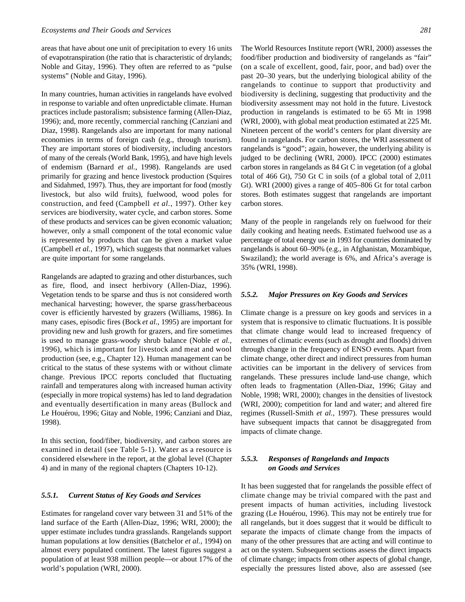areas that have about one unit of precipitation to every 16 units of evapotranspiration (the ratio that is characteristic of drylands; Noble and Gitay, 1996). They often are referred to as "pulse systems" (Noble and Gitay, 1996).

In many countries, human activities in rangelands have evolved in response to variable and often unpredictable climate. Human practices include pastoralism; subsistence farming (Allen-Diaz, 1996); and, more recently, commercial ranching (Canziani and Diaz, 1998). Rangelands also are important for many national economies in terms of foreign cash (e.g., through tourism). They are important stores of biodiversity, including ancestors of many of the cereals (World Bank, 1995), and have high levels of endemism (Barnard *et al.*, 1998). Rangelands are used primarily for grazing and hence livestock production (Squires and Sidahmed, 1997). Thus, they are important for food (mostly livestock, but also wild fruits), fuelwood, wood poles for construction, and feed (Campbell *et al.*, 1997). Other key services are biodiversity, water cycle, and carbon stores. Some of these products and services can be given economic valuation; however, only a small component of the total economic value is represented by products that can be given a market value (Campbell *et al.,* 1997), which suggests that nonmarket values are quite important for some rangelands.

Rangelands are adapted to grazing and other disturbances, such as fire, flood, and insect herbivory (Allen-Diaz, 1996). Vegetation tends to be sparse and thus is not considered worth mechanical harvesting; however, the sparse grass/herbaceous cover is efficiently harvested by grazers (Williams, 1986). In many cases, episodic fires (Bock *et al.*, 1995) are important for providing new and lush growth for grazers, and fire sometimes is used to manage grass-woody shrub balance (Noble *et al.*, 1996), which is important for livestock and meat and wool production (see, e.g., Chapter 12). Human management can be critical to the status of these systems with or without climate change. Previous IPCC reports concluded that fluctuating rainfall and temperatures along with increased human activity (especially in more tropical systems) has led to land degradation and eventually desertification in many areas (Bullock and Le Houérou, 1996; Gitay and Noble, 1996; Canziani and Diaz, 1998).

In this section, food/fiber, biodiversity, and carbon stores are examined in detail (see Table 5-1). Water as a resource is considered elsewhere in the report, at the global level (Chapter 4) and in many of the regional chapters (Chapters 10-12).

#### *5.5.1. Current Status of Key Goods and Services*

Estimates for rangeland cover vary between 31 and 51% of the land surface of the Earth (Allen-Diaz, 1996; WRI, 2000); the upper estimate includes tundra grasslands. Rangelands support human populations at low densities (Batchelor *et al.*, 1994) on almost every populated continent. The latest figures suggest a population of at least 938 million people—or about 17% of the world's population (WRI, 2000).

The World Resources Institute report (WRI, 2000) assesses the food/fiber production and biodiversity of rangelands as "fair" (on a scale of excellent, good, fair, poor, and bad) over the past 20–30 years, but the underlying biological ability of the rangelands to continue to support that productivity and biodiversity is declining, suggesting that productivity and the biodiversity assessment may not hold in the future. Livestock production in rangelands is estimated to be 65 Mt in 1998 (WRI, 2000), with global meat production estimated at 225 Mt. Nineteen percent of the world's centers for plant diversity are

found in rangelands. For carbon stores, the WRI assessment of rangelands is "good"; again, however, the underlying ability is judged to be declining (WRI, 2000). IPCC (2000) estimates carbon stores in rangelands as 84 Gt C in vegetation (of a global total of 466 Gt), 750 Gt C in soils (of a global total of 2,011 Gt). WRI (2000) gives a range of 405–806 Gt for total carbon stores. Both estimates suggest that rangelands are important carbon stores.

Many of the people in rangelands rely on fuelwood for their daily cooking and heating needs. Estimated fuelwood use as a percentage of total energy use in 1993 for countries dominated by rangelands is about 60–90% (e.g., in Afghanistan, Mozambique, Swaziland); the world average is 6%, and Africa's average is 35% (WRI, 1998).

#### *5.5.2. Major Pressures on Key Goods and Services*

Climate change is a pressure on key goods and services in a system that is responsive to climatic fluctuations. It is possible that climate change would lead to increased frequency of extremes of climatic events (such as drought and floods) driven through change in the frequency of ENSO events. Apart from climate change, other direct and indirect pressures from human activities can be important in the delivery of services from rangelands. These pressures include land-use change, which often leads to fragmentation (Allen-Diaz, 1996; Gitay and Noble, 1998; WRI, 2000); changes in the densities of livestock (WRI, 2000); competition for land and water; and altered fire regimes (Russell-Smith *et al.*, 1997). These pressures would have subsequent impacts that cannot be disaggregated from impacts of climate change.

# *5.5.3. Responses of Rangelands and Impacts on Goods and Services*

It has been suggested that for rangelands the possible effect of climate change may be trivial compared with the past and present impacts of human activities, including livestock grazing (Le Houérou, 1996). This may not be entirely true for all rangelands, but it does suggest that it would be difficult to separate the impacts of climate change from the impacts of many of the other pressures that are acting and will continue to act on the system. Subsequent sections assess the direct impacts of climate change; impacts from other aspects of global change, especially the pressures listed above, also are assessed (see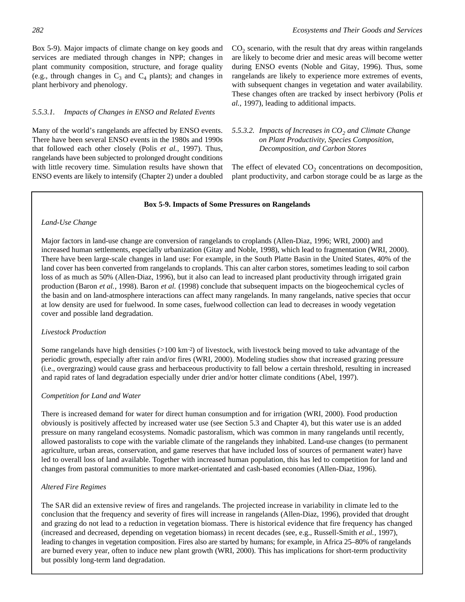Box 5-9). Major impacts of climate change on key goods and services are mediated through changes in NPP; changes in plant community composition, structure, and forage quality (e.g., through changes in  $C_3$  and  $C_4$  plants); and changes in plant herbivory and phenology.

## *5.5.3.1. Impacts of Changes in ENSO and Related Events*

Many of the world's rangelands are affected by ENSO events. There have been several ENSO events in the 1980s and 1990s that followed each other closely (Polis *et al.*, 1997). Thus, rangelands have been subjected to prolonged drought conditions with little recovery time. Simulation results have shown that ENSO events are likely to intensify (Chapter 2) under a doubled

 $CO<sub>2</sub>$  scenario, with the result that dry areas within rangelands are likely to become drier and mesic areas will become wetter during ENSO events (Noble and Gitay, 1996). Thus, some rangelands are likely to experience more extremes of events, with subsequent changes in vegetation and water availability. These changes often are tracked by insect herbivory (Polis *et al.*, 1997), leading to additional impacts.

# *5.5.3.2. Impacts of Increases in CO<sup>2</sup> and Climate Change on Plant Productivity, Species Composition, Decomposition, and Carbon Stores*

The effect of elevated  $CO<sub>2</sub>$  concentrations on decomposition, plant productivity, and carbon storage could be as large as the

#### **Box 5-9. Impacts of Some Pressures on Rangelands**

## *Land-Use Change*

Major factors in land-use change are conversion of rangelands to croplands (Allen-Diaz, 1996; WRI, 2000) and increased human settlements, especially urbanization (Gitay and Noble, 1998), which lead to fragmentation (WRI, 2000). There have been large-scale changes in land use: For example, in the South Platte Basin in the United States, 40% of the land cover has been converted from rangelands to croplands. This can alter carbon stores, sometimes leading to soil carbon loss of as much as 50% (Allen-Diaz, 1996), but it also can lead to increased plant productivity through irrigated grain production (Baron *et al.*, 1998). Baron *et al.* (1998) conclude that subsequent impacts on the biogeochemical cycles of the basin and on land-atmosphere interactions can affect many rangelands. In many rangelands, native species that occur at low density are used for fuelwood. In some cases, fuelwood collection can lead to decreases in woody vegetation cover and possible land degradation.

# *Livestock Production*

Some rangelands have high densities  $(>100 \text{ km}^{-2})$  of livestock, with livestock being moved to take advantage of the periodic growth, especially after rain and/or fires (WRI, 2000). Modeling studies show that increased grazing pressure (i.e., overgrazing) would cause grass and herbaceous productivity to fall below a certain threshold, resulting in increased and rapid rates of land degradation especially under drier and/or hotter climate conditions (Abel, 1997).

# *Competition for Land and Water*

There is increased demand for water for direct human consumption and for irrigation (WRI, 2000). Food production obviously is positively affected by increased water use (see Section 5.3 and Chapter 4), but this water use is an added pressure on many rangeland ecosystems. Nomadic pastoralism, which was common in many rangelands until recently, allowed pastoralists to cope with the variable climate of the rangelands they inhabited. Land-use changes (to permanent agriculture, urban areas, conservation, and game reserves that have included loss of sources of permanent water) have led to overall loss of land available. Together with increased human population, this has led to competition for land and changes from pastoral communities to more market-orientated and cash-based economies (Allen-Diaz, 1996).

# *Altered Fire Regimes*

The SAR did an extensive review of fires and rangelands. The projected increase in variability in climate led to the conclusion that the frequency and severity of fires will increase in rangelands (Allen-Diaz, 1996), provided that drought and grazing do not lead to a reduction in vegetation biomass. There is historical evidence that fire frequency has changed (increased and decreased, depending on vegetation biomass) in recent decades (see, e.g., Russell-Smith *et al.*, 1997), leading to changes in vegetation composition. Fires also are started by humans; for example, in Africa 25–80% of rangelands are burned every year, often to induce new plant growth (WRI, 2000). This has implications for short-term productivity but possibly long-term land degradation.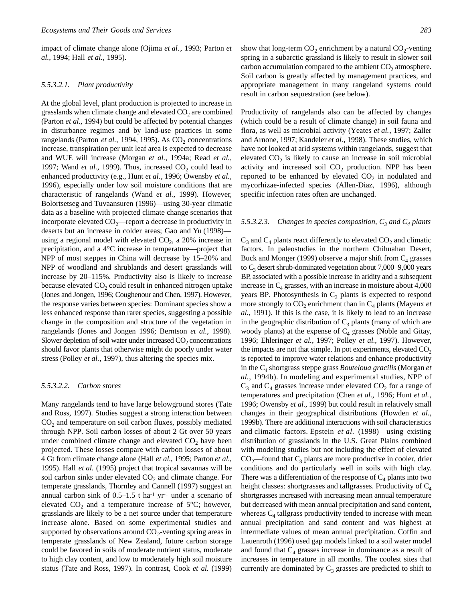impact of climate change alone (Ojima *et al.*, 1993; Parton *et al.*, 1994; Hall *et al.,* 1995).

#### *5.5.3.2.1. Plant productivity*

At the global level, plant production is projected to increase in grasslands when climate change and elevated  $CO<sub>2</sub>$  are combined (Parton *et al.*, 1994) but could be affected by potential changes in disturbance regimes and by land-use practices in some rangelands (Parton *et al.*, 1994, 1995). As CO<sub>2</sub> concentrations increase, transpiration per unit leaf area is expected to decrease and WUE will increase (Morgan *et al.*, 1994a; Read *et al.*, 1997; Wand *et al.*, 1999). Thus, increased  $CO_2$  could lead to enhanced productivity (e.g., Hunt *et al.*, 1996; Owensby *et al.*, 1996), especially under low soil moisture conditions that are characteristic of rangelands (Wand *et al.*, 1999). However, Bolortsetseg and Tuvaansuren (1996)—using 30-year climatic data as a baseline with projected climate change scenarios that incorporate elevated  $CO_2$ —report a decrease in productivity in deserts but an increase in colder areas; Gao and Yu (1998) using a regional model with elevated  $CO<sub>2</sub>$ , a 20% increase in precipitation, and a 4°C increase in temperature—project that NPP of most steppes in China will decrease by 15–20% and NPP of woodland and shrublands and desert grasslands will increase by 20–115%. Productivity also is likely to increase because elevated  $CO<sub>2</sub>$  could result in enhanced nitrogen uptake (Jones and Jongen, 1996; Coughenour and Chen, 1997). However, the response varies between species: Dominant species show a less enhanced response than rarer species, suggesting a possible change in the composition and structure of the vegetation in rangelands (Jones and Jongen 1996; Berntson *et al.*, 1998). Slower depletion of soil water under increased  $CO<sub>2</sub>$  concentrations should favor plants that otherwise might do poorly under water stress (Polley *et al.*, 1997), thus altering the species mix.

### *5.5.3.2.2. Carbon stores*

Many rangelands tend to have large belowground stores (Tate and Ross, 1997). Studies suggest a strong interaction between CO<sup>2</sup> and temperature on soil carbon fluxes, possibly mediated through NPP. Soil carbon losses of about 2 Gt over 50 years under combined climate change and elevated  $CO<sub>2</sub>$  have been projected. These losses compare with carbon losses of about 4 Gt from climate change alone (Hall *et al.*, 1995; Parton *et al.*, 1995). Hall *et al.* (1995) project that tropical savannas will be soil carbon sinks under elevated  $CO<sub>2</sub>$  and climate change. For temperate grasslands, Thornley and Cannell (1997) suggest an annual carbon sink of  $0.5-1.5$  t ha<sup>-1</sup> yr<sup>-1</sup> under a scenario of elevated  $CO_2$  and a temperature increase of 5°C; however, grasslands are likely to be a net source under that temperature increase alone. Based on some experimental studies and supported by observations around  $CO_2$ -venting spring areas in temperate grasslands of New Zealand, future carbon storage could be favored in soils of moderate nutrient status, moderate to high clay content, and low to moderately high soil moisture status (Tate and Ross, 1997). In contrast, Cook *et al.* (1999)

show that long-term  $CO_2$  enrichment by a natural  $CO_2$ -venting spring in a subarctic grassland is likely to result in slower soil carbon accumulation compared to the ambient  $CO<sub>2</sub>$  atmosphere. Soil carbon is greatly affected by management practices, and appropriate management in many rangeland systems could result in carbon sequestration (see below).

Productivity of rangelands also can be affected by changes (which could be a result of climate change) in soil fauna and flora, as well as microbial activity (Yeates *et al.*, 1997; Zaller and Arnone, 1997; Kandeler *et al.*, 1998). These studies, which have not looked at arid systems within rangelands, suggest that elevated  $CO<sub>2</sub>$  is likely to cause an increase in soil microbial activity and increased soil  $CO<sub>2</sub>$  production. NPP has been reported to be enhanced by elevated  $CO<sub>2</sub>$  in nodulated and mycorhizae-infected species (Allen-Diaz, 1996), although specific infection rates often are unchanged.

# *5.5.3.2.3. Changes in species composition, C<sup>3</sup> and C<sup>4</sup> plants*

 $C_3$  and  $C_4$  plants react differently to elevated  $CO_2$  and climatic factors. In paleostudies in the northern Chihuahan Desert, Buck and Monger (1999) observe a major shift from  $C_4$  grasses to  $C_3$  desert shrub-dominated vegetation about 7,000–9,000 years BP, associated with a possible increase in aridity and a subsequent increase in  $C_4$  grasses, with an increase in moisture about 4,000 years BP. Photosynthesis in  $C_3$  plants is expected to respond more strongly to  $CO_2$  enrichment than in  $C_4$  plants (Mayeux *et al.*, 1991). If this is the case, it is likely to lead to an increase in the geographic distribution of  $C_3$  plants (many of which are woody plants) at the expense of  $C_4$  grasses (Noble and Gitay, 1996; Ehleringer *et al.*, 1997; Polley *et al.*, 1997). However, the impacts are not that simple. In pot experiments, elevated  $CO<sub>2</sub>$ is reported to improve water relations and enhance productivity in the C<sup>4</sup> shortgrass steppe grass *Bouteloua gracilis* (Morgan *et al.*, 1994b). In modeling and experimental studies, NPP of  $C_3$  and  $C_4$  grasses increase under elevated  $CO_2$  for a range of temperatures and precipitation (Chen *et al.,* 1996; Hunt *et al.*, 1996; Owensby *et al.*, 1999) but could result in relatively small changes in their geographical distributions (Howden *et al.*, 1999b). There are additional interactions with soil characteristics and climatic factors. Epstein *et al.* (1998)—using existing distribution of grasslands in the U.S. Great Plains combined with modeling studies but not including the effect of elevated  $CO<sub>2</sub>$ —found that  $C<sub>3</sub>$  plants are more productive in cooler, drier conditions and do particularly well in soils with high clay. There was a differentiation of the response of  $C_4$  plants into two height classes: shortgrasses and tallgrasses. Productivity of  $C_4$ shortgrasses increased with increasing mean annual temperature but decreased with mean annual precipitation and sand content, whereas  $C_4$  tallgrass productivity tended to increase with mean annual precipitation and sand content and was highest at intermediate values of mean annual precipitation. Coffin and Lauenroth (1996) used gap models linked to a soil water model and found that  $C_4$  grasses increase in dominance as a result of increases in temperature in all months. The coolest sites that currently are dominated by  $C_3$  grasses are predicted to shift to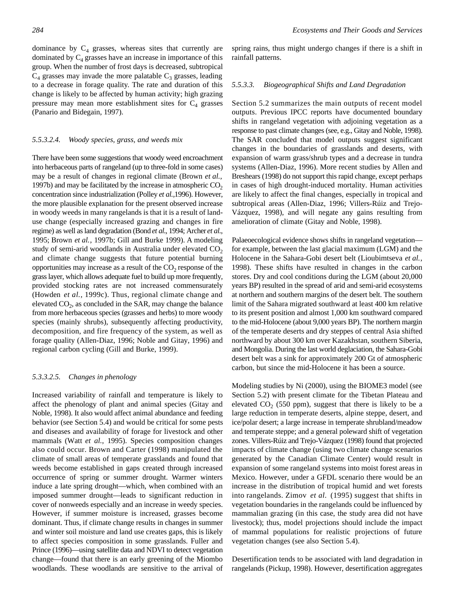dominance by  $C_4$  grasses, whereas sites that currently are dominated by  $C_4$  grasses have an increase in importance of this group. When the number of frost days is decreased, subtropical  $C_4$  grasses may invade the more palatable  $C_3$  grasses, leading to a decrease in forage quality. The rate and duration of this change is likely to be affected by human activity; high grazing pressure may mean more establishment sites for  $C_4$  grasses (Panario and Bidegain, 1997).

### *5.5.3.2.4. Woody species, grass, and weeds mix*

There have been some suggestions that woody weed encroachment into herbaceous parts of rangeland (up to three-fold in some cases) may be a result of changes in regional climate (Brown *et al.,* 1997b) and may be facilitated by the increase in atmospheric  $CO<sub>2</sub>$ concentration since industrialization (Polley *et al.,*1996). However, the more plausible explanation for the present observed increase in woody weeds in many rangelands is that it is a result of landuse change (especially increased grazing and changes in fire regime) as well as land degradation (Bond *et al*., 1994; Archer *et al.*, 1995; Brown *et al.*, 1997b; Gill and Burke 1999). A modeling study of semi-arid woodlands in Australia under elevated  $CO<sub>2</sub>$ and climate change suggests that future potential burning opportunities may increase as a result of the  $CO<sub>2</sub>$  response of the grass layer, which allows adequate fuel to build up more frequently, provided stocking rates are not increased commensurately (Howden *et al.*, 1999c). Thus, regional climate change and elevated  $CO_2$ , as concluded in the SAR, may change the balance from more herbaceous species (grasses and herbs) to more woody species (mainly shrubs), subsequently affecting productivity, decomposition, and fire frequency of the system, as well as forage quality (Allen-Diaz, 1996; Noble and Gitay, 1996) and regional carbon cycling (Gill and Burke, 1999).

### *5.3.3.2.5. Changes in phenology*

Increased variability of rainfall and temperature is likely to affect the phenology of plant and animal species (Gitay and Noble, 1998). It also would affect animal abundance and feeding behavior (see Section 5.4) and would be critical for some pests and diseases and availability of forage for livestock and other mammals (Watt *et al.*, 1995). Species composition changes also could occur. Brown and Carter (1998) manipulated the climate of small areas of temperate grasslands and found that weeds become established in gaps created through increased occurrence of spring or summer drought. Warmer winters induce a late spring drought—which, when combined with an imposed summer drought—leads to significant reduction in cover of nonweeds especially and an increase in weedy species. However, if summer moisture is increased, grasses become dominant. Thus, if climate change results in changes in summer and winter soil moisture and land use creates gaps, this is likely to affect species composition in some grasslands. Fuller and Prince (1996)—using satellite data and NDVI to detect vegetation change—found that there is an early greening of the Miombo woodlands. These woodlands are sensitive to the arrival of spring rains, thus might undergo changes if there is a shift in rainfall patterns.

### *5.5.3.3. Biogeographical Shifts and Land Degradation*

Section 5.2 summarizes the main outputs of recent model outputs. Previous IPCC reports have documented boundary shifts in rangeland vegetation with adjoining vegetation as a response to past climate changes (see, e.g., Gitay and Noble, 1998). The SAR concluded that model outputs suggest significant changes in the boundaries of grasslands and deserts, with expansion of warm grass/shrub types and a decrease in tundra systems (Allen-Diaz, 1996). More recent studies by Allen and Breshears (1998) do not support this rapid change, except perhaps in cases of high drought-induced mortality. Human activities are likely to affect the final changes, especially in tropical and subtropical areas (Allen-Diaz, 1996; Villers-Rúiz and Trejo-Vázquez, 1998), and will negate any gains resulting from amelioration of climate (Gitay and Noble, 1998).

Palaeoecological evidence shows shifts in rangeland vegetation for example, between the last glacial maximum (LGM) and the Holocene in the Sahara-Gobi desert belt (Lioubimtseva *et al.*, 1998). These shifts have resulted in changes in the carbon stores. Dry and cool conditions during the LGM (about 20,000 years BP) resulted in the spread of arid and semi-arid ecosystems at northern and southern margins of the desert belt. The southern limit of the Sahara migrated southward at least 400 km relative to its present position and almost 1,000 km southward compared to the mid-Holocene (about 9,000 years BP). The northern margin of the temperate deserts and dry steppes of central Asia shifted northward by about 300 km over Kazakhstan, southern Siberia, and Mongolia. During the last world deglaciation, the Sahara-Gobi desert belt was a sink for approximately 200 Gt of atmospheric carbon, but since the mid-Holocene it has been a source.

Modeling studies by Ni (2000), using the BIOME3 model (see Section 5.2) with present climate for the Tibetan Plateau and elevated  $CO_2$  (550 ppm), suggest that there is likely to be a large reduction in temperate deserts, alpine steppe, desert, and ice/polar desert; a large increase in temperate shrubland/meadow and temperate steppe; and a general poleward shift of vegetation zones. Villers-Rúiz and Trejo-Vázquez (1998) found that projected impacts of climate change (using two climate change scenarios generated by the Canadian Climate Center) would result in expansion of some rangeland systems into moist forest areas in Mexico. However, under a GFDL scenario there would be an increase in the distribution of tropical humid and wet forests into rangelands. Zimov *et al.* (1995) suggest that shifts in vegetation boundaries in the rangelands could be influenced by mammalian grazing (in this case, the study area did not have livestock); thus, model projections should include the impact of mammal populations for realistic projections of future vegetation changes (see also Section 5.4).

Desertification tends to be associated with land degradation in rangelands (Pickup, 1998). However, desertification aggregates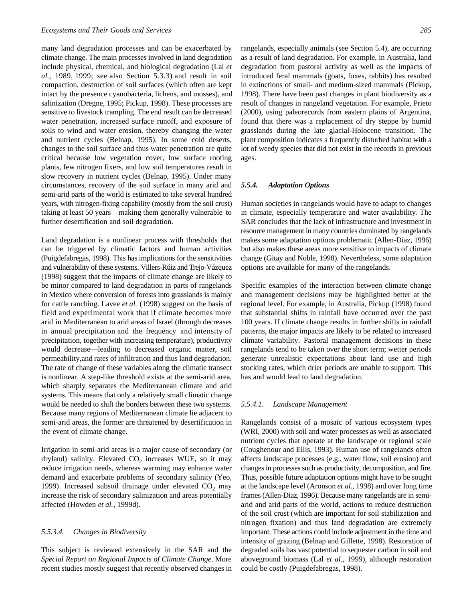many land degradation processes and can be exacerbated by climate change. The main processes involved in land degradation include physical, chemical, and biological degradation (Lal *et al.*, 1989, 1999; see also Section 5.3.3) and result in soil compaction, destruction of soil surfaces (which often are kept intact by the presence cyanobacteria, lichens, and mosses), and salinization (Dregne, 1995; Pickup, 1998). These processes are sensitive to livestock trampling. The end result can be decreased water penetration, increased surface runoff, and exposure of soils to wind and water erosion, thereby changing the water and nutrient cycles (Belnap, 1995). In some cold deserts, changes to the soil surface and thus water penetration are quite critical because low vegetation cover, low surface rooting plants, few nitrogen fixers, and low soil temperatures result in slow recovery in nutrient cycles (Belnap, 1995). Under many circumstances, recovery of the soil surface in many arid and semi-arid parts of the world is estimated to take several hundred years, with nitrogen-fixing capability (mostly from the soil crust) taking at least 50 years—making them generally vulnerable to further desertification and soil degradation.

Land degradation is a nonlinear process with thresholds that can be triggered by climatic factors and human activities (Puigdefabregas, 1998). This has implications for the sensitivities and vulnerability of these systems. Villers-Rúiz and Trejo-Vázquez (1998) suggest that the impacts of climate change are likely to be minor compared to land degradation in parts of rangelands in Mexico where conversion of forests into grasslands is mainly for cattle ranching. Lavee *et al.* (1998) suggest on the basis of field and experimental work that if climate becomes more arid in Mediterranean to arid areas of Israel (through decreases in annual precipitation and the frequency and intensity of precipitation, together with increasing temperature), productivity would decrease—leading to decreased organic matter, soil permeability, and rates of infiltration and thus land degradation. The rate of change of these variables along the climatic transect is nonlinear. A step-like threshold exists at the semi-arid area, which sharply separates the Mediterranean climate and arid systems. This means that only a relatively small climatic change would be needed to shift the borders between these two systems. Because many regions of Mediterranean climate lie adjacent to semi-arid areas, the former are threatened by desertification in the event of climate change.

Irrigation in semi-arid areas is a major cause of secondary (or dryland) salinity. Elevated  $CO<sub>2</sub>$  increases WUE, so it may reduce irrigation needs, whereas warming may enhance water demand and exacerbate problems of secondary salinity (Yeo, 1999). Increased subsoil drainage under elevated  $CO<sub>2</sub>$  may increase the risk of secondary salinization and areas potentially affected (Howden *et al.*, 1999d).

## *5.5.3.4. Changes in Biodiversity*

This subject is reviewed extensively in the SAR and the *Special Report on Regional Impacts of Climate Change*. More recent studies mostly suggest that recently observed changes in rangelands, especially animals (see Section 5.4), are occurring as a result of land degradation. For example, in Australia, land degradation from pastoral activity as well as the impacts of introduced feral mammals (goats, foxes, rabbits) has resulted in extinctions of small- and medium-sized mammals (Pickup, 1998). There have been past changes in plant biodiversity as a result of changes in rangeland vegetation. For example, Prieto (2000), using paleorecords from eastern plains of Argentina, found that there was a replacement of dry steppe by humid grasslands during the late glacial-Holocene transition. The plant composition indicates a frequently disturbed habitat with a lot of weedy species that did not exist in the records in previous ages.

### *5.5.4. Adaptation Options*

Human societies in rangelands would have to adapt to changes in climate, especially temperature and water availability. The SAR concludes that the lack of infrastructure and investment in resource management in many countries dominated by rangelands makes some adaptation options problematic (Allen-Diaz, 1996) but also makes these areas more sensitive to impacts of climate change (Gitay and Noble, 1998). Nevertheless, some adaptation options are available for many of the rangelands.

Specific examples of the interaction between climate change and management decisions may be highlighted better at the regional level. For example, in Australia, Pickup (1998) found that substantial shifts in rainfall have occurred over the past 100 years. If climate change results in further shifts in rainfall patterns, the major impacts are likely to be related to increased climate variability. Pastoral management decisions in these rangelands tend to be taken over the short term; wetter periods generate unrealistic expectations about land use and high stocking rates, which drier periods are unable to support. This has and would lead to land degradation.

#### *5.5.4.1. Landscape Management*

Rangelands consist of a mosaic of various ecosystem types (WRI, 2000) with soil and water processes as well as associated nutrient cycles that operate at the landscape or regional scale (Coughenour and Ellis, 1993). Human use of rangelands often affects landscape processes (e.g., water flow, soil erosion) and changes in processes such as productivity, decomposition, and fire. Thus, possible future adaptation options might have to be sought at the landscape level (Aronson *et al.*, 1998) and over long time frames (Allen-Diaz*,* 1996). Because many rangelands are in semiarid and arid parts of the world, actions to reduce destruction of the soil crust (which are important for soil stabilization and nitrogen fixation) and thus land degradation are extremely important. These actions could include adjustment in the time and intensity of grazing (Belnap and Gillette, 1998). Restoration of degraded soils has vast potential to sequester carbon in soil and aboveground biomass (Lal *et al.,* 1999), although restoration could be costly (Puigdefabregas, 1998).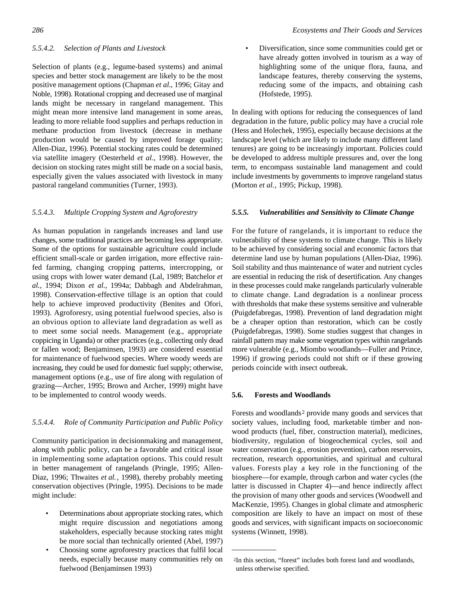### *5.5.4.2. Selection of Plants and Livestock*

Selection of plants (e.g., legume-based systems) and animal species and better stock management are likely to be the most positive management options (Chapman *et al.*, 1996; Gitay and Noble, 1998). Rotational cropping and decreased use of marginal lands might be necessary in rangeland management. This might mean more intensive land management in some areas, leading to more reliable food supplies and perhaps reduction in methane production from livestock (decrease in methane production would be caused by improved forage quality; Allen-Diaz, 1996). Potential stocking rates could be determined via satellite imagery (Oesterheld *et al.*, 1998). However, the decision on stocking rates might still be made on a social basis, especially given the values associated with livestock in many pastoral rangeland communities (Turner, 1993).

# *5.5.4.3. Multiple Cropping System and Agroforestry*

As human population in rangelands increases and land use changes, some traditional practices are becoming less appropriate. Some of the options for sustainable agriculture could include efficient small-scale or garden irrigation, more effective rainfed farming, changing cropping patterns, intercropping, or using crops with lower water demand (Lal, 1989; Batchelor *et al.*, 1994; Dixon *et al.*, 1994a; Dabbagh and Abdelrahman, 1998). Conservation-effective tillage is an option that could help to achieve improved productivity (Benites and Ofori, 1993). Agroforesry, using potential fuelwood species, also is an obvious option to alleviate land degradation as well as to meet some social needs. Management (e.g., appropriate coppicing in Uganda) or other practices (e.g., collecting only dead or fallen wood; Benjaminsen, 1993) are considered essential for maintenance of fuelwood species. Where woody weeds are increasing, they could be used for domestic fuel supply; otherwise, management options (e.g., use of fire along with regulation of grazing—Archer, 1995; Brown and Archer, 1999) might have to be implemented to control woody weeds.

### *5.5.4.4. Role of Community Participation and Public Policy*

Community participation in decisionmaking and management, along with public policy, can be a favorable and critical issue in implementing some adaptation options. This could result in better management of rangelands (Pringle, 1995; Allen-Diaz, 1996; Thwaites *et al.*, 1998), thereby probably meeting conservation objectives (Pringle, 1995). Decisions to be made might include:

- Determinations about appropriate stocking rates, which might require discussion and negotiations among stakeholders, especially because stocking rates might be more social than technically oriented (Abel, 1997)
- Choosing some agroforestry practices that fulfil local needs, especially because many communities rely on fuelwood (Benjaminsen 1993)

• Diversification, since some communities could get or have already gotten involved in tourism as a way of highlighting some of the unique flora, fauna, and landscape features, thereby conserving the systems, reducing some of the impacts, and obtaining cash (Hofstede, 1995).

In dealing with options for reducing the consequences of land degradation in the future, public policy may have a crucial role (Hess and Holechek, 1995), especially because decisions at the landscape level (which are likely to include many different land tenures) are going to be increasingly important. Policies could be developed to address multiple pressures and, over the long term, to encompass sustainable land management and could include investments by governments to improve rangeland status (Morton *et al.*, 1995; Pickup, 1998).

#### *5.5.5. Vulnerabilities and Sensitivity to Climate Change*

For the future of rangelands, it is important to reduce the vulnerability of these systems to climate change. This is likely to be achieved by considering social and economic factors that determine land use by human populations (Allen-Diaz, 1996). Soil stability and thus maintenance of water and nutrient cycles are essential in reducing the risk of desertification. Any changes in these processes could make rangelands particularly vulnerable to climate change. Land degradation is a nonlinear process with thresholds that make these systems sensitive and vulnerable (Puigdefabregas, 1998). Prevention of land degradation might be a cheaper option than restoration, which can be costly (Puigdefabregas, 1998). Some studies suggest that changes in rainfall pattern may make some vegetation types within rangelands more vulnerable (e.g., Miombo woodlands—Fuller and Prince, 1996) if growing periods could not shift or if these growing periods coincide with insect outbreak.

#### **5.6. Forests and Woodlands**

Forests and woodlands<sup>2</sup> provide many goods and services that society values, including food, marketable timber and nonwood products (fuel, fiber, construction material), medicines, biodiversity, regulation of biogeochemical cycles, soil and water conservation (e.g., erosion prevention), carbon reservoirs, recreation, research opportunities, and spiritual and cultural values. Forests play a key role in the functioning of the biosphere—for example, through carbon and water cycles (the latter is discussed in Chapter 4)—and hence indirectly affect the provision of many other goods and services (Woodwell and MacKenzie, 1995). Changes in global climate and atmospheric composition are likely to have an impact on most of these goods and services, with significant impacts on socioeconomic systems (Winnett, 1998).

<sup>2</sup>In this section, "forest" includes both forest land and woodlands, unless otherwise specified.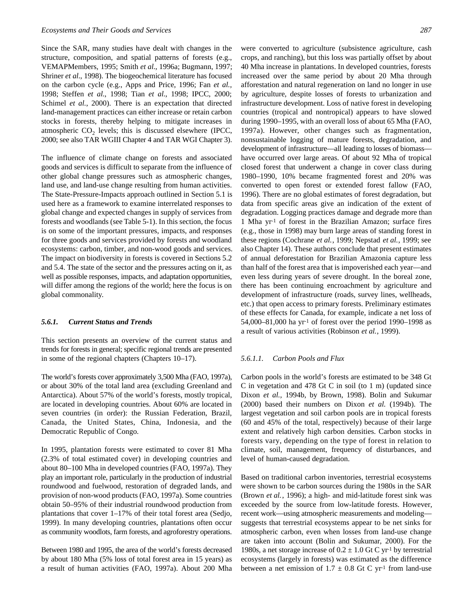### *Ecosystems and Their Goods and Services 287*

Since the SAR, many studies have dealt with changes in the structure, composition, and spatial patterns of forests (e.g., VEMAPMembers, 1995; Smith *et al*., 1996a; Bugmann, 1997; Shriner *et al.*, 1998). The biogeochemical literature has focused on the carbon cycle (e.g., Apps and Price, 1996; Fan *et al.,* 1998; Steffen *et al*., 1998; Tian *et al.*, 1998; IPCC, 2000; Schimel *et al.*, 2000). There is an expectation that directed land-management practices can either increase or retain carbon stocks in forests, thereby helping to mitigate increases in atmospheric  $CO<sub>2</sub>$  levels; this is discussed elsewhere (IPCC, 2000; see also TAR WGIII Chapter 4 and TAR WGI Chapter 3).

The influence of climate change on forests and associated goods and services is difficult to separate from the influence of other global change pressures such as atmospheric changes, land use, and land-use change resulting from human activities. The State-Pressure-Impacts approach outlined in Section 5.1 is used here as a framework to examine interrelated responses to global change and expected changes in supply of services from forests and woodlands (see Table 5-1). In this section, the focus is on some of the important pressures, impacts, and responses for three goods and services provided by forests and woodland ecosystems: carbon, timber, and non-wood goods and services. The impact on biodiversity in forests is covered in Sections 5.2 and 5.4. The state of the sector and the pressures acting on it, as well as possible responses, impacts, and adaptation opportunities, will differ among the regions of the world; here the focus is on global commonality.

#### *5.6.1. Current Status and Trends*

This section presents an overview of the current status and trends for forests in general; specific regional trends are presented in some of the regional chapters (Chapters 10–17).

The world's forests cover approximately 3,500 Mha (FAO, 1997a), or about 30% of the total land area (excluding Greenland and Antarctica). About 57% of the world's forests, mostly tropical, are located in developing countries. About 60% are located in seven countries (in order): the Russian Federation, Brazil, Canada, the United States, China, Indonesia, and the Democratic Republic of Congo.

In 1995, plantation forests were estimated to cover 81 Mha (2.3% of total estimated cover) in developing countries and about 80–100 Mha in developed countries (FAO, 1997a). They play an important role, particularly in the production of industrial roundwood and fuelwood, restoration of degraded lands, and provision of non-wood products (FAO, 1997a). Some countries obtain 50–95% of their industrial roundwood production from plantations that cover 1–17% of their total forest area (Sedjo, 1999). In many developing countries, plantations often occur as community woodlots, farm forests, and agroforestry operations.

Between 1980 and 1995, the area of the world's forests decreased by about 180 Mha (5% loss of total forest area in 15 years) as a result of human activities (FAO, 1997a). About 200 Mha

were converted to agriculture (subsistence agriculture, cash crops, and ranching), but this loss was partially offset by about 40 Mha increase in plantations. In developed countries, forests increased over the same period by about 20 Mha through afforestation and natural regeneration on land no longer in use by agriculture, despite losses of forests to urbanization and infrastructure development. Loss of native forest in developing countries (tropical and nontropical) appears to have slowed during 1990–1995, with an overall loss of about 65 Mha (FAO, 1997a). However, other changes such as fragmentation, nonsustainable logging of mature forests, degradation, and development of infrastructure—all leading to losses of biomass have occurred over large areas. Of about 92 Mha of tropical closed forest that underwent a change in cover class during 1980–1990, 10% became fragmented forest and 20% was converted to open forest or extended forest fallow (FAO, 1996). There are no global estimates of forest degradation, but data from specific areas give an indication of the extent of degradation. Logging practices damage and degrade more than 1 Mha yr-1 of forest in the Brazilian Amazon; surface fires (e.g., those in 1998) may burn large areas of standing forest in these regions (Cochrane *et al.*, 1999; Nepstad *et al.*, 1999; see also Chapter 14). These authors conclude that present estimates of annual deforestation for Brazilian Amazonia capture less than half of the forest area that is impoverished each year—and even less during years of severe drought. In the boreal zone, there has been continuing encroachment by agriculture and development of infrastructure (roads, survey lines, wellheads, etc.) that open access to primary forests. Preliminary estimates of these effects for Canada, for example, indicate a net loss of 54,000–81,000 ha yr<sup>-1</sup> of forest over the period 1990–1998 as a result of various activities (Robinson *et al.*, 1999).

### *5.6.1.1. Carbon Pools and Flux*

Carbon pools in the world's forests are estimated to be 348 Gt C in vegetation and 478 Gt C in soil (to 1 m) (updated since Dixon *et al.,* 1994b, by Brown, 1998). Bolin and Sukumar (2000) based their numbers on Dixon *et al.* (1994b). The largest vegetation and soil carbon pools are in tropical forests (60 and 45% of the total, respectively) because of their large extent and relatively high carbon densities. Carbon stocks in forests vary, depending on the type of forest in relation to climate, soil, management, frequency of disturbances, and level of human-caused degradation.

Based on traditional carbon inventories, terrestrial ecosystems were shown to be carbon sources during the 1980s in the SAR (Brown *et al.*, 1996); a high- and mid-latitude forest sink was exceeded by the source from low-latitude forests. However, recent work—using atmospheric measurements and modeling suggests that terrestrial ecosystems appear to be net sinks for atmospheric carbon, even when losses from land-use change are taken into account (Bolin and Sukumar, 2000). For the 1980s, a net storage increase of  $0.2 \pm 1.0$  Gt C yr<sup>-1</sup> by terrestrial ecosystems (largely in forests) was estimated as the difference between a net emission of  $1.7 \pm 0.8$  Gt C yr<sup>1</sup> from land-use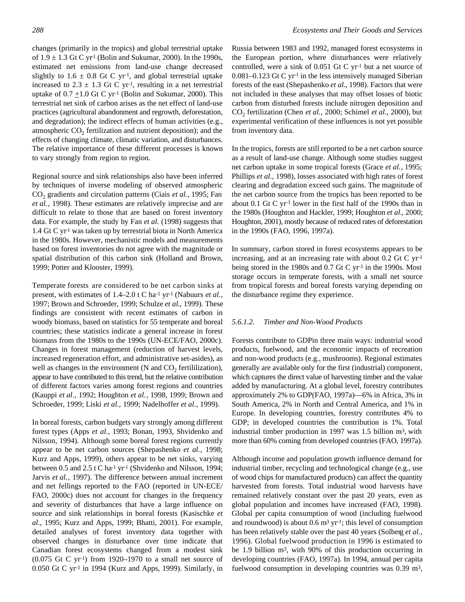changes (primarily in the tropics) and global terrestrial uptake of  $1.9 \pm 1.3$  Gt C yr<sup>1</sup> (Bolin and Sukumar, 2000). In the 1990s, estimated net emissions from land-use change decreased slightly to  $1.6 \pm 0.8$  Gt C yr<sup>-1</sup>, and global terrestrial uptake increased to 2.3  $\pm$  1.3 Gt C yr<sup>-1</sup>, resulting in a net terrestrial uptake of  $0.7 \pm 1.0$  Gt C yr<sup>-1</sup> (Bolin and Sukumar, 2000). This terrestrial net sink of carbon arises as the net effect of land-use practices (agricultural abandonment and regrowth, deforestation, and degradation); the indirect effects of human activities (e.g., atmospheric  $CO<sub>2</sub>$  fertilization and nutrient deposition); and the e ffects of changing climate, climatic variation, and disturbances. The relative importance of these different processes is known to vary strongly from region to region.

Regional source and sink relationships also have been inferred by techniques of inverse modeling of observed atmospheric CO<sub>2</sub> gradients and circulation patterns (Ciais *et al.*, 1995; Fan *et al.*, 1998). These estimates are relatively imprecise and are difficult to relate to those that are based on forest inventory data. For example, the study by Fan *et al.* (1998) suggests that  $1.4$  Gt C yr<sup>1</sup> was taken up by terrestrial biota in North America in the 1980s. However, mechanistic models and measurements based on forest inventories do not agree with the magnitude or spatial distribution of this carbon sink (Holland and Brown, 1999; Potter and Klooster, 1999).

Temperate forests are considered to be net carbon sinks at present, with estimates of  $1.4-2.0$  t C ha<sup>-1</sup> yr<sup>-1</sup> (Nabuurs *et al.*, 1997; Brown and Schroeder, 1999; Schulze *et al.*, 1999). These findings are consistent with recent estimates of carbon in woody biomass, based on statistics for 55 temperate and boreal countries; these statistics indicate a general increase in forest biomass from the 1980s to the 1990s (UN-ECE/FAO, 2000c). Changes in forest management (reduction of harvest levels, increased regeneration effort, and administrative set-asides), as well as changes in the environment (N and  $CO_2$  fertililization), appear to have contributed to this trend, but the relative contribution of different factors varies among forest regions and countries (Kauppi *et al*., 1992; Houghton *et al.*, 1998, 1999; Brown and Schroeder, 1999; Liski *et al.,* 1999; Nadelhoffer *et al.*, 1999).

In boreal forests, carbon budgets vary strongly among different forest types (Apps *et al.*, 1993; Bonan, 1993, Shvidenko and Nilsson, 1994). Although some boreal forest regions currently appear to be net carbon sources (Shepashenko *et al.*, 1998; Kurz and Apps, 1999), others appear to be net sinks, varying between 0.5 and 2.5 t C ha-1 yr-1 (Shvidenko and Nilsson, 1994; Jarvis *et al.*, 1997). The difference between annual increment and net fellings reported to the FAO (reported in UN-ECE/ FAO, 2000c) does not account for changes in the frequency and severity of disturbances that have a large influence on source and sink relationships in boreal forests (Kasischke *et al.*, 1995; Kurz and Apps, 1999; Bhatti*,* 2001). For example, detailed analyses of forest inventory data together with observed changes in disturbance over time indicate that Canadian forest ecosystems changed from a modest sink  $(0.075 \text{ Gt C yr}^{-1})$  from 1920–1970 to a small net source of 0.050 Gt C yr-1 in 1994 (Kurz and Apps, 1999). Similarly, in Russia between 1983 and 1992, managed forest ecosystems in the European portion, where disturbances were relatively controlled, were a sink of 0.051 Gt C yr<sup>-1</sup> but a net source of 0.081–0.123 Gt C yr<sup>-1</sup> in the less intensively managed Siberian forests of the east (Shepashenko *et al.*, 1998). Factors that were not included in these analyses that may offset losses of biotic carbon from disturbed forests include nitrogen deposition and CO<sup>2</sup> fertilization (Chen *et al.,* 2000; Schimel *et al.,* 2000), but experimental verification of these influences is not yet possible from inventory data.

In the tropics, forests are still reported to be a net carbon source as a result of land-use change. Although some studies suggest net carbon uptake in some tropical forests (Grace *et al.*, 1995; Phillips *et al.*, 1998), losses associated with high rates of forest clearing and degradation exceed such gains. The magnitude of the net carbon source from the tropics has been reported to be about 0.1 Gt C yr-1 lower in the first half of the 1990s than in the 1980s (Houghton and Hackler, 1999; Houghton *et al.*, 2000; Houghton, 2001), mostly because of reduced rates of deforestation in the 1990s (FAO, 1996, 1997a).

In summary, carbon stored in forest ecosystems appears to be increasing, and at an increasing rate with about 0.2 Gt C yr-1 being stored in the 1980s and 0.7 Gt C yr-1 in the 1990s. Most storage occurs in temperate forests, with a small net source from tropical forests and boreal forests varying depending on the disturbance regime they experience.

### *5.6.1.2. Timber and Non-Wood Products*

Forests contribute to GDPin three main ways: industrial wood products, fuelwood, and the economic impacts of recreation and non-wood products (e.g., mushrooms). Regional estimates generally are available only for the first (industrial) component, which captures the direct value of harvesting timber and the value added by manufacturing. At a global level, forestry contributes approximately 2% to GDP(FAO, 1997a)—6% in Africa, 3% in South America, 2% in North and Central America, and 1% in Europe. In developing countries, forestry contributes 4% to GDP; in developed countries the contribution is 1%. Total industrial timber production in 1997 was 1.5 billion m3, with more than 60% coming from developed countries (FAO, 1997a).

Although income and population growth influence demand for industrial timber, recycling and technological change (e.g., use of wood chips for manufactured products) can affect the quantity harvested from forests. Total industrial wood harvests have remained relatively constant over the past 20 years, even as global population and incomes have increased (FAO, 1998). Global per capita consumption of wood (including fuelwood and roundwood) is about  $0.6 \text{ m}^3 \text{ yr}^{-1}$ ; this level of consumption has been relatively stable over the past 40 years (Solberg *et al.*, 1996). Global fuelwood production in 1996 is estimated to be 1.9 billion m3, with 90% of this production occurring in developing countries (FAO, 1997a). In 1994, annual per capita fuelwood consumption in developing countries was 0.39 m3,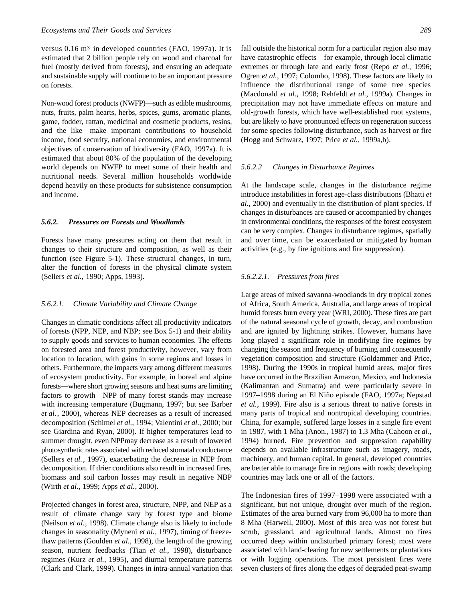versus 0.16 m<sup>3</sup> in developed countries (FAO, 1997a). It is estimated that 2 billion people rely on wood and charcoal for fuel (mostly derived from forests), and ensuring an adequate and sustainable supply will continue to be an important pressure on forests.

Non-wood forest products (NWFP)—such as edible mushrooms, nuts, fruits, palm hearts, herbs, spices, gums, aromatic plants, game, fodder, rattan, medicinal and cosmetic products, resins, and the like—make important contributions to household income, food security, national economies, and environmental objectives of conservation of biodiversity (FAO, 1997a). It is estimated that about 80% of the population of the developing world depends on NWFP to meet some of their health and nutritional needs. Several million households worldwide depend heavily on these products for subsistence consumption and income.

### *5.6.2. Pressures on Forests and Woodlands*

Forests have many pressures acting on them that result in changes to their structure and composition, as well as their function (see Figure 5-1). These structural changes, in turn, alter the function of forests in the physical climate system (Sellers *et al.,* 1990; Apps, 1993).

#### *5.6.2.1. Climate Variability and Climate Change*

Changes in climatic conditions affect all productivity indicators of forests (NPP, NEP, and NBP; see Box 5-1) and their ability to supply goods and services to human economies. The effects on forested area and forest productivity, however, vary from location to location, with gains in some regions and losses in others. Furthermore, the impacts vary among different measures of ecosystem productivity. For example, in boreal and alpine forests—where short growing seasons and heat sums are limiting factors to growth—NPP of many forest stands may increase with increasing temperature (Bugmann, 1997; but see Barber *et al.*, 2000), whereas NEP decreases as a result of increased decomposition (Schimel *et al.*, 1994; Valentini *et al.,* 2000; but see Giardina and Ryan, 2000). If higher temperatures lead to summer drought, even NPPmay decrease as a result of lowered photosynthetic rates associated with reduced stomatal conductance (Sellers *et al.*, 1997), exacerbating the decrease in NEP from decomposition. If drier conditions also result in increased fires, biomass and soil carbon losses may result in negative NBP (Wirth *et al.*, 1999; Apps *et al.*, 2000).

Projected changes in forest area, structure, NPP, and NEP as a result of climate change vary by forest type and biome (Neilson *et al.*, 1998). Climate change also is likely to include changes in seasonality (Myneni *et al.*, 1997), timing of freezethaw patterns (Goulden *et al.*, 1998), the length of the growing season, nutrient feedbacks (Tian *et al.*, 1998), disturbance regimes (Kurz *et al.*, 1995), and diurnal temperature patterns (Clark and Clark, 1999). Changes in intra-annual variation that

fall outside the historical norm for a particular region also may have catastrophic effects—for example, through local climatic extremes or through late and early frost (Repo *et al.,* 1996; Ogren *et al.,* 1997; Colombo, 1998). These factors are likely to influence the distributional range of some tree species (Macdonald *et al*., 1998; Rehfeldt *et al.,* 1999a). Changes in precipitation may not have immediate effects on mature and old-growth forests, which have well-established root systems, but are likely to have pronounced effects on regeneration success for some species following disturbance, such as harvest or fire (Hogg and Schwarz, 1997; Price *et al.,* 1999a,b).

#### *5.6.2.2 Changes in Disturbance Regimes*

At the landscape scale, changes in the disturbance regime introduce instabilities in forest age-class distributions (Bhatti *et al.,* 2000) and eventually in the distribution of plant species. If changes in disturbances are caused or accompanied by changes in environmental conditions, the responses of the forest ecosystem can be very complex. Changes in disturbance regimes, spatially and over time, can be exacerbated or mitigated by human activities (e.g., by fire ignitions and fire suppression).

#### *5.6.2.2.1. Pressures from fires*

Large areas of mixed savanna-woodlands in dry tropical zones of Africa, South America, Australia, and large areas of tropical humid forests burn every year (WRI, 2000). These fires are part of the natural seasonal cycle of growth, decay, and combustion and are ignited by lightning strikes. However, humans have long played a significant role in modifying fire regimes by changing the season and frequency of burning and consequently vegetation composition and structure (Goldammer and Price, 1998). During the 1990s in tropical humid areas, major fires have occurred in the Brazilian Amazon, Mexico, and Indonesia (Kalimantan and Sumatra) and were particularly severe in 1997–1998 during an El Niño episode (FAO, 1997a; Nepstad *et al.*, 1999). Fire also is a serious threat to native forests in many parts of tropical and nontropical developing countries. China, for example, suffered large losses in a single fire event in 1987, with 1 Mha (Anon., 1987) to 1.3 Mha (Cahoon *et al.*, 1994) burned. Fire prevention and suppression capability depends on available infrastructure such as imagery, roads, machinery, and human capital. In general, developed countries are better able to manage fire in regions with roads; developing countries may lack one or all of the factors.

The Indonesian fires of 1997–1998 were associated with a significant, but not unique, drought over much of the region. Estimates of the area burned vary from 96,000 ha to more than 8 Mha (Harwell, 2000). Most of this area was not forest but scrub, grassland, and agricultural lands. Almost no fires occurred deep within undisturbed primary forest; most were associated with land-clearing for new settlements or plantations or with logging operations. The most persistent fires were seven clusters of fires along the edges of degraded peat-swamp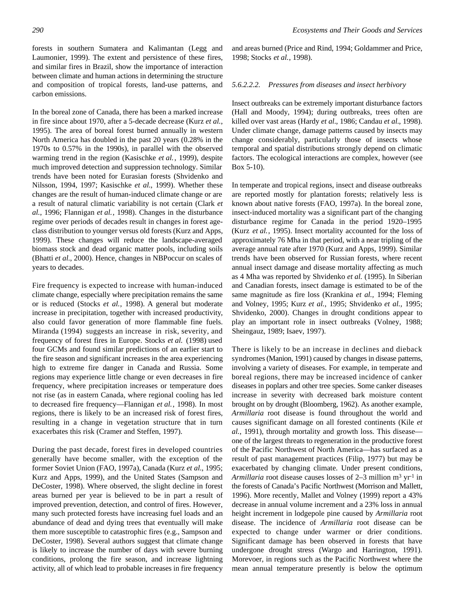forests in southern Sumatera and Kalimantan (Legg and Laumonier, 1999). The extent and persistence of these fires, and similar fires in Brazil, show the importance of interaction between climate and human actions in determining the structure and composition of tropical forests, land-use patterns, and carbon emissions.

In the boreal zone of Canada, there has been a marked increase in fire since about 1970, after a 5-decade decrease (Kurz *et al.*, 1995). The area of boreal forest burned annually in western North America has doubled in the past 20 years (0.28% in the 1970s to 0.57% in the 1990s), in parallel with the observed warming trend in the region (Kasischke *et al.*, 1999), despite much improved detection and suppression technology. Similar trends have been noted for Eurasian forests (Shvidenko and Nilsson, 1994, 1997; Kasischke *et al.*, 1999). Whether these changes are the result of human-induced climate change or are a result of natural climatic variability is not certain (Clark *et al.*, 1996; Flannigan *et al.*, 1998). Changes in the disturbance regime over periods of decades result in changes in forest ageclass distribution to younger versus old forests (Kurz and Apps, 1999). These changes will reduce the landscape-averaged biomass stock and dead organic matter pools, including soils (Bhatti *et al.*, 2000). Hence, changes in NBPoccur on scales of years to decades.

Fire frequency is expected to increase with human-induced climate change, especially where precipitation remains the same or is reduced (Stocks *et al.*, 1998). A general but moderate increase in precipitation, together with increased productivity, also could favor generation of more flammable fine fuels. Miranda (1994) suggests an increase in risk, severity, and frequency of forest fires in Europe. Stocks *et al.* (1998) used four GCMs and found similar predictions of an earlier start to the fire season and significant increases in the area experiencing high to extreme fire danger in Canada and Russia. Some regions may experience little change or even decreases in fire frequency, where precipitation increases or temperature does not rise (as in eastern Canada, where regional cooling has led to decreased fire frequency—Flannigan *et al.*, 1998). In most regions, there is likely to be an increased risk of forest fires, resulting in a change in vegetation structure that in turn exacerbates this risk (Cramer and Steffen, 1997).

During the past decade, forest fires in developed countries generally have become smaller, with the exception of the former Soviet Union (FAO, 1997a), Canada (Kurz et al., 1995; Kurz and Apps, 1999), and the United States (Sampson and DeCoster, 1998). Where observed, the slight decline in forest areas burned per year is believed to be in part a result of improved prevention, detection, and control of fires. However, many such protected forests have increasing fuel loads and an abundance of dead and dying trees that eventually will make them more susceptible to catastrophic fires (e.g., Sampson and DeCoster, 1998). Several authors suggest that climate change is likely to increase the number of days with severe burning conditions, prolong the fire season, and increase lightning activity, all of which lead to probable increases in fire frequency and areas burned (Price and Rind, 1994; Goldammer and Price, 1998; Stocks *et al.*, 1998).

### *5.6.2.2.2. Pressures from diseases and insect herbivory*

Insect outbreaks can be extremely important disturbance factors (Hall and Moody, 1994); during outbreaks, trees often are killed over vast areas (Hardy *et al.*, 1986; Candau *et al.*, 1998). Under climate change, damage patterns caused by insects may change considerably, particularly those of insects whose temporal and spatial distributions strongly depend on climatic factors. The ecological interactions are complex, however (see Box 5-10).

In temperate and tropical regions, insect and disease outbreaks are reported mostly for plantation forests; relatively less is known about native forests (FAO, 1997a). In the boreal zone, insect-induced mortality was a significant part of the changing disturbance regime for Canada in the period 1920–1995 (Kurz *et al.*, 1995). Insect mortality accounted for the loss of approximately 76 Mha in that period, with a near tripling of the average annual rate after 1970 (Kurz and Apps, 1999). Similar trends have been observed for Russian forests, where recent annual insect damage and disease mortality affecting as much as 4 Mha was reported by Shvidenko *et al.* (1995). In Siberian and Canadian forests, insect damage is estimated to be of the same magnitude as fire loss (Krankina *et al.,* 1994; Fleming and Volney, 1995; Kurz *et al.,* 1995; Shvidenko *et al.,* 1995; Shvidenko, 2000). Changes in drought conditions appear to play an important role in insect outbreaks (Volney, 1988; Sheingauz, 1989; Isaev, 1997).

There is likely to be an increase in declines and dieback syndromes (Manion, 1991) caused by changes in disease patterns, involving a variety of diseases. For example, in temperate and boreal regions, there may be increased incidence of canker diseases in poplars and other tree species. Some canker diseases increase in severity with decreased bark moisture content brought on by drought (Bloomberg, 1962). As another example, *Armillaria* root disease is found throughout the world and causes significant damage on all forested continents (Kile *et al.*, 1991), through mortality and growth loss. This disease one of the largest threats to regeneration in the productive forest of the Pacific Northwest of North America—has surfaced as a result of past management practices (Filip, 1977) but may be exacerbated by changing climate. Under present conditions, *Armillaria* root disease causes losses of 2–3 million m<sup>3</sup> yr-1 in the forests of Canada's Pacific Northwest (Morrison and Mallett, 1996). More recently, Mallet and Volney (1999) report a 43% decrease in annual volume increment and a 23% loss in annual height increment in lodgepole pine caused by *Armillaria* root disease. The incidence of *Armillaria* root disease can be expected to change under warmer or drier conditions. Significant damage has been observed in forests that have undergone drought stress (Wargo and Harrington, 1991). Morevoer, in regions such as the Pacific Northwest where the mean annual temperature presently is below the optimum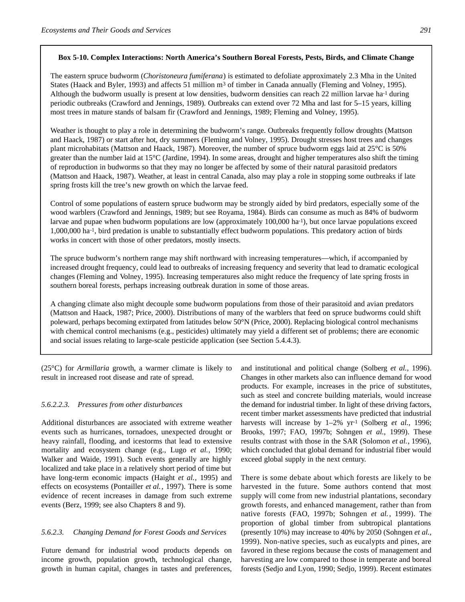# **Box 5-10. Complex Interactions: North America's Southern Boreal Forests, Pests, Birds, and Climate Change**

The eastern spruce budworm (*Choristoneura fumiferana*) is estimated to defoliate approximately 2.3 Mha in the United States (Haack and Byler, 1993) and affects 51 million m<sup>3</sup> of timber in Canada annually (Fleming and Volney, 1995). Although the budworm usually is present at low densities, budworm densities can reach 22 million larvae ha<sup>-1</sup> during periodic outbreaks (Crawford and Jennings, 1989). Outbreaks can extend over 72 Mha and last for 5–15 years, killing most trees in mature stands of balsam fir (Crawford and Jennings, 1989; Fleming and Volney, 1995).

Weather is thought to play a role in determining the budworm's range. Outbreaks frequently follow droughts (Mattson and Haack, 1987) or start after hot, dry summers (Fleming and Volney, 1995). Drought stresses host trees and changes plant microhabitats (Mattson and Haack, 1987). Moreover, the number of spruce budworm eggs laid at 25°C is 50% greater than the number laid at 15°C (Jardine, 1994). In some areas, drought and higher temperatures also shift the timing of reproduction in budworms so that they may no longer be affected by some of their natural parasitoid predators (Mattson and Haack, 1987). Weather, at least in central Canada, also may play a role in stopping some outbreaks if late spring frosts kill the tree's new growth on which the larvae feed.

Control of some populations of eastern spruce budworm may be strongly aided by bird predators, especially some of the wood warblers (Crawford and Jennings, 1989; but see Royama, 1984). Birds can consume as much as 84% of budworm larvae and pupae when budworm populations are low (approximately 100,000 ha-1), but once larvae populations exceed 1,000,000 ha-1, bird predation is unable to substantially effect budworm populations. This predatory action of birds works in concert with those of other predators, mostly insects.

The spruce budworm's northern range may shift northward with increasing temperatures—which, if accompanied by increased drought frequency, could lead to outbreaks of increasing frequency and severity that lead to dramatic ecological changes (Fleming and Volney, 1995). Increasing temperatures also might reduce the frequency of late spring frosts in southern boreal forests, perhaps increasing outbreak duration in some of those areas.

A changing climate also might decouple some budworm populations from those of their parasitoid and avian predators (Mattson and Haack, 1987; Price, 2000). Distributions of many of the warblers that feed on spruce budworms could shift poleward, perhaps becoming extirpated from latitudes below 50°N (Price, 2000). Replacing biological control mechanisms with chemical control mechanisms (e.g., pesticides) ultimately may yield a different set of problems; there are economic and social issues relating to large-scale pesticide application (see Section 5.4.4.3).

(25°C) for *Armillaria* growth, a warmer climate is likely to result in increased root disease and rate of spread.

#### *5.6.2.2.3. Pressures from other disturbances*

Additional disturbances are associated with extreme weather events such as hurricanes, tornadoes, unexpected drought or heavy rainfall, flooding, and icestorms that lead to extensive mortality and ecosystem change (e.g., Lugo *et al.*, 1990; Walker and Waide, 1991). Such events generally are highly localized and take place in a relatively short period of time but have long-term economic impacts (Haight *et al.*, 1995) and effects on ecosystems (Pontailler *et al.*, 1997). There is some evidence of recent increases in damage from such extreme events (Berz, 1999; see also Chapters 8 and 9).

## *5.6.2.3. Changing Demand for Forest Goods and Services*

Future demand for industrial wood products depends on income growth, population growth, technological change, growth in human capital, changes in tastes and preferences, and institutional and political change (Solberg *et al.*, 1996). Changes in other markets also can influence demand for wood products. For example, increases in the price of substitutes, such as steel and concrete building materials, would increase the demand for industrial timber. In light of these driving factors, recent timber market assessments have predicted that industrial harvests will increase by 1–2% yr<sup>-1</sup> (Solberg *et al.*, 1996; Brooks, 1997; FAO, 1997b; Sohngen *et al.*, 1999). These results contrast with those in the SAR (Solomon *et al.*, 1996), which concluded that global demand for industrial fiber would exceed global supply in the next century.

There is some debate about which forests are likely to be harvested in the future. Some authors contend that most supply will come from new industrial plantations, secondary growth forests, and enhanced management, rather than from native forests (FAO, 1997b; Sohngen et al., 1999). The proportion of global timber from subtropical plantations (presently 10%) may increase to 40% by 2050 (Sohngen *et al.*, 1999). Non-native species, such as eucalypts and pines, are favored in these regions because the costs of management and harvesting are low compared to those in temperate and boreal forests (Sedjo and Lyon, 1990; Sedjo, 1999). Recent estimates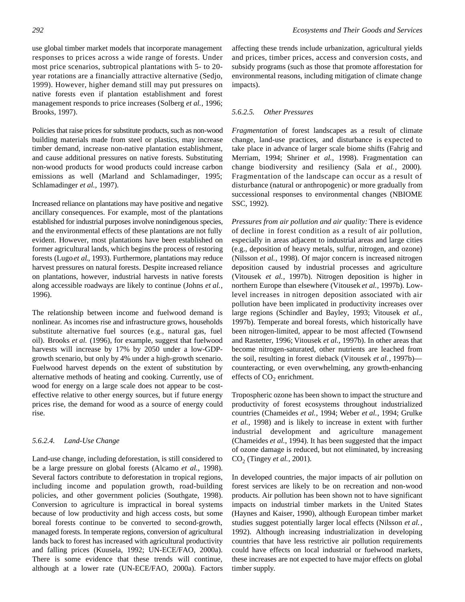use global timber market models that incorporate management responses to prices across a wide range of forests. Under most price scenarios, subtropical plantations with 5- to 20 year rotations are a financially attractive alternative (Sedjo, 1999). However, higher demand still may put pressures on native forests even if plantation establishment and forest management responds to price increases (Solberg *et al.*, 1996; Brooks, 1997).

Policies that raise prices for substitute products, such as non-wood building materials made from steel or plastics, may increase timber demand, increase non-native plantation establishment, and cause additional pressures on native forests. Substituting non-wood products for wood products could increase carbon emissions as well (Marland and Schlamadinger, 1995; Schlamadinger *et al.,* 1997).

Increased reliance on plantations may have positive and negative ancillary consequences. For example, most of the plantations established for industrial purposes involve nonindigenous species, and the environmental effects of these plantations are not fully evident. However, most plantations have been established on former agricultural lands, which begins the process of restoring forests (Lugo *et al*., 1993). Furthermore, plantations may reduce harvest pressures on natural forests. Despite increased reliance on plantations, however, industrial harvests in native forests along accessible roadways are likely to continue (Johns *et al.*, 1996).

The relationship between income and fuelwood demand is nonlinear. As incomes rise and infrastructure grows, households substitute alternative fuel sources (e.g., natural gas, fuel oil). Brooks *et al.* (1996), for example, suggest that fuelwood harvests will increase by 17% by 2050 under a low-GDPgrowth scenario, but only by 4% under a high-growth scenario. Fuelwood harvest depends on the extent of substitution by alternative methods of heating and cooking. Currently, use of wood for energy on a large scale does not appear to be costeffective relative to other energy sources, but if future energy prices rise, the demand for wood as a source of energy could rise.

#### *5.6.2.4. Land-Use Change*

Land-use change, including deforestation, is still considered to be a large pressure on global forests (Alcamo *et al.,* 1998). Several factors contribute to deforestation in tropical regions, including income and population growth, road-building policies, and other government policies (Southgate, 1998). Conversion to agriculture is impractical in boreal systems because of low productivity and high access costs, but some boreal forests continue to be converted to second-growth, managed forests. In temperate regions, conversion of agricultural lands back to forest has increased with agricultural productivity and falling prices (Kuusela, 1992; UN-ECE/FAO, 2000a). There is some evidence that these trends will continue, although at a lower rate (UN-ECE/FAO, 2000a). Factors affecting these trends include urbanization, agricultural yields and prices, timber prices, access and conversion costs, and subsidy programs (such as those that promote afforestation for environmental reasons, including mitigation of climate change impacts).

### *5.6.2.5. Other Pressures*

*Fragmentation* of forest landscapes as a result of climate change, land-use practices, and disturbance is expected to take place in advance of larger scale biome shifts (Fahrig and Merriam, 1994; Shriner *et al.*, 1998). Fragmentation can change biodiversity and resiliency (Sala *et al.*, 2000). Fragmentation of the landscape can occur as a result of disturbance (natural or anthropogenic) or more gradually from successional responses to environmental changes (NBIOME SSC, 1992).

*Pressures from air pollution and air quality:* There is evidence of decline in forest condition as a result of air pollution, especially in areas adjacent to industrial areas and large cities (e.g., deposition of heavy metals, sulfur, nitrogen, and ozone) (Nilsson *et al.*, 1998). Of major concern is increased nitrogen deposition caused by industrial processes and agriculture ( Vitousek *et al.*, 1997b). Nitrogen deposition is higher in northern Europe than elsewhere (Vitousek et al., 1997b). Lowlevel increases in nitrogen deposition associated with air pollution have been implicated in productivity increases over large regions (Schindler and Bayley, 1993; Vitousek *et al.*, 1997b). Temperate and boreal forests, which historically have been nitrogen-limited, appear to be most affected (Townsend and Rastetter, 1996; Vitousek *et al.*, 1997b). In other areas that become nitrogen-saturated, other nutrients are leached from the soil, resulting in forest dieback (Vitousek *et al.*, 1997b) counteracting, or even overwhelming, any growth-enhancing effects of  $CO<sub>2</sub>$  enrichment.

Tropospheric ozone has been shown to impact the structure and productivity of forest ecosystems throughout industrialized countries (Chameides *et al.*, 1994; Weber *et al.*, 1994; Grulke *et al.*, 1998) and is likely to increase in extent with further industrial development and agriculture management (Chameides *et al.*, 1994). It has been suggested that the impact of ozone damage is reduced, but not eliminated, by increasing CO<sup>2</sup> (Tingey *et al.*, 2001).

In developed countries, the major impacts of air pollution on forest services are likely to be on recreation and non-wood products. Air pollution has been shown not to have significant impacts on industrial timber markets in the United States (Haynes and Kaiser, 1990), although European timber market studies suggest potentially larger local effects (Nilsson *et al.*, 1992). Although increasing industrialization in developing countries that have less restrictive air pollution requirements could have effects on local industrial or fuelwood markets, these increases are not expected to have major effects on global timber supply.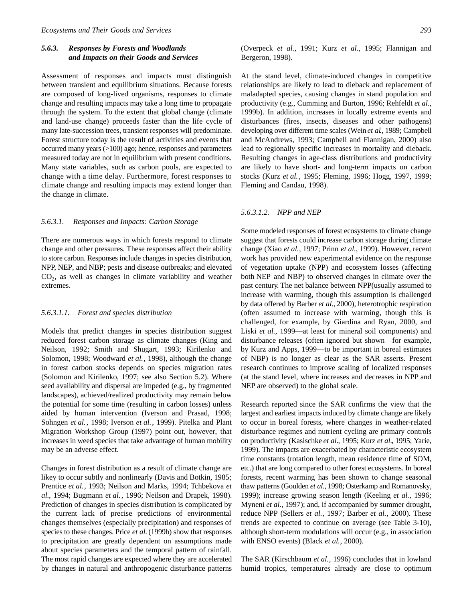# *5.6.3. Responses by Forests and Woodlands and Impacts on their Goods and Services*

Assessment of responses and impacts must distinguish between transient and equilibrium situations. Because forests are composed of long-lived organisms, responses to climate change and resulting impacts may take a long time to propagate through the system. To the extent that global change (climate and land-use change) proceeds faster than the life cycle of many late-succession trees, transient responses will predominate. Forest structure today is the result of activities and events that occurred many years (>100) ago; hence, responses and parameters measured today are not in equilibrium with present conditions. Many state variables, such as carbon pools, are expected to change with a time delay. Furthermore, forest responses to climate change and resulting impacts may extend longer than the change in climate.

#### *5.6.3.1. Responses and Impacts: Carbon Storage*

There are numerous ways in which forests respond to climate change and other pressures. These responses affect their ability to store carbon. Responses include changes in species distribution, NPP, NEP, and NBP; pests and disease outbreaks; and elevated CO<sup>2</sup> , as well as changes in climate variability and weather extremes.

#### *5.6.3.1.1. Forest and species distribution*

Models that predict changes in species distribution suggest reduced forest carbon storage as climate changes (King and Neilson, 1992; Smith and Shugart, 1993; Kirilenko and Solomon, 1998; Woodward *et al.*, 1998), although the change in forest carbon stocks depends on species migration rates (Solomon and Kirilenko, 1997; see also Section 5.2). Where seed availability and dispersal are impeded (e.g., by fragmented landscapes), achieved/realized productivity may remain below the potential for some time (resulting in carbon losses) unless aided by human intervention (Iverson and Prasad, 1998; Sohngen *et al.*, 1998; Iverson *et al.*, 1999). Pitelka and Plant Migration Workshop Group (1997) point out, however, that increases in weed species that take advantage of human mobility may be an adverse effect.

Changes in forest distribution as a result of climate change are likey to occur subtly and nonlinearly (Davis and Botkin, 1985; Prentice *et al.*, 1993; Neilson and Marks, 1994; Tchbekova *et al.*, 1994; Bugmann *et al.*, 1996; Neilson and Drapek, 1998). Prediction of changes in species distribution is complicated by the current lack of precise predictions of environmental changes themselves (especially precipitation) and responses of species to these changes. Price *et al.*(1999b) show that responses to precipitation are greatly dependent on assumptions made about species parameters and the temporal pattern of rainfall. The most rapid changes are expected where they are accelerated by changes in natural and anthropogenic disturbance patterns

(Overpeck *et al.,* 1991; Kurz *et al.*, 1995; Flannigan and Bergeron, 1998).

At the stand level, climate-induced changes in competitive relationships are likely to lead to dieback and replacement of maladapted species, causing changes in stand population and productivity (e.g., Cumming and Burton, 1996; Rehfeldt *et al.*, 1999b). In addition, increases in locally extreme events and disturbances (fires, insects, diseases and other pathogens) developing over different time scales (Wein *et al*., 1989; Campbell and McAndrews, 1993; Campbell and Flannigan, 2000) also lead to regionally specific increases in mortality and dieback. Resulting changes in age-class distributions and productivity are likely to have short- and long-term impacts on carbon stocks (Kurz *et al.*, 1995; Fleming, 1996; Hogg, 1997, 1999; Fleming and Candau, 1998).

### *5.6.3.1.2. NPP and NEP*

Some modeled responses of forest ecosystems to climate change suggest that forests could increase carbon storage during climate change (Xiao *et al.*, 1997; Prinn *et al.*, 1999). However, recent work has provided new experimental evidence on the response of vegetation uptake (NPP) and ecosystem losses (affecting both NEP and NBP) to observed changes in climate over the past century. The net balance between NPP(usually assumed to increase with warming, though this assumption is challenged by data offered by Barber *et al.,* 2000), heterotrophic respiration (often assumed to increase with warming, though this is challenged, for example, by Giardina and Ryan, 2000, and Liski *et al.*, 1999—at least for mineral soil components) and disturbance releases (often ignored but shown—for example, by Kurz and Apps, 1999—to be important in boreal estimates of NBP) is no longer as clear as the SAR asserts. Present research continues to improve scaling of localized responses (at the stand level, where increases and decreases in NPP and NEP are observed) to the global scale.

Research reported since the SAR confirms the view that the largest and earliest impacts induced by climate change are likely to occur in boreal forests, where changes in weather-related disturbance regimes and nutrient cycling are primary controls on productivity (Kasischke *et al.*, 1995; Kurz *et al.*, 1995; Yarie, 1999). The impacts are exacerbated by characteristic ecosystem time constants (rotation length, mean residence time of SOM, etc.) that are long compared to other forest ecosystems. In boreal forests, recent warming has been shown to change seasonal thaw patterns (Goulden et al., 1998; Osterkamp and Romanovsky, 1999); increase growing season length (Keeling *et al.*, 1996; Myneni *et al.*, 1997); and, if accompanied by summer drought, reduce NPP (Sellers *et al.*, 1997; Barber *et al.*, 2000). These trends are expected to continue on average (see Table 3-10), although short-term modulations will occur (e.g., in association with ENSO events) (Black *et al.*, 2000).

The SAR (Kirschbaum *et al.*, 1996) concludes that in lowland humid tropics, temperatures already are close to optimum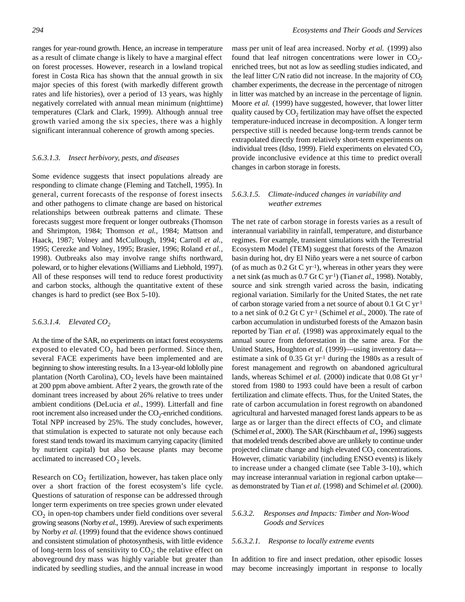ranges for year-round growth. Hence, an increase in temperature as a result of climate change is likely to have a marginal effect on forest processes. However, research in a lowland tropical forest in Costa Rica has shown that the annual growth in six major species of this forest (with markedly different growth rates and life histories), over a period of 13 years, was highly negatively correlated with annual mean minimum (nighttime) temperatures (Clark and Clark, 1999). Although annual tree growth varied among the six species, there was a highly significant interannual coherence of growth among species.

### *5.6.3.1.3. Insect herbivory, pests, and diseases*

Some evidence suggests that insect populations already are responding to climate change (Fleming and Tatchell, 1995). In general, current forecasts of the response of forest insects and other pathogens to climate change are based on historical relationships between outbreak patterns and climate. These forecasts suggest more frequent or longer outbreaks (Thomson and Shrimpton, 1984; Thomson *et al.*, 1984; Mattson and Haack, 1987; Volney and McCullough, 1994; Carroll *et al.*, 1995; Cerezke and Volney, 1995; Brasier, 1996; Roland *et al.*, 1998). Outbreaks also may involve range shifts northward, poleward, or to higher elevations (Williams and Liebhold, 1997). All of these responses will tend to reduce forest productivity and carbon stocks, although the quantitative extent of these changes is hard to predict (see Box 5-10).

## *5.6.3.1.4. Elevated CO<sup>2</sup>*

At the time of the SAR, no experiments on intact forest ecosystems exposed to elevated  $CO<sub>2</sub>$  had been performed. Since then, several FACE experiments have been implemented and are beginning to show interesting results. In a 13-year-old loblolly pine plantation (North Carolina),  $CO_2$  levels have been maintained at 200 ppm above ambient. After 2 years, the growth rate of the dominant trees increased by about 26% relative to trees under ambient conditions (DeLucia *et al.*, 1999). Litterfall and fine root increment also increased under the  $CO_2$ -enriched conditions. Total NPP increased by 25%. The study concludes, however, that stimulation is expected to saturate not only because each forest stand tends toward its maximum carrying capacity (limited by nutrient capital) but also because plants may become acclimated to increased  $CO<sub>2</sub>$  levels.

Research on  $CO<sub>2</sub>$  fertilization, however, has taken place only over a short fraction of the forest ecosystem's life cycle. Questions of saturation of response can be addressed through longer term experiments on tree species grown under elevated  $CO<sub>2</sub>$  in open-top chambers under field conditions over several growing seasons (Norby *et al.*, 1999). Areview of such experiments by Norby *et al.* (1999) found that the evidence shows continued and consistent stimulation of photosynthesis, with little evidence of long-term loss of sensitivity to  $CO_2$ ; the relative effect on aboveground dry mass was highly variable but greater than indicated by seedling studies, and the annual increase in wood mass per unit of leaf area increased. Norby *et al.* (1999) also found that leaf nitrogen concentrations were lower in  $CO<sub>2</sub>$ enriched trees, but not as low as seedling studies indicated, and the leaf litter C/N ratio did not increase. In the majority of  $CO<sub>2</sub>$ chamber experiments, the decrease in the percentage of nitrogen in litter was matched by an increase in the percentage of lignin. Moore *et al.* (1999) have suggested, however, that lower litter quality caused by  $CO_2$  fertilization may have offset the expected temperature-induced increase in decomposition. A longer term perspective still is needed because long-term trends cannot be extrapolated directly from relatively short-term experiments on individual trees (Idso, 1999). Field experiments on elevated  $CO<sub>2</sub>$ provide inconclusive evidence at this time to predict overall changes in carbon storage in forests.

# *5.6.3.1.5. Climate-induced changes in variability and weather extremes*

The net rate of carbon storage in forests varies as a result of interannual variability in rainfall, temperature, and disturbance regimes. For example, transient simulations with the Terrestrial Ecosystem Model (TEM) suggest that forests of the Amazon basin during hot, dry El Niño years were a net source of carbon (of as much as  $0.2$  Gt C yr<sup>-1</sup>), whereas in other years they were a net sink (as much as  $0.7$  Gt C yr<sup>-1</sup>) (Tian *et al.*, 1998). Notably, source and sink strength varied across the basin, indicating regional variation. Similarly for the United States, the net rate of carbon storage varied from a net source of about 0.1 Gt C yr-1 to a net sink of 0.2 Gt C yr<sup>-1</sup> (Schimel *et al.*, 2000). The rate of carbon accumulation in undisturbed forests of the Amazon basin reported by Tian *et al.* (1998) was approximately equal to the annual source from deforestation in the same area. For the United States, Houghton *et al.* (1999)—using inventory data estimate a sink of 0.35 Gt yr<sup>-1</sup> during the 1980s as a result of forest management and regrowth on abandoned agricultural lands, whereas Schimel *et al.* (2000) indicate that 0.08 Gt yr<sup>-1</sup> stored from 1980 to 1993 could have been a result of carbon fertilization and climate effects. Thus, for the United States, the rate of carbon accumulation in forest regrowth on abandoned agricultural and harvested managed forest lands appears to be as large as or larger than the direct effects of  $CO<sub>2</sub>$  and climate (Schimel *et al.*, 2000). The SAR (Kirschbaum *et al.*, 1996) suggests that modeled trends described above are unlikely to continue under projected climate change and high elevated  $CO_2$  concentrations. However, climatic variability (including ENSO events) is likely to increase under a changed climate (see Table 3-10), which may increase interannual variation in regional carbon uptake as demonstrated by Tian *et al.* (1998) and Schimel *et al.* (2000).

# *5.6.3.2. Responses and Impacts: Timber and Non-Wood Goods and Services*

#### *5.6.3.2.1. Response to locally extreme events*

In addition to fire and insect predation, other episodic losses may become increasingly important in response to locally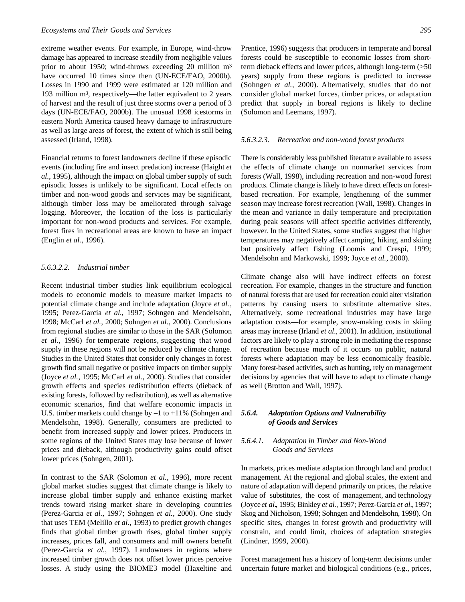extreme weather events. For example, in Europe, wind-throw damage has appeared to increase steadily from negligible values prior to about 1950; wind-throws exceeding 20 million m<sup>3</sup> have occurred 10 times since then (UN-ECE/FAO, 2000b). Losses in 1990 and 1999 were estimated at 120 million and 193 million m3, respectively—the latter equivalent to 2 years of harvest and the result of just three storms over a period of 3 days (UN-ECE/FAO, 2000b). The unusual 1998 icestorms in eastern North America caused heavy damage to infrastructure as well as large areas of forest, the extent of which is still being assessed (Irland, 1998).

Financial returns to forest landowners decline if these episodic events (including fire and insect predation) increase (Haight *et al.*, 1995), although the impact on global timber supply of such episodic losses is unlikely to be significant. Local effects on timber and non-wood goods and services may be significant, although timber loss may be ameliorated through salvage logging. Moreover, the location of the loss is particularly important for non-wood products and services. For example, forest fires in recreational areas are known to have an impact (Englin *et al.*, 1996).

#### *5.6.3.2.2. Industrial timber*

Recent industrial timber studies link equilibrium ecological models to economic models to measure market impacts to potential climate change and include adaptation (Joyce *et al.*, 1995; Perez-Garcia *et al.*, 1997; Sohngen and Mendelsohn, 1998; McCarl *et al.,* 2000; Sohngen *et al.*, 2000). Conclusions from regional studies are similar to those in the SAR (Solomon *et al.*, 1996) for temperate regions, suggesting that wood supply in these regions will not be reduced by climate change. Studies in the United States that consider only changes in forest growth find small negative or positive impacts on timber supply (Joyce *et al.*, 1995; McCarl *et al.*, 2000). Studies that consider growth effects and species redistribution effects (dieback of existing forests, followed by redistribution), as well as alternative economic scenarios, find that welfare economic impacts in U.S. timber markets could change by  $-1$  to  $+11\%$  (Sohngen and Mendelsohn, 1998). Generally, consumers are predicted to benefit from increased supply and lower prices. Producers in some regions of the United States may lose because of lower prices and dieback, although productivity gains could offset lower prices (Sohngen, 2001).

In contrast to the SAR (Solomon *et al.*, 1996), more recent global market studies suggest that climate change is likely to increase global timber supply and enhance existing market trends toward rising market share in developing countries (Perez-Garcia *et al.*, 1997; Sohngen *et al.,* 2000). One study that uses TEM (Melillo *et al.*, 1993) to predict growth changes finds that global timber growth rises, global timber supply increases, prices fall, and consumers and mill owners benefit (Perez-Garcia *et al.*, 1997). Landowners in regions where increased timber growth does not offset lower prices perceive losses. A study using the BIOME3 model (Haxeltine and Prentice, 1996) suggests that producers in temperate and boreal forests could be susceptible to economic losses from shortterm dieback effects and lower prices, although long-term (>50 years) supply from these regions is predicted to increase (Sohngen *et al.*, 2000). Alternatively, studies that do not consider global market forces, timber prices, or adaptation predict that supply in boreal regions is likely to decline (Solomon and Leemans, 1997).

#### *5.6.3.2.3. Recreation and non-wood forest products*

There is considerably less published literature available to assess the effects of climate change on nonmarket services from forests (Wall, 1998), including recreation and non-wood forest products. Climate change is likely to have direct effects on forestbased recreation. For example, lengthening of the summer season may increase forest recreation (Wall, 1998). Changes in the mean and variance in daily temperature and precipitation during peak seasons will affect specific activities differently, however. In the United States, some studies suggest that higher temperatures may negatively affect camping, hiking, and skiing but positively affect fishing (Loomis and Crespi, 1999; Mendelsohn and Markowski, 1999; Joyce *et al.*, 2000).

Climate change also will have indirect effects on forest recreation. For example, changes in the structure and function of natural forests that are used for recreation could alter visitation patterns by causing users to substitute alternative sites. Alternatively, some recreational industries may have large adaptation costs—for example, snow-making costs in skiing areas may increase (Irland *et al.*, 2001). In addition, institutional factors are likely to play a strong role in mediating the response of recreation because much of it occurs on public, natural forests where adaptation may be less economically feasible. Many forest-based activities, such as hunting, rely on management decisions by agencies that will have to adapt to climate change as well (Brotton and Wall, 1997).

# *5.6.4. Adaptation Options and Vulnerability of Goods and Services*

### *5.6.4.1. Adaptation in Timber and Non-Wood Goods and Services*

In markets, prices mediate adaptation through land and product management. At the regional and global scales, the extent and nature of adaptation will depend primarily on prices, the relative value of substitutes, the cost of management, and technology (Joyce *et al.*, 1995; Binkley *et al.,* 1997; Perez-Garcia *et al.*, 1997; Skog and Nicholson, 1998; Sohngen and Mendelsohn, 1998). On specific sites, changes in forest growth and productivity will constrain, and could limit, choices of adaptation strategies (Lindner, 1999, 2000).

Forest management has a history of long-term decisions under uncertain future market and biological conditions (e.g., prices,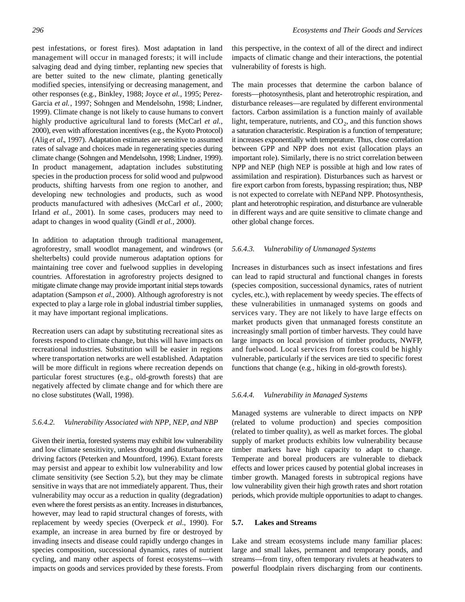pest infestations, or forest fires). Most adaptation in land management will occur in managed forests; it will include salvaging dead and dying timber, replanting new species that are better suited to the new climate, planting genetically modified species, intensifying or decreasing management, and other responses (e.g., Binkley, 1988; Joyce *et al.*, 1995; Perez-Garcia *et al.*, 1997; Sohngen and Mendelsohn, 1998; Lindner, 1999). Climate change is not likely to cause humans to convert highly productive agricultural land to forests (McCarl *et al.*, 2000), even with afforestation incentives (e.g., the Kyoto Protocol) (Alig *et al.*, 1997). Adaptation estimates are sensitive to assumed rates of salvage and choices made in regenerating species during climate change (Sohngen and Mendelsohn, 1998; Lindner, 1999). In product management, adaptation includes substituting species in the production process for solid wood and pulpwood products, shifting harvests from one region to another, and developing new technologies and products, such as wood products manufactured with adhesives (McCarl *et al.*, 2000; Irland *et al.*, 2001). In some cases, producers may need to adapt to changes in wood quality (Gindl *et al.*, 2000).

In addition to adaptation through traditional management, agroforestry, small woodlot management, and windrows (or shelterbelts) could provide numerous adaptation options for maintaining tree cover and fuelwood supplies in developing countries. Afforestation in agroforestry projects designed to mitigate climate change may provide important initial steps towards adaptation (Sampson *et al*., 2000). Although agroforestry is not expected to play a large role in global industrial timber supplies, it may have important regional implications.

Recreation users can adapt by substituting recreational sites as forests respond to climate change, but this will have impacts on recreational industries. Substitution will be easier in regions where transportation networks are well established. Adaptation will be more difficult in regions where recreation depends on particular forest structures (e.g., old-growth forests) that are negatively affected by climate change and for which there are no close substitutes (Wall, 1998).

# *5.6.4.2. Vulnerability Associated with NPP, NEP, and NBP*

Given their inertia, forested systems may exhibit low vulnerability and low climate sensitivity, unless drought and disturbance are driving factors (Peterken and Mountford, 1996). Extant forests may persist and appear to exhibit low vulnerability and low climate sensitivity (see Section 5.2), but they may be climate sensitive in ways that are not immediately apparent. Thus, their vulnerability may occur as a reduction in quality (degradation) even where the forest persists as an entity. Increases in disturbances, however, may lead to rapid structural changes of forests, with replacement by weedy species (Overpeck *et al*., 1990). For example, an increase in area burned by fire or destroyed by invading insects and disease could rapidly undergo changes in species composition, successional dynamics, rates of nutrient cycling, and many other aspects of forest ecosystems—with impacts on goods and services provided by these forests. From this perspective, in the context of all of the direct and indirect impacts of climatic change and their interactions, the potential vulnerability of forests is high.

The main processes that determine the carbon balance of forests—photosynthesis, plant and heterotrophic respiration, and disturbance releases—are regulated by different environmental factors. Carbon assimilation is a function mainly of available light, temperature, nutrients, and  $CO<sub>2</sub>$ , and this function shows a saturation characteristic. Respiration is a function of temperature; it increases exponentially with temperature. Thus, close correlation between GPP and NPP does not exist (allocation plays an important role). Similarly, there is no strict correlation between NPP and NEP (high NEP is possible at high and low rates of assimilation and respiration). Disturbances such as harvest or fire export carbon from forests, bypassing respiration; thus, NBP is not expected to correlate with NEPand NPP. Photosynthesis, plant and heterotrophic respiration, and disturbance are vulnerable in different ways and are quite sensitive to climate change and other global change forces.

#### *5.6.4.3. Vulnerability of Unmanaged Systems*

Increases in disturbances such as insect infestations and fires can lead to rapid structural and functional changes in forests (species composition, successional dynamics, rates of nutrient cycles, etc.), with replacement by weedy species. The effects of these vulnerabilities in unmanaged systems on goods and services vary. They are not likely to have large effects on market products given that unmanaged forests constitute an increasingly small portion of timber harvests. They could have large impacts on local provision of timber products, NWFP, and fuelwood. Local services from forests could be highly vulnerable, particularly if the services are tied to specific forest functions that change (e.g., hiking in old-growth forests).

#### *5.6.4.4. Vulnerability in Managed Systems*

Managed systems are vulnerable to direct impacts on NPP (related to volume production) and species composition (related to timber quality), as well as market forces. The global supply of market products exhibits low vulnerability because timber markets have high capacity to adapt to change. Temperate and boreal producers are vulnerable to dieback effects and lower prices caused by potential global increases in timber growth. Managed forests in subtropical regions have low vulnerability given their high growth rates and short rotation periods, which provide multiple opportunities to adapt to changes.

# **5.7. Lakes and Streams**

Lake and stream ecosystems include many familiar places: large and small lakes, permanent and temporary ponds, and streams—from tiny, often temporary rivulets at headwaters to powerful floodplain rivers discharging from our continents.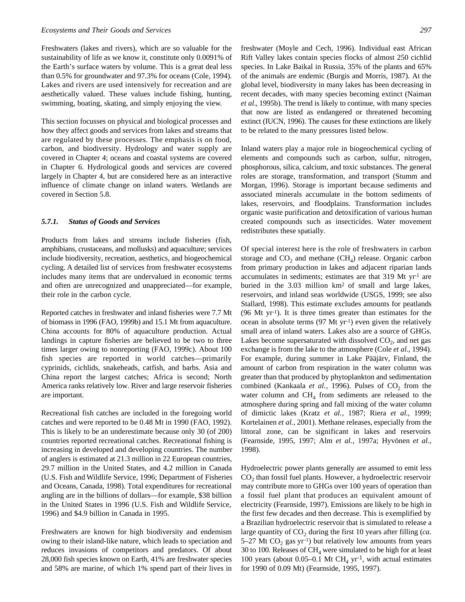Freshwaters (lakes and rivers), which are so valuable for the sustainability of life as we know it, constitute only 0.0091% of the Earth's surface waters by volume. This is a great deal less than 0.5% for groundwater and 97.3% for oceans (Cole, 1994). Lakes and rivers are used intensively for recreation and are aesthetically valued. These values include fishing, hunting, swimming, boating, skating, and simply enjoying the view.

This section focusses on physical and biological processes and how they affect goods and services from lakes and streams that are regulated by these processes. The emphasis is on food, carbon, and biodiversity. Hydrology and water supply are covered in Chapter 4; oceans and coastal systems are covered in Chapter 6. Hydrological goods and services are covered largely in Chapter 4, but are considered here as an interactive influence of climate change on inland waters. Wetlands are covered in Section 5.8.

## *5.7.1. Status of Goods and Services*

Products from lakes and streams include fisheries (fish, amphibians, crustaceans, and mollusks) and aquaculture; services include biodiversity, recreation, aesthetics, and biogeochemical cycling. A detailed list of services from freshwater ecosystems includes many items that are undervalued in economic terms and often are unrecognized and unappreciated—for example, their role in the carbon cycle.

Reported catches in freshwater and inland fisheries were 7.7 Mt of biomass in 1996 (FAO, 1999b) and 15.1 Mt from aquaculture. China accounts for 80% of aquaculture production. Actual landings in capture fisheries are believed to be two to three times larger owing to nonreporting (FAO, 1999c). About 100 fish species are reported in world catches—primarily cyprinids, cichlids, snakeheads, catfish, and barbs. Asia and China report the largest catches; Africa is second; North America ranks relatively low. River and large reservoir fisheries are important.

Recreational fish catches are included in the foregoing world catches and were reported to be 0.48 Mt in 1990 (FAO, 1992). This is likely to be an underestimate because only 30 (of 200) countries reported recreational catches. Recreational fishing is increasing in developed and developing countries. The number of anglers is estimated at 21.3 million in 22 European countries, 29.7 million in the United States, and 4.2 million in Canada (U.S. Fish and Wildlife Service, 1996; Department of Fisheries and Oceans, Canada, 1998). Total expenditures for recreational angling are in the billions of dollars—for example, \$38 billion in the United States in 1996 (U.S. Fish and Wildlife Service, 1996) and \$4.9 billion in Canada in 1995.

Freshwaters are known for high biodiversity and endemism owing to their island-like nature, which leads to speciation and reduces invasions of competitors and predators. Of about 28,000 fish species known on Earth, 41% are freshwater species and 58% are marine, of which 1% spend part of their lives in

freshwater (Moyle and Cech, 1996). Individual east African Rift Valley lakes contain species flocks of almost 250 cichlid species. In Lake Baikal in Russia, 35% of the plants and 65% of the animals are endemic (Burgis and Morris, 1987). At the global level, biodiversity in many lakes has been decreasing in recent decades, with many species becoming extinct (Naiman *et al.*, 1995b). The trend is likely to continue, with many species that now are listed as endangered or threatened becoming extinct (IUCN, 1996). The causes for these extinctions are likely to be related to the many pressures listed below.

Inland waters play a major role in biogeochemical cycling of elements and compounds such as carbon, sulfur, nitrogen, phosphorous, silica, calcium, and toxic substances. The general roles are storage, transformation, and transport (Stumm and Morgan, 1996). Storage is important because sediments and associated minerals accumulate in the bottom sediments of lakes, reservoirs, and floodplains. Transformation includes organic waste purification and detoxification of various human created compounds such as insecticides. Water movement redistributes these spatially.

Of special interest here is the role of freshwaters in carbon storage and  $CO_2$  and methane (CH<sub>4</sub>) release. Organic carbon from primary production in lakes and adjacent riparian lands accumulates in sediments; estimates are that  $319 \text{ Mt yr}$ <sup>1</sup> are buried in the 3.03 million km<sup>2</sup> of small and large lakes, reservoirs, and inland seas worldwide (USGS, 1999; see also Stallard, 1998). This estimate excludes amounts for peatlands (96 Mt yr-1). It is three times greater than estimates for the ocean in absolute terms (97 Mt yr-1) even given the relatively small area of inland waters. Lakes also are a source of GHGs. Lakes become supersaturated with dissolved  $CO<sub>2</sub>$ , and net gas exchange is from the lake to the atmosphere (Cole *et al.*, 1994). For example, during summer in Lake Pääjärv, Finland, the amount of carbon from respiration in the water column was greater than that produced by phytoplankton and sedimentation combined (Kankaala *et al.*, 1996). Pulses of CO<sub>2</sub> from the water column and  $CH_4$  from sediments are released to the atmosphere during spring and fall mixing of the water column of dimictic lakes (Kratz *et al.*, 1987; Riera *et al.*, 1999; Kortelainen *et al.,* 2001). Methane releases, especially from the littoral zone, can be significant in lakes and reservoirs (Fearnside, 1995, 1997; Alm *et al.*, 1997a; Hyvönen *et al.*, 1998).

Hydroelectric power plants generally are assumed to emit less CO<sup>2</sup> than fossil fuel plants. However, a hydroelectric reservoir may contribute more to GHGs over 100 years of operation than a fossil fuel plant that produces an equivalent amount of e lectricity (Fearnside, 1997). Emissions are likely to be high in the first few decades and then decrease. This is exemplified by a Brazilian hydroelectric reservoir that is simulated to release a large quantity of  $CO<sub>2</sub>$  during the first 10 years after filling (*ca.*) 5–27 Mt  $CO_2$  gas yr<sup>-1</sup>) but relatively low amounts from years 30 to 100. Releases of  $CH_4$  were simulated to be high for at least 100 years (about 0.05–0.1 Mt CH<sub>4</sub> yr<sup>-1</sup>, with actual estimates for 1990 of 0.09 Mt) (Fearnside, 1995, 1997).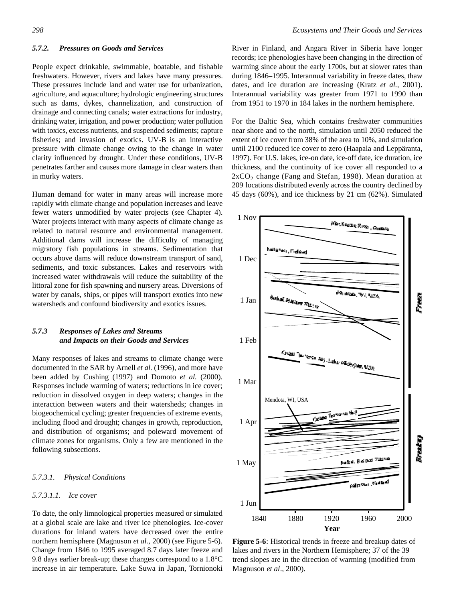#### *5.7.2. Pressures on Goods and Services*

People expect drinkable, swimmable, boatable, and fishable freshwaters. However, rivers and lakes have many pressures. These pressures include land and water use for urbanization, agriculture, and aquaculture; hydrologic engineering structures such as dams, dykes, channelization, and construction of drainage and connecting canals; water extractions for industry, drinking water, irrigation, and power production; water pollution with toxics, excess nutrients, and suspended sediments; capture fisheries; and invasion of exotics. UV-B is an interactive pressure with climate change owing to the change in water clarity influenced by drought. Under these conditions, UV-B penetrates farther and causes more damage in clear waters than in murky waters.

Human demand for water in many areas will increase more rapidly with climate change and population increases and leave fewer waters unmodified by water projects (see Chapter 4). Water projects interact with many aspects of climate change as related to natural resource and environmental management. Additional dams will increase the difficulty of managing migratory fish populations in streams. Sedimentation that occurs above dams will reduce downstream transport of sand, sediments, and toxic substances. Lakes and reservoirs with increased water withdrawals will reduce the suitability of the littoral zone for fish spawning and nursery areas. Diversions of water by canals, ships, or pipes will transport exotics into new watersheds and confound biodiversity and exotics issues.

# *5.7.3 Responses of Lakes and Streams and Impacts on their Goods and Services*

Many responses of lakes and streams to climate change were documented in the SAR by Arnell *et al.* (1996), and more have been added by Cushing (1997) and Domoto *et al.* (2000). Responses include warming of waters; reductions in ice cover; reduction in dissolved oxygen in deep waters; changes in the interaction between waters and their watersheds; changes in biogeochemical cycling; greater frequencies of extreme events, including flood and drought; changes in growth, reproduction, and distribution of organisms; and poleward movement of climate zones for organisms. Only a few are mentioned in the following subsections.

# *5.7.3.1. Physical Conditions*

#### *5.7.3.1.1. Ice cover*

To date, the only limnological properties measured or simulated at a global scale are lake and river ice phenologies. Ice-cover durations for inland waters have decreased over the entire northern hemisphere (Magnuson *et al.,* 2000) (see Figure 5-6). Change from 1846 to 1995 averaged 8.7 days later freeze and 9.8 days earlier break-up; these changes correspond to a 1.8°C increase in air temperature. Lake Suwa in Japan, Tornionoki River in Finland, and Angara River in Siberia have longer records; ice phenologies have been changing in the direction of warming since about the early 1700s, but at slower rates than during 1846–1995. Interannual variability in freeze dates, thaw dates, and ice duration are increasing (Kratz *et al.,* 2001). Interannual variability was greater from 1971 to 1990 than from 1951 to 1970 in 184 lakes in the northern hemisphere.

For the Baltic Sea, which contains freshwater communities near shore and to the north, simulation until 2050 reduced the extent of ice cover from 38% of the area to 10%, and simulation until 2100 reduced ice cover to zero (Haapala and Leppäranta, 1997). For U.S. lakes, ice-on date, ice-off date, ice duration, ice thickness, and the continuity of ice cover all responded to a  $2xCO<sub>2</sub>$  change (Fang and Stefan, 1998). Mean duration at 209 locations distributed evenly across the country declined by 45 days (60%), and ice thickness by 21 cm (62%). Simulated



**Figure 5-6**: Historical trends in freeze and breakup dates of lakes and rivers in the Northern Hemisphere; 37 of the 39 trend slopes are in the direction of warming (modified from Magnuson *et al*., 2000).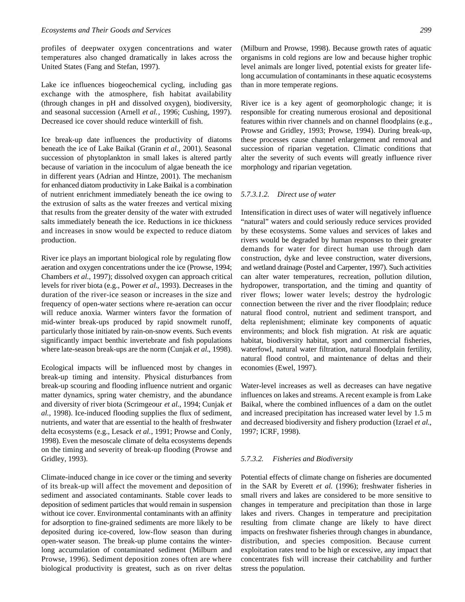profiles of deepwater oxygen concentrations and water temperatures also changed dramatically in lakes across the United States (Fang and Stefan, 1997).

Lake ice influences biogeochemical cycling, including gas exchange with the atmosphere, fish habitat availability (through changes in pH and dissolved oxygen), biodiversity, and seasonal succession (Arnell *et al.*, 1996; Cushing, 1997). Decreased ice cover should reduce winterkill of fish.

Ice break-up date influences the productivity of diatoms beneath the ice of Lake Baikal (Granin *et al.,* 2001). Seasonal succession of phytoplankton in small lakes is altered partly because of variation in the incoculum of algae beneath the ice in different years (Adrian and Hintze, 2001). The mechanism for enhanced diatom productivity in Lake Baikal is a combination of nutrient enrichment immediately beneath the ice owing to the extrusion of salts as the water freezes and vertical mixing that results from the greater density of the water with extruded salts immediately beneath the ice. Reductions in ice thickness and increases in snow would be expected to reduce diatom production.

River ice plays an important biological role by regulating flow aeration and oxygen concentrations under the ice (Prowse, 1994; Chambers *et al.*, 1997); dissolved oxygen can approach critical levels for river biota (e.g., Power *et al.*, 1993). Decreases in the duration of the river-ice season or increases in the size and frequency of open-water sections where re-aeration can occur will reduce anoxia. Warmer winters favor the formation of mid-winter break-ups produced by rapid snowmelt runoff, particularly those initiated by rain-on-snow events. Such events significantly impact benthic invertebrate and fish populations where late-season break-ups are the norm (Cunjak *et al.*, 1998).

Ecological impacts will be influenced most by changes in break-up timing and intensity. Physical disturbances from break-up scouring and flooding influence nutrient and organic matter dynamics, spring water chemistry, and the abundance and diversity of river biota (Scrimgeour *et al.*, 1994; Cunjak *et al.*, 1998). Ice-induced flooding supplies the flux of sediment, nutrients, and water that are essential to the health of freshwater delta ecosystems (e.g., Lesack *et al.*, 1991; Prowse and Conly, 1998). Even the mesoscale climate of delta ecosystems depends on the timing and severity of break-up flooding (Prowse and Gridley, 1993).

Climate-induced change in ice cover or the timing and severity of its break-up will affect the movement and deposition of sediment and associated contaminants. Stable cover leads to deposition of sediment particles that would remain in suspension without ice cover. Environmental contaminants with an affinity for adsorption to fine-grained sediments are more likely to be deposited during ice-covered, low-flow season than during open-water season. The break-up plume contains the winterlong accumulation of contaminated sediment (Milburn and Prowse, 1996). Sediment deposition zones often are where biological productivity is greatest, such as on river deltas River ice is a key agent of geomorphologic change; it is responsible for creating numerous erosional and depositional features within river channels and on channel floodplains (e.g., Prowse and Gridley, 1993; Prowse, 1994). During break-up, these processes cause channel enlargement and removal and succession of riparian vegetation. Climatic conditions that alter the severity of such events will greatly influence river morphology and riparian vegetation.

#### *5.7.3.1.2. Direct use of water*

Intensification in direct uses of water will negatively influence "natural" waters and could seriously reduce services provided by these ecosystems. Some values and services of lakes and rivers would be degraded by human responses to their greater demands for water for direct human use through dam construction, dyke and levee construction, water diversions, and wetland drainage (Postel and Carpenter, 1997). Such activities can alter water temperatures, recreation, pollution dilution, hydropower, transportation, and the timing and quantity of river flows; lower water levels; destroy the hydrologic connection between the river and the river floodplain; reduce natural flood control, nutrient and sediment transport, and delta replenishment; eliminate key components of aquatic environments; and block fish migration. At risk are aquatic habitat, biodiversity habitat, sport and commercial fisheries, waterfowl, natural water filtration, natural floodplain fertility, natural flood control, and maintenance of deltas and their economies (Ewel, 1997).

Water-level increases as well as decreases can have negative influences on lakes and streams. A recent example is from Lake Baikal, where the combined influences of a dam on the outlet and increased precipitation has increased water level by 1.5 m and decreased biodiversity and fishery production (Izrael *et al.*, 1997; ICRF, 1998).

#### *5.7.3.2. Fisheries and Biodiversity*

Potential effects of climate change on fisheries are documented in the SAR by Everett *et al.* (1996); freshwater fisheries in small rivers and lakes are considered to be more sensitive to changes in temperature and precipitation than those in large lakes and rivers. Changes in temperature and precipitation resulting from climate change are likely to have direct impacts on freshwater fisheries through changes in abundance, distribution, and species composition. Because current exploitation rates tend to be high or excessive, any impact that concentrates fish will increase their catchability and further stress the population.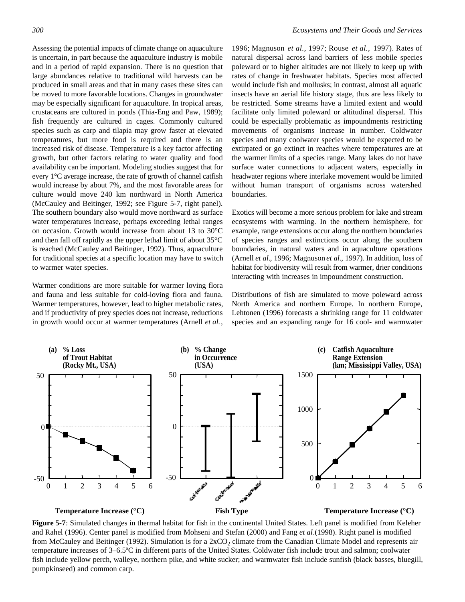Assessing the potential impacts of climate change on aquaculture is uncertain, in part because the aquaculture industry is mobile and in a period of rapid expansion. There is no question that large abundances relative to traditional wild harvests can be produced in small areas and that in many cases these sites can be moved to more favorable locations. Changes in groundwater may be especially significant for aquaculture. In tropical areas, crustaceans are cultured in ponds (Thia-Eng and Paw, 1989); fish frequently are cultured in cages. Commonly cultured species such as carp and tilapia may grow faster at elevated temperatures, but more food is required and there is an increased risk of disease. Temperature is a key factor affecting growth, but other factors relating to water quality and food availability can be important. Modeling studies suggest that for every 1°C average increase, the rate of growth of channel catfish would increase by about 7%, and the most favorable areas for culture would move 240 km northward in North America (McCauley and Beitinger, 1992; see Figure 5-7, right panel). The southern boundary also would move northward as surface water temperatures increase, perhaps exceeding lethal ranges on occasion. Growth would increase from about 13 to 30°C and then fall off rapidly as the upper lethal limit of about 35°C is reached (McCauley and Beitinger, 1992). Thus, aquaculture for traditional species at a specific location may have to switch to warmer water species.

Warmer conditions are more suitable for warmer loving flora and fauna and less suitable for cold-loving flora and fauna. Warmer temperatures, however, lead to higher metabolic rates, and if productivity of prey species does not increase, reductions in growth would occur at warmer temperatures (Arnell *et al.*,

1996; Magnuson *et al.*, 1997; Rouse *et al.,* 1997). Rates of natural dispersal across land barriers of less mobile species poleward or to higher altitudes are not likely to keep up with rates of change in freshwater habitats. Species most affected would include fish and mollusks; in contrast, almost all aquatic insects have an aerial life history stage, thus are less likely to be restricted. Some streams have a limited extent and would facilitate only limited poleward or altitudinal dispersal. This could be especially problematic as impoundments restricting movements of organisms increase in number. Coldwater species and many coolwater species would be expected to be extirpated or go extinct in reaches where temperatures are at the warmer limits of a species range. Many lakes do not have surface water connections to adjacent waters, especially in headwater regions where interlake movement would be limited without human transport of organisms across watershed boundaries.

Exotics will become a more serious problem for lake and stream ecosystems with warming. In the northern hemisphere, for example, range extensions occur along the northern boundaries of species ranges and extinctions occur along the southern boundaries, in natural waters and in aquaculture operations (Arnell *et al.*, 1996; Magnuson *et al.*, 1997). In addition, loss of habitat for biodiversity will result from warmer, drier conditions interacting with increases in impoundment construction.

Distributions of fish are simulated to move poleward across North America and northern Europe. In northern Europe, Lehtonen (1996) forecasts a shrinking range for 11 coldwater species and an expanding range for 16 cool- and warmwater



**Figure 5-7**: Simulated changes in thermal habitat for fish in the continental United States. Left panel is modified from Keleher and Rahel (1996). Center panel is modified from Mohseni and Stefan (2000) and Fang *et al*.(1998). Right panel is modified from McCauley and Beitinger (1992). Simulation is for a  $2xCO_2$  climate from the Canadian Climate Model and represents air temperature increases of 3–6.5ºC in different parts of the United States. Coldwater fish include trout and salmon; coolwater fish include yellow perch, walleye, northern pike, and white sucker; and warmwater fish include sunfish (black basses, bluegill, pumpkinseed) and common carp.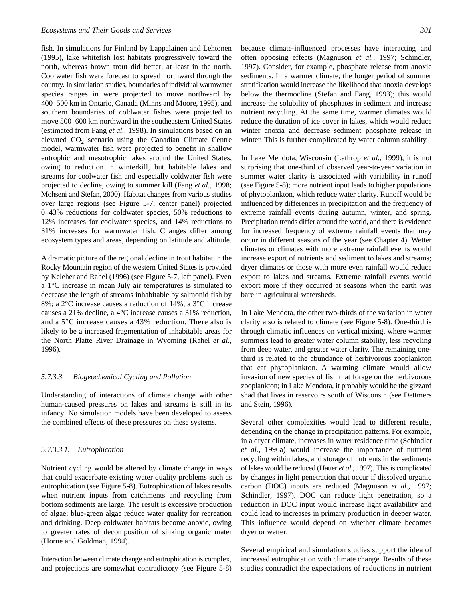fish. In simulations for Finland by Lappalainen and Lehtonen (1995), lake whitefish lost habitats progressively toward the north, whereas brown trout did better, at least in the north. Coolwater fish were forecast to spread northward through the country. In simulation studies, boundaries of individual warmwater species ranges in were projected to move northward by 400–500 km in Ontario, Canada (Minns and Moore, 1995), and southern boundaries of coldwater fishes were projected to move 500–600 km northward in the southeastern United States (estimated from Fang *et al.,* 1998). In simulations based on an elevated  $CO<sub>2</sub>$  scenario using the Canadian Climate Centre model, warmwater fish were projected to benefit in shallow eutrophic and mesotrophic lakes around the United States, owing to reduction in winterkill, but habitable lakes and streams for coolwater fish and especially coldwater fish were projected to decline, owing to summer kill (Fang *et al.,* 1998; Mohseni and Stefan, 2000). Habitat changes from various studies over large regions (see Figure 5-7, center panel) projected 0–43% reductions for coldwater species, 50% reductions to 12% increases for coolwater species, and 14% reductions to 31% increases for warmwater fish. Changes differ among ecosystem types and areas, depending on latitude and altitude.

A dramatic picture of the regional decline in trout habitat in the Rocky Mountain region of the western United States is provided by Keleher and Rahel (1996) (see Figure 5-7, left panel). Even a 1°C increase in mean July air temperatures is simulated to decrease the length of streams inhabitable by salmonid fish by 8%; a 2°C increase causes a reduction of 14%, a 3°C increase causes a 21% decline, a 4°C increase causes a 31% reduction, and a 5°C increase causes a 43% reduction. There also is likely to be a increased fragmentation of inhabitable areas for the North Platte River Drainage in Wyoming (Rahel *et al.*, 1996).

#### *5.7.3.3. Biogeochemical Cycling and Pollution*

Understanding of interactions of climate change with other human-caused pressures on lakes and streams is still in its infancy. No simulation models have been developed to assess the combined effects of these pressures on these systems.

#### *5.7.3.3.1. Eutrophication*

Nutrient cycling would be altered by climate change in ways that could exacerbate existing water quality problems such as eutrophication (see Figure 5-8). Eutrophication of lakes results when nutrient inputs from catchments and recycling from bottom sediments are large. The result is excessive production of algae; blue-green algae reduce water quality for recreation and drinking. Deep coldwater habitats become anoxic, owing to greater rates of decomposition of sinking organic mater (Horne and Goldman, 1994).

Interaction between climate change and eutrophication is complex, and projections are somewhat contradictory (see Figure 5-8)

because climate-influenced processes have interacting and often opposing effects (Magnuson *et al.*, 1997; Schindler, 1997). Consider, for example, phosphate release from anoxic sediments. In a warmer climate, the longer period of summer stratification would increase the likelihood that anoxia develops below the thermocline (Stefan and Fang, 1993); this would increase the solubility of phosphates in sediment and increase nutrient recycling. At the same time, warmer climates would reduce the duration of ice cover in lakes, which would reduce winter anoxia and decrease sediment phosphate release in winter. This is further complicated by water column stability.

In Lake Mendota, Wisconsin (Lathrop *et al.*, 1999), it is not surprising that one-third of observed year-to-year variation in summer water clarity is associated with variability in runoff (see Figure 5-8); more nutrient input leads to higher populations of phytoplankton, which reduce water clarity. Runoff would be influenced by differences in precipitation and the frequency of extreme rainfall events during autumn, winter, and spring. Precipitation trends differ around the world, and there is evidence for increased frequency of extreme rainfall events that may occur in different seasons of the year (see Chapter 4). Wetter climates or climates with more extreme rainfall events would increase export of nutrients and sediment to lakes and streams; dryer climates or those with more even rainfall would reduce export to lakes and streams. Extreme rainfall events would export more if they occurred at seasons when the earth was bare in agricultural watersheds.

In Lake Mendota, the other two-thirds of the variation in water clarity also is related to climate (see Figure 5-8). One-third is through climatic influences on vertical mixing, where warmer summers lead to greater water column stability, less recycling from deep water, and greater water clarity. The remaining onethird is related to the abundance of herbivorous zooplankton that eat phytoplankton. A warming climate would allow invasion of new species of fish that forage on the herbivorous zooplankton; in Lake Mendota, it probably would be the gizzard shad that lives in reservoirs south of Wisconsin (see Dettmers and Stein, 1996).

Several other complexities would lead to different results, depending on the change in precipitation patterns. For example, in a dryer climate, increases in water residence time (Schindler *et al.*, 1996a) would increase the importance of nutrient recycling within lakes, and storage of nutrients in the sediments of lakes would be reduced (Hauer *et al.*, 1997). This is complicated by changes in light penetration that occur if dissolved organic carbon (DOC) inputs are reduced (Magnuson *et al.*, 1997; Schindler, 1997). DOC can reduce light penetration, so a reduction in DOC input would increase light availability and could lead to increases in primary production in deeper water. This influence would depend on whether climate becomes dryer or wetter.

Several empirical and simulation studies support the idea of increased eutrophication with climate change. Results of these studies contradict the expectations of reductions in nutrient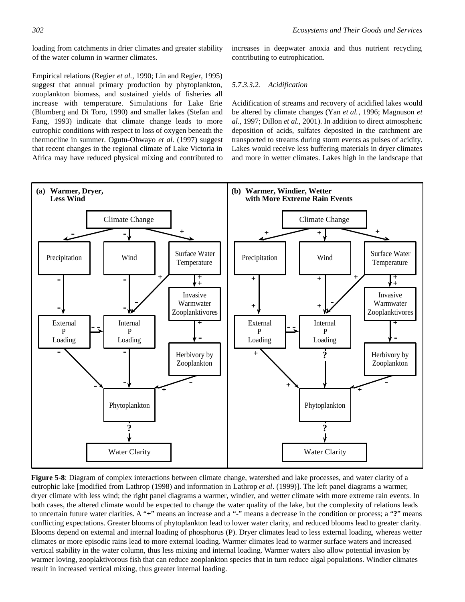loading from catchments in drier climates and greater stability of the water column in warmer climates.

Empirical relations (Regier *et al.*, 1990; Lin and Regier, 1995) suggest that annual primary production by phytoplankton, zooplankton biomass, and sustained yields of fisheries all increase with temperature. Simulations for Lake Erie (Blumberg and Di Toro, 1990) and smaller lakes (Stefan and Fang, 1993) indicate that climate change leads to more eutrophic conditions with respect to loss of oxygen beneath the thermocline in summer. Ogutu-Ohwayo *et al.* (1997) suggest that recent changes in the regional climate of Lake Victoria in Africa may have reduced physical mixing and contributed to increases in deepwater anoxia and thus nutrient recycling contributing to eutrophication.

# *5.7.3.3.2. Acidification*

Acidification of streams and recovery of acidified lakes would be altered by climate changes (Yan *et al.*, 1996; Magnuson *et a l*., 1997; Dillon *et al.*, 2001). In addition to direct atmospheric deposition of acids, sulfates deposited in the catchment are transported to streams during storm events as pulses of acidity. Lakes would receive less buffering materials in dryer climates and more in wetter climates. Lakes high in the landscape that



**Figure 5-8**: Diagram of complex interactions between climate change, watershed and lake processes, and water clarity of a eutrophic lake [modified from Lathrop (1998) and information in Lathrop *et al*. (1999)]. The left panel diagrams a warmer, dryer climate with less wind; the right panel diagrams a warmer, windier, and wetter climate with more extreme rain events. In both cases, the altered climate would be expected to change the water quality of the lake, but the complexity of relations leads to uncertain future water clarities. A "**+**" means an increase and a "**-**" means a decrease in the condition or process; a "**?**" means conflicting expectations. Greater blooms of phytoplankton lead to lower water clarity, and reduced blooms lead to greater clarity. Blooms depend on external and internal loading of phosphorus (P). Dryer climates lead to less external loading, whereas wetter climates or more episodic rains lead to more external loading. Warmer climates lead to warmer surface waters and increased vertical stability in the water column, thus less mixing and internal loading. Warmer waters also allow potential invasion by warmer loving, zooplaktivorous fish that can reduce zooplankton species that in turn reduce algal populations. Windier climates result in increased vertical mixing, thus greater internal loading.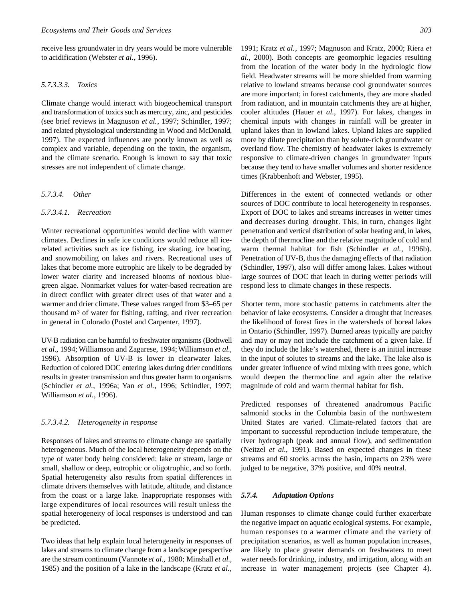receive less groundwater in dry years would be more vulnerable to acidification (Webster *et al.*, 1996).

#### *5.7.3.3.3. Toxics*

Climate change would interact with biogeochemical transport and transformation of toxics such as mercury, zinc, and pesticides (see brief reviews in Magnuson *et al.*, 1997; Schindler, 1997; and related physiological understanding in Wood and McDonald, 1997). The expected influences are poorly known as well as complex and variable, depending on the toxin, the organism, and the climate scenario. Enough is known to say that toxic stresses are not independent of climate change.

#### *5.7.3.4. Other*

#### *5.7.3.4.1. Recreation*

Winter recreational opportunities would decline with warmer climates. Declines in safe ice conditions would reduce all icerelated activities such as ice fishing, ice skating, ice boating, and snowmobiling on lakes and rivers. Recreational uses of lakes that become more eutrophic are likely to be degraded by lower water clarity and increased blooms of noxious bluegreen algae. Nonmarket values for water-based recreation are in direct conflict with greater direct uses of that water and a warmer and drier climate. These values ranged from \$3–65 per thousand m<sup>3</sup> of water for fishing, rafting, and river recreation in general in Colorado (Postel and Carpenter, 1997).

U V-B radiation can be harmful to freshwater organisms (Bothwell *et al.*, 1994; Williamson and Zagarese, 1994; Williamson *et al.*, 1996). Absorption of UV-B is lower in clearwater lakes. Reduction of colored DOC entering lakes during drier conditions results in greater transmission and thus greater harm to organisms (Schindler *et al.*, 1996a; Yan *et al.*, 1996; Schindler, 1997; Williamson *et al.*, 1996).

#### *5.7.3.4.2. Heterogeneity in response*

Responses of lakes and streams to climate change are spatially heterogeneous. Much of the local heterogeneity depends on the type of water body being considered: lake or stream, large or small, shallow or deep, eutrophic or oligotrophic, and so forth. Spatial heterogeneity also results from spatial differences in climate drivers themselves with latitude, altitude, and distance from the coast or a large lake. Inappropriate responses with large expenditures of local resources will result unless the spatial heterogeneity of local responses is understood and can be predicted.

Two ideas that help explain local heterogeneity in responses of lakes and streams to climate change from a landscape perspective are the stream continuum (Vannote *et al.*, 1980; Minshall *et al.*, 1985) and the position of a lake in the landscape (Kratz *et al.*,

1991; Kratz *et al.*, 1997; Magnuson and Kratz, 2000; Riera *et al.,* 2000). Both concepts are geomorphic legacies resulting from the location of the water body in the hydrologic flow field. Headwater streams will be more shielded from warming relative to lowland streams because cool groundwater sources are more important; in forest catchments, they are more shaded from radiation, and in mountain catchments they are at higher, cooler altitudes (Hauer *et al.*, 1997). For lakes, changes in chemical inputs with changes in rainfall will be greater in upland lakes than in lowland lakes. Upland lakes are supplied more by dilute precipitation than by solute-rich groundwater or overland flow. The chemistry of headwater lakes is extremely responsive to climate-driven changes in groundwater inputs because they tend to have smaller volumes and shorter residence times (Krabbenhoft and Webster, 1995).

Differences in the extent of connected wetlands or other sources of DOC contribute to local heterogeneity in responses. Export of DOC to lakes and streams increases in wetter times and decreases during drought. This, in turn, changes light penetration and vertical distribution of solar heating and, in lakes, the depth of thermocline and the relative magnitude of cold and warm thermal habitat for fish (Schindler *et al.*, 1996b). Penetration of UV-B, thus the damaging effects of that radiation (Schindler, 1997), also will differ among lakes. Lakes without large sources of DOC that leach in during wetter periods will respond less to climate changes in these respects.

Shorter term, more stochastic patterns in catchments alter the behavior of lake ecosystems. Consider a drought that increases the likelihood of forest fires in the watersheds of boreal lakes in Ontario (Schindler, 1997). Burned areas typically are patchy and may or may not include the catchment of a given lake. If they do include the lake's watershed, there is an initial increase in the input of solutes to streams and the lake. The lake also is under greater influence of wind mixing with trees gone, which would deepen the thermocline and again alter the relative magnitude of cold and warm thermal habitat for fish.

Predicted responses of threatened anadromous Pacific salmonid stocks in the Columbia basin of the northwestern United States are varied. Climate-related factors that are important to successful reproduction include temperature, the river hydrograph (peak and annual flow), and sedimentation (Neitzel *et al.*, 1991). Based on expected changes in these streams and 60 stocks across the basin, impacts on 23% were judged to be negative, 37% positive, and 40% neutral.

## *5.7.4. Adaptation Options*

Human responses to climate change could further exacerbate the negative impact on aquatic ecological systems. For example, human responses to a warmer climate and the variety of precipitation scenarios, as well as human population increases, are likely to place greater demands on freshwaters to meet water needs for drinking, industry, and irrigation, along with an increase in water management projects (see Chapter 4).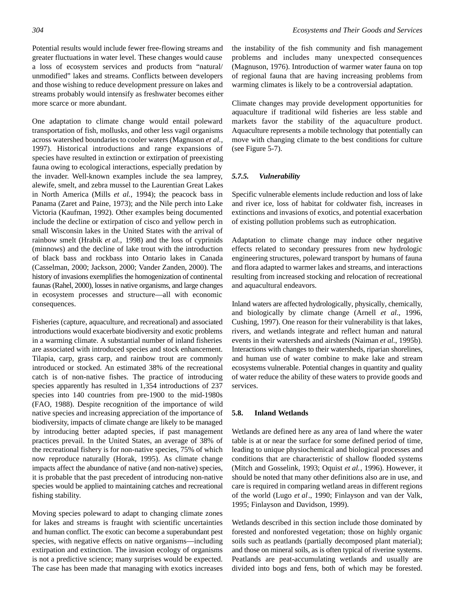Potential results would include fewer free-flowing streams and greater fluctuations in water level. These changes would cause a loss of ecosystem services and products from "natural/ unmodified" lakes and streams. Conflicts between developers and those wishing to reduce development pressure on lakes and streams probably would intensify as freshwater becomes either more scarce or more abundant.

One adaptation to climate change would entail poleward transportation of fish, mollusks, and other less vagil organisms across watershed boundaries to cooler waters (Magnuson *et al.,* 1997). Historical introductions and range expansions of species have resulted in extinction or extirpation of preexisting fauna owing to ecological interactions, especially predation by the invader. Well-known examples include the sea lamprey, alewife, smelt, and zebra mussel to the Laurentian Great Lakes in North America (Mills *et al.*, 1994); the peacock bass in Panama (Zaret and Paine, 1973); and the Nile perch into Lake Victoria (Kaufman, 1992). Other examples being documented include the decline or extirpation of cisco and yellow perch in small Wisconsin lakes in the United States with the arrival of rainbow smelt (Hrabik *et al.,* 1998) and the loss of cyprinids (minnows) and the decline of lake trout with the introduction of black bass and rockbass into Ontario lakes in Canada (Casselman, 2000; Jackson, 2000; Vander Zanden, 2000). The history of invasions exemplifies the homogenization of continental faunas (Rahel, 2000), losses in native organisms, and large changes in ecosystem processes and structure—all with economic consequences.

Fisheries (capture, aquaculture, and recreational) and associated introductions would exacerbate biodiversity and exotic problems in a warming climate. A substantial number of inland fisheries are associated with introduced species and stock enhancement. Tilapia, carp, grass carp, and rainbow trout are commonly introduced or stocked. An estimated 38% of the recreational catch is of non-native fishes. The practice of introducing species apparently has resulted in 1,354 introductions of 237 species into 140 countries from pre-1900 to the mid-1980s (FAO, 1988). Despite recognition of the importance of wild native species and increasing appreciation of the importance of biodiversity, impacts of climate change are likely to be managed by introducing better adapted species, if past management practices prevail. In the United States, an average of 38% of the recreational fishery is for non-native species, 75% of which now reproduce naturally (Horak, 1995). As climate change impacts affect the abundance of native (and non-native) species, it is probable that the past precedent of introducing non-native species would be applied to maintaining catches and recreational fishing stability.

Moving species poleward to adapt to changing climate zones for lakes and streams is fraught with scientific uncertainties and human conflict. The exotic can become a superabundant pest species, with negative effects on native organisms—including extirpation and extinction. The invasion ecology of organisms is not a predictive science; many surprises would be expected. The case has been made that managing with exotics increases the instability of the fish community and fish management problems and includes many unexpected consequences (Magnuson, 1976). Introduction of warmer water fauna on top of regional fauna that are having increasing problems from warming climates is likely to be a controversial adaptation.

Climate changes may provide development opportunities for aquaculture if traditional wild fisheries are less stable and markets favor the stability of the aquaculture product. Aquaculture represents a mobile technology that potentially can move with changing climate to the best conditions for culture (see Figure 5-7).

## *5.7.5. Vulnerability*

Specific vulnerable elements include reduction and loss of lake and river ice, loss of habitat for coldwater fish, increases in extinctions and invasions of exotics, and potential exacerbation of existing pollution problems such as eutrophication.

Adaptation to climate change may induce other negative effects related to secondary pressures from new hydrologic engineering structures, poleward transport by humans of fauna and flora adapted to warmer lakes and streams, and interactions resulting from increased stocking and relocation of recreational and aquacultural endeavors.

Inland waters are affected hydrologically, physically, chemically, and biologically by climate change (Arnell *et al.*, 1996, Cushing, 1997). One reason for their vulnerability is that lakes, rivers, and wetlands integrate and reflect human and natural events in their watersheds and airsheds (Naiman *et al.*, 1995b). Interactions with changes to their watersheds, riparian shorelines, and human use of water combine to make lake and stream ecosystems vulnerable. Potential changes in quantity and quality of water reduce the ability of these waters to provide goods and services.

# **5.8. Inland Wetlands**

Wetlands are defined here as any area of land where the water table is at or near the surface for some defined period of time, leading to unique physiochemical and biological processes and conditions that are characteristic of shallow flooded systems (Mitch and Gosselink, 1993; Oquist *et al.*, 1996). However, it should be noted that many other definitions also are in use, and care is required in comparing wetland areas in different regions of the world (Lugo *et al*., 1990; Finlayson and van der Valk, 1995; Finlayson and Davidson, 1999).

Wetlands described in this section include those dominated by forested and nonforested vegetation; those on highly organic soils such as peatlands (partially decomposed plant material); and those on mineral soils, as is often typical of riverine systems. Peatlands are peat-accumulating wetlands and usually are divided into bogs and fens, both of which may be forested.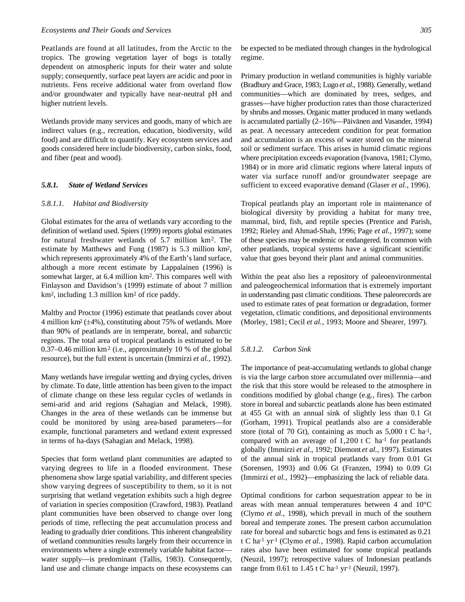Peatlands are found at all latitudes, from the Arctic to the tropics. The growing vegetation layer of bogs is totally dependent on atmospheric inputs for their water and solute supply; consequently, surface peat layers are acidic and poor in nutrients. Fens receive additional water from overland flow and/or groundwater and typically have near-neutral pH and higher nutrient levels.

Wetlands provide many services and goods, many of which are indirect values (e.g., recreation, education, biodiversity, wild food) and are difficult to quantify. Key ecosystem services and goods considered here include biodiversity, carbon sinks, food, and fiber (peat and wood).

## *5.8.1. State of Wetland Services*

#### *5.8.1.1. Habitat and Biodiversity*

Global estimates for the area of wetlands vary according to the definition of wetland used. Spiers (1999) reports global estimates for natural freshwater wetlands of  $5.7$  million km<sup>2</sup>. The estimate by Matthews and Fung (1987) is  $5.3$  million km<sup>2</sup>, which represents approximately 4% of the Earth's land surface, although a more recent estimate by Lappalainen (1996) is somewhat larger, at 6.4 million km2. This compares well with Finlayson and Davidson's (1999) estimate of about 7 million km2, including 1.3 million km<sup>2</sup> of rice paddy.

Maltby and Proctor (1996) estimate that peatlands cover about 4 million km<sup>2</sup> ( $\pm$ 4%), constituting about 75% of wetlands. More than 90% of peatlands are in temperate, boreal, and subarctic regions. The total area of tropical peatlands is estimated to be 0.37–0.46 million km<sup>2</sup> (i.e., approximately 10 % of the global resource), but the full extent is uncertain (Immirzi *et al.*, 1992).

Many wetlands have irregular wetting and drying cycles, driven by climate. To date, little attention has been given to the impact of climate change on these less regular cycles of wetlands in semi-arid and arid regions (Sahagian and Melack, 1998). Changes in the area of these wetlands can be immense but could be monitored by using area-based parameters—for example, functional parameters and wetland extent expressed in terms of ha-days (Sahagian and Melack, 1998).

Species that form wetland plant communities are adapted to varying degrees to life in a flooded environment. These phenomena show large spatial variability, and different species show varying degrees of susceptibility to them, so it is not surprising that wetland vegetation exhibits such a high degree of variation in species composition (Crawford, 1983). Peatland plant communities have been observed to change over long periods of time, reflecting the peat accumulation process and leading to gradually drier conditions. This inherent changeability of wetland communities results largely from their occurrence in environments where a single extremely variable habitat factor water supply—is predominant (Tallis, 1983). Consequently, land use and climate change impacts on these ecosystems can

be expected to be mediated through changes in the hydrological regime.

Primary production in wetland communities is highly variable (Bradbury and Grace, 1983; Lugo *et al.*, 1988). Generally, wetland communities—which are dominated by trees, sedges, and grasses—have higher production rates than those characterized by shrubs and mosses. Organic matter produced in many wetlands is accumulated partially  $(2-16\%$ —Päivänen and Vasander, 1994) as peat. A necessary antecedent condition for peat formation and accumulation is an excess of water stored on the mineral soil or sediment surface. This arises in humid climatic regions where precipitation exceeds evaporation (Ivanova, 1981; Clymo, 1984) or in more arid climatic regions where lateral inputs of water via surface runoff and/or groundwater seepage are sufficient to exceed evaporative demand (Glaser *et al.*, 1996).

Tropical peatlands play an important role in maintenance of biological diversity by providing a habitat for many tree, mammal, bird, fish, and reptile species (Prentice and Parish, 1992; Rieley and Ahmad-Shah, 1996; Page *et al.*, 1997); some of these species may be endemic or endangered. In common with other peatlands, tropical systems have a significant scientific value that goes beyond their plant and animal communities.

Within the peat also lies a repository of paleoenvironmental and paleogeochemical information that is extremely important in understanding past climatic conditions. These paleorecords are used to estimate rates of peat formation or degradation, former vegetation, climatic conditions, and depositional environments (Morley, 1981; Cecil *et al.*, 1993; Moore and Shearer, 1997).

# *5.8.1.2. Carbon Sink*

The importance of peat-accumulating wetlands to global change is via the large carbon store accumulated over millennia—and the risk that this store would be released to the atmosphere in conditions modified by global change (e.g., fires). The carbon store in boreal and subarctic peatlands alone has been estimated at 455 Gt with an annual sink of slightly less than 0.1 Gt (Gorham, 1991). Tropical peatlands also are a considerable store (total of 70 Gt), containing as much as  $5,000$  t C ha<sup>-1</sup>, compared with an average of  $1,200$  t C ha<sup>-1</sup> for peatlands globally (Immirzi et al., 1992; Diemont et al., 1997). Estimates of the annual sink in tropical peatlands vary from 0.01 Gt (Sorensen, 1993) and 0.06 Gt (Franzen, 1994) to 0.09 Gt (Immirzi *et al.*, 1992)—emphasizing the lack of reliable data.

Optimal conditions for carbon sequestration appear to be in areas with mean annual temperatures between 4 and 10°C (Clymo *et al.*, 1998), which prevail in much of the southern boreal and temperate zones. The present carbon accumulation rate for boreal and subarctic bogs and fens is estimated as 0.21 t C ha-1 yr-1 (Clymo *et al.*, 1998). Rapid carbon accumulation rates also have been estimated for some tropical peatlands (Neuzil, 1997); retrospective values of Indonesian peatlands range from 0.61 to 1.45 t C ha<sup>-1</sup> yr<sup>-1</sup> (Neuzil, 1997).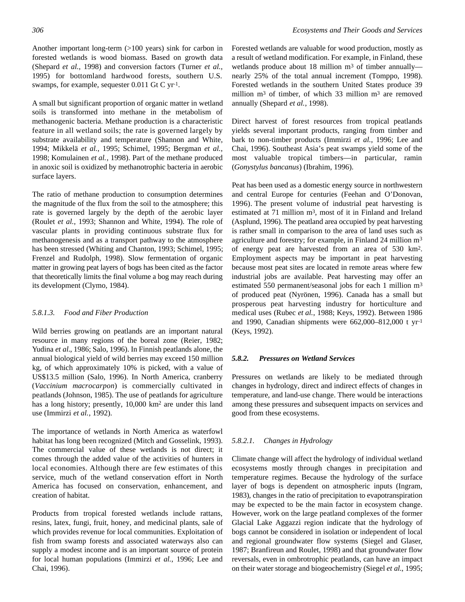Another important long-term (>100 years) sink for carbon in forested wetlands is wood biomass. Based on growth data (Shepard *et al.*, 1998) and conversion factors (Turner *et al.*, 1995) for bottomland hardwood forests, southern U.S. swamps, for example, sequester 0.011 Gt C yr-1.

A small but significant proportion of organic matter in wetland soils is transformed into methane in the metabolism of methanogenic bacteria. Methane production is a characteristic feature in all wetland soils; the rate is governed largely by substrate availability and temperature (Shannon and White, 1994; Mikkelä *et al.*, 1995; Schimel, 1995; Bergman *et al.*, 1998; Komulainen *et al.*, 1998). Part of the methane produced in anoxic soil is oxidized by methanotrophic bacteria in aerobic surface layers.

The ratio of methane production to consumption determines the magnitude of the flux from the soil to the atmosphere; this rate is governed largely by the depth of the aerobic layer (Roulet *et al.*, 1993; Shannon and White, 1994). The role of vascular plants in providing continuous substrate flux for methanogenesis and as a transport pathway to the atmosphere has been stressed (Whiting and Chanton, 1993; Schimel, 1995; Frenzel and Rudolph, 1998). Slow fermentation of organic matter in growing peat layers of bogs has been cited as the factor that theoretically limits the final volume a bog may reach during its development (Clymo, 1984).

# *5.8.1.3. Food and Fiber Production*

Wild berries growing on peatlands are an important natural resource in many regions of the boreal zone (Reier, 1982; Yudina *et al.*, 1986; Salo, 1996). In Finnish peatlands alone, the annual biological yield of wild berries may exceed 150 million kg, of which approximately 10% is picked, with a value of US\$13.5 million (Salo, 1996). In North America, cranberry (*Vaccinium macrocarpon*) is commercially cultivated in peatlands (Johnson, 1985). The use of peatlands for agriculture has a long history; presently, 10,000 km<sup>2</sup> are under this land use (Immirzi *et al.*, 1992).

The importance of wetlands in North America as waterfowl habitat has long been recognized (Mitch and Gosselink, 1993). The commercial value of these wetlands is not direct; it comes through the added value of the activities of hunters in local economies. Although there are few estimates of this service, much of the wetland conservation effort in North America has focused on conservation, enhancement, and creation of habitat.

Products from tropical forested wetlands include rattans, resins, latex, fungi, fruit, honey, and medicinal plants, sale of which provides revenue for local communities. Exploitation of fish from swamp forests and associated waterways also can supply a modest income and is an important source of protein for local human populations (Immirzi *et al.*, 1996; Lee and Chai, 1996).

a result of wetland modification. For example, in Finland, these wetlands produce about 18 million m<sup>3</sup> of timber annually nearly 25% of the total annual increment (Tomppo, 1998). Forested wetlands in the southern United States produce 39 million m<sup>3</sup> of timber, of which 33 million m<sup>3</sup> are removed annually (Shepard *et al.*, 1998).

Direct harvest of forest resources from tropical peatlands yields several important products, ranging from timber and bark to non-timber products (Immirzi *et al.*, 1996; Lee and Chai, 1996). Southeast Asia's peat swamps yield some of the most valuable tropical timbers—in particular, ramin (*Gonystylus bancanus*) (Ibrahim, 1996).

Peat has been used as a domestic energy source in northwestern and central Europe for centuries (Feehan and O'Donovan, 1996). The present volume of industrial peat harvesting is estimated at 71 million  $m<sup>3</sup>$ , most of it in Finland and Ireland (Asplund, 1996). The peatland area occupied by peat harvesting is rather small in comparison to the area of land uses such as agriculture and forestry; for example, in Finland 24 million m<sup>3</sup> of energy peat are harvested from an area of 530 km2. Employment aspects may be important in peat harvesting because most peat sites are located in remote areas where few industrial jobs are available. Peat harvesting may offer an estimated 550 permanent/seasonal jobs for each 1 million  $m<sup>3</sup>$ of produced peat (Nyrönen, 1996). Canada has a small but prosperous peat harvesting industry for horticulture and medical uses (Rubec et al., 1988; Keys, 1992). Between 1986 and 1990, Canadian shipments were 662,000–812,000 t yr-1 (Keys, 1992).

# *5.8.2. Pressures on Wetland Services*

Pressures on wetlands are likely to be mediated through changes in hydrology, direct and indirect effects of changes in temperature, and land-use change. There would be interactions among these pressures and subsequent impacts on services and good from these ecosystems.

# *5.8.2.1. Changes in Hydrology*

Climate change will affect the hydrology of individual wetland ecosystems mostly through changes in precipitation and temperature regimes. Because the hydrology of the surface layer of bogs is dependent on atmospheric inputs (Ingram, 1983), changes in the ratio of precipitation to evapotranspiration may be expected to be the main factor in ecosystem change. However, work on the large peatland complexes of the former Glacial Lake Aggazzi region indicate that the hydrology of bogs cannot be considered in isolation or independent of local and regional groundwater flow systems (Siegel and Glaser, 1987; Branfireun and Roulet, 1998) and that groundwater flow reversals, even in ombrotrophic peatlands, can have an impact on their water storage and biogeochemistry (Siegel *et al.*, 1995;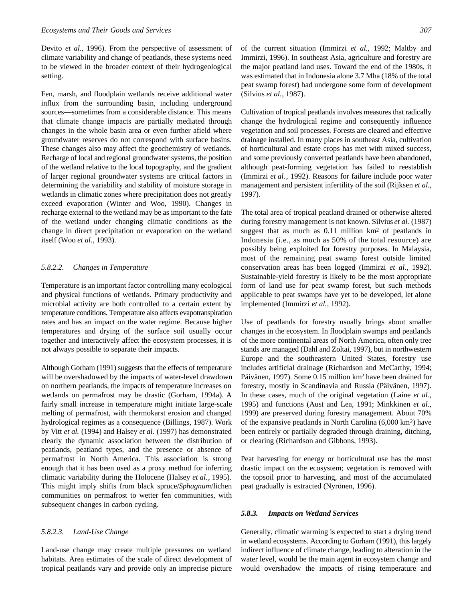Devito *et al.*, 1996). From the perspective of assessment of climate variability and change of peatlands, these systems need to be viewed in the broader context of their hydrogeological setting.

Fen, marsh, and floodplain wetlands receive additional water influx from the surrounding basin, including underground sources—sometimes from a considerable distance. This means that climate change impacts are partially mediated through changes in the whole basin area or even further afield where groundwater reserves do not correspond with surface basins. These changes also may affect the geochemistry of wetlands. Recharge of local and regional groundwater systems, the position of the wetland relative to the local topography, and the gradient of larger regional groundwater systems are critical factors in determining the variability and stability of moisture storage in wetlands in climatic zones where precipitation does not greatly exceed evaporation (Winter and Woo, 1990). Changes in recharge external to the wetland may be as important to the fate of the wetland under changing climatic conditions as the change in direct precipitation or evaporation on the wetland itself (Woo *et al.*, 1993).

## *5.8.2.2. Changes in Temperature*

Temperature is an important factor controlling many ecological and physical functions of wetlands. Primary productivity and microbial activity are both controlled to a certain extent by temperature conditions. Temperature also affects evapotranspiration rates and has an impact on the water regime. Because higher temperatures and drying of the surface soil usually occur together and interactively affect the ecosystem processes, it is not always possible to separate their impacts.

Although Gorham (1991) suggests that the effects of temperature will be overshadowed by the impacts of water-level drawdown on northern peatlands, the impacts of temperature increases on wetlands on permafrost may be drastic (Gorham, 1994a). A fairly small increase in temperature might initiate large-scale melting of permafrost, with thermokarst erosion and changed hydrological regimes as a consequence (Billings, 1987). Work by Vitt *et al.* (1994) and Halsey *et al.* (1997) has demonstrated clearly the dynamic association between the distribution of peatlands, peatland types, and the presence or absence of permafrost in North America. This association is strong enough that it has been used as a proxy method for inferring climatic variability during the Holocene (Halsey *et al.*, 1995). This might imply shifts from black spruce/*Sphagnum*/lichen communities on permafrost to wetter fen communities, with subsequent changes in carbon cycling.

## *5.8.2.3. Land-Use Change*

Land-use change may create multiple pressures on wetland habitats. Area estimates of the scale of direct development of tropical peatlands vary and provide only an imprecise picture of the current situation (Immirzi *et al.*, 1992; Maltby and Immirzi, 1996). In southeast Asia, agriculture and forestry are the major peatland land uses. Toward the end of the 1980s, it was estimated that in Indonesia alone 3.7 Mha (18% of the total peat swamp forest) had undergone some form of development (Silvius *et al.*, 1987).

Cultivation of tropical peatlands involves measures that radically change the hydrological regime and consequently influence vegetation and soil processes. Forests are cleared and effective drainage installed. In many places in southeast Asia, cultivation of horticultural and estate crops has met with mixed success, and some previously converted peatlands have been abandoned, although peat-forming vegetation has failed to reestablish (Immirzi *et al.*, 1992). Reasons for failure include poor water management and persistent infertility of the soil (Rijksen *et al.*, 1997).

The total area of tropical peatland drained or otherwise altered during forestry management is not known. Silvius *et al.* (1987) suggest that as much as 0.11 million km<sup>2</sup> of peatlands in Indonesia (i.e., as much as 50% of the total resource) are possibly being exploited for forestry purposes. In Malaysia, most of the remaining peat swamp forest outside limited conservation areas has been logged (Immirzi *et al.*, 1992). Sustainable-yield forestry is likely to be the most appropriate form of land use for peat swamp forest, but such methods applicable to peat swamps have yet to be developed, let alone implemented (Immirzi *et al.*, 1992).

Use of peatlands for forestry usually brings about smaller changes in the ecosystem. In floodplain swamps and peatlands of the more continental areas of North America, often only tree stands are managed (Dahl and Zoltai, 1997), but in northwestern Europe and the southeastern United States, forestry use includes artificial drainage (Richardson and McCarthy, 1994; Päivänen, 1997). Some 0.15 million km<sup>2</sup> have been drained for forestry, mostly in Scandinavia and Russia (Päivänen, 1997). In these cases, much of the original vegetation (Laine *et al.*, 1995) and functions (Aust and Lea, 1991; Minkkinen *et al.*, 1999) are preserved during forestry management. About 70% of the expansive peatlands in North Carolina (6,000 km2) have been entirely or partially degraded through draining, ditching, or clearing (Richardson and Gibbons, 1993).

Peat harvesting for energy or horticultural use has the most drastic impact on the ecosystem; vegetation is removed with the topsoil prior to harvesting, and most of the accumulated peat gradually is extracted (Nyrönen, 1996).

### *5.8.3. Impacts on Wetland Services*

Generally, climatic warming is expected to start a drying trend in wetland ecosystems. According to Gorham (1991), this largely indirect influence of climate change, leading to alteration in the water level, would be the main agent in ecosystem change and would overshadow the impacts of rising temperature and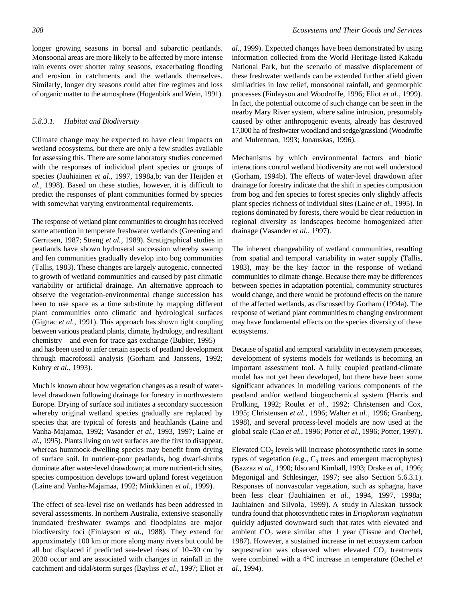longer growing seasons in boreal and subarctic peatlands. Monsoonal areas are more likely to be affected by more intense rain events over shorter rainy seasons, exacerbating flooding and erosion in catchments and the wetlands themselves. Similarly, longer dry seasons could alter fire regimes and loss of organic matter to the atmosphere (Hogenbirk and Wein, 1991).

### *5.8.3.1. Habitat and Biodiversity*

Climate change may be expected to have clear impacts on wetland ecosystems, but there are only a few studies available for assessing this. There are some laboratory studies concerned with the responses of individual plant species or groups of species (Jauhiainen *et al.*, 1997, 1998a,b; van der Heijden *et al.*, 1998). Based on these studies, however, it is difficult to predict the responses of plant communities formed by species with somewhat varying environmental requirements.

The response of wetland plant communities to drought has received some attention in temperate freshwater wetlands (Greening and Gerritsen, 1987; Streng *et al.*, 1989). Stratigraphical studies in peatlands have shown hydroseral succession whereby swamp and fen communities gradually develop into bog communities (Tallis, 1983). These changes are largely autogenic, connected to growth of wetland communities and caused by past climatic variability or artificial drainage. An alternative approach to observe the vegetation-environmental change succession has been to use space as a time substitute by mapping different plant communities onto climatic and hydrological surfaces (Gignac *et al.*, 1991). This approach has shown tight coupling between various peatland plants, climate, hydrology, and resultant chemistry—and even for trace gas exchange (Bubier, 1995) and has been used to infer certain aspects of peatland development through macrofossil analysis (Gorham and Janssens, 1992; Kuhry *et al.*, 1993).

Much is known about how vegetation changes as a result of waterlevel drawdown following drainage for forestry in northwestern Europe. Drying of surface soil initiates a secondary succession whereby original wetland species gradually are replaced by species that are typical of forests and heathlands (Laine and Vanha-Majamaa, 1992; Vasander *et al.*, 1993, 1997; Laine *et al.*, 1995). Plants living on wet surfaces are the first to disappear, whereas hummock-dwelling species may benefit from drying of surface soil. In nutrient-poor peatlands, bog dwarf-shrubs dominate after water-level drawdown; at more nutrient-rich sites, species composition develops toward upland forest vegetation (Laine and Vanha-Majamaa, 1992; Minkkinen *et al.*, 1999).

The effect of sea-level rise on wetlands has been addressed in several assessments. In northern Australia, extensive seasonally inundated freshwater swamps and floodplains are major biodiversity foci (Finlayson *et al.*, 1988). They extend for approximately 100 km or more along many rivers but could be all but displaced if predicted sea-level rises of 10–30 cm by 2030 occur and are associated with changes in rainfall in the catchment and tidal/storm surges (Bayliss *et al.*, 1997; Eliot *et* *al.*, 1999). Expected changes have been demonstrated by using information collected from the World Heritage-listed Kakadu National Park, but the scenario of massive displacement of these freshwater wetlands can be extended further afield given similarities in low relief, monsoonal rainfall, and geomorphic processes (Finlayson and Woodroffe, 1996; Eliot *et al.*, 1999). In fact, the potential outcome of such change can be seen in the nearby Mary River system, where saline intrusion, presumably caused by other anthropogenic events, already has destroyed 17,000 ha of freshwater woodland and sedge/grassland (Woodroffe and Mulrennan, 1993; Jonauskas, 1996).

Mechanisms by which environmental factors and biotic interactions control wetland biodiversity are not well understood (Gorham, 1994b). The effects of water-level drawdown after drainage for forestry indicate that the shift in species composition from bog and fen species to forest species only slightly affects plant species richness of individual sites (Laine *et al.*, 1995). In regions dominated by forests, there would be clear reduction in regional diversity as landscapes become homogenized after drainage (Vasander *et al.*, 1997).

The inherent changeability of wetland communities, resulting from spatial and temporal variability in water supply (Tallis, 1983), may be the key factor in the response of wetland communities to climate change. Because there may be differences between species in adaptation potential, community structures would change, and there would be profound effects on the nature of the affected wetlands, as discussed by Gorham (1994a). The response of wetland plant communities to changing environment may have fundamental effects on the species diversity of these ecosystems.

Because of spatial and temporal variability in ecosystem processes, development of systems models for wetlands is becoming an important assessment tool. A fully coupled peatland-climate model has not yet been developed, but there have been some significant advances in modeling various components of the peatland and/or wetland biogeochemical system (Harris and Frolking, 1992; Roulet *et al.*, 1992; Christensen and Cox, 1995; Christensen *et al.*, 1996; Walter *et al.*, 1996; Granberg, 1998), and several process-level models are now used at the global scale (Cao *et al.*, 1996; Potter *et al.*, 1996; Potter, 1997).

Elevated  $CO<sub>2</sub>$  levels will increase photosynthetic rates in some types of vegetation (e.g.,  $C_3$  trees and emergent macrophytes) (Bazzaz *et al.*, 1990; Idso and Kimball, 1993; Drake *et al.*, 1996; Megonigal and Schlesinger, 1997; see also Section 5.6.3.1). Responses of nonvascular vegetation, such as sphagna, have been less clear (Jauhiainen *et al.*, 1994, 1997, 1998a; Jauhiainen and Silvola, 1999). A study in Alaskan tussock tundra found that photosynthetic rates in *Eriophorum vaginatum* quickly adjusted downward such that rates with elevated and ambient  $CO<sub>2</sub>$  were similar after 1 year (Tissue and Oechel, 1987). However, a sustained increase in net ecosystem carbon sequestration was observed when elevated  $CO<sub>2</sub>$  treatments were combined with a 4°C increase in temperature (Oechel *et al.*, 1994).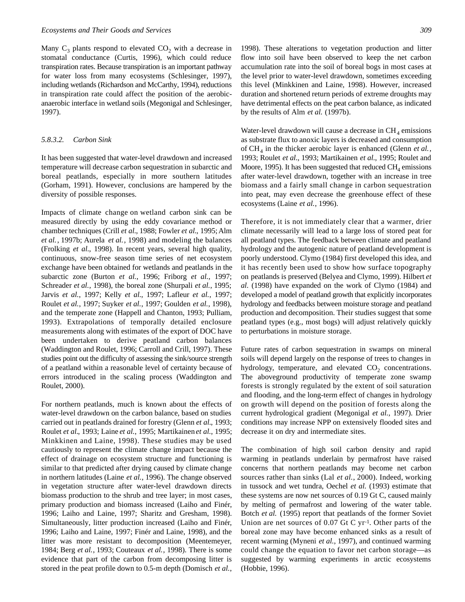Many  $C_3$  plants respond to elevated  $CO_2$  with a decrease in stomatal conductance (Curtis, 1996), which could reduce transpiration rates. Because transpiration is an important pathway for water loss from many ecosystems (Schlesinger, 1997), including wetlands (Richardson and McCarthy, 1994), reductions in transpiration rate could affect the position of the aerobicanaerobic interface in wetland soils (Megonigal and Schlesinger, 1997).

### *5.8.3.2. Carbon Sink*

It has been suggested that water-level drawdown and increased temperature will decrease carbon sequestration in subarctic and boreal peatlands, especially in more southern latitudes (Gorham, 1991). However, conclusions are hampered by the diversity of possible responses.

Impacts of climate change on wetland carbon sink can be measured directly by using the eddy covariance method or chamber techniques (Crill *et al.*, 1988; Fowler *et al.*, 1995; Alm *et al.*, 1997b; Aurela *et al.*, 1998) and modeling the balances (Frolking *et al.*, 1998). In recent years, several high quality, continuous, snow-free season time series of net ecosystem exchange have been obtained for wetlands and peatlands in the subarctic zone (Burton *et al.*, 1996; Friborg *et al.*, 1997; Schreader *et al.*, 1998), the boreal zone (Shurpali *et al.*, 1995; Jarvis *et al.*, 1997; Kelly *et al.*, 1997; Lafleur *et al.*, 1997; Roulet *et al.*, 1997; Suyker *et al.*, 1997; Goulden *et al.*, 1998), and the temperate zone (Happell and Chanton, 1993; Pulliam, 1993). Extrapolations of temporally detailed enclosure measurements along with estimates of the export of DOC have been undertaken to derive peatland carbon balances (Waddington and Roulet, 1996; Carroll and Crill, 1997). These studies point out the difficulty of assessing the sink/source strength of a peatland within a reasonable level of certainty because of errors introduced in the scaling process (Waddington and Roulet, 2000).

For northern peatlands, much is known about the effects of water-level drawdown on the carbon balance, based on studies carried out in peatlands drained for forestry (Glenn *et al.*, 1993; Roulet *et al.*, 1993; Laine *et al.*, 1995; Martikainen *et al.*, 1995; Minkkinen and Laine, 1998). These studies may be used cautiously to represent the climate change impact because the effect of drainage on ecosystem structure and functioning is similar to that predicted after drying caused by climate change in northern latitudes (Laine *et al.*, 1996). The change observed in vegetation structure after water-level drawdown directs biomass production to the shrub and tree layer; in most cases, primary production and biomass increased (Laiho and Finér, 1996; Laiho and Laine, 1997; Sharitz and Gresham, 1998). Simultaneously, litter production increased (Laiho and Finér, 1996; Laiho and Laine, 1997; Finér and Laine, 1998), and the litter was more resistant to decomposition (Meentemeyer, 1984; Berg *et al.*, 1993; Couteaux *et al.*, 1998). There is some evidence that part of the carbon from decomposing litter is stored in the peat profile down to 0.5-m depth (Domisch *et al.*,

1998). These alterations to vegetation production and litter flow into soil have been observed to keep the net carbon accumulation rate into the soil of boreal bogs in most cases at the level prior to water-level drawdown, sometimes exceeding this level (Minkkinen and Laine, 1998). However, increased duration and shortened return periods of extreme droughts may have detrimental effects on the peat carbon balance, as indicated by the results of Alm *et al.* (1997b).

Water-level drawdown will cause a decrease in  $\rm CH_4$  emissions as substrate flux to anoxic layers is decreased and consumption of CH<sup>4</sup> in the thicker aerobic layer is enhanced (Glenn *et al.*, 1993; Roulet *et al.*, 1993; Martikainen *et al.*, 1995; Roulet and Moore, 1995). It has been suggested that reduced  $CH_4$  emissions after water-level drawdown, together with an increase in tree biomass and a fairly small change in carbon sequestration into peat, may even decrease the greenhouse effect of these ecosystems (Laine *et al.*, 1996).

Therefore, it is not immediately clear that a warmer, drier climate necessarily will lead to a large loss of stored peat for all peatland types. The feedback between climate and peatland hydrology and the autogenic nature of peatland development is poorly understood. Clymo (1984) first developed this idea, and it has recently been used to show how surface topography on peatlands is preserved (Belyea and Clymo, 1999). Hilbert *et al.* (1998) have expanded on the work of Clymo (1984) and developed a model of peatland growth that explicitly incorporates hydrology and feedbacks between moisture storage and peatland production and decomposition. Their studies suggest that some peatland types (e.g., most bogs) will adjust relatively quickly to perturbations in moisture storage.

Future rates of carbon sequestration in swamps on mineral soils will depend largely on the response of trees to changes in hydrology, temperature, and elevated  $CO<sub>2</sub>$  concentrations. The aboveground productivity of temperate zone swamp forests is strongly regulated by the extent of soil saturation and flooding, and the long-term effect of changes in hydrology on growth will depend on the position of forests along the current hydrological gradient (Megonigal et al., 1997). Drier conditions may increase NPP on extensively flooded sites and decrease it on dry and intermediate sites.

The combination of high soil carbon density and rapid warming in peatlands underlain by permafrost have raised concerns that northern peatlands may become net carbon sources rather than sinks (Lal *et al.*, 2000). Indeed, working in tussock and wet tundra, Oechel *et al.* (1993) estimate that these systems are now net sources of 0.19 Gt C, caused mainly by melting of permafrost and lowering of the water table. Botch *et al.* (1995) report that peatlands of the former Soviet Union are net sources of  $0.07$  Gt C yr<sup>-1</sup>. Other parts of the boreal zone may have become enhanced sinks as a result of recent warming (Myneni *et al.*, 1997), and continued warming could change the equation to favor net carbon storage—as suggested by warming experiments in arctic ecosystems (Hobbie, 1996).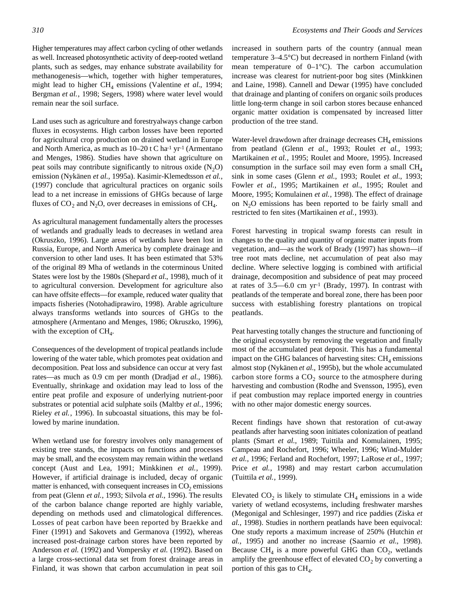Higher temperatures may affect carbon cycling of other wetlands as well. Increased photosynthetic activity of deep-rooted wetland plants, such as sedges, may enhance substrate availability for methanogenesis—which, together with higher temperatures, might lead to higher CH<sub>4</sub> emissions (Valentine *et al.*, 1994; Bergman *et al.*, 1998; Segers, 1998) where water level would remain near the soil surface.

Land uses such as agriculture and forestryalways change carbon fluxes in ecosystems. High carbon losses have been reported for agricultural crop production on drained wetland in Europe and North America, as much as 10–20 t C ha-1 yr-1 (Armentano and Menges, 1986). Studies have shown that agriculture on peat soils may contribute significantly to nitrous oxide  $(N_2O)$ emission (Nykänen *et al.*, 1995a). Kasimir-Klemedtsson *et al.*, (1997) conclude that agricultural practices on organic soils lead to a net increase in emissions of GHGs because of large fluxes of  $CO_2$  and N<sub>2</sub>O, over decreases in emissions of CH<sub>4</sub>.

As agricultural management fundamentally alters the processes of wetlands and gradually leads to decreases in wetland area (Okruszko, 1996). Large areas of wetlands have been lost in Russia, Europe, and North America by complete drainage and conversion to other land uses. It has been estimated that 53% of the original 89 Mha of wetlands in the coterminous United States were lost by the 1980s (Shepard *et al.*, 1998), much of it to agricultural conversion. Development for agriculture also can have offsite effects—for example, reduced water quality that impacts fisheries (Notohadiprawiro, 1998). Arable agriculture always transforms wetlands into sources of GHGs to the atmosphere (Armentano and Menges, 1986; Okruszko, 1996), with the exception of  $CH<sub>4</sub>$ .

Consequences of the development of tropical peatlands include lowering of the water table, which promotes peat oxidation and decomposition. Peat loss and subsidence can occur at very fast rates—as much as 0.9 cm per month (Dradjad *et al.*, 1986). Eventually, shrinkage and oxidation may lead to loss of the entire peat profile and exposure of underlying nutrient-poor substrates or potential acid sulphate soils (Maltby *et al.*, 1996; Rieley *et al.*, 1996). In subcoastal situations, this may be followed by marine inundation.

When wetland use for forestry involves only management of existing tree stands, the impacts on functions and processes may be small, and the ecosystem may remain within the wetland concept (Aust and Lea, 1991; Minkkinen *et al.*, 1999). However, if artificial drainage is included, decay of organic matter is enhanced, with consequent increases in  $CO<sub>2</sub>$  emissions from peat (Glenn *et al.*, 1993; Silvola *et al.*, 1996). The results of the carbon balance change reported are highly variable, depending on methods used and climatological differences. Losses of peat carbon have been reported by Braekke and Finer (1991) and Sakovets and Germanova (1992), whereas increased post-drainage carbon stores have been reported by Anderson *et al.* (1992) and Vompersky *et al.* (1992). Based on a large cross-sectional data set from forest drainage areas in Finland, it was shown that carbon accumulation in peat soil increased in southern parts of the country (annual mean temperature  $3-4.5$ °C) but decreased in northern Finland (with mean temperature of  $0-1$ °C). The carbon accumulation increase was clearest for nutrient-poor bog sites (Minkkinen and Laine, 1998). Cannell and Dewar (1995) have concluded that drainage and planting of conifers on organic soils produces little long-term change in soil carbon stores because enhanced organic matter oxidation is compensated by increased litter production of the tree stand.

Water-level drawdown after drainage decreases CH<sub>4</sub> emissions from peatland (Glenn *et al.*, 1993; Roulet *et al.*, 1993; Martikainen *et al.*, 1995; Roulet and Moore, 1995). Increased consumption in the surface soil may even form a small  $CH<sub>4</sub>$ sink in some cases (Glenn *et al.*, 1993; Roulet *et al.*, 1993; Fowler *et al.*, 1995; Martikainen *et al.*, 1995; Roulet and Moore, 1995; Komulainen *et al.*, 1998). The effect of drainage on N2O emissions has been reported to be fairly small and restricted to fen sites (Martikainen *et al.*, 1993).

Forest harvesting in tropical swamp forests can result in changes to the quality and quantity of organic matter inputs from vegetation, and—as the work of Brady (1997) has shown—if tree root mats decline, net accumulation of peat also may decline. Where selective logging is combined with artificial drainage, decomposition and subsidence of peat may proceed at rates of  $3.5-6.0$  cm yr<sup>-1</sup> (Brady, 1997). In contrast with peatlands of the temperate and boreal zone, there has been poor success with establishing forestry plantations on tropical peatlands.

Peat harvesting totally changes the structure and functioning of the original ecosystem by removing the vegetation and finally most of the accumulated peat deposit. This has a fundamental impact on the GHG balances of harvesting sites:  $CH_4$  emissions almost stop (Nykänen *et al.*, 1995b), but the whole accumulated carbon store forms a  $CO<sub>2</sub>$  source to the atmosphere during harvesting and combustion (Rodhe and Svensson, 1995), even if peat combustion may replace imported energy in countries with no other major domestic energy sources.

Recent findings have shown that restoration of cut-away peatlands after harvesting soon initiates colonization of peatland plants (Smart *et al.*, 1989; Tuittila and Komulainen, 1995; Campeau and Rochefort, 1996; Wheeler, 1996; Wind-Mulder *et al.*, 1996; Ferland and Rochefort, 1997; LaRose *et al.*, 1997; Price *et al.*, 1998) and may restart carbon accumulation (Tuittila *et al.*, 1999).

Elevated  $CO_2$  is likely to stimulate  $CH_4$  emissions in a wide variety of wetland ecosystems, including freshwater marshes (Megonigal and Schlesinger, 1997) and rice paddies (Ziska *et al.*, 1998). Studies in northern peatlands have been equivocal: One study reports a maximum increase of 250% (Hutchin *et al.*, 1995) and another no increase (Saarnio *et al.*, 1998). Because  $CH_4$  is a more powerful GHG than  $CO_2$ , wetlands amplify the greenhouse effect of elevated  $CO<sub>2</sub>$  by converting a portion of this gas to  $CH<sub>4</sub>$ .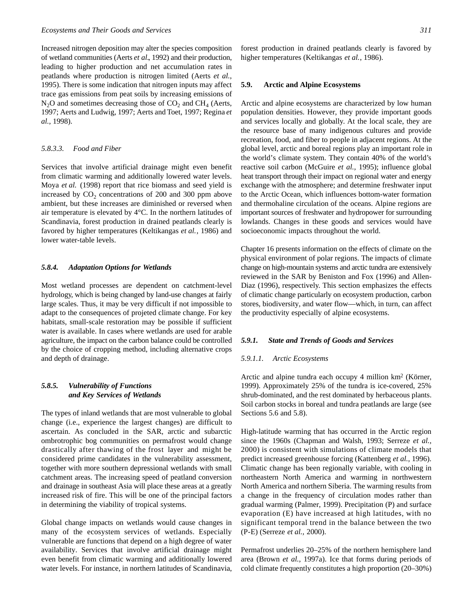Increased nitrogen deposition may alter the species composition of wetland communities (Aerts *et al.*, 1992) and their production, leading to higher production and net accumulation rates in peatlands where production is nitrogen limited (Aerts *et al.*, 1995). There is some indication that nitrogen inputs may affect trace gas emissions from peat soils by increasing emissions of  $N_2O$  and sometimes decreasing those of  $CO_2$  and  $CH_4$  (Aerts, 1997; Aerts and Ludwig, 1997; Aerts and Toet, 1997; Regina *et al.*, 1998).

## *5.8.3.3. Food and Fiber*

Services that involve artificial drainage might even benefit from climatic warming and additionally lowered water levels. Moya *et al.* (1998) report that rice biomass and seed yield is increased by  $CO_2$  concentrations of 200 and 300 ppm above ambient, but these increases are diminished or reversed when air temperature is elevated by 4°C. In the northern latitudes of Scandinavia, forest production in drained peatlands clearly is favored by higher temperatures (Keltikangas *et al.*, 1986) and lower water-table levels.

## *5.8.4. Adaptation Options for Wetlands*

Most wetland processes are dependent on catchment-level hy drology, which is being changed by land-use changes at fairly large scales. Thus, it may be very difficult if not impossible to adapt to the consequences of projeted climate change. For key habitats, small-scale restoration may be possible if sufficient water is available. In cases where wetlands are used for arable agriculture, the impact on the carbon balance could be controlled by the choice of cropping method, including alternative crops and depth of drainage.

## *5.8.5. Vulnerability of Functions and Key Services of Wetlands*

The types of inland wetlands that are most vulnerable to global change (i.e., experience the largest changes) are difficult to ascertain. As concluded in the SAR, arctic and subarctic ombrotrophic bog communities on permafrost would change drastically after thawing of the frost layer and might be considered prime candidates in the vulnerability assessment, together with more southern depressional wetlands with small catchment areas. The increasing speed of peatland conversion and drainage in southeast Asia will place these areas at a greatly increased risk of fire. This will be one of the principal factors in determining the viability of tropical systems.

Global change impacts on wetlands would cause changes in many of the ecosystem services of wetlands. Especially vulnerable are functions that depend on a high degree of water availability. Services that involve artificial drainage might even benefit from climatic warming and additionally lowered water levels. For instance, in northern latitudes of Scandinavia,

forest production in drained peatlands clearly is favored by higher temperatures (Keltikangas *et al.*, 1986).

### **5.9. Arctic and Alpine Ecosystems**

Arctic and alpine ecosystems are characterized by low human population densities. However, they provide important goods and services locally and globally. At the local scale, they are the resource base of many indigenous cultures and provide recreation, food, and fiber to people in adjacent regions. At the global level, arctic and boreal regions play an important role in the world's climate system. They contain 40% of the world's reactive soil carbon (McGuire *et al.,* 1995); influence global heat transport through their impact on regional water and energy exchange with the atmosphere; and determine freshwater input to the Arctic Ocean, which influences bottom-water formation and thermohaline circulation of the oceans. Alpine regions are important sources of freshwater and hydropower for surrounding lowlands. Changes in these goods and services would have socioeconomic impacts throughout the world.

Chapter 16 presents information on the effects of climate on the physical environment of polar regions. The impacts of climate change on high-mountain systems and arctic tundra are extensively reviewed in the SAR by Beniston and Fox (1996) and Allen-Diaz (1996), respectively. This section emphasizes the effects of climatic change particularly on ecosystem production, carbon stores, biodiversity, and water flow—which, in turn, can affect the productivity especially of alpine ecosystems.

### *5.9.1. State and Trends of Goods and Services*

#### *5.9.1.1. Arctic Ecosystems*

Arctic and alpine tundra each occupy 4 million km<sup>2</sup> (Körner, 1999). Approximately 25% of the tundra is ice-covered, 25% shrub-dominated, and the rest dominated by herbaceous plants. Soil carbon stocks in boreal and tundra peatlands are large (see Sections 5.6 and 5.8).

High-latitude warming that has occurred in the Arctic region since the 1960s (Chapman and Walsh, 1993; Serreze *et al.,* 2000) is consistent with simulations of climate models that predict increased greenhouse forcing (Kattenberg et al., 1996). Climatic change has been regionally variable, with cooling in northeastern North America and warming in northwestern North America and northern Siberia. The warming results from a change in the frequency of circulation modes rather than gradual warming (Palmer, 1999). Precipitation (P) and surface evaporation (E) have increased at high latitudes, with no significant temporal trend in the balance between the two ( P -E) (Serreze *et al.,* 2000).

Permafrost underlies 20–25% of the northern hemisphere land area (Brown *et al.,* 1997a). Ice that forms during periods of cold climate frequently constitutes a high proportion (20–30%)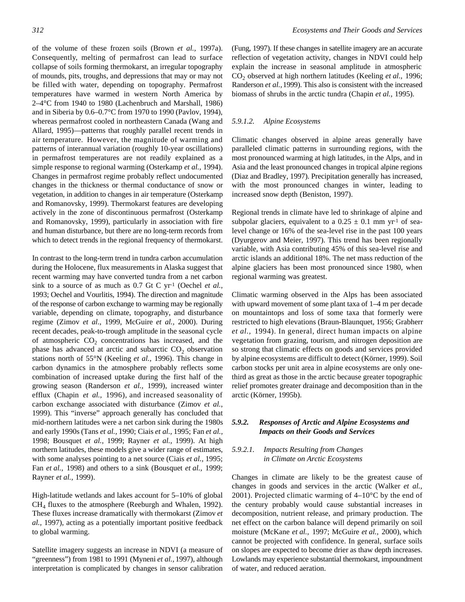of the volume of these frozen soils (Brown *et al.,* 1997a). Consequently, melting of permafrost can lead to surface collapse of soils forming thermokarst, an irregular topography of mounds, pits, troughs, and depressions that may or may not be filled with water, depending on topography. Permafrost temperatures have warmed in western North America by 2–4°C from 1940 to 1980 (Lachenbruch and Marshall, 1986) and in Siberia by 0.6–0.7°C from 1970 to 1990 (Pavlov, 1994), whereas permafrost cooled in northeastern Canada (Wang and Allard, 1995)—patterns that roughly parallel recent trends in air temperature. However, the magnitude of warming and patterns of interannual variation (roughly 10-year oscillations) in permafrost temperatures are not readily explained as a simple response to regional warming (Osterkamp *et al.*, 1994). Changes in permafrost regime probably reflect undocumented changes in the thickness or thermal conductance of snow or vegetation, in addition to changes in air temperature (Osterkamp and Romanovsky, 1999). Thermokarst features are developing actively in the zone of discontinuous permafrost (Osterkamp and Romanovsky, 1999), particularly in association with fire and human disturbance, but there are no long-term records from which to detect trends in the regional frequency of thermokarst.

In contrast to the long-term trend in tundra carbon accumulation during the Holocene, flux measurements in Alaska suggest that recent warming may have converted tundra from a net carbon sink to a source of as much as 0.7 Gt C yr-1 (Oechel *et al.,* 1993; Oechel and Vourlitis, 1994). The direction and magnitude of the response of carbon exchange to warming may be regionally variable, depending on climate, topography, and disturbance regime (Zimov *et al.*, 1999, McGuire *et al.,* 2000). During recent decades, peak-to-trough amplitude in the seasonal cycle of atmospheric  $CO<sub>2</sub>$  concentrations has increased, and the phase has advanced at arctic and subarctic  $CO<sub>2</sub>$  observation stations north of 55°N (Keeling *et al.,* 1996). This change in carbon dynamics in the atmosphere probably reflects some combination of increased uptake during the first half of the growing season (Randerson *et al.,* 1999), increased winter e fflux (Chapin *et al.,* 1996), and increased seasonality of carbon exchange associated with disturbance (Zimov *et al.*, 1999). This "inverse" approach generally has concluded that mid-northern latitudes were a net carbon sink during the 1980s and early 1990s (Tans *et al.,* 1990; Ciais *et al.,* 1995; Fan *et al.,* 1998; Bousquet *et al.,* 1999; Rayner *et al.,* 1999). At high northern latitudes, these models give a wider range of estimates, with some analyses pointing to a net source (Ciais *et al.,* 1995; Fan *et al.,* 1998) and others to a sink (Bousquet *et al.,* 1999; Rayner *et al.,* 1999).

High-latitude wetlands and lakes account for 5–10% of global CH<sup>4</sup> fluxes to the atmosphere (Reeburgh and Whalen, 1992). These fluxes increase dramatically with thermokarst (Zimov *et al.,* 1997), acting as a potentially important positive feedback to global warming.

Satellite imagery suggests an increase in NDVI (a measure of "greenness") from 1981 to 1991 (Myneni *et al.,* 1997), although interpretation is complicated by changes in sensor calibration (Fung, 1997). If these changes in satellite imagery are an accurate reflection of vegetation activity, changes in NDVI could help explain the increase in seasonal amplitude in atmospheric CO<sub>2</sub> observed at high northern latitudes (Keeling *et al.*, 1996; Randerson *et al.,*1999). This also is consistent with the increased biomass of shrubs in the arctic tundra (Chapin *et al.,* 1995).

## *5.9.1.2. Alpine Ecosystems*

Climatic changes observed in alpine areas generally have paralleled climatic patterns in surrounding regions, with the most pronounced warming at high latitudes, in the Alps, and in Asia and the least pronounced changes in tropical alpine regions (Diaz and Bradley, 1997). Precipitation generally has increased, with the most pronounced changes in winter, leading to increased snow depth (Beniston, 1997).

Regional trends in climate have led to shrinkage of alpine and subpolar glaciers, equivalent to a  $0.25 \pm 0.1$  mm yr<sup>-1</sup> of sealevel change or 16% of the sea-level rise in the past 100 years (Dyurgerov and Meier, 1997). This trend has been regionally variable, with Asia contributing 45% of this sea-level rise and arctic islands an additional 18%. The net mass reduction of the alpine glaciers has been most pronounced since 1980, when regional warming was greatest.

Climatic warming observed in the Alps has been associated with upward movement of some plant taxa of  $1-4$  m per decade on mountaintops and loss of some taxa that formerly were restricted to high elevations (Braun-Blaunquet, 1956; Grabherr *et al.,* 1994). In general, direct human impacts on alpine vegetation from grazing, tourism, and nitrogen deposition are so strong that climatic effects on goods and services provided by alpine ecosystems are difficult to detect (Körner, 1999). Soil carbon stocks per unit area in alpine ecosystems are only onethird as great as those in the arctic because greater topographic relief promotes greater drainage and decomposition than in the arctic (Körner, 1995b).

# *5.9.2. Responses of Arctic and Alpine Ecosystems and Impacts on their Goods and Services*

## *5.9.2.1. Impacts Resulting from Changes in Climate on Arctic Ecosystems*

Changes in climate are likely to be the greatest cause of changes in goods and services in the arctic (Walker *et al.,* 2001). Projected climatic warming of  $4-10^{\circ}$ C by the end of the century probably would cause substantial increases in decomposition, nutrient release, and primary production. The net effect on the carbon balance will depend primarily on soil moisture (McKane *et al.,* 1997; McGuire *et al.,* 2000), which cannot be projected with confidence. In general, surface soils on slopes are expected to become drier as thaw depth increases. Lowlands may experience substantial thermokarst, impoundment of water, and reduced aeration.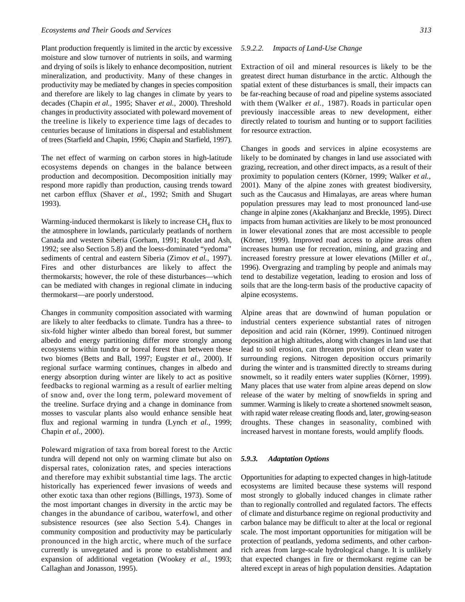Plant production frequently is limited in the arctic by excessive moisture and slow turnover of nutrients in soils, and warming and drying of soils is likely to enhance decomposition, nutrient mineralization, and productivity. Many of these changes in productivity may be mediated by changes in species composition and therefore are likely to lag changes in climate by years to decades (Chapin *et al.,* 1995; Shaver *et al.,* 2000). Threshold changes in productivity associated with poleward movement of the treeline is likely to experience time lags of decades to centuries because of limitations in dispersal and establishment of trees (Starfield and Chapin, 1996; Chapin and Starfield, 1997).

The net effect of warming on carbon stores in high-latitude ecosystems depends on changes in the balance between production and decomposition. Decomposition initially may respond more rapidly than production, causing trends toward net carbon efflux (Shaver *et al.,* 1992; Smith and Shugart 1993).

Warming-induced thermokarst is likely to increase CH<sub>4</sub> flux to the atmosphere in lowlands, particularly peatlands of northern Canada and western Siberia (Gorham, 1991; Roulet and Ash, 1992; see also Section 5.8) and the loess-dominated "yedoma" sediments of central and eastern Siberia (Zimov *et al.,* 1997). Fires and other disturbances are likely to affect the thermokarsts; however, the role of these disturbances—which can be mediated with changes in regional climate in inducing thermokarst—are poorly understood.

Changes in community composition associated with warming are likely to alter feedbacks to climate. Tundra has a three- to six-fold higher winter albedo than boreal forest, but summer albedo and energy partitioning differ more strongly among ecosystems within tundra or boreal forest than between these two biomes (Betts and Ball, 1997; Eugster *et al.,* 2000). If regional surface warming continues, changes in albedo and energy absorption during winter are likely to act as positive feedbacks to regional warming as a result of earlier melting of snow and, over the long term, poleward movement of the treeline. Surface drying and a change in dominance from mosses to vascular plants also would enhance sensible heat flux and regional warming in tundra (Lynch *et al.,* 1999; Chapin *et al.,* 2000).

Poleward migration of taxa from boreal forest to the Arctic tundra will depend not only on warming climate but also on dispersal rates, colonization rates, and species interactions and therefore may exhibit substantial time lags. The arctic historically has experienced fewer invasions of weeds and other exotic taxa than other regions (Billings, 1973). Some of the most important changes in diversity in the arctic may be changes in the abundance of caribou, waterfowl, and other subsistence resources (see also Section 5.4). Changes in community composition and productivity may be particularly pronounced in the high arctic, where much of the surface currently is unvegetated and is prone to establishment and expansion of additional vegetation (Wookey *et al.,* 1993; Callaghan and Jonasson, 1995).

#### *5.9.2.2. Impacts of Land-Use Change*

Extraction of oil and mineral resources is likely to be the greatest direct human disturbance in the arctic. Although the spatial extent of these disturbances is small, their impacts can be far-reaching because of road and pipeline systems associated with them (Walker *et al.,* 1987). Roads in particular open previously inaccessible areas to new development, either directly related to tourism and hunting or to support facilities for resource extraction.

Changes in goods and services in alpine ecosystems are likely to be dominated by changes in land use associated with grazing, recreation, and other direct impacts, as a result of their proximity to population centers (Körner, 1999; Walker *et al.,* 2001). Many of the alpine zones with greatest biodiversity, such as the Caucasus and Himalayas, are areas where human population pressures may lead to most pronounced land-use change in alpine zones (Akakhanjanz and Breckle, 1995). Direct impacts from human activities are likely to be most pronounced in lower elevational zones that are most accessible to people (Körner, 1999). Improved road access to alpine areas often increases human use for recreation, mining, and grazing and increased forestry pressure at lower elevations (Miller *et al.,* 1996). Overgrazing and trampling by people and animals may tend to destabilize vegetation, leading to erosion and loss of soils that are the long-term basis of the productive capacity of alpine ecosystems.

Alpine areas that are downwind of human population or industrial centers experience substantial rates of nitrogen deposition and acid rain (Körner, 1999). Continued nitrogen deposition at high altitudes, along with changes in land use that lead to soil erosion, can threaten provision of clean water to surrounding regions. Nitrogen deposition occurs primarily during the winter and is transmitted directly to streams during snowmelt, so it readily enters water supplies (Körner, 1999). Many places that use water from alpine areas depend on slow release of the water by melting of snowfields in spring and summer. Warming is likely to create a shortened snowmelt season, with rapid water release creating floods and, later, growing-season droughts. These changes in seasonality, combined with increased harvest in montane forests, would amplify floods.

## *5.9.3. Adaptation Options*

Opportunities for adapting to expected changes in high-latitude ecosystems are limited because these systems will respond most strongly to globally induced changes in climate rather than to regionally controlled and regulated factors. The effects of climate and disturbance regime on regional productivity and carbon balance may be difficult to alter at the local or regional scale. The most important opportunities for mitigation will be protection of peatlands, yedoma sediments, and other carbonrich areas from large-scale hydrological change. It is unlikely that expected changes in fire or thermokarst regime can be altered except in areas of high population densities. Adaptation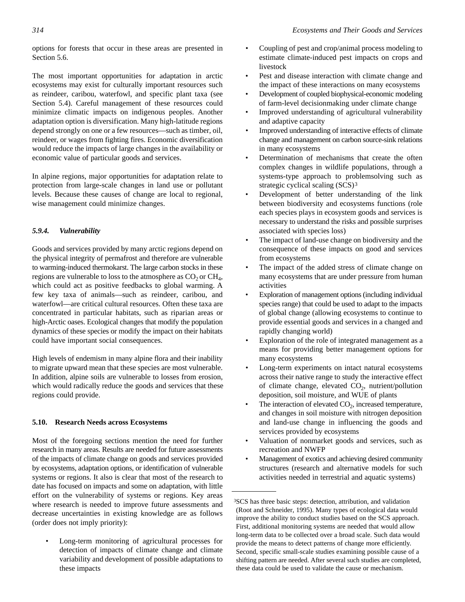options for forests that occur in these areas are presented in Section 5.6.

The most important opportunities for adaptation in arctic ecosystems may exist for culturally important resources such as reindeer, caribou, waterfowl, and specific plant taxa (see Section 5.4). Careful management of these resources could minimize climatic impacts on indigenous peoples. Another adaptation option is diversification. Many high-latitude regions depend strongly on one or a few resources—such as timber, oil, reindeer, or wages from fighting fires. Economic diversification would reduce the impacts of large changes in the availability or economic value of particular goods and services.

In alpine regions, major opportunities for adaptation relate to protection from large-scale changes in land use or pollutant levels. Because these causes of change are local to regional, wise management could minimize changes.

## *5.9.4. Vulnerability*

Goods and services provided by many arctic regions depend on the physical integrity of permafrost and therefore are vulnerable to warming-induced thermokarst. The large carbon stocks in these regions are vulnerable to loss to the atmosphere as  $CO<sub>2</sub>$  or  $CH<sub>4</sub>$ , which could act as positive feedbacks to global warming. A few key taxa of animals—such as reindeer, caribou, and waterfowl—are critical cultural resources. Often these taxa are concentrated in particular habitats, such as riparian areas or high-Arctic oases. Ecological changes that modify the population dynamics of these species or modify the impact on their habitats could have important social consequences.

High levels of endemism in many alpine flora and their inability to migrate upward mean that these species are most vulnerable. In addition, alpine soils are vulnerable to losses from erosion, which would radically reduce the goods and services that these regions could provide.

## **5.10. Research Needs across Ecosystems**

Most of the foregoing sections mention the need for further research in many areas. Results are needed for future assessments of the impacts of climate change on goods and services provided by ecosystems, adaptation options, or identification of vulnerable systems or regions. It also is clear that most of the research to date has focused on impacts and some on adaptation, with little effort on the vulnerability of systems or regions. Key areas where research is needed to improve future assessments and decrease uncertainties in existing knowledge are as follows (order does not imply priority):

• Long-term monitoring of agricultural processes for detection of impacts of climate change and climate variability and development of possible adaptations to these impacts

- Coupling of pest and crop/animal process modeling to estimate climate-induced pest impacts on crops and livestock
- Pest and disease interaction with climate change and the impact of these interactions on many ecosystems
- Development of coupled biophysical-economic modeling of farm-level decisionmaking under climate change
- Improved understanding of agricultural vulnerability and adaptive capacity
- Improved understanding of interactive effects of climate change and management on carbon source-sink relations in many ecosystems
- Determination of mechanisms that create the often complex changes in wildlife populations, through a systems-type approach to problemsolving such as strategic cyclical scaling (SCS)<sup>3</sup>
- Development of better understanding of the link between biodiversity and ecosystems functions (role each species plays in ecosystem goods and services is necessary to understand the risks and possible surprises associated with species loss)
- The impact of land-use change on biodiversity and the consequence of these impacts on good and services from ecosystems
- The impact of the added stress of climate change on many ecosystems that are under pressure from human activities
- Exploration of management options (including individual species range) that could be used to adapt to the impacts of global change (allowing ecosystems to continue to provide essential goods and services in a changed and rapidly changing world)
- Exploration of the role of integrated management as a means for providing better management options for many ecosystems
- Long-term experiments on intact natural ecosystems across their native range to study the interactive effect of climate change, elevated CO<sub>2</sub>, nutrient/pollution deposition, soil moisture, and WUE of plants
- The interaction of elevated  $CO<sub>2</sub>$ , increased temperature, and changes in soil moisture with nitrogen deposition and land-use change in influencing the goods and services provided by ecosystems
- Valuation of nonmarket goods and services, such as recreation and NWFP
- Management of exotics and achieving desired community structures (research and alternative models for such activities needed in terrestrial and aquatic systems)

<sup>3</sup>SCS has three basic steps: detection, attribution, and validation (Root and Schneider, 1995). Many types of ecological data would improve the ability to conduct studies based on the SCS approach. First, additional monitoring systems are needed that would allow long-term data to be collected over a broad scale. Such data would provide the means to detect patterns of change more efficiently. Second, specific small-scale studies examining possible cause of a shifting pattern are needed. After several such studies are completed, these data could be used to validate the cause or mechanism.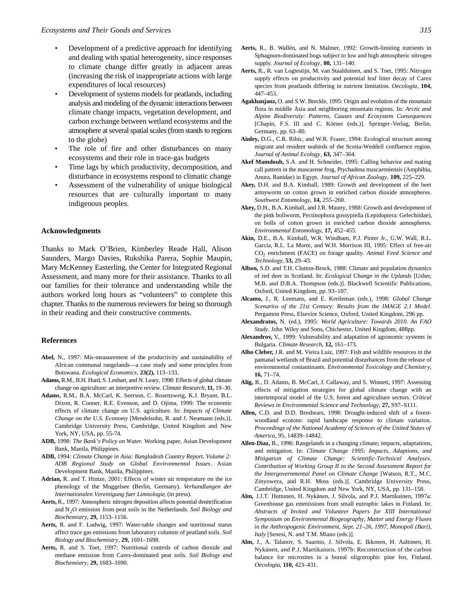- Development of a predictive approach for identifying and dealing with spatial heterogeneity, since responses to climate change differ greatly in adjacent areas (increasing the risk of inappropriate actions with large expenditures of local resources)
- Development of systems models for peatlands, including analysis and modeling of the dynamic interactions between climate change impacts, vegetation development, and carbon exchange between wetland ecosystems and the atmosphere at several spatial scales (from stands to regions to the globe)
- The role of fire and other disturbances on many ecosystems and their role in trace-gas budgets
- Time lags by which productivity, decomposition, and disturbance in ecosystems respond to climatic change
- Assessment of the vulnerability of unique biological resources that are culturally important to many indigenous peoples.

## **Acknowledgments**

Thanks to Mark O'Brien, Kimberley Reade Hall, Alison Saunders, Margo Davies, Rukshika Parera, Sophie Maupin, Mary McKenney Easterling, the Center for Integrated Regional Assessment, and many more for their assistance. Thanks to all our families for their tolerance and understanding while the authors worked long hours as "volunteers" to complete this chapter. Thanks to the numerous reviewers for being so thorough in their reading and their constructive comments.

#### **References**

- **Abel,** N., 1997: Mis-measurement of the productivity and sustainability of African communal rangelands—a case study and some principles from Botswana. *Ecological Economics*, **23(2),** 113–133.
- Adams, R.M., B.H. Hurd, S. Lenhart, and N. Leary, 1998: Effects of global climate change on agriculture: an interpretive review. *Climate Research*, 11, 19-30.
- **Adams**, R.M., B.A. McCarl, K. Seerson, C. Rosenzweig, K.J. Bryant, B.L. Dixon, R. Conner, R.E. Evenson, and D. Ojima, 1999: The economic effects of climate change on U.S. agriculture. In: *Impacts of Climate Change on the U.S. Economy* [Mendelsohn, R. and J. Neumann (eds.)]. Cambridge University Press, Cambridge, United Kingdom and New York, NY, USA, pp. 55-74.
- **ADB,** 1998: *The Bank's Policy on Water*. Working paper, Asian Development Bank, Manila, Philippines.
- **ADB,** 1994: *Climate Change in Asia: Bangladesh Country Report, Volume 2: ADB Regional Study on Global Environmental Issues. Asian* Development Bank, Manila, Philippines.
- **Adrian,** R. and T. Hintze, 2001: Effects of winter air temperature on the ice phenology of the Muggelsee (Berlin, Germany). *Verhandlungen der Internationalen Vereinigung fuer Limnologie*, (in press).
- Aerts, R., 1997: Atmospheric nitrogen deposition affects potential denitrification and N2O emission from peat soils in the Netherlands. *Soil Biology and Biochemistry*, **29,** 1153–1156.
- **Aerts,** R. and F. Ludwig, 1997: Water-table changes and nutritional status affect trace gas emissions from laboratory columns of peatland soils. *Soil Biology and Biochemistry*, **29,** 1691–1698.
- **Aerts,** R. and S. Toet, 1997: Nutritional controls of carbon dioxide and methane emission from Carex-dominated peat soils. *Soil Biology and Biochemistry*, **29,** 1683–1690.
- **Aerts,** R., B. Wallén, and N. Malmer, 1992: Growth-limiting nutrients in Sphagnum-dominated bogs subject to low and high atmospheric nitrogen supply. *Journal of Ecology*, **80,** 131–140.
- **Aerts,** R., R. van Logtestijn, M. van Staalduinen, and S. Toet, 1995: Nitrogen supply effects on productivity and potential leaf litter decay of Carex species from peatlands differing in nutrient limitation. *Oecologia*, **104,** 447–453.
- Agakhanjanz, O. and S.W. Breckle, 1995: Origin and evolution of the mountain flora in middle Asia and neighboring mountain regions. In: *Arctic and Alpine Biodiversity: Patterns, Causes and Ecosystem Consequences* [Chapin, F.S. III and C. Körner (eds.)]. Springer- Verlag, Berlin, Germany, pp. 63–80.
- **Ainley,** D.G., C.R. Ribic, and W.R. Fraser, 1994: Ecological structure among migrant and resident seabirds of the Scotia-Weddell confluence region. *Journal of Animal Ecology*, **63,** 347–364.
- **Akef Mamdouh,** S.A. and H. Schneider, 1995: Calling behavior and mating call pattern in the mascarene frog, Ptychadena mascareniensis (Amphibia, Anura, Ranidae) in Egypt. *Journal of African Zoology*, **109,** 225–229.
- **Akey,** D.H. and B.A. Kimball, 1989: Growth and development of the beet armyworm on cotton grown in enriched carbon dioxide atmospheres. *Southwest Entomology*, **14,** 255–260.
- **Akey,** D.H., B.A. Kimball, and J.R. Mauny, 1988: Growth and development of the pink bollworm, Pectinophora gossypiella (Lepidoptera: Gelechiidae), on bolls of cotton grown in enriched carbon dioxide atmospheres. *Environmental Entomology*, **17,** 452–455.
- **Akin,** D.E., B.A. Kimball, W.R. Windham, P.J. Pinter Jr., G.W. Wall, R.L. Garcia, R.L. La Morte, and W.H. Morrison III, 1995: Effect of free-air CO<sup>2</sup> enrichment (FACE) on forage quality. *Animal Feed Science and Technology*, **53,** 29–43.
- **Albon,** S.D. and T.H. Clutton-Brock, 1988: Climate and population dynamics of red deer in Scotland. In: *Ecological Change in the Uplands* [Usher, M.B. and D.B.A. Thompson (eds.)]. Blackwell Scientific Publications, Oxford, United Kingdom, pp. 93–107.
- **Alcamo,** J., R. Leemans, and E. Kreileman (eds.), 1998: *Global Change Scenarios of the 21st Century: Results from the IMAGE 2.1 Model*. Pergamon Press, Elsevior Science, Oxford, United Kingdom, 296 pp.
- **Alexandratos,** N. (ed.), 1995: *World Agriculture: Towards 2010. An FAO Study*. John Wiley and Sons, Chichester, United Kingdom, 488pp.
- **Alexandrov,** V., 1999: Vulnerability and adaptation of agronomic systems in Bulgaria. *Climate Research*, **12,** 161–173.
- **Alho Cleber,** J.R. and M. Vieira Luiz, 1997: Fish and wildlife resources in the pantanal wetlands of Brazil and potential disturbances from the release of environmental contaminants. *Environmental Toxicology and Chemistr y*, **16,** 71–74.
- **Alig,** R., D. Adams, B. McCarl, J. Callaway, and S. Winnett, 1997: Assessing effects of mitigation strategies for global climate change with an intertemporal model of the U.S. forest and agriculture sectors. *Critical Reviews in Environmental Science and Technology*, **27,** S97–S111.
- **Allen,** C.D. and D.D. Breshears, 1998: Drought-induced shift of a forestwoodland ecotone: rapid landscape response to climate variation. *Proceedings of the National Academy of Sciences of the United States of America*, 95, 14839–14842.
- **Allen-Diaz,** B., 1996: Rangelands in a changing climate; impacts, adaptations, and mitigation. In: *Climate Change 1995: Impacts, Adaptions, and Mitigation of Climate Change: Scientific-Technical Analyses. Contribution of Working Group II to the Second Assessment Report for the Intergovernmental Panel on Climate Change* [Watson, R.T., M.C. Zinyowera, and R.H. Moss (eds.)]. Cambridge University Press, Cambridge, United Kingdom and New York, NY, USA, pp. 131–158.
- **Alm,** J.J.T. Huttunen, H. Nykänen, J. Silvola, and P.J. Martikainen, 1997a: Greenhouse gas emmissions from small eutrophic lakes in Finland. In: *Abstracts of Invited and Volunteer Papers for XIII International Symposium on Environmental Biogeography, Matter and Energy Fluxes in the Anthropogenic Environment, Sept. 21–26, 1997, Monopoli (Bari), Italy* [Senesi, N. and T.M. Miano (eds.)].
- **Alm,** J., A. Talanov, S. Saarnio, J. Silvola, E. Ikkonen, H. Aaltonen, H. Nykänen, and P.J. Martikainen, 1997b: Reconstruction of the carbon balance for microsites in a boreal oligotrophic pine fen, Finland. *Oecologia*, **110,** 423–431.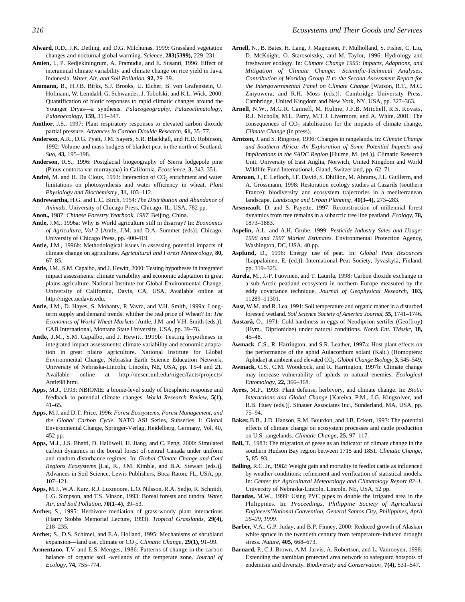- **Alward,** R.D., J.K. Detling, and D.G. Milchunas, 1999: Grassland vegetation changes and nocturnal global warming. *Science*, **283(5399),** 229–231.
- **Amien,** I., P. Redjekiningrum, A. Pramudia, and E. Susanti, 1996: Effect of interannual climate variability and climate change on rice yield in Java, Indonesia. *Water, Air, and Soil Pollution*, **92,** 29–39.
- **Ammann,** B., H.J.B. Birks, S.J. Brooks, U. Eicher, B. von Grafenstein, U. Hofmann, W. Lemdahl, G. Schwander, J. Tobolski, and K.L. Wick, 2000: Quantification of biotic responses to rapid climatic changes around the Younger Dryas—a synthesis. *Palaeogeography*, *Palaeoclimatology*, *Palaeoecology*, **159,** 313–347.
- **Amthor**, J.S., 1997: Plant respiratory responses to elevated carbon dioxide partial pressure. *Advances in Carbon Dioxide Research,* **61,** 35–77.
- **Anderson,** A.R., D.G. Pyatt, J.M. Sayers, S.R. Blackhall, and H.D. Robinson, 1992: Volume and mass budgets of blanket peat in the north of Scotland. *Suo*, **43,** 195–198.
- **Anderson,** R.S., 1996: Postglacial biogeography of Sierra lodgepole pine (Pinus contorta var murrayana) in California. *Ecoscience*, **3,** 343–351.
- **André,** M. and H. Du Cloux, 1993: Interaction of CO<sub>2</sub> enrichment and water limitations on photosynthesis and water efficiency in wheat. *Plant Physiology and Biochemistry*, **31,** 103–112.
- **Andrewartha,** H.G. and L.C. Birch, 1954: *The Distribution and Abundance of Animals*. University of Chicago Press, Chicago, IL, USA, 782 pp.
- **Anon.,** 1987: *Chinese Forestry Yearbook, 1987*. Beijing, China.
- **Antle,** J.M., 1996a: Why is World agriculture still in disarray? In: *Economics of Agriculture, Vol 2* [Antle, J.M. and D.A. Summer (eds)]. Chicago, University of Chicago Press, pp. 400-419.
- **Antle,** J.M., 1996b: Methodological issues in assessing potential impacts of climate change on agriculture. *Agricultural and Forest Meteorology*, **80,** 67–85.
- Antle, J.M., S.M. Capalbo, and J. Hewitt, 2000: Testing hypotheses in integrated impact assessments: climate variability and economic adaptation in great plains agriculture. National Institute for Global Environmental Change, University of California, Davis, CA, USA, Available online at http://nigec.ucdavis.edu.
- **Antle,** J.M., D. Hayes, S. Mohanty, P. Vavra, and V.H. Smith, 1999a: Longterm supply and demand trends: whither the real price of Wheat? In: *The Economics of World Wheat Markets* [Antle, J.M. and V.H. Smith (eds.)]. CAB International, Montana State University, USA, pp. 39–76.
- Antle, J.M., S.M. Capalbo, and J. Hewitt, 1999b: Testing hypotheses in integrated impact assessments: climate variability and economic adaptation in great plains agriculture. National Institute for Global Environmental Change, Nebraska Earth Science Education Network, University of Nebraska-Lincoln, Lincoln, NE, USA, pp. T5-4 and 21. Available online at http://nesen.unl.edu/nigec/facts/projects/ Antle98.html.
- **Apps,** M.J., 1993: NBIOME: a biome-level study of biospheric response and feedback to potential climate changes. *World Research Review*, **5(1),** 41–65.
- **Apps,** M.J. and D.T. Price, 1996: *Forest Ecosystems, Forest Management, and the Global Carbon Cycle*. NATO ASI Series, Subseries 1: Global Environmental Change, Springer-Verlag, Heidelberg, Germany, Vol. 40, 452 pp.
- **Apps,** M.J., J.S. Bhatti, D. Halliwell, H. Jiang, and C. Peng, 2000: Simulated carbon dynamics in the boreal forest of central Canada under uniform and random disturbance regimes. In: *Global Climate Change and Cold Regions Ecosystems* [Lal, R., J.M. Kimble, and B.A. Stewart (eds.)]*.* Advances in Soil Science, Lewis Publishers, Boca Raton, FL, USA, pp. 107–121.
- **Apps,** M.J., W.A. Kurz, R.J. Luxmoore, L.O. Nilsson, R.A. Sedjo, R. Schmidt, L.G. Simpson, and T.S. Vinson, 1993: Boreal forests and tundra. *Water, Air, and Soil Pollution*, **70(1–4),** 39–53.
- **Archer,** S., 1995: Herbivore mediation of grass-woody plant interactions (Harry Stobbs Memorial Lecture, 1993). *Tropical Grasslands*, **29(4),** 218–235.
- **Archer,** S., D.S. Schimel, and E.A. Holland, 1995: Mechanisms of shrubland expansion—land use, climate or CO<sub>2</sub>. *Climatic Change*, **29(1)**, 91–99.
- Armentano, T.V. and E.S. Menges, 1986: Patterns of change in the carbon balance of organic soil -wetlands of the temperate zone. *Journal of Ecology*, **74,** 755–774.
- **Arnell,** N., B. Bates, H. Lang, J. Magnuson, P. Mulholland, S. Fisher, C. Liu, D. McKnight, O. Starosolszky, and M. Taylor, 1996: Hydrology and freshwater ecology. In: *Climate Change 1995: Impacts, Adaptions, and Mitigation of Climate Change: Scientific-Technical Analyses. Contribution of Working Group II to the Second Assessment Report for the Intergovernmental Panel on Climate Change* [Watson, R.T., M.C. Zinyowera, and R.H. Moss (eds.)]. Cambridge University Press, Cambridge, United Kingdom and New York, NY, USA, pp. 327–363.
- Arnell, N.W., M.G.R. Cannell, M. Hulme, J.F.B. Mitchell, R.S. Kovats, R.J. Nicholls, M.L. Parry, M.T.J. Livermore, and A. White, 2001: The consequences of  $CO<sub>2</sub>$  stabilisation for the impacts of climate change. *Climate Change* (in press).
- **Arntzen,** J. and S. Ringrose, 1996: Changes in rangelands. In: *Climate Change and Southern Africa: An Exploration of Some Potential Impacts and Implications in the SADC Region* [Hulme, M. (ed.)]. Climatic Research Unit, University of East Anglia, Norwich, United Kingdom and World Wildlife Fund International, Gland, Switzerland, pp. 62–71.
- **Aronson,** J., E. Lefloch, J.F. David, S. Dhillion, M. Abrams, J.L. Guillerm, and A. Grossmann, 1998: Restoration ecology studies at Cazarils (southern France): biodiversity and ecosystem trajectories in a mediterranean landscape. *Landscape and Urban Planning*, 41(3-4), 273-283.
- **Arseneault,** D. and S. Payette, 1997: Reconstruction of millennial forest dynamics from tree remains in a subarctic tree line peatland. *Ecology*, **78,** 1873–1883.
- **Aspelin,** A.L. and A.H. Grube, 1999: *Pesticide Industry Sales and Usage: 1996 and 1997 Market Estimates*. Environmental Protection Agency, Washington, DC, USA, 40 pp.
- Asplund, D., 1996: Energy use of peat. In: *Global Peat Resources* [Lappalainen, E. (ed.)]. International Peat Society, Jyväskylä, Finland, pp. 319–325.
- **Aurela,** M., J.-P. Tuovinen, and T. Laurila, 1998: Carbon dioxide exchange in a sub-Arctic peatland ecosystem in northern Europe measured by the eddy covariance technique. *Journal of Geophysical Research*, **103,** 11289–11301.
- Aust, W.M. and R. Lea, 1991: Soil temperature and organic matter in a disturbed forested wetland. *Soil Science Society of America Journal*, **55,** 1741-1746.
- **Austarå,** Ö., 1971: Cold hardiness in eggs of Neodiprion sertifer (Geoffroy) (Hym., Diprionidae) under natural conditions. *Norsk Ent. Tidsskr*, **18,** 45–48.
- **Awmack**, C.S., R. Harrington, and S.R. Leather, 1997a: Host plant effects on the performance of the aphid Aulacorthum solani (Kalt.) (Homoptera: Aphidae) at ambient and elevated CO<sub>2</sub>. *Global Change Biology*, **3**, 545–549.
- **Awmack,** C.S., C.M. Woodcock, and R. Harrington, 1997b: Climate change may increase vulnerability of aphids to natural enemies. *Ecological Entomology*, **22,** 366–368.
- **Ayres,** M.P., 1993: Plant defense, herbivory, and climate change. In: *Biotic Interactions and Global Change* [Kareiva, P.M., J.G. Kingsolver, and R.B. Huey (eds.)]. Sinauer Associates Inc., Sunderland, MA, USA, pp. 75–94.
- **Baker,** B.B., J.D. Hanson, R.M. Bourdon, and J.B. Eckert, 1993: The potential effects of climate change on ecosystem processes and cattle production on U.S. rangelands. *Climatic Change*, **25,** 97–117.
- **Ball,** T., 1983: The migration of geese as an indicator of climate change in the southern Hudson Bay region between 1715 and 1851. *Climatic Change*, **5,** 85–93.
- Balling, R.C. Jr., 1982: Weight gain and mortality in feedlot cattle as influenced by weather conditions: refinement and verification of statistical models. In: *Center for Agricultural Meteorology and Climatology Report 82–1*. University of Nebraska-Lincoln, Lincoln, NE, USA, 52 pp.
- **Baradas,** M.W., 1999: Using PVC pipes to double the irrigated area in the Philippines. In: *Proceedings, Philippine Society of Agricultural Engineers'National Convention, General Santos City, Philippines, April 26–29, 1999*.
- **Barber,** V.A., G.P. Juday, and B.P. Finney, 2000: Reduced growth of Alaskan white spruce in the twentieth century from temperature-induced drought stress. *Nature*, **405,** 668–673.
- **Barnard,** P., C.J. Brown, A.M. Jarvis, A. Robertson, and L. Vanrooyen, 1998: Extending the namibian protected area network to safeguard hotspots of endemism and diversity. *Biodiversity and Conservation*, **7(4),** 531–547.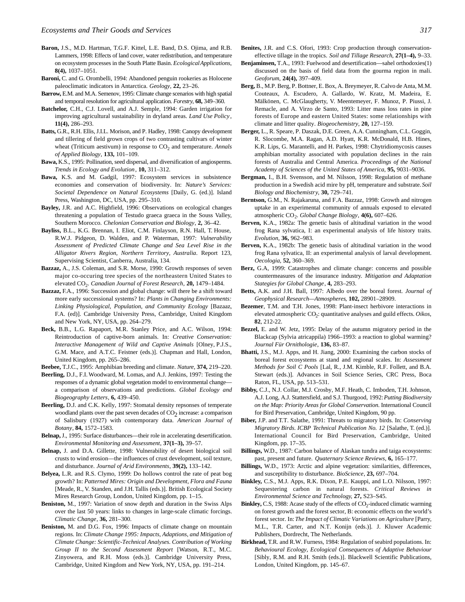- **Baron,** J.S., M.D. Hartman, T.G.F. Kittel, L.E. Band, D.S. Ojima, and R.B. Lammers, 1998: Effects of land cover, water redistribution, and temperature on ecosystem processes in the South Platte Basin. *Ecological Applications*, **8(4),** 1037–1051.
- Baroni, C. and G. Orombelli, 1994: Abandoned penguin rookeries as Holocene paleoclimatic indicators in Antarctica. *Geology*, **22,** 23–26.
- **Barrow,** E.M. and M.A. Semenov, 1995: Climate change scenarios with high spatial and temporal resolution for agricultural application. *Forestry*, 68, 349-360.
- **Batchelor,** C.H., C.J. Lovell, and A.J. Semple, 1994: Garden irrigation for improving agricultural sustainability in dryland areas. *Land Use Policy* , **11(4),** 286–293.
- Batts, G.R., R.H. Ellis, J.I.L. Morison, and P. Hadley, 1998: Canopy development and tillering of field grown crops of two contrasting cultivars of winter wheat (Triticum aestivum) in response to CO<sub>2</sub> and temperature. *Annals of Applied Biology*, **133,** 101–109.
- **Bawa,** K.S., 1995: Pollination, seed dispersal, and diversification of angiosperms. *Trends in Ecology and Evolution*, **10,** 311–312.
- **Bawa,** K.S. and M. Gadgil, 1997: Ecosystem services in subsistence economies and conservation of biodiversity. In: *Nature's Services: Societal Dependence on Natural Ecosystems* [Daily, G. (ed.)]. Island Press, Washington, DC, USA, pp. 295–310.
- **Bayley,** J.R. and A.C. Highfield, 1996: Observations on ecological changes threatening a population of Testudo graeca graeca in the Souss Valley, Southern Morocco. *Chelonian Conservation and Biology*, **2,** 36–42.
- **Bayliss,** B.L., K.G. Brennan, I. Eliot, C.M. Finlayson, R.N. Hall, T. House, R.W.J. Pidgeon, D. Walden, and P. Waterman, 1997: *Vulnerability Assessment of Predicted Climate Change and Sea Level Rise in the Alligator Rivers Region, Northern Territory, Australia*. Report 123, Supervising Scientist, Canberra, Australia, 134.
- **Bazzaz,** A., J.S. Coleman, and S.R. Morse, 1990: Growth responses of seven major co-occuring tree species of the northeastern United States to elevated CO<sub>2</sub>. *Canadian Journal of Forest Research*, **20,** 1479–1484.
- **Bazzaz,** F.A., 1996: Succession and global change: will there be a shift toward more early successional systems? In: *Plants in Changing Environments: Linking Physiological, Population, and Community Ecology* [Bazaaz, F.A. (ed)]. Cambridge University Press, Cambridge, United Kingdom and New York, NY, USA, pp. 264–279.
- **Beck,** B.B., L.G. Rapaport, M.R. Stanley Price, and A.C. Wilson, 1994: Reintroduction of captive-born animals. In: *Creative Conservation: Interactive Management of Wild and Captive Animals* [Olney, P.J.S., G.M. Mace, and A.T.C. Feistner (eds.)]. Chapman and Hall, London, United Kingdom, pp. 265–286.
- **Beebee,** T.J.C., 1995: Amphibian breeding and climate. *Nature*, **374,** 219–220.
- **Beerling,** D.J., F.I. Woodward, M. Lomas, and A.J. Jenkins, 1997: Testing the responses of a dynamic global vegetation model to environmental change a comparison of observations and predictions. *Global Ecology and Biogeography Letters*, **6,** 439–450.
- **Beerling,** D.J. and C.K. Kelly, 1997: Stomatal density repsonses of temperate woodland plants over the past seven decades of  $CO<sub>2</sub>$  increase: a comparison of Salisbury (1927) with contemporary data. *American Journal of Botany*, **84,** 1572–1583.
- **Belnap, J., 1995: Surface disturbances—their role in accelerating desertification.** *Environmental Monitoring and Assessment*, **37(1–3),** 39–57.
- **Belnap,** J. and D.A. Gillette, 1998: Vulnerability of desert biological soil crusts to wind erosion—the influences of crust development, soil texture, and disturbance. *Journal of Arid Environments*, **39(2),** 133–142.
- **Belyea,** L.R. and R.S. Clymo, 1999: Do hollows control the rate of peat bog growth? In: *Patterned Mires: Origin and Development, Flora and Fauna* [Meade, R., V. Standen, and J.H. Tallis (eds.)]. British Ecological Society Mires Research Group, London, United Kingdom, pp. 1–15.
- **Beniston,** M., 1997: Variation of snow depth and duration in the Swiss Alps over the last 50 years: links to changes in large-scale climatic forcings. *Climatic Change*, **36,** 281–300.
- **Beniston,** M. and D.G. Fox, 1996: Impacts of climate change on mountain regions. In: *Climate Change 1995: Impacts, Adaptions, and Mitigation of Climate Change: Scientific-Technical Analyses. Contribution of Working G roup II to the Second Assessment Report* [ Watson, R.T., M.C. Zinyowera, and R.H. Moss (eds.)]. Cambridge University Press, Cambridge, United Kingdom and New York, NY, USA, pp. 191–214.
- **Benites,** J.R. and C.S. Ofori, 1993: Crop production through conservationeffective tillage in the tropics. *Soil and Tillage Research*, **27(1–4),** 9–33.
- **Benjaminsen,** T.A., 1993: Fuelwood and desertification—sahel orthodoxies(1) discussed on the basis of field data from the gourma region in mali. *Geoforum*, **24(4),** 397–409.
- **Berg,** B., M.P. Berg, P. Bottner, E. Box, A. Breymeyer, R. Calvo de Anta, M.M. Couteaux, A. Escudero, A. Gallardo, W. Kratz, M. Madeira, E. Mälkönen, C. McGlaugherty, V. Meentemeyer, F. Munoz, P. Piussi, J. Remacle, and A. Virzo de Santo, 1993: Litter mass loss rates in pine forests of Europe and eastern United States: some relationships with climate and litter quality. *Biogeochemistry*, 20, 127-159.
- **Berger,** L., R. Speare, P. Daszak, D.E. Green, A.A. Cunningham, C.L. Goggin, R. Slocombe, M.A. Ragan, A.D. Hyatt, K.R. McDonald, H.B. Hines, K.R. Lips, G. Marantelli, and H. Parkes, 1998: Chytridiomycosis causes amphibian mortality associated with population declines in the rain forests of Australia and Central America. *Proceedings of the National Academy of Sciences of the United States of America*, **95,** 9031–9036.
- **Bergman,** I., B.H. Svensson, and M. Nilsson, 1998: Regulation of methane production in a Swedish acid mire by pH, temperature and substrate. *Soil Biology and Biochemistry*, **30,** 729–741.
- **Berntson,** G.M., N. Rajakaruna, and F.A. Bazzaz, 1998: Growth and nitrogen uptake in an experimental community of annuals exposed to elevated atmospheric CO<sub>2</sub>. *Global Change Biology*, **4(6)**, 607–626.
- **Berven,** K.A., 1982a: The genetic basis of altitudinal variation in the wood frog Rana sylvatica, I: an experimental analysis of life history traits. *Evolution*, **36,** 962–983.
- **Berven,** K.A., 1982b: The genetic basis of altitudinal variation in the wood frog Rana sylvatica, II: an experimental analysis of larval development. *Oecologia*, **52,** 360–369.
- **Berz,** G.A, 1999: Catastrophes and climate change: concerns and possible countermeasures of the insurance industry. *Mitigation and Adaptation Stategies for Global Change*, **4,** 283–293.
- **Betts,** A.K. and J.H. Ball, 1997: Albedo over the boreal forest. *Journal of Geophysical Research—Atmospheres*, **102,** 28901–28909.
- **Bezemer**, T.M. and T.H. Jones, 1998: Plant-insect herbivore interactions in elevated atmospheric CO<sub>2</sub>: quantitative analyses and guild effects. Oikos, **82**, 212-22.
- **Bezzel,** E. and W. Jetz, 1995: Delay of the autumn migratory period in the Blackcap (Sylvia atricappila) 1966–1993: a reaction to global warming? *Journal Für Ornithologie*, **136,** 83–87.
- **Bhatti,** J.S., M.J. Apps, and H. Jiang, 2000: Examining the carbon stocks of boreal forest ecosystems at stand and regional scales. In: *Assessment Methods for Soil C Pools* [Lal, R., J.M. Kimble, R.F. Follett, and B.A. Stewart (eds.)]. Advances in Soil Science Series, CRC Press, Boca Raton, FL, USA, pp. 513–531.
- **Bibby,** C.J., N.J. Collar, M.J. Crosby, M.F. Heath, C. Imboden, T.H. Johnson, A.J. Long, A.J. Stattersfield, and S.J. Thurgood, 1992: Putting Biodiversity *on the Map: Priority Areas for Global Conservation. International Council* for Bird Preservation, Cambridge, United Kingdom, 90 pp.
- **Biber,** J.P. and T.T. Salathe, 1991: Threats to migratory birds. In: *Conserving Migratory Birds. ICBP Technical Publication No. 12* [Salathe, T. (ed.)]. International Council for Bird Preservation, Cambridge, United Kingdom, pp. 17–35.
- **Billings,** W.D., 1987: Carbon balance of Alaskan tundra and taiga ecosystems: past, present and future. *Quaternary Science Reviews*, **6,** 165–177.
- **Billings,** W.D., 1973: Arctic and alpine vegetation: similarities, differences, and susceptibility to disturbance. *BioScience*, **23,** 697–704.
- **Binkley,** C.S., M.J. Apps, R.K. Dixon, P.E. Kauppi, and L.O. Nilsson, 1997: Sequestering carbon in natural forests. *Critical Reviews in Environmental Science and Technology*, **27,** S23–S45.
- **Binkley,** C.S, 1988: Acase study of the effects of CO<sub>2</sub>-induced climatic warming on forest growth and the forest sector, B: economic effects on the world's forest sector. In: *The Impact of Climatic Variations on Agriculture* [Parry, M.L., T.R. Carter, and N.T. Konijn (eds.)]. J. Kluwer Academic Publishers, Dordrecht, The Netherlands.
- **Birkhead,** T.R. and R.W. Furness, 1984: Regulation of seabird populations. In: *Behavioural Ecology, Ecological Consequences of Adaptive Behaviour* [Sibly, R.M. and R.H. Smith (eds.)]. Blackwell Scientific Publications, London, United Kingdom, pp. 145–67.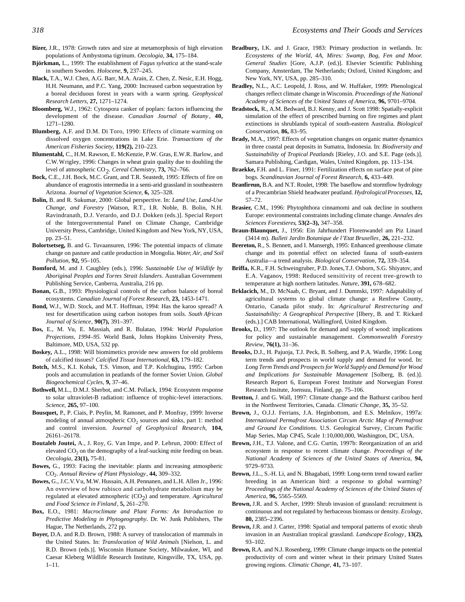- **Bizer,** J.R., 1978: Growth rates and size at metamorphosis of high elevation populations of Ambystoma tigrinum. *Oecologia*, **34,** 175–184.
- **Björkman,** L., 1999: The establishment of *Fagus sylvatica* at the stand-scale in southern Sweden. *Holocene*, **9,** 237–245.
- **Black,** T.A., W.J. Chen, A.G. Barr, M.A. Arain, Z. Chen, Z. Nesic, E.H. Hogg, H.H. Neumann, and P.C. Yang, 2000: Increased carbon sequestration by a boreal deciduous forest in years with a warm spring. *Geophysical Research Letters*, **27,** 1271–1274.
- **Bloomberg,** W.J., 1962: Cytospora canker of poplars: factors influencing the development of the disease. *Canadian Journal of Botany*, 40, 1271–1280.
- **Blumberg,** A.F. and D.M. Di Toro, 1990: Effects of climate warming on dissolved oxygen concentrations in Lake Erie. *Transactions of the American Fisheries Society,* **119(2),** 210–223.
- **Blumentahl,** C., H.M. Rawson, E. McKenzie, P.W. Gras, E.W.R. Barlow, and C.W. Wrigley, 1996: Changes in wheat grain quality due to doubling the level of atmospheric CO<sub>2</sub>. *Cereal Chemistry*, **73,** 762–766.
- **Bock,** C.E., J.H. Bock, M.C. Grant, and T.R. Seastedt, 1995: Effects of fire on abundance of eragrostis intermedia in a semi-arid grassland in southeastern Arizona. *Journal of Vegetation Science*, **6,** 325–328.
- **Bolin,** B. and R. Sukumar, 2000: Global perspective. In: *Land Use, Land-Use Change, and Forestry* [Watson, R.T., I.R. Noble, B. Bolin, N.H. Ravindranath, D.J. Verardo, and D.J. Dokken (eds.)]. Special Report of the Intergovernmental Panel on Climate Change, Cambridge University Press, Cambridge, United Kingdom and New York, NY, USA, pp. 23–51.
- **Bolortsetseg,** B. and G. Tuvaansuren, 1996: The potential impacts of climate change on pasture and cattle production in Mongolia. *Water, Air, and Soil Pollution*, **92,** 95–105.
- **Bomford,** M. and J. Caughley (eds.), 1996: *Sustainable Use of Wildlife by Aboriginal Peoples and Torres Strait Islanders*. Australian Government Publishing Service, Canberra, Australia, 216 pp.
- **Bonan,** G.B., 1993: Physiological controls of the carbon balance of boreal ecosystems. *Canadian Journal of Forest Research,* **23,** 1453-1471.
- **Bond,** W.J., W.D. Stock, and M.T. Hoffman, 1994: Has the karoo spread? A test for desertification using carbon isotopes from soils. *South African Journal of Science*, **90(7),** 391–397.
- **Bos,** E., M. Vu, E. Massiah, and R. Bulatao, 1994: *World Population Projections, 1994–95*. World Bank, Johns Hopkins University Press, Baltimore, MD, USA, 532 pp.
- **Boskey,** A.L., 1998: Will biomimetics provide new answers for old problems of calcified tissues? *Calcified Tissue International*, **63,** 179–182.
- **Botch,** M.S., K.I. Kobak, T.S. Vinson, and T.P. Kolchugina, 1995: Carbon pools and accumulation in peatlands of the former Soviet Union. *Global Biogeochemical Cycles*, **9,** 37–46.
- **Bothwell,** M.L., D.M.J. Sherbot, and C.M. Pollack, 1994: Ecosystem response to solar ultraviolet-B radiation: influence of trophic-level interactions. *Science*, **265,** 97–100.
- **Bousquet,** P., P. Ciais, P. Peylin, M. Ramonet, and P. Monfray, 1999: Inverse modeling of annual atmospheric  $CO_2$  sources and sinks, part 1: method and control inversion. *Journal of Geophysical Research*, 104, 26161–26178.
- **Boutaleb Joutei,** A., J. Roy, G. Van Impe, and P. Lebrun, 2000: Effect of e levated  $CO<sub>2</sub>$  on the demography of a leaf-sucking mite feeding on bean. *Oecologia*, **23(1),** 75-81.
- **Bowes,** G., 1993: Facing the inevitable: plants and increasing atmospheric CO<sup>2</sup> . *Annual Review of Plant Physiology*, **44,** 309–332.
- **Bowes,** G., J.C.V.Vu, M.W. Hussain, A.H. Pennanen, and L.H. Allen Jr., 1996: An overview of how rubisco and carbohydrate metabolism may be regulated at elevated atmospheric (CO<sub>2</sub>) and temperature. *Agricultural and Food Science in Finland*, **5,** 261–270.
- Box, E.O., 1981: *Macroclimate and Plant Forms: An Introduction to Predictive Modeling in Phytogeography*. Dr. W. Junk Publishers, The Hague, The Netherlands, 272 pp.
- **Boyer,** D.A. and R.D. Brown, 1988: A survey of translocation of mammals in the United States. In: *Translocation of Wild Animals* [Nielson, L. and R.D. Brown (eds.)]. Wisconsin Humane Society, Milwaukee, WI, and Caesar Kleberg Wildlife Research Institute, Kingsville, TX, USA, pp. 1–11.
- **Bradbury,** I.K. and J. Grace, 1983: Primary production in wetlands. In: *Ecosystems of the World, 4A, Mires: Swamp, Bog, Fen and Moor. General Studies* [Gore, A.J.P. (ed.)]. Elsevier Scientific Publishing Company, Amsterdam, The Netherlands; Oxford, United Kingdom; and New York, NY, USA, pp. 285–310.
- **Bradley,** N.L., A.C. Leopold, J. Ross, and W. Huffaker, 1999: Phenological changes reflect climate change in Wisconsin. *Proceedings of the National Academy of Sciences of the United States of America*, **96,** 9701–9704.
- Bradstock, R., A.M. Bedward, B.J. Kenny, and J. Scott 1998: Spatially-explicit simulation of the effect of prescribed burning on fire regimes and plant extinctions in shrublands typical of south-eastern Australia. *Biological Conservation*, **86,** 83–95.
- **Brady,** M.A., 1997: Effects of vegetation changes on organic matter dynamics in three coastal peat deposits in Sumatra, Indonesia. In: *Biodiversity and Sustainability of Tropical Peatlands* [Rieley, J.O. and S.E. Page (eds.)]. Samara Publishing, Cardigan, Wales, United Kingdom, pp. 113–134.
- **Braekke,** F.H. and L. Finer, 1991: Fertilization effects on surface peat of pine bogs. *Scandinavian Journal of Forest Research*, **6,** 433–449.
- **Branfireun, B.A.** and N.T. Roulet, 1998: The baseflow and stormflow hydrology of a Precambrian Shield headwater peatland. *Hydrological Processes*, **12,** 57–72.
- **Brasier,** C.M., 1996: Phytophthora cinnamomi and oak decline in southern Europe: environmental constraints including climate change. *Annales des Sciences Forestieres*, **53(2–3),** 347–358.
- **Braun-Blaunquet,** J., 1956: Ein Jahrhundert Florenwandel am Piz Linard (3414 m). *Bulleti Jardin Botanique de l'Etat Bruxelles*, **26,** 221–232.
- Brereton, R., S. Bennett, and I. Mansergh, 1995: Enhanced greenhouse climate change and its potential effect on selected fauna of south-eastern Australia—a trend analysis. *Biological Conservation*, **72,** 339–354.
- **Briffa,** K.R., F.H. Schweingruber, P.D. Jones, T.J. Osborn, S.G. Shiyatov, and E.A. Vaganov, 1998: Reduced sensitivity of recent tree-growth to temperature at high northern latitudes. *Nature*, 391, 678–682.
- **Brklacich,** M., D. McNaab, C. Bryant, and J. Dumnski, 1997: Adaptability of agricultural systems to global climate change: a Renfrew County, Ontario, Canada pilot study. In: *Agricultural Restrecturing and Sustainability: A Geographical Perspective* [Ilbery, B. and T. Rickard (eds.).] CAB International, Wallingford, United Kingdom.
- **Brooks,** D., 1997: The outlook for demand and supply of wood: implications for policy and sustainable management. *Commonwealth Forestry Review*, **76(1),** 31–36.
- **Brooks,** D.J., H. Pajuoja, T.J. Peck, B. Solberg, and P.A. Wardle, 1996: Long term trends and prospects in world supply and demand for wood. In: *Long Term Trends and Prospects for World Supply and Demand for Wood* and Implications for Sustainable Management [Solberg, B. (ed.)]. Research Report 6, European Forest Institute and Norwegian Forest Research Insitute, Joensuu, Finland, pp. 75–106.
- **Brotton,** J. and G. Wall, 1997: Climate change and the Bathurst caribou herd in the Northwest Territories, Canada. *Climatic Change*, **35,** 35–52.
- **Brown,** J., O.J.J. Ferrians, J.A. Heginbottom, and E.S. Melnikov, 1997a: *International Permafrost Association Circum Arctic Map of Permafrost and Ground Ice Conditions*. U.S. Geological Survey, Circum Pacific Map Series, Map CP45, Scale 1:10,000,000, Washington, DC, USA.
- **Brown,** J.H., T.J. Valone, and C.G. Curtin, 1997b: Reorganization of an arid ecosystem in response to recent climate change. *Proceedings of the National Academy of Sciences of the United States of America*, **94,** 9729–9733.
- **B rown,** J.L., S.-H. Li, and N. Bhagabati, 1999: Long-term trend toward earlier breeding in an American bird: a response to global warming? *Proceedings of the National Academy of Sciences of the United States of America*, **96,** 5565–5569.
- **Brown,** J.R. and S. Archer, 1999: Shrub invasion of grassland: recruitment is continuous and not regulated by herbaceous biomass or density. *Ecology*, **80,** 2385–2396.
- **Brown,** J.R. and J. Carter, 1998: Spatial and temporal patterns of exotic shrub invasion in an Australian tropical grassland. *Landscape Ecology*, **13(2),** 93–102.
- **Brown, R.A.** and N.J. Rosenberg, 1999: Climate change impacts on the potential productivity of corn and winter wheat in their primary United States growing regions*. Climatic Change*, **41,** 73–107.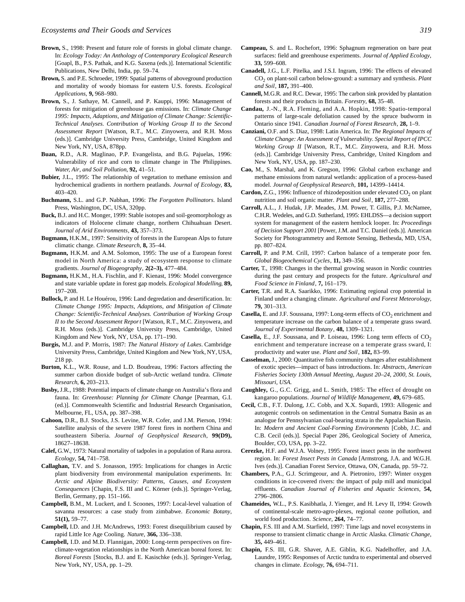- **Brown,** S., 1998: Present and future role of forests in global climate change. In: *Ecology Today: An Anthology of Contemporary Ecological Research* [Goapl, B., P.S. Pathak, and K.G. Saxena (eds.)]. International Scientific Publications, New Delhi, India, pp. 59–74.
- **Brown, S.** and P.E. Schroeder, 1999: Spatial patterns of aboveground production and mortality of woody biomass for eastern U.S. forests. *Ecological Applications*, **9,** 968–980.
- **Brown,** S., J. Sathaye, M. Cannell, and P. Kauppi, 1996: Management of forests for mitigation of greenhouse gas emissions. In: *Climate Change 1995: Impacts, Adaptions, and Mitigation of Climate Change: Scientific-Technical Analyses. Contribution of Working Group II to the Second Assessment Report* [Watson, R.T., M.C. Zinyowera, and R.H. Moss (eds.)]. Cambridge University Press, Cambridge, United Kingdom and New York, NY, USA, 878pp.
- **Buan,** R.D., A.R. Maglinao, P.P. Evangelista, and B.G. Pajuelas, 1996: Vulnerability of rice and corn to climate change in The Philippines. *Water, Air, and Soil Pollution*, **92,** 41–51.
- **Bubier,** J.L., 1995: The relationship of vegetation to methane emission and hydrochemical gradients in northern peatlands. *Journal of Ecology*, **83,** 403–420.
- **Buchmann,** S.L. and G.P. Nabhan, 1996: *The Forgotten Pollinators*. Island Press, Washington, DC, USA, 320pp.
- **Buck,** B.J. and H.C. Monger, 1999: Stable isotopes and soil-geomorphology as indicators of Holocene climate change, northern Chihuahuan Desert. *Journal of Arid Environments*, **43,** 357–373.
- **Bugmann,** H.K.M., 1997: Sensitivity of forests in the European Alps to future climatic change. *Climate Research*, **8,** 35–44.
- **Bugmann,** H.K.M. and A.M. Solomon, 1995: The use of a European forest model in North America: a study of ecosystem response to climate gradients. *Journal of Biogeography*, 2(2-3), 477-484.
- **Bugmann,** H.K.M., H.A. Fischlin, and F. Kienast, 1996: Model convergence and state variable update in forest gap models. *Ecological Modelling*, **89,** 197–208.
- **Bullock,** P. and H. Le Houérou, 1996: Land degredation and desertification. In: *Climate Change 1995: Impacts, Adaptions, and Mitigation of Climate Change: Scientific-Technical Analyses. Contribution of Working Group II to the Second Assessment Report* [Watson, R.T., M.C. Zinyowera, and R.H. Moss (eds.)]. Cambridge University Press, Cambridge, United Kingdom and New York, NY, USA, pp. 171–190.
- **Burgis,** M.J. and P. Morris, 1987: *The Natural History of Lakes*. Cambridge University Press, Cambridge, United Kingdom and New York, NY, USA, 218 pp.
- **Burton,** K.L., W.R. Rouse, and L.D. Boudreau, 1996: Factors affecting the summer carbon dioxide budget of sub-Arctic wetland tundra. *Climate Research*, **6,** 203–213.
- **Busby,** J.R., 1988: Potential impacts of climate change on Australia's flora and fauna. In: *Greenhouse: Planning for Climate Change* [Pearman, G.I. (ed.)]. Commonwealth Scientific and Industrial Research Organisation, Melbourne, FL, USA, pp. 387–398.
- **Cahoon,** D.R., B.J. Stocks, J.S. Levine, W.R. Cofer, and J.M. Pierson, 1994: Satellite analysis of the severe 1987 forest fires in northern China and southeastern Siberia. *Journal of Geophysical Research*, 99(D9), 18627–18638.
- Calef, G.W., 1973: Natural mortality of tadpoles in a population of Rana aurora. *Ecology*, **54,** 741–758.
- **Callaghan,** T.V. and S. Jonasson, 1995: Implications for changes in Arctic plant biodiversity from environmental manipulation experiments. In: *A rctic and Alpine Biodiversity: Patterns, Causes, and Ecosystem Consequences* [Chapin, F.S. III and C. Körner (eds.)]. Springer-Verlag, Berlin, Germany, pp. 151–166.
- **Campbell,** B.M., M. Luckert, and I. Scoones, 1997: Local-level valuation of savanna resources: a case study from zimbabwe. *Economic Botany*, **51(1),** 59–77.
- **Campbell,** I.D. and J.H. McAndrews, 1993: Forest disequilibrium caused by rapid Little Ice Age Cooling. *Nature*, **366,** 336–338.
- **Campbell,** I.D. and M.D. Flannigan, 2000: Long-term perspectives on fireclimate-vegetation relationships in the North American boreal forest. In: *Boreal Forests* [Stocks, B.J. and E. Kasischke (eds.)]. Springer-Verlag, New York, NY, USA, pp. 1–29.
- **Campeau,** S. and L. Rochefort, 1996: Sphagnum regeneration on bare peat surfaces: field and greenhouse experiments. *Journal of Applied Ecology*, **33,** 599–608.
- **Canadell,** J.G., L.F. Pitelka, and J.S.I. Ingram, 1996: The effects of elevated CO<sup>2</sup> on plant-soil carbon below-ground: a summary and synthesis. *Plant and Soil*, **187,** 391–400.
- **Cannell, M.G.R. and R.C. Dewar, 1995: The carbon sink provided by plantation** forests and their products in Britain. *Forestry*, **68,** 35–48.
- Candau, J.-N., R.A. Fleming, and A.A. Hopkin, 1998: Spatio-temporal patterns of large-scale defoliation caused by the spruce budworm in Ontario since 1941. *Canadian Journal of Forest Research*, **28,** 1–9.
- **Canziani,** O.F. and S. Diaz, 1998: Latin America. In: *The Regional Impacts of Climate Change: An Assessment of Vulnerability. Special Report of IPCC Working Group II* [Watson, R.T., M.C. Zinyowera, and R.H. Moss (eds.)]. Cambridge University Press, Cambridge, United Kingdom and New York, NY, USA, pp. 187–230.
- **Cao,** M., S. Marshal, and K. Gregson, 1996: Global carbon exchange and methane emissions from natural wetlands: application of a process-based model. *Journal of Geophysical Research*, **101,** 14399–14414.
- **Cardon,** Z.G., 1996: Influence of rhizodeposition under elevated  $CO<sub>2</sub>$  on plant nutrition and soil organic matter. *Plant and Soil*, **187,** 277–288.
- **Carroll,** A.L., J. Hudak, J.P. Meades, J.M. Power, T. Gillis, P.J. McNamee, C.H.R. Wedeles, and G.D. Sutherland, 1995: EHLDSS—a decision support system for management of the eastern hemlock looper. In: *Proceedings of Decision Support 2001* [Power, J.M. and T.C. Daniel (eds.)]. American Society for Photogrammetry and Remote Sensing, Bethesda, MD, USA, pp. 807–824.
- **Carroll,** P. and P.M. Crill, 1997: Carbon balance of a temperate poor fen. *Global Biogeochemical Cycles*, **11,** 349–356.
- **Carter,** T., 1998: Changes in the thermal growing season in Nordic countries during the past century and prospects for the future. *Agricultural and Food Science in Finland*, **7,** 161–179.
- **Carter,** T.R. and R.A. Saarikko, 1996: Estimating regional crop potential in Finland under a changing climate. *Agricultural and Forest Meteorology*, **79,** 301–313.
- **Casella,** E. and J.F. Soussana, 1997: Long-term effects of  $CO_2$  enrichment and temperature increase on the carbon balance of a temperate grass sward. *Journal of Experimental Botany*, **48,** 1309–1321.
- Casella, E., J.F. Soussana, and P. Loiseau, 1996: Long term effects of CO<sub>2</sub> enrichment and temperature increase on a temperate grass sward, I: productivity and water use. *Plant and Soil*, **182**, 83–99.
- **Casselman,** J., 2000: Quantitative fish community changes after establishment of exotic species—impact of bass introductions. In: *Abstracts, American Fisheries Society 130th Annual Meeting, August 20–24, 2000, St. Louis, Missouri, USA.*
- Caughley, G., G.C. Grigg, and L. Smith, 1985: The effect of drought on kangaroo populations. *Journal of Wildlife Management*, **49**, 679-685.
- **Cecil,** C.B., F.T. Dulong, J.C. Cobb, and X.X. Supardi, 1993: Allogenic and autogenic controls on sedimentation in the Central Sumatra Basin as an analogue for Pennsylvanian coal-bearing strata in the Appalachian Basin. In: *Modern and Ancient Coal-Forming Environments* [Cobb, J.C. and C.B. Cecil (eds.)]. Special Paper 286, Geological Society of America, Boulder, CO, USA, pp. 3–22.
- **Cerezke,** H.F. and W.J.A. Volney, 1995: Forest insect pests in the northwest region. In: *Forest Insect Pests in Canada* [Armstrong, J.A. and W.G.H. Ives (eds.)]. Canadian Forest Service, Ottawa, ON, Canada, pp. 59–72.
- **Chambers,** P.A., G.J. Scrimgeour, and A. Pietroniro, 1997: Winter oxygen conditions in ice-covered rivers: the impact of pulp mill and municipal effluents. *Canadian Journal of Fisheries and Aquatic Sciences*, **54,** 2796–2806.
- **Chameides,** W.L., P.S. Kasibhatla, J. Yienger, and H. Levy II, 1994: Growth of continental-scale metro-agro-plexes, regional ozone pollution, and world food production. *Science*, **264,** 74–77.
- **Chapin,** F.S. III and A.M. Starfield, 1997: Time lags and novel ecosystems in response to transient climatic change in Arctic Alaska. *Climatic Change*, **35,** 449–461.
- **Chapin,** F.S. III, G.R. Shaver, A.E. Giblin, K.G. Nadelhoffer, and J.A. Laundre, 1995: Responses of Arctic tundra to experimental and observed changes in climate. *Ecology*, **76,** 694–711.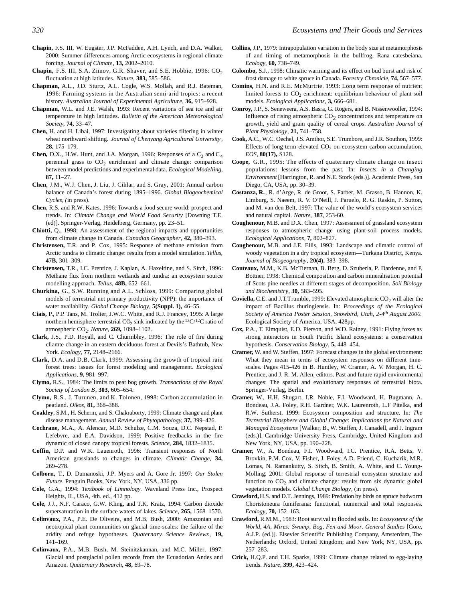- **Chapin,** F.S. III, W. Eugster, J.P. McFadden, A.H. Lynch, and D.A. Walker, 2000: Summer differences among Arctic ecosystems in regional climate forcing. *Journal of Climate*, **13,** 2002–2010.
- Chapin, F.S. III, S.A. Zimov, G.R. Shaver, and S.E. Hobbie, 1996: CO<sub>2</sub> fluctuation at high latitudes. *Nature*, 383, 585-586.
- **Chapman,** A.L., J.D. Sturtz, A.L. Cogle, W.S. Mollah, and R.J. Bateman, 1996: Farming systems in the Australian semi-arid tropics: a recent history. Australian Journal of Experimental Agriculture, 36, 915-928.
- **Chapman,** W.L. and J.E. Walsh, 1993: Recent variations of sea ice and air temperature in high latitudes. *Bulletin of the American Meteorological Society*, **74,** 33–47.
- **Chen,** H. and H. Libai, 1997: Investigating about varieties filtering in winter wheat northward shifting. *Journal of Chenyang Agricultural University* , **28,** 175–179.
- **Chen,** D.X., H.W. Hunt, and J.A. Morgan, 1996: Responses of a  $C_3$  and  $C_4$ perennial grass to  $CO_2$  enrichment and climate change: comparison between model predictions and experimental data. *Ecological Modelling*, **87,** 11–27.
- Chen, J.M., W.J. Chen, J. Liu, J. Cihlar, and S. Gray, 2001: Annual carbon balance of Canada's forest during 1895–1996. *Global Biogeochemical Cycles, (*in press).
- **Chen,** R.S. and R.W. Kates, 1996: Towards a food secure world: prospect and trends. In: *Climate Change and World Food Security* [Downing T.E. (ed)]. Springer-Verlag, Heidelberg, Germany, pp. 23–51.
- **Chiotti,** Q., 1998: An assessment of the regional impacts and opportunities from climate change in Canada. *Canadian Geographer*, **42,** 380–393.
- **Christensen,** T.R. and P. Cox, 1995: Response of methane emission from Arctic tundra to climatic change: results from a model simulation. *Tellus*, **47B,** 301–309.
- **Christensen,** T.R., I.C. Prentice, J. Kaplan, A. Haxeltine, and S. Sitch, 1996: Methane flux from northern wetlands and tundra: an ecosystem source modelling approach. *Tellus*, **48B,** 652–661.
- **Churkina, G., S.W. Running and A.L. Schloss, 1999: Comparing global** models of terrestrial net primary productivity (NPP): the importance of water availability. *Global Change Biology*, **5(Suppl. 1),** 46–55.
- **Ciais,** P., P.P. Tans, M. Trolier, J.W.C. White, and R.J. Francey, 1995: A large northern hemisphere terrestrial  $CO_2$  sink indicated by the <sup>13</sup>C/<sup>12</sup>C ratio of atmospheric CO<sub>2</sub>. *Nature*, **269**, 1098-1102.
- **Clark,** J.S., P.D. Royall, and C. Churmbley, 1996: The role of fire during cliamte change in an eastern deciduous forest at Devils's Bathtub, New York. *Ecology*, **77,** 2148–2166.
- Clark, D.A. and D.B. Clark, 1999: Assessing the growth of tropical rain forest trees: issues for forest modeling and management. *Ecological Applications*, **9,** 981–997.
- **Clymo,** R.S., 1984: The limits to peat bog growth. *Transactions of the Royal Society of London B*, **303,** 605–654.
- **Clymo, R.S., J. Turunen, and K. Tolonen, 1998: Carbon accumulation in** peatland. Oikos, 81, 368-388.
- Coakley, S.M., H. Scherm, and S. Chakraborty, 1999: Climate change and plant disease management. Annual Review of Phytopathology, 37, 399-426.
- **Cochrane,** M.A., A. Alencar, M.D. Schulze, C.M. Souza, D.C. Nepstad, P. Lefebvre, and E.A. Davidson, 1999: Positive feedbacks in the fire dynamic of closed canopy tropical forests. *Science*, **284,** 1832–1835.
- Coffin, D.P. and W.K. Lauenroth, 1996: Transient responses of North American grasslands to changes in climate. *Climatic Change*, **34,** 269–278.
- **Colborn,** T., D. Dumanoski, J.P. Myers and A. Gore Jr. 1997: *Our Stolen Future*. Penguin Books, New York, NY, USA, 336 pp.
- **Cole,** G.A., 1994: *Textbook of Limnology*. Waveland Press Inc., Prospect Heights, IL, USA, 4th. ed., 412 pp.
- **Cole,** J.J., N.F. Caraco, G.W. Kling, and T.K. Kratz, 1994: Carbon dioxide supersaturation in the surface waters of lakes. *Science*, **265,** 1568–1570.
- **Colinvaux,** P.A., P.E. De Oliveira, and M.B. Bush, 2000: Amazonian and neotropical plant communities on glacial time-scales: the failure of the aridity and refuge hypotheses. *Quaternary Science Reviews*, 19, 141–169.
- **Colinvaux,** P.A., M.B. Bush, M. Steinitzkannan, and M.C. Miller, 1997: Glacial and postglacial pollen records from the Ecuadorian Andes and Amazon. *Quaternary Research*, **48,** 69–78.
- **Collins, J.P., 1979:** Intrapopulation variation in the body size at metamorphosis of and timing of metamorphosis in the bullfrog, Rana catesbeiana. *Ecology*, **60,** 738–749.
- **Colombo,** S.J., 1998: Climatic warming and its effect on bud burst and risk of frost damage to white spruce in Canada. *Forestry Chronicle*, **74**, 567–577.
- Comins, H.N. and R.E. McMurtrie, 1993: Long term response of nutrient limited forests to  $CO_2$  enrichment: equilibrium behaviour of plant-soil models. *Ecological Applications*, **3,** 666–681.
- Conroy, J.P., S. Seneweera, A.S. Basra, G. Rogers, and B. Nissenwooller, 1994: Influence of rising atmospheric  $CO_2$  concentrations and temperature on growth, yield and grain quality of cereal crops. *Australian Journal of Plant Physiology*, **21,** 741–758.
- Cook, A.C., W.C. Oechel, J.S. Amthor, S.E. Trumbore, and J.R. Southon, 1999: Effects of long-term elevated  $CO<sub>2</sub>$  on ecosystem carbon accumulation. *EOS*, **80(17),** S128.
- **Coope,** G.R., 1995: The effects of quaternary climate change on insect populations: lessons from the past. In: *Insects in a Changing Environment* [Harrington, R. and N.E. Stork (eds.)]. Academic Press, San Diego, CA, USA, pp. 30–39.
- **Costanza, R.**, R. d'Arge, R. de Groot, S. Farber, M. Grasso, B. Hannon, K. Limburg, S. Naeem, R. V. O'Neill, J. Paruelo, R. G. Raskin, P. Sutton, and M. van den Belt, 1997: The value of the world's ecosystem services and natural capital. *Nature*, **387**, 253-60.
- **Coughenour,** M.B. and D.X. Chen, 1997: Assessment of grassland ecosystem responses to atmospheric change using plant-soil process models. *Ecological Applications*, **7,** 802–827.
- **Coughenour,** M.B. and J.E. Ellis, 1993: Landscape and climatic control of woody vegetation in a dry tropical ecosystem—Turkana District, Kenya. *Journal of Biogeography*, **20(4),** 383–398.
- **Couteaux,** M.M., K.B. McTiernan, B. Berg, D. Szuberla, P. Dardenne, and P. Bottner, 1998: Chemical composition and carbon mineralisation potential of Scots pine needles at different stages of decomposition. *Soil Biology and Biochemistry*, **30,** 583–595.
- **Coviella,** C.E. and J.T. Trumble, 1999: Elevated atmospheric  $CO<sub>2</sub>$  will alter the impact of Bacillus thuringiensis. In: *Proceedings of the Ecological Society of America Poster Session, Snowbird, Utah, 2-4th August 2000.* Ecological Society of America, USA, 428pp.
- **Cox,** P.A., T. Elmquist, E.D. Pierson, and W.D. Rainey, 1991: Flying foxes as strong interactors in South Pacific Island ecosystems: a conservation hypothesis. *Conservation Biology*, **5,** 448–454.
- **Cramer,** W. and W. Steffen. 1997: Forecast changes in the global environment: What they mean in terms of ecosystem responses on different timescales. Pages 415-426 in B. Huntley, W. Cramer, A. V. Morgan, H. C. Prentice, and J. R. M. Allen, editors. Past and future rapid environmental changes: The spatial and evolutionary responses of terrestrial biota. Springer-Verlag, Berlin.
- **Cramer,** W., H.H. Shugart, I.R. Noble, F.I. Woodward, H. Bugmann, A. Bondeau, J.A. Foley, R.H. Gardner, W.K. Laurenroth, L.F Pitelka, and R.W. Sutherst, 1999: Ecosystem composition and structure. In: *The Terrestrial Biosphere and Global Change: Implications for Natural and Managed Ecosystems* [Walker, B., W. Steffen, J. Canadell, and J. Ingram (eds.)]. Cambridge University Press, Cambridge, United Kingdom and New York, NY, USA, pp. 190–228.
- **Cramer,** W., A. Bondeau, F.I. Woodward, I.C. Prentice, R.A. Betts, V. Brovkin, P.M. Cox, V. Fisher, J. Foley, A.D. Friend, C. Kucharik, M.R. Lomas, N. Ramankutty, S. Sitch, B. Smith, A. White, and C. Young-Molling, 2001: Global response of terrestrial ecosystem structure and function to  $CO_2$  and climate change: results from six dynamic global vegetation models. *Global Change Biology*, (in press).
- **Crawford,** H.S. and D.T. Jennings, 1989: Predation by birds on spruce budworm Choristoneura fumiferana: functional, numerical and total responses. *Ecology*, **70,** 152–163.
- **Crawford,** R.M.M., 1983: Root survival in flooded soils. In: *Ecosystems of the World, 4A, Mires: Swamp, Bog, Fen and Moor. General Studies* [Gore, A.J.P. (ed.)]. Elsevier Scientific Publishing Company, Amsterdam, The Netherlands; Oxford, United Kingdom; and New York, NY, USA, pp. 257–283.
- **Crick,** H.Q.P. and T.H. Sparks, 1999: Climate change related to egg-laying trends. *Nature*, **399,** 423–424.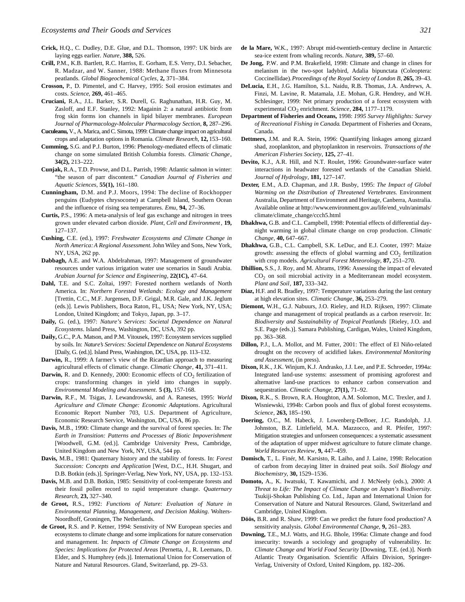- **Crick,** H.Q., C. Dudley, D.E. Glue, and D.L. Thomson, 1997: UK birds are laying eggs earlier. *Nature*, **388,** 526.
- **Crill,** P.M., K.B. Bartlett, R.C. Harriss, E. Gorham, E.S. Verry, D.I. Sebacher, R. Madzar, and W. Sanner, 1988: Methane fluxes from Minnesota peatlands. *Global Biogeochemical Cycles*, 2, 371–384.
- **Crosson,** P., D. Pimentel, and C. Harvey, 1995: Soil erosion estimates and costs. *Science*, **269,** 461–465.
- **Cruciani,** R.A., J.L. Barker, S.R. Durell, G. Raghunathan, H.R. Guy, M. Zasloff, and E.F. Stanley, 1992: Magainin 2: a natural antibiotic from frog skin forms ion channels in lipid bilayer membranes. *European* Journal of Pharmacology-Molecular Pharmacology Section, 8, 287-296.
- **Cuculeanu,** V., A. Marica, and C. Simota, 1999: Climate change impact on agricultural crops and adaptation options in Romania. *Climate Research*, **12**, **153**–160.
- **Cumming, S.G.** and P.J. Burton, 1996: Phenology-mediated effects of climatic change on some simulated British Columbia forests. *Climatic Change*, **34(2),** 213–222.
- **Cunjak,** R.A., T.D. Prowse, and D.L. Parrish, 1998: Atlantic salmon in winter: "the season of parr discontent." *Canadian Journal of Fisheries and Aquatic Sciences*, **55(1),** 161–180.
- **Cunningham,** D.M. and P.J. Moors, 1994: The decline of Rockhopper penguins (Eudyptes chrysocome) at Campbell Island, Southern Ocean and the influence of rising sea temperatures. *Emu*, **94,** 27–36.
- **Curtis,** P.S., 1996: A meta-analysis of leaf gas exchange and nitrogen in trees grown under elevated carbon dioxide. *Plant, Cell and Environment*, **19,** 127–137.
- **Cushing,** C.E. (ed.), 1997: *Freshwater Ecosystems and Climate Change in North America: A Regional Assessment.* John Wiley and Sons, New York, NY, USA, 262 pp.
- **Dabbagh,** A.E. and W.A. Abdelrahman, 1997: Management of groundwater resources under various irrigation water use scenarios in Saudi Arabia. *Arabian Journal for Science and Engineering*, **22(1C),** 47–64.
- **Dahl,** T.E. and S.C. Zoltai, 1997: Forested northern wetlands of North America. In: *Northern Forested Wetlands: Ecology and Management* [Trettin, C.C., M.F. Jurgensen, D.F. Grigal, M.R. Gale, and J.K. Jeglum (eds.)]. Lewis Publishers, Boca Raton, FL, USA; New York, NY, USA; London, United Kingdom; and Tokyo, Japan, pp. 3–17.
- **Daily,** G. (ed.), 1997: *Nature's Services: Societal Dependence on Natural Ecosystems*. Island Press, Washington, DC, USA, 392 pp.
- Daily, G.C., P.A. Matson, and P.M. Vitousek, 1997: Ecosystem services supplied by soils. In: *Nature's Services: Societal Dependence on Natural Ecosystems* [Daily, G. (ed.)]. Island Press, Washington, DC, USA, pp. 113-132.
- **Darwin,** R., 1999: A farmer's view of the Ricardian approach to measuring agricultural effects of climatic change. *Climatic Change*, **41,** 371–411.
- **Darwin,** R. and D. Kennedy, 2000: Economic effects of CO<sub>2</sub> fertilization of crops: transforming changes in yield into changes in supply. *Environmental Modeling and Assessment*. **5 (3),** 157-168.
- **Darwin,** R.F., M. Tsigas, J. Lewandrowski, and A. Raneses, 1995: *World Agriculture and Climate Change: Economic Adaptations*. Agricultural Economic Report Number 703, U.S. Department of Agriculture, Economic Research Service, Washington, DC, USA, 86 pp.
- **Davis,** M.B., 1990: Climate change and the survival of forest species. In: *The Earth in Transition: Patterns and Processes of Biotic Impoverishment* [ Woodwell, G.M. (ed.)]. Cambridge University Press, Cambridge, United Kingdom and New York, NY, USA, 544 pp.
- **Davis,** M.B., 1981: Quaternary history and the stability of forests. In: *Forest Succession: Concepts and Application* [West, D.C., H.H. Shugart, and D.B. Botkin (eds.)]. Springer-Verlag, New York, NY, USA, pp. 132–153.
- **Davis,** M.B. and D.B. Botkin, 1985: Sensitivity of cool-temperate forests and their fossil pollen record to rapid temperature change*. Quaternary Research*, **23,** 327–340.
- **de Groot,** R.S., 1992: *Functions of Nature: Evaluation of Nature in Environmental Planning, Management, and Decision Making*. Wolters-Noordhoff, Groningen, The Netherlands.
- **de Groot,** R.S. and P. Ketner, 1994: Senstivity of NW European species and ecosystems to climate change and some implications for nature conservation and management. In: *Impacts of Climate Change on Ecosystems and Species: Implications for Protected Areas* [Pernetta, J., R. Leemans, D. Elder, and S. Humphrey (eds.)]. International Union for Conservation of Nature and Natural Resources. Gland, Switzerland, pp. 29–53.
- **de la Mare,** W.K., 1997: Abrupt mid-twentieth-century decline in Antarctic sea-ice extent from whaling records. *Nature*, **389,** 57–60.
- **De Jong,** P.W. and P.M. Brakefield, 1998: Climate and change in clines for melanism in the two-spot ladybird, Adalia bipunctata (Coleoptera: Coccinellidae). *Proceedings of the Royal Society of London B*, 265, 39–43.
- **DeLucia,** E.H., J.G. Hamilton, S.L. Naidu, R.B. Thomas, J.A. Andrews, A. Finzi, M. Lavine, R. Matamala, J.E. Mohan, G.R. Hendrey, and W.H. Schlesinger, 1999: Net primary production of a forest ecosystem with experimental CO<sub>2</sub> enrichment. *Science*, **284**, 1177-1179.
- **Department of Fisheries and Oceans,** 1998: *1995 Survey Highlights: Survey of Recreational Fishing in Canada*. Department of Fisheries and Oceans, Canada.
- **Dettmers,** J.M. and R.A. Stein, 1996: Quantifying linkages among gizzard shad, zooplankton, and phytoplankton in reservoirs. *Transactions of the American Fisheries Society*, **125,** 27–41.
- **Devito,** K.J., A.R. Hill, and N.T. Roulet, 1996: Groundwater-surface water interactions in headwater forested wetlands of the Canadian Shield. *Journal of Hydrology*, **181,** 127–147.
- **Dexter,** E.M., A.D. Chapman, and J.R. Busby, 1995: *The Impact of Global Warming on the Distribution of Threatened Vertebrates*. Environment Australia, Department of Environment and Heritage, Canberra, Australia. Available online at http://www.environment.gov.au/life/end\_vuln/animals/ climate/climate\_change/ccch5.html
- **Dhakhwa,** G.B. and C.L. Campbell, 1998: Potential effects of differential daynight warming in global climate change on crop production. *Climatic Change*, **40,** 647–667.
- **Dhakhwa,** G.B., C.L. Campbell, S.K. LeDuc, and E.J. Cooter, 1997: Maize growth: assessing the effects of global warming and  $CO_2$  fertilization with crop models. *Agricultural Forest Meteorology*, **87,** 251–270.
- **Dhillion,** S.S., J. Roy, and M. Abrams, 1996: Assessing the impact of elevated  $CO<sub>2</sub>$  on soil microbial activity in a Mediterranean model ecosystem. *Plant and Soil*, **187,** 333–342.
- **Diaz,** H.F. and R. Bradley, 1997: Temperature variations during the last century at high elevation sites. *Climatic Change*, **36,** 253–279.
- **Diemont,** W.H., G.J. Nabuurs, J.O. Rieley, and H.D. Rijksen, 1997: Climate change and management of tropical peatlands as a carbon reservoir. In: *Biodiversity and Sustainability of Tropical Peatlands* [Rieley, J.O. and S.E. Page (eds.)]. Samara Publishing, Cardigan, Wales, United Kingdom, pp. 363–368.
- **Dillon,** P.J., L.A. Mollot, and M. Futter, 2001: The effect of El Niño-related drought on the recovery of acidified lakes. *Environmental Monitoring and Assessment*, (in press).
- **Dixon,** R.K., J.K. Winjum, K.J. Andrasko, J.J. Lee, and P.E. Schroeder, 1994a: Integrated land-use systems: assessment of promising agroforest and alternative land-use practices to enhance carbon conservation and sequestration. *Climatic Change*, **27(1),** 71–92.
- **Dixon,** R.K., S. Brown, R.A. Houghton, A.M. Solomon, M.C. Trexler, and J. Wisniewski, 1994b: Carbon pools and flux of global forest ecosystems. *Science*, **263,** 185–190.
- Doering, O.C., M. Habeck, J. Lowenberg-DeBoer, J.C. Randolph, J.J. Johnston, B.Z. Littlefield, M.A. Mazzocco, and R. Pfeifer, 1997: Mitigation strategies and unforseen consequences: a systematic assessment of the adaptation of upper midwest agriculture to future climate change. *World Resources Review*, **9,** 447–459.
- **Domisch,** T., L. Finér, M. Karsisto, R. Laiho, and J. Laine, 1998: Relocation of carbon from decaying litter in drained peat soils. *Soil Biology and Biochemistry*, **30,** 1529–1536.
- **Domoto,** A., K. Iwatsuki, T. Kawamichi, and J. McNeely (eds.), 2000: *A Threat to Life: The Impact of Climate Change on Japan's Biodiversity*. Tsukiji-Shokan Publishing Co. Ltd., Japan and International Union for Conservation of Nature and Natural Resources. Gland, Switzerland and Cambridge, United Kingdom.
- **Döös,** B.R. and R. Shaw, 1999: Can we predict the future food production? A sensitivity analysis. *Global Environmental Change*, **9,** 261–283.
- **Downing,** T.E., M.J. Watts, and H.G. Bhole, 1996a: Climate change and food insecurity: towards a sociology and geography of vulnerability. In: *Climate Change and World Food Security* [Downing, T.E. (ed.)]. North Atlantic Treaty Organisation. Scientific Affairs Division, Springer-Verlag, University of Oxford, United Kingdom, pp. 182–206.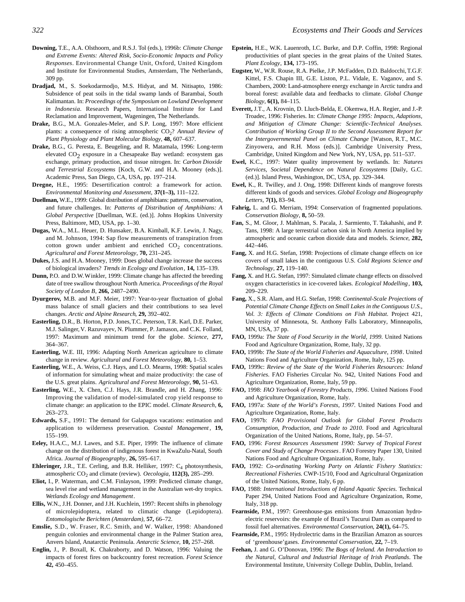- **Downing,** T.E., A.A. Olsthoorn, and R.S.J. Tol (eds.), 1996b: *Climate Change and Extreme Events: Altered Risk, Socio-Economic Impacts and Policy Responses*. Environmental Change Unit, Oxford, United Kingdom and Institute for Environmental Studies, Amsterdam, The Netherlands, 309 pp.
- **Dradjad,** M., S. Soekodarmodjo, M.S. Hidyat, and M. Nitisapto, 1986: Subsidence of peat soils in the tidal swamp lands of Barambai, South Kalimantan. In: *Proceedings of the Symposium on Lowland Development in Indonesia*. Research Papers, International Institute for Land Reclamation and Improvement, Wageningen, The Netherlands.
- **Drake,** B.G., M.A. Gonzales-Meler, and S.P. Long, 1997: More efficient plants: a consequence of rising atmospheric CO<sub>2</sub>? *Annual Review of Plant Physiology and Plant Molecular Biology*, **48,** 607–637.
- **Drake,** B.G., G. Peresta, E. Beugeling, and R. Matamala, 1996: Long-term elevated CO<sub>2</sub> exposure in a Chesapeake Bay wetland: ecosystem gas exchange, primary production, and tissue nitrogen. In: *Carbon Dioxide and Terrestrial Ecosystems* [Koch, G.W. and H.A. Mooney (eds.)]. Academic Press, San Diego, CA, USA, pp. 197–214.
- Dregne, H.E., 1995: Desertification control: a framework for action. *Environmental Monitoring and Assessment*, **37(1–3),** 111–122.
- **Duellman,** W.E., 1999: Global distribution of amphibians: patterns, conservation, and future challenges. In: *Patterns of Distribution of Amphibians: A Global Perspective* [Duellman, W.E. (ed.)]. Johns Hopkins University Press, Baltimore, MD, USA, pp. 1–30.
- **Dugas,** W.A., M.L. Heuer, D. Hunsaker, B.A. Kimball, K.F. Lewin, J. Nagy, and M. Johnson, 1994: Sap flow measurements of transpiration from cotton grown under ambient and enriched  $CO_2$  concentrations. *Agricultural and Forest Meteorology*, **70,** 231–245.
- **Dukes,** J.S. and H.A. Mooney, 1999: Does global change increase the success of biological invaders? *Trends in Ecology and Evolution*, **14,** 135–139.
- **Dunn,** P.O. and D.W.Winkler, 1999: Climate change has affected the breeding date of tree swallow throughout North America. *Proceedings of the Royal Society of London B*, **266,** 2487–2490.
- **Dyurgerov,** M.B. and M.F. Meier, 1997: Year-to-year fluctuation of global mass balance of small glaciers and their contributions to sea level changes. *Arctic and Alpine Research*, **29,** 392–402.
- **Easterling,** D.R., B. Horton, P.D. Jones, T.C. Peterson, T.R. Karl, D.E. Parker, M.J. Salinger, V. Razuvayev, N. Plummer, P. Jamason, and C.K. Folland, 1997: Maximum and minimum trend for the globe. *Science*, **277,** 364–367.
- **Easterling,** W.E. III, 1996: Adapting North American agriculture to climate change in review. *Agricultural and Forest Meteorology*, **80,** 1–53.
- **Easterling,** W.E., A. Weiss, C.J. Hays, and L.O. Mearns, 1998: Spatial scales of information for simulating wheat and maize productivity: the case of the U.S. great plains. *Agricultural and Forest Meteorology*, **90,** 51–63.
- **Easterling,** W.E., X. Chen, C.J. Hays, J.R. Brandle, and H. Zhang, 1996: Improving the validation of model-simulated crop yield response to climate change: an application to the EPIC model. *Climate Research*, **6**, 263–273.
- **Edwards,** S.F., 1991: The demand for Galapagos vacations: estimation and application to wilderness preservation. *Coastal Management*, 19, 155–199.
- **Eeley,** H.A.C., M.J. Lawes, and S.E. Piper, 1999: The influence of climate change on the distribution of indigenous forest in KwaZulu-Natal, South Africa. *Journal of Biogeography*, **26,** 595–617.
- Ehleringer, J.R., T.E. Cerling, and B.R. Helliker, 1997: C<sub>4</sub> photosynthesis, atmospheric CO<sub>2</sub> and climate (review). *Oecologia*, **112(3)**, 285–299.
- **Eliot,** I., P. Waterman, and C.M. Finlayson, 1999: Predicted climate change, sea level rise and wetland management in the Australian wet-dry tropics. *Wetlands Ecology and Management*.
- **Ellis,** W.N., J.H. Donner, and J.H. Kuchlein, 1997: Recent shifts in phenology of microlepidoptera, related to climatic change (Lepidoptera). *Entomologische Berichten (Amsterdam)*, **57,** 66–72.
- Emslie, S.D., W. Fraser, R.C. Smith, and W. Walker, 1998: Abandoned penguin colonies and environmental change in the Palmer Station area, Anvers Island, Anatarctic Peninsula. *Antarctic Science*, **10,** 257–268.
- **Englin,** J., P. Boxall, K. Chakraborty, and D. Watson, 1996: Valuing the impacts of forest fires on backcountry forest recreation. *Forest Science* **42,** 450–455.
- **Epstein,** H.E., W.K. Lauenroth, I.C. Burke, and D.P. Coffin, 1998: Regional productivities of plant species in the great plains of the United States. *Plant Ecology*, **134,** 173–195.
- **Eugster,** W., W.R. Rouse, R.A. Pielke, J.P. McFadden, D.D. Baldocchi, T.G.F. Kittel, F.S. Chapin III, G.E. Liston, P.L. Vidale, E. Vaganov, and S. Chambers, 2000: Land-atmosphere energy exchange in Arctic tundra and boreal forest: available data and feedbacks to climate. *Global Change Biology*, **6(1),** 84–115.
- **Everett,** J.T., A. Krovnin, D. Lluch-Belda, E. Okemwa, H.A. Regier, and J.-P. Troadec, 1996: Fisheries. In: *Climate Change 1995: Impacts, Adaptions,* and Mitigation of Climate Change: Scientific-Technical Analyses. *Contribution of Working Group II to the Second Assessment Report for the Intergovernmental Panel on Climate Change* [Watson, R.T., M.C. Zinyowera, and R.H. Moss (eds.)]. Cambridge University Press, Cambridge, United Kingdom and New York, NY, USA, pp. 511–537.
- **Ewel,** K.C., 1997: Water quality improvement by wetlands. In: *Natures Services, Societal Dependence on Natural Ecosystems* [Daily, G.C. (ed.)]. Island Press, Washington, DC, USA, pp. 329–344.
- **Ewel,** K., R. Twilley, and J. Ong, 1998: Different kinds of mangrove forests different kinds of goods and services. *Global Ecology and Biogeography Letters*, **7(1),** 83–94.
- **Fahrig,** L. and G. Merriam, 1994: Conservation of fragmented populations. *Conservation Biology*, **8,** 50–59.
- **Fan,** S., M. Gloor, J. Mahlman, S. Pacala, J. Sarmiento, T. Takahashi, and P. Tans, 1998: A large terrestrial carbon sink in North America implied by atmospheric and oceanic carbon dioxide data and models. *Science*, **282,** 442–446.
- **Fang,** X. and H.G. Stefan, 1998: Projections of climate change effects on ice covers of small lakes in the contiguous U.S. *Cold Regions Science and Technology*, **27,** 119–140.
- Fang, X. and H.G. Stefan, 1997: Simulated climate change effects on dissolved oxygen characteristics in ice-covered lakes. *Ecological Modelling*, **103,** 209–229.
- **Fang,** X., S.R. Alam, and H.G. Stefan, 1998: *Continental-Scale Projections of Potential Climate Change Effects on Small Lakes in the Contiguous U.S., Vol. 3: Effects of Climate Conditions on Fish Habitat*. Project 421, University of Minnesota, St. Anthony Falls Laboratory, Minneapolis, MN, USA, 37 pp.
- **FAO,** 1999a: *The State of Food Security in the World, 1999*. United Nations Food and Agriculture Organization, Rome, Italy, 32 pp.
- **FAO,** 1999b: *The State of the World Fisheries and Aquaculture, 1998*. United Nations Food and Agriculture Organization, Rome, Italy, 125 pp.
- **FAO,** 1999c: *Review of the State of the World Fisheries Resources: Inland Fisheries*. FAO Fisheries Circular No. 942, United Nations Food and Agriculture Organization, Rome, Italy, 59 pp.
- **FAO,** 1998: *FAO Yearbook of Forestry Products, 1996*. United Nations Food and Agriculture Organization, Rome, Italy.
- **FAO,** 1997a: *State of the World's Forests, 1997*. United Nations Food and Agriculture Organization, Rome, Italy.
- FAO, 1997b: FAO Provisional Outlook for Global Forest Products *Consumption, Production, and Trade to 2010*. Food and Agricultural Organization of the United Nations, Rome, Italy, pp. 54–57.
- **FAO,** 1996: *Forest Resources Assessment 1990: Survey of Tropical Forest Cover and Study of Change Processes*. FAO Forestry Paper 130, United Nations Food and Agriculture Organization, Rome, Italy.
- **FAO,** 1992: *Co-ordinating Working Party on Atlantic Fishery Statistics: Recreational Fisheries*. CWP-15/10, Food and Agricultural Organization of the United Nations, Rome, Italy, 6 pp.
- **FAO,** 1988: *International Introductions of Inland Aquatic Species*. Technical Paper 294, United Nations Food and Agriculture Organization, Rome, Italy, 318 pp.
- **Fearnside,** P.M., 1997: Greenhouse-gas emissions from Amazonian hydroelectric reservoirs: the example of Brazil's Tucurui Dam as compared to fossil fuel alternatives. *Environmental Conservation*, **24(1),** 64–75.
- **Fearnside,** P.M., 1995: Hydrolectric dams in the Brazilian Amazon as sources of 'greenhouse'gases. *Environmental Conservation*, **22,** 7–19.
- **Feehan,** J. and G. O'Donovan, 1996: *The Bogs of Ireland. An Introduction to the Natural, Cultural and Industrial Heritage of Irish Peatlands*. The Environmental Institute, University College Dublin, Dublin, Ireland.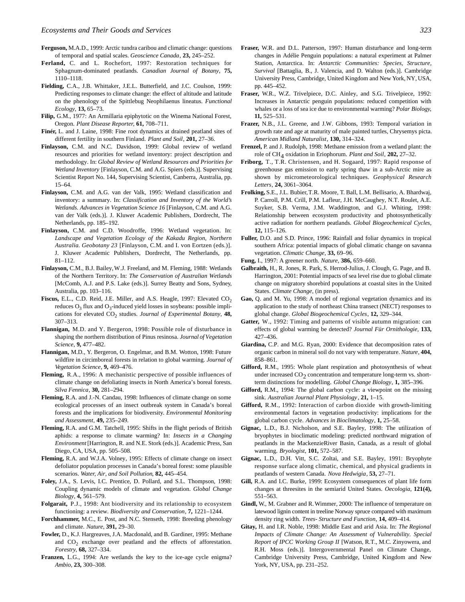- **Ferguson,** M.A.D., 1999: Arctic tundra caribou and climatic change: questions of temporal and spatial scales. *Geoscience Canada*, **23,** 245–252.
- Ferland, C. and L. Rochefort, 1997: Restoration techniques for Sphagnum-dominated peatlands. *Canadian Journal of Botany*, 75, 1110–1118.
- **Fielding,** C.A., J.B. Whittaker, J.E.L. Butterfield, and J.C. Coulson, 1999: Predicting responses to climate change: the effect of altitude and latitude on the phenology of the Spittlebug Neophilaenus lineatus. *Functional Ecology*, **13,** 65–73.
- **Filip,** G.M., 1977: An Armillaria epiphytotic on the Winema National Forest, Oregon. *Plant Disease Reporter,* **61,** 708–711.
- **Finér,** L. and J. Laine, 1998: Fine root dynamics at drained peatland sites of different fertility in southern Finland. *Plant and Soil*, **201,** 27–36.
- Finlayson, C.M. and N.C. Davidson, 1999: Global review of wetland resources and priorities for wetland inventory: project description and methodology. In: *Global Review of Wetland Resources and Priorities for Wetland Inventory* [Finlayson, C.M. and A.G. Spiers (eds.)]. Supervising Scientist Report No. 144, Supervising Scientist, Canberra, Australia, pp. 15–64.
- **Finlayson,** C.M. and A.G. van der Valk, 1995: Wetland classification and inventory: a summary. In: *Classification and Inventory of the World's Wetlands. Advances in Vegetation Science 16* [Finlayson, C.M. and A.G. van der Valk (eds.)]. J. Kluwer Academic Publishers, Dordrecht, The Netherlands, pp. 185–192.
- Finlayson, C.M. and C.D. Woodroffe, 1996: Wetland vegetation. In: *Landscape and Vegetation Ecology of the Kakadu Region, Northern Australia. Geobotany 23* [Finlayson, C.M. and I. von Eortzen (eds.)]. J. Kluwer Academic Publishers, Dordrecht, The Netherlands, pp. 81–112.
- **Finlayson,** C.M., B.J. Bailey, W.J. Freeland, and M. Fleming, 1988: Wetlands of the Northern Territory. In: *The Conservation of Australian Wetlands* [McComb, A.J. and P.S. Lake (eds.)]. Surrey Beatty and Sons, Sydney, Australia, pp. 103–116.
- Fiscus, E.L., C.D. Reid, J.E. Miller, and A.S. Heagle, 1997: Elevated CO<sub>2</sub> reduces  $O_3$  flux and  $O_3$ -induced yield losses in soybeans: possible implications for elevated CO<sub>2</sub> studies. *Journal of Experimental Botany*, 48, 307–313.
- Flannigan, M.D. and Y. Bergeron, 1998: Possible role of disturbance in shaping the northern distribution of Pinus resinosa. *Journal of Vegetation Science*, **9,** 477–482.
- **Flannigan,** M.D., Y. Bergeron, O. Engelmar, and B.M. Wotton, 1998: Future wildfire in circimboreal forests in relation to global warming. *Journal of Vegetation Science*, **9,** 469–476.
- **Fleming,** R.A., 1996: A mechanistic perspective of possible influences of climate change on defoliating insects in North America's boreal forests. *Silva Fennica*, **30,** 281–294.
- **Fleming,** R.A. and J.-N. Candau, 1998: Influences of climate change on some ecological processes of an insect outbreak system in Canada's boreal forests and the implications for biodiversity. *Environmental Monitoring and Assessment*, **49,** 235–249.
- **Fleming,** R.A. and G.M. Tatchell, 1995: Shifts in the flight periods of British aphids: a response to climate warming? In: *Insects in a Changing Environment*[Harrington, R. and N.E. Stork (eds.)]. Academic Press, San Diego, CA, USA, pp. 505–508.
- **Fleming,** R.A. and W.J.A. Volney, 1995: Effects of climate change on insect defoliator population processes in Canada's boreal forest: some plausible scenarios. *Water, Air, and Soil Pollution*, **82,** 445–454.
- **Foley,** J.A., S. Levis, I.C. Prentice, D. Pollard, and S.L. Thompson, 1998: Coupling dynamic models of climate and vegetation. *Global Change Biology*, **4,** 561–579.
- **Folgarait,** P.J., 1998: Ant biodiversity and its relationship to ecosystem functioning: a review. *Biodiversity and Conservation*, **7,** 1221–1244.
- **Forchhammer,** M.C., E. Post, and N.C. Stenseth, 1998: Breeding phenology and climate. *Nature*, **391,** 29–30.
- **Fowler,** D., K.J. Hargreaves, J.A. Macdonald, and B. Gardiner, 1995: Methane and  $CO<sub>2</sub>$  exchange over peatland and the effects of afforestation. *Forestry*, **68,** 327–334.
- **Franzen,** L.G., 1994: Are wetlands the key to the ice-age cycle enigma? *Ambio*, **23,** 300–308.
- **Fraser,** W.R. and D.L. Patterson, 1997: Human disturbance and long-term changes in Adélie Penguin populations: a natural experiment at Palmer Station, Antarctica. In: Antarctic Communities: Species, Structure, *Survival* [Battaglia, B., J. Valencia, and D. Walton (eds.)]. Cambridge University Press, Cambridge, United Kingdom and New York, NY, USA, pp. 445–452.
- **Fraser,** W.R., W.Z. Trivelpiece, D.C. Ainley, and S.G. Trivelpiece, 1992: Increases in Antarctic penguin populations: reduced competition with whales or a loss of sea ice due to environmental warming? *Polar Biology*, **11,** 525–531.
- **Frazer,** N.B., J.L. Greene, and J.W. Gibbons, 1993: Temporal variation in growth rate and age at maturity of male painted turtles, Chrysemys picta. *American Midland Naturalist*, **130,** 314–324.
- **Frenzel,** P. and J. Rudolph, 1998: Methane emission from a wetland plant: the role of CH4 oxidation in Eriophorum. *Plant and Soil*, **202,** 27–32.
- Friborg, T., T.R. Christensen, and H. Sogaard, 1997: Rapid response of greenhouse gas emission to early spring thaw in a sub-Arctic mire as shown by micrometeorological techniques. *Geophysical Research Letters*, **24,** 3061–3064.
- **Frolking,** S.E., J.L. Bubier,T.R. Moore, T. Ball, L.M. Bellisario, A. Bhardwaj, P. Carroll, P.M. Crill, P.M. Lafleur, J.H. McCaughey, N.T. Roulet, A.E. Suyker, S.B. Verma, J.M. Waddington, and G.J. Whiting, 1998: Relationship between ecosystem productivity and photosynthetically active radiation for northern peatlands. *Global Biogeochemical Cycles*, **12,** 115–126.
- **Fuller,** D.O. and S.D. Prince, 1996: Rainfall and foliar dynamics in tropical southern Africa: potential impacts of global climatic change on savanna vegetation. *Climatic Change*, **33,** 69–96.
- **Fung,** I., 1997: A greener north. *Nature*, **386,** 659–660.
- **Galbraith,** H., R. Jones, R. Park, S. Herrod-Julius, J. Clough, G. Page, and B. Harrington, 2001: Potential impacts of sea level rise due to global climate change on migratory shorebird populations at coastal sites in the United States. *Climate Change*, (in press).
- **Gao,** Q. and M. Yu, 1998: A model of regional vegetation dynamics and its application to the study of northeast China transect (NECT) responses to global change. *Global Biogeochemical Cycles*, **12,** 329–344.
- Gatter, W., 1992: Timing and patterns of visible autumn migration: can e ffects of global warming be detected? *Journal Für Ornithologie*, **133,** 427–436.
- **Giardina,** C.P. and M.G. Ryan, 2000: Evidence that decomposition rates of organic carbon in mineral soil do not vary with temperature. *Nature*, **404,** 858–861.
- **Gifford,** R.M., 1995: Whole plant respiration and photosynthesis of wheat under increased  $\mathrm{CO}_2$  concentration and temperature long-term vs. shortterm distinctions for modelling. *Global Change Biology*, **1,** 385–396.
- **Gifford,** R.M., 1994: The global carbon cycle: a viewpoint on the missing sink. *Australian Journal Plant Physiology*, **21,** 1–15.
- **Gifford, R.M., 1992: Interaction of carbon dioxide with growth-limiting** environmental factors in vegetation productivity: implications for the global carbon cycle. *Advances in Bioclimatology*, **1,** 25–58.
- **Gignac,** L.D., B.J. Nicholson, and S.E. Bayley, 1998: The utilization of bryophytes in bioclimatic modeling: predicted northward migration of peatlands in the MackenzieRiver Basin, Canada, as a result of global warming. *Bryologist*, **101,** 572–587.
- **Gignac,** L.D., D.H. Vitt, S.C. Zoltai, and S.E. Bayley, 1991: Bryophyte response surface along climatic, chemical, and physical gradients in peatlands of western Canada. *Nova Hedwigia*, **53**, 27-71.
- **Gill,** R.A. and I.C. Burke, 1999: Ecosystem consequences of plant life form changes at threesites in the semiarid United States. *Oecologia,* **121(4),** 551–563.
- **Gindl,** W., M. Grabner and R. Wimmer, 2000: The influence of temperature on latewood lignin content in treeline Norway spruce compared with maximum density ring width. *Trees- Structure and Function*, **14,** 409–414.
- **Gitay,** H. and I.R. Noble, 1998: Middle East and arid Asia. In: *The Regional Impacts of Climate Change: An Assessment of Vulnerability. Special Report of IPCC Working Group II* [Watson, R.T., M.C. Zinyowera, and R.H. Moss (eds.)]. Intergovernmental Panel on Climate Change, Cambridge University Press, Cambridge, United Kingdom and New York, NY, USA, pp. 231–252.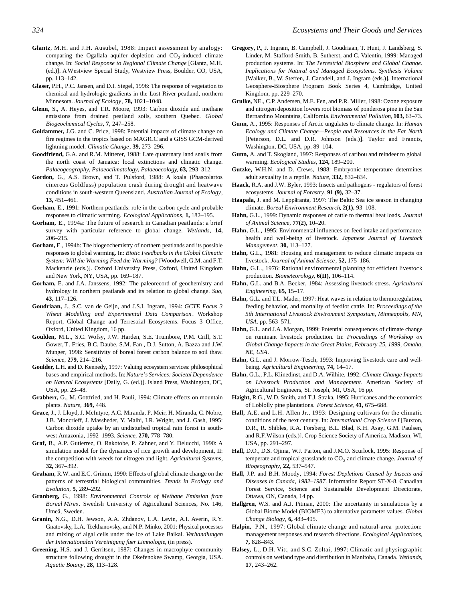- Glantz, M.H. and J.H. Ausubel, 1988: Impact assessment by analogy: comparing the Ogallala aquifer depletion and  $CO_2$ -induced climate change. In: *Social Response to Regional Climate Change* [Glantz, M.H. (ed.)]. A Westview Special Study, Westview Press, Boulder, CO, USA, pp. 113–142.
- **Glaser,** P.H., P.C. Jansen, and D.I. Siegel, 1996: The response of vegetation to chemical and hydrologic gradients in the Lost River peatland, northern Minnesota. *Journal of Ecology*, **78,** 1021–1048.
- **Glenn,** S., A. Heyes, and T.R. Moore, 1993: Carbon dioxide and methane emissions from drained peatland soils, southern Quebec. *Global Biogeochemical Cycles*, **7,** 247–258.
- **Goldammer,** J.G. and C. Price, 1998: Potential impacts of climate change on fire regimes in the tropics based on MAGICC and a GISS GCM-derived lightning model. *Climatic Change*, **39,** 273–296.
- **Goodfriend,** G.A. and R.M. Mitterer, 1988: Late quaternary land snails from the north coast of Jamaica: local extinctions and climatic change. *Palaeogeography, Palaeoclimatology, Palaeoecology*, **63,** 293–312.
- **Gordon,** G., A.S. Brown, and T. Pulsford, 1988: A koala (Phascolartos cinereus Goldfuss) population crash during drought and heatwave conditions in south-western Queensland. Australian Journal of Ecology, **13,** 451–461.
- **Gorham,** E., 1991: Northern peatlands: role in the carbon cycle and probable responses to climatic warming. *Ecological Applications*, **1,** 182–195.
- Gorham, E., 1994a: The future of research in Canadian peatlands: a brief survey with particular reference to global change. Wetlands, 14, 206–215.
- Gorham, E., 1994b: The biogeochemistry of northern peatlands and its possible responses to global warming. In: *Biotic Feedbacks in the Global Climatic System: Will the Warming Feed the Warming?* [Woodwell, G.M. and F.T. Mackenzie (eds.)]. Oxford University Press, Oxford, United Kingdom and New York, NY, USA, pp. 169–187.
- **Gorham,** E. and J.A. Janssens, 1992: The paleorecord of geochemistry and hydrology in northern peatlands and its relation to global change. *Suo*, **43,** 117–126.
- **Goudriaan,** J., S.C. van de Geijn, and J.S.I. Ingram, 1994: *GCTE Focus 3 Wheat Modelling and Experimental Data Comparison*. Workshop Report, Global Change and Terrestrial Ecosystems. Focus 3 Office, Oxford, United Kingdom, 16 pp.
- **Goulden,** M.L., S.C. Wofsy, J.W. Harden, S.E. Trumbore, P.M. Crill, S.T. Gower, T. Fries, B.C. Daube, S.M. Fan , D.J. Sutton, A. Bazza and J.W. Munger, 1998: Sensitivity of boreal forest carbon balance to soil thaw. *Science*, **279,** 214–216.
- Goulder, L.H. and D. Kennedy, 1997: Valuing ecosystem services: philosophical bases and empirical methods. In: *Nature's Services: Societal Dependence on Natural Ecosystems* [Daily, G. (ed.)]. Island Press, Washington, DC, USA, pp. 23–48.
- **Grabherr,** G., M. Gottfried, and H. Pauli, 1994: Climate effects on mountain plants. *Nature*, **369,** 448.
- **Grace,** J., J. Lloyd, J. McIntyre, A.C. Miranda, P. Meir, H. Miranda, C. Nobre, J.B. Moncrieff, J. Massheder, Y. Malhi, I.R. Wright, and J. Gash, 1995: Carbon dioxide uptake by an undisturbed tropical rain forest in southwest Amazonia, 1992–1993. *Science*, **270,** 778–780.
- **Graf,** B., A.P. Gutierrez, O. Rakotobe, P. Zahner, and Y. Delucchi, 1990: A simulation model for the dynamics of rice growth and development, II: the competition with weeds for nitrogen and light. *Agricultural Systems*, **32,** 367–392.
- **Graham,** R.W. and E.C. Grimm, 1990: Effects of global climate change on the patterns of terrestrial biological communities. *Trends in Ecology and Evolution*, **5,** 289–292.
- **Granberg,** G., 1998: *Environmental Controls of Methane Emission from Boreal Mires*. Swedish University of Agricultural Sciences, No. 146, Umeå, Sweden.
- **Granin,** N.G., D.H. Jewson, A.A. Zhdanov, L.A. Levin, A.I. Averin, R.Y. Gnatovsky, L.A. Tcekhanovsky, and N.P. Minko, 2001: Physical processes and mixing of algal cells under the ice of Lake Baikal. *Verhandlungen der Internationalen Vereinigung fuer Limnologie*, (in press).
- **Greening,** H.S. and J. Gerritsen, 1987: Changes in macrophyte community structure following drought in the Okefenokee Swamp, Georgia, USA. *Aquatic Botany*, **28,** 113–128.
- **Gregory,** P., J. Ingram, B. Campbell, J. Goudriaan, T. Hunt, J. Landsberg, S. Linder, M. Stafford-Smith, B. Sutherst, and C. Valentin, 1999: Managed production systems. In: *The Terrestrial Biosphere and Global Change. Implications for Natural and Managed Ecosystems. Synthesis Volume* [Walker, B., W. Steffen, J. Canadell, and J. Ingram (eds.)]. International Geosphere-Biosphere Program Book Series 4, Cambridge, United Kingdom, pp. 229–270.
- **Grulke,** NE., C.P. Andersen, M.E. Fen, and P.R. Miller, 1998: Ozone exposure and nitrogen deposition lowers root biomass of ponderosa pine in the San Bernardino Mountains, California. *Environmental Pollution*, **103,** 63–73.
- **Gunn,** A., 1995: Responses of Arctic ungulates to climate change. In: *Human Ecology and Climate Change—People and Resources in the Far North* [Peterson, D.L. and D.R. Johnson (eds.)]. Taylor and Francis, Washington, DC, USA, pp. 89–104.
- **Gunn,** A. and T. Skogland, 1997: Responses of caribou and reindeer to global warming. *Ecological Studies*, **124,** 189–200.
- **Gutzke,** W.H.N. and D. Crews, 1988: Embryonic temperature determines adult sexuality in a reptile. *Nature*, **332,** 832–834.
- **Haack,** R.A. and J.W. Byler, 1993: Insects and pathogens regulators of forest ecosystems. *Journal of Forestry*, **91 (9),** 32–37.
- **Haapala,** J. and M. Leppäranta, 1997: The Baltic Sea ice season in changing climate. *Boreal Environment Research*, **2(1),** 93–108.
- **Hahn,** G.L., 1999: Dynamic responses of cattle to thermal heat loads. *Journal of Animal Science*, **77(2),** 10–20.
- **Hahn,** G.L., 1995: Environmental influences on feed intake and performance, health and well-being of livestock. *Japanese Journal of Livestock Management*, **30,** 113–127.
- **Hahn,** G.L., 1981: Housing and management to reduce climatic impacts on livestock. *Journal of Animal Science*, **52,** 175–186.
- Hahn, G.L., 1976: Rational environmental planning for efficient livestock production. *Biometeorology*, 6(II), 106-114.
- **Hahn,** G.L. and B.A. Becker, 1984: Assessing livestock stress. *Agricultural Engineering*, **65,** 15–17.
- **Hahn,** G.L. and T.L. Mader, 1997: Heat waves in relation to thermoregulation, feeding behavior, and mortality of feedlot cattle. In: *Proceedings of the 5th International Livestock Environment Symposium, Minneapolis, MN, USA*. pp. 563–571.
- **Hahn,** G.L. and J.A. Morgan, 1999: Potential consequences of climate change on ruminant livestock production. In: *Proceedings of Workshop on Global Change Impacts in the Great Plains, February 25, 1999, Omaha, NE, USA*.
- **Hahn,** G.L. and J. Morrow-Tesch, 1993: Improving livestock care and wellbeing. *Agricultural Engineering*, **74,** 14–17.
- **Hahn,** G.L., P.L. Klinedinst, and D.A. Wilhite, 1992: *Climate Change Impacts on Livestock Production and Management*. American Society of Agricultural Engineers, St. Joseph, MI, USA, 16 pp.
- Haight, R.G., W.D. Smith, and T.J. Straka, 1995: Hurricanes and the economics of Loblolly pine plantations. *Forest Science*, **41,** 675–688.
- Hall, A.E. and L.H. Allen Jr., 1993: Designing cultivars for the climatic conditions of the next century. In: *International Crop Science I* [Buxton, D.R., R. Shibles, R.A. Forsberg, B.L. Blad, K.H. Asay, G.M. Paulsen, and R.F.Wilson (eds.)]. Crop Science Society of America, Madison, WI, USA, pp. 291–297.
- **Hall,** D.O., D.S. Ojima, W.J. Parton, and J.M.O. Scurlock, 1995: Response of temperate and tropical grasslands to CO<sub>2</sub> and climate change. *Journal of Biogeography*, **22,** 537–547.
- **Hall,** J.P. and B.H. Moody, 1994: *Forest Depletions Caused by Insects and Diseases in Canada, 1982–1987*. Information Report ST-X-8, Canadian Forest Service, Science and Sustainable Development Directorate, Ottawa, ON, Canada, 14 pp.
- **Hallgren,** W.S. and A.J. Pitman, 2000: The uncertainty in simulations by a Global Biome Model (BIOME3) to alternative parameter values. *Global Change Biology*, **6,** 483–495.
- **Halpin,** P.N., 1997: Global climate change and natural-area protection: management responses and research directions. *Ecological Applications*, **7,** 828–843.
- Halsey, L., D.H. Vitt, and S.C. Zoltai, 1997: Climatic and physiographic controls on wetland type and distribution in Manitoba, Canada. *Wetlands*, **17,** 243–262.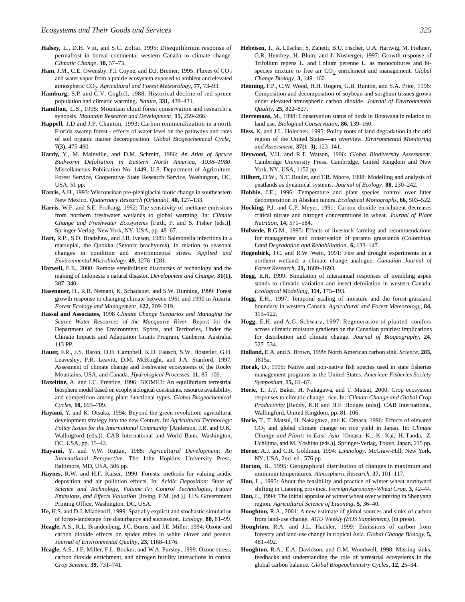- Halsey, L., D.H. Vitt, and S.C. Zoltai, 1995: Disequilibrium response of permafrost in boreal continental western Canada to climate change. *Climatic Change*, **30,** 57–73.
- Ham, J.M., C.E. Owensby, P.I. Coyne, and D.J. Bremer, 1995: Fluxes of CO<sub>2</sub> and water vapor from a prairie ecosystem exposed to ambient and elevated atmospheric CO<sub>2</sub>. Agricultural and Forest Meteorology, **77,** 73–93.
- **Hamburg, S.P.** and C.V. Cogbill, 1988: Historical decline of red spruce population and climatic warming. *Nature*, 331, 428-431.
- **Hamilton,** L.S., 1995: Mountain cloud forest conservation and research: a s y nopsis. *Mountain Research and Development*, **15,** 259–266.
- Happell, J.D and J.P. Chanton, 1993: Carbon remineralization in a north Florida swamp forest - effects of water level on the pathways and rates of soil organic matter decomposition. *Global Biogeochemical Cycle,.* **7(3),** 475-490.
- **Hardy,** Y., M. Mainville, and D.M. Schmitt, 1986: *An Atlas of Spruce Budworm Defoliation in Eastern North America, 1938–1980*. Miscellaneous Publication No. 1449, U.S. Department of Agriculture, Forest Service, Cooperative State Research Service, Washington, DC, USA, 51 pp.
- **Harris,** A.H., 1993: Wisconsinan pre-pleniglacial biotic change in southeastern New Mexico. *Quaternary Research (Orlando)*, **40,** 127–133.
- **Harris,** W.F. and S.E. Frolking, 1992: The sensitivity of methane emissions from northern freshwater wetlands to global warming. In: *Climate Change and Freshwater Ecosystems* [Firth, P. and S. Fisher (eds.)]. Springer-Verlag, New York, NY, USA, pp. 48–67.
- **Hart,** R.P., S.D. Bradshaw, and J.B. Iveson, 1985: Salmonella infections in a marsupial, the Quokka (Setonix brachyurus), in relation to seasonal changes in condition and environmental stress. *Applied and Environmental Microbiology*, **49,** 1276–1281.
- **Harwell,** E.E., 2000: Remote sensibilities: discourses of technology and the making of Indonesia's natural disaster. *Development and Change*, **31(1),** 307–340.
- **Hasenauer,** H., R.R. Nemani, K. Schadauer, and S.W. Running, 1999: Forest growth response to changing climate between 1961 and 1990 in Austria. *Forest Ecology and Management*, **122,** 209–219.
- **Hassal and Associates,** 1998 *Climate Change Scenarios and Managing the* Scarce Water Resources of the Macquarie River. Report for the Department of the Environment, Sports, and Territories, Under the Climate Impacts and Adaptation Grants Program, Canberra, Australia, 113 PP.
- **Hauer,** F.R., J.S. Baron, D.H. Campbell, K.D. Fausch, S.W. Hostetler, G.H. Leavesley, P.R. Leavitt, D.M. McKnight, and J.A. Stanford, 1997: Assesment of climate change and freshwater ecosystems of the Rocky Mountains, USA, and Canada. *Hydrological Processes*, **11,** 85–106.
- **Haxeltine,** A. and I.C. Prentice, 1996: BIOME3: An equilibirium terrestrial biosphere model based on ecophysiological constraints, resource availability, and competition among plant functional types. *Global Biogeochemical Cycles*, **10,** 693–709.
- **Hayami,** Y. and K. Otsuka, 1994: Beyond the green revolution: agricultural development strategy into the new Century. In: *Agricultural Technology: Policy Issues for the International Community* [Anderson, J.R. and U.K. Wallingford (eds.)]. CAB International and World Bank, Washington, DC, USA, pp. 15–42.
- Hayami, Y. and V.W. Ruttan, 1985: Agricultural Development: An *International Perspective*. The John Hopkins University Press, Baltimore, MD, USA, 506 pp.
- **Haynes,** R.W. and H.F. Kaiser, 1990: Forests: methods for valuing acidic deposition and air pollution effects. In: *Acidic Deposition: State of* Science and Technology, Volume IV: Control Technologies, Future *Emissions, and Effects Valuation* [Irving, P.M. (ed.)]*.* U.S. Government Printing Office, Washington, DC, USA.
- **He,** H.S. and D.J. Mladenoff, 1999: Spatially explicit and stochastic simulation of forest-landscape fire disturbance and succession. *Ecology*, **80,** 81–99.
- **Heagle,** A.S., R.L. Brandenburg, J.C. Burns, and J.E. Miller, 1994: Ozone and carbon dioxide effects on spider mites in white clover and peanut. *Journal of Environmental Quality*, **23,** 1168–1176.
- **Heagle,** A.S., J.E. Miller, F.L. Booker, and W.A. Pursley, 1999: Ozone stress, carbon dioxide enrichment, and nitrogen fertility interactions in cotton*. Crop Science*, **39,** 731–741.
- **Hebeisen,** T., A. Lüscher, S. Zanetti, B.U. Fischer, U.A. Hartwig, M. Frehner, G.R. Hendrey, H. Blum, and J. Nösberger, 1997: Growth response of Trifolium repens L. and Lolium perenne L. as monocultures and bispecies mixture to free air CO<sub>2</sub> enrichment and management. *Global Change Biology*, **3,** 149–160.
- **Henning,** F.P., C.W. Wood, H.H. Rogers, G.B. Runion, and S.A. Prior, 1996: Composition and decomposition of soybean and sorghum tissues grown under elevated atmospheric carbon dioxide. *Journal of Environmental Quality*, **25,** 822–827.
- **Herremans,** M., 1998: Conservation status of birds in Botswana in relation to land use. *Biological Conservation*, **86,** 139–160.
- **Hess,** K. and J.L. Holechek, 1995: Policy roots of land degradation in the arid region of the United States—an overview. *Environmental Monitoring and Assessment*, **37(1–3),** 123–141.
- **Heywood,** V.H. and R.T. Watson, 1996: *Global Biodiversity Assessment*. Cambridge University Press, Cambridge, United Kingdom and New York, NY, USA, 1152 pp.
- **Hilbert,** D.W., N.T. Roulet, and T.R. Moore, 1998: Modelling and analysis of peatlands as dynamical systems. *Journal of Ecology*, **88,** 230–242.
- Hobbie, J.E., 1996: Temperature and plant species control over litter decomposition in Alaskan tundra. *Ecological Monographs*, 66, 503-522.
- **Hocking,** P.J. and C.P. Meyer, 1991: Carbon dioxide enrichment decreases critical nitrate and nitrogen concentrations in wheat. *Journal of Plant Nutrition*, **14,** 571–584.
- **Hofstede,** R.G.M., 1995: Effects of livestock farming and recommendations for management and conservation of paramo grasslands (Colombia). *Land Degradation and Rehabilitation*, **6,** 133–147.
- **Hogenbirk,** J.C. and R.W. Wein, 1991: Fire and drought experiments in a northern wetland: a climate change analogue. *Canadian Journal of Forest Research*, **21,** 1689–1693.
- **Hogg,** E.H, 1999: Simulation of interannual responses of trembling aspen stands to climatic variation and insect defoliation in western Canada. *Ecological Modelling*, **114,** 175–193.
- **Hogg,** E.H., 1997: Temporal scaling of moisture and the forest-grassland boundary in western Canada. *Agricultural and Forest Meteorology*, **84,** 115–122.
- Hogg, E.H. and A.G. Schwarz, 1997: Regeneration of planted conifers across climatic moisture gradients on the Canadian prairies: implications for distribution and climate change. *Journal of Biogeography*, **24,** 527–534.
- **Holland,** E.A. and S. Brown, 1999: North American carbon sink. *Science*, **283,** 1815a.
- **Horak,** D., 1995: Native and non-native fish species used in state fisheries management programs in the United States. *American Fisheries Society Symposium*, **15,** 61–67.
- **Horie,** T., J.T. Baker, H. Nakagawa, and T. Matsui, 2000: Crop ecosystem responses to climatic change: rice. In: *Climate Change and Global Crop Productivity* [Reddy, K.R and H.F. Hodges (eds)]. CAB International, Wallingford, United Kingdom, pp. 81–106.
- **Horie,** T., T. Matsui, H. Nakagawa, and K. Omasa, 1996: Effects of elevated CO<sup>2</sup> and global climate change on rice yield in Japan. In: *Climate Change and Plants in East Asia* [Omasa, K., K. Kai, H. Taoda, Z. Uchijima, and M. Yoshino (eds.)]. Springer- Verlag, Tokyo, Japan, 215 pp.
- **Horne,** A.J. and C.R. Goldman, 1994: *Limnology*. McGraw-Hill, New York, NY, USA, 2nd. ed., 576 pp.
- Horton, B., 1995: Geographical distribution of changes in maximum and minimum temperatures. Atmospheric Research, 37, 101-117.
- **Hou,** L., 1995: About the feasibility and practice of winter wheat northward shifting in Liaoning province. *Foreign Agronomy-Wheat Crop*, **3,** 42–44.
- **Hou,** L., 1994: The initial appraise of winter wheat over wintering in Shenyang region. *Agricultural Science of Liaoning*, **5,** 36–40.
- **Houghton,** R.A., 2001: A new estimate of global sources and sinks of carbon from land-use change. *AGU Weekly (EOS Supplement)*, (in press).
- Houghton, R.A. and J.L. Hackler, 1999: Emissions of carbon from forestry and land-use change in tropical Asia. *Global Change Biology*, **5,** 481–492.
- **Houghton,** R.A., E.A. Davidson, and G.M. Woodwell, 1998: Missing sinks, feedbacks and understanding the role of terrestrial ecosystems in the global carbon balance. *Global Biogeochemistry Cycles*, **12,** 25–34.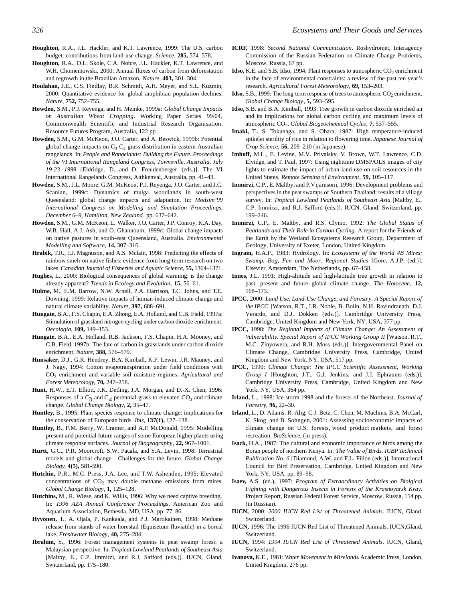- **Houghton,** R.A., J.L. Hackler, and K.T. Lawrence, 1999: The U.S. carbon budget: contributions from land-use change. *Science*, **285,** 574–578.
- **Houghton,** R.A., D.L. Skole, C.A. Nobre, J.L. Hackler, K.T. Lawrence, and W.H. Chomentowski, 2000: Annual fluxes of carbon from deforestation and regrowth in the Brazilian Amazon. *Nature*, **403,** 301–304.
- **Houlahan,** J.E., C.S. Findlay, B.R. Schmidt, A.H. Meyer, and S.L. Kuzmin, 2000: Quantitative evidence for global amphibian population declines. *Nature*, **752,** 752–755.
- **Howden,** S.M., P.J. Reyenga, and H. Meinke, 1999a: *Global Change Impacts* on Australian Wheat Cropping. Working Paper Series 99/04, Commonwealth Scientific and Industrial Research Organisation. Resource Futures Program, Australia, 122 pp.
- **Howden,** S.M., G.M. McKeon, J.O. Carter, and A. Beswick, 1999b: Potential global change impacts on  $C_3$ - $C_4$  grass distribution in eastern Australian rangelands. In: People and Rangelands: Building the Future. Proceedings *of the VI International Rangeland Congress, Townsville, Australia, July 19-23 1999* [Eldridge, D. and D. Freudenberger (eds.)]. The V I International Rangelands Congress, Aithkenval, Australia, pp. 41–43.
- **Howden,** S.M., J.L. Moore, G.M. McKeon, P.J. Reyenga, J.O. Carter, and J.C. Scanlan, 1999c: Dynamics of mulga woodlands in south-west Queensland: global change impacts and adaptation. In: *Modsim'99 International Congress on Modelling and Simulation Proceedings, December 6–9, Hamilton, New Zealand*. pp. 637–642.
- **Howden,** S.M., G.M. McKeon, L. Walker, J.O. Carter, J.P. Conroy, K.A. Day, W.B. Hall, A.J. Ash, and O. Ghannoum, 1999d: Global change impacts on native pastures in south-east Queensland, Australia. *Environmental Modelling and Software*, **14,** 307–316.
- **Hrabik,** T.R., J.J. Magnuson, and A.S. Mclain, 1998: Predicting the effects of rainbow smelr on native fishes: evidence from long-term research on two lakes. *Canadian Journal of Fisheries and Aquatic Science*, **55**, 1364-1371.
- **Hughes,** L., 2000: Biological consequences of global warming: is the change already apparent? *Trends in Ecology and Evolution*, **15,** 56–61.
- **Hulme,** M., E.M. Barrow, N.W. Arnell, P.A. Harrison, T.C. Johns, and T.E. Downing, 1999: Relative impacts of human-induced climate change and natural climate variability. *Nature*, **397,** 688–691.
- **Hungate,** B.A., F.S. Chapin, E.A. Zhong, E.A. Holland, and C.B. Field, 1997a: Stimulation of grassland nitrogen cycling under carbon dioxide enrichment. *Oecologia*, **109,** 149–153.
- **Hungate,** B.A., E.A. Holland, R.B. Jackson, F.S. Chapin, H.A. Mooney, and C.B. Field, 1997b: The fate of carbon in grasslands under carbon dioxide enrichment. *Nature*, **388,** 576–579.
- **Hunsaker**, D.J., G.R. Hendrey, B.A. Kimball, K.F. Lewin, J.R. Mauney, and J. Nagy, 1994: Cotton evapotranspiration under field conditions with CO<sup>2</sup> enrichment and variable soil moisture regimes. *Agricultural and Forest Meteorology*, **70,** 247–258.
- **Hunt,** H.W., E.T. Elliott, J.K. Detling, J.A. Morgan, and D.-X. Chen, 1996: Responses of a  $C_3$  and  $C_4$  perennial grass to elevated  $CO_2$  and climate change. *Global Change Biology,* **2,** 35–47.
- **Huntley,** B., 1995: Plant species response to climate change: implications for the conservation of European birds. *Ibis*, **137(1),** 127–138.
- Huntley, B., P.M. Berry, W. Cramer, and A.P. McDonald, 1995: Modelling present and potential future ranges of some European higher plants using climate response surfaces. *Journal of Biogeography*, **22,** 967–1001.
- **Hurtt,** G.C., P.R. Moorcroft, S.W. Pacala, and S.A. Levin, 1998: Terrestrial models and global change - Challenges for the future. *Global Change Biology,* **4(5),** 581-590.
- Hutchin, P.R., M.C. Press, J.A. Lee, and T.W. Ashenden, 1995: Elevated concentrations of  $CO<sub>2</sub>$  may double methane emissions from mires. *Global Change Biology*, **1,** 125–128.
- **Hutchins,** M., R. Wiese, and K. Willis, 1996: Why we need captive breeding. In: *1996 AZA Annual Conference Proceedings*. American Zoo and Aquarium Association, Bethesda, MD, USA, pp. 77–86.
- **Hyvönen,** T., A. Ojala, P. Kankaala, and P.J. Martikainen, 1998: Methane release from stands of water horestail (Equisetum fluviatile) in a boreal lake. *Freshwater Biology*, **40,** 275–284.
- **Ibrahim,** S., 1996: Forest management systems in peat swamp forest: a Malaysian perspective. In: *Tropical Lowland Peatlands of Southeast Asia* [Maltby, E., C.P. Immirzi, and R.J. Safford (eds.)]. IUCN, Gland, Switzerland, pp. 175–180.
- **ICRF,** 1998: *Second National Communication*. Roshydromet, Interagency Commission of the Russian Federation on Climate Change Problems, Moscow, Russia, 67 pp.
- **Idso,** K.E. and S.B. Idso, 1994: Plant responses to atmospheric  $CO_2$  enrichment in the face of environmental constraints: a review of the past ten year's research. *Agricultural Forest Meteorology*, **69,** 153–203.
- **Idso,** S.B., 1999: The long-term response of trees to atmospheric  $CO_2$  enrichment. *Global Change Biology*, **5,** 593–595.
- **Idso,** S.B. and B.A. Kimball, 1993: Tree growth in carbon dioxide enriched air and its implications for global carbon cycling and maximum levels of atmospheric CO<sup>2</sup> . *Global Biogeochemical Cycles*, **7,** 537–555.
- **Imaki,** T., S. Tokunaga, and S. Obara, 1987: High temperature-induced spikelet sterility of rice in relation to flowering time. *Japanese Journal of Crop Science*, **56,** 209–210 (in Japanese).
- **Imhoff,** M.L., E. Levine, M.V. Privalsky, V. Brown, W.T. Lawrence, C.D. Elvidge, and T. Paul, 1997: Using nighttime DMSP/OLS images of city lights to estimate the impact of urban land use on soil resources in the United States. *Remote Sensing of Environment*, **59,** 105–117.
- **Immirzi,** C.P., E. Maltby, and P. Vijarnsorn, 1996: Development problems and perspectives in the peat swamps of Southern Thailand: results of a village survey. In: *Tropical Lowland Peatlands of Southeast Asia* [Maltby, E., C.P. Immirzi, and R.J. Safford (eds.)]. IUCN, Gland, Switzerland, pp. 199–246.
- **Immirzi,** C.P., E. Maltby, and R.S. Clymo, 1992: *The Global Status of Peatlands and Their Role in Carbon Cycling.* A report for the Friends of the Earth by the Wetland Ecosystems Research Group, Department of Geology, University of Exeter, London, United Kingdom.
- **Ingram,** H.A.P., 1983: Hydrology. In: *Ecosystems of the World 4B Mires: Swamp, Bog, Fen and Moor. Regional Studies* [Gore, A.J.P. (ed.)]. Elsevier, Amsterdam, The Netherlands, pp. 67–158.
- **Innes,** J.L. 1991: High-altitude and high-latitude tree growth in relation to past, present and future global climate change. *The Holocene*, **12,** 168–173.
- **IPCC,** 2000: *Land Use, Land-Use Change, and Forestry*. *A Special Report of the IPCC* [Watson, R.T., I.R. Noble, B. Bolin, N.H. Ravindranath, D.J. Verardo, and D.J. Dokken (eds.)]. Cambridge University Press, Cambridge, United Kingdom and New York, NY, USA, 377 pp.
- **IPCC,** 1998: *The Regional Impacts of Climate Change: An Assessment of Vulnerability. Special Report of IPCC Working Group II* [Watson, R.T., M.C. Zinyowera, and R.H. Moss (eds.)]. Intergovernmental Panel on Climate Change, Cambridge University Press, Cambridge, United Kingdom and New York, NY, USA, 517 pp.
- **IPCC,** 1990: *Climate Change: The IPCC Scientific Assessment, Working Group I* [Houghton, J.T., G.J. Jenkins, and J.J. Ephraums (eds.)]. Cambridge University Press, Cambridge, United Kingdom and New York, NY, USA, 364 pp.
- **Irland,** L., 1998: Ice storm 1998 and the forests of the Northeast. *Journal of Forestry*, **96,** 22–30.
- **Irland,** L., D. Adams, R. Alig, C.J. Betz, C. Chen, M. Muchins, B.A. McCarl, K. Skog, and B. Sohngen, 2001: Assessing socioeconomic impacts of climate change on U.S. forests, wood product markets, and forest recreation. *BioScience*, (in press).
- **Isack,** H.A., 1987: The cultural and economic importance of birds among the Boran people of northern Kenya. In: *The Value of Birds. ICBPTechnical Publication No. 6* [Diamond, A.W. and F.L. Filion (eds.)]. International Council for Bird Preservation, Cambridge, United Kingdom and New York, NY, USA, pp. 89–98.
- **Isaev,** A.S. (ed.), 1997: *Program of Extraordinary Activities on Biolgical Fighting with Dangerous Insects in Forests of the Krasnoyarsk Kray*. Project Report, Russian Federal Forest Service, Moscow, Russia, 154 pp. (in Russian).
- **IUCN,** 2000: *2000 IUCN Red List of Threatened Animals*. IUCN, Gland, Switzerland.
- **IUCN,** 1996: The 1996 IUCN Red List of Threatened Animals. IUCN,Gland, Switzerland.
- **IUCN,** 1994: *1994 IUCN Red List of Threatened Animals*. IUCN, Gland, Switzerland.
- **Ivanova,** K.E., 1981: *Water Movement in Mirelands*. Academic Press, London, United Kingdom, 276 pp.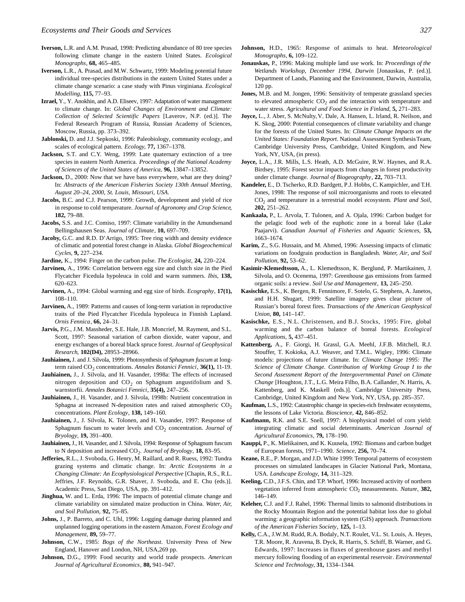- **Iverson,** L.R. and A.M. Prasad, 1998: Predicting abundance of 80 tree species following climate change in the eastern United States. *Ecological Monographs*, **68,** 465–485.
- **Iverson,** L.R., A. Prasad, and M.W. Schwartz, 1999: Modeling potential future individual tree-species distributions in the eastern United States under a climate change scenario: a case study with Pinus virginiana. *Ecological Modelling*, **115,** 77–93.
- Izrael, Y., Y. Anokhin, and A.D. Eliseev, 1997: Adaptation of water management to climate change. In: *Global Changes of Environment and Climate: Collection of Selected Scientific Papers* [Laverov, N.P. (ed.)]. The Federal Research Program of Russia, Russian Academy of Sciences, Moscow, Russia, pp. 373–392.
- **Jablonski,** D. and J.J. Sepkoski, 1996: Paleobiology, community ecology, and scales of ecological pattern. *Ecology*, **77,** 1367–1378.
- **Jackson,** S.T. and C.Y. Weng, 1999: Late quaternary extinction of a tree species in eastern North America. *Proceedings of the National Academy of Sciences of the United States of America*, **96,** 13847–13852.
- **Jackson,** D., 2000: Now that we have bass everywhere, what are they doing? In: *Abstracts of the American Fisheries Society 130th Annual Meeting, August 20–24, 2000, St. Louis, Missouri, USA*.
- **Jacobs,** B.C. and C.J. Pearson, 1999: Growth, development and yield of rice in response to cold temperature. *Journal of Agronomy and Crop Science*, **182,** 79–88.
- Jacobs, S.S. and J.C. Comiso, 1997: Climate variability in the Amundsenand Bellingshausen Seas. *Journal of Climate*, **10,** 697–709.
- **Jacoby,** G.C. and R.D. D'Arrigo, 1995: Tree ring width and density evidence of climatic and potential forest change in Alaska. *Global Biogeochemical Cycles*, **9,** 227–234.
- **Jardine,** K., 1994: Finger on the carbon pulse. *The Ecologist*, **24,** 220–224.
- **Jarvinen,** A., 1996: Correlation between egg size and clutch size in the Pied Flycatcher Ficedula hypoleuca in cold and warm summers. *Ibis*, **138,** 620–623.
- **Jarvinen,** A., 1994: Global warming and egg size of birds. *Ecography*, **17(1),** 108–110.
- **Jarvinen,** A., 1989: Patterns and causes of long-term variation in reproductive traits of the Pied Flycatcher Ficedula hypoleuca in Finnish Lapland. *Ornis Fennica*, **66,** 24–31.
- **Jarvis,** P.G., J.M. Massheder, S.E. Hale, J.B. Moncrief, M. Rayment, and S.L. Scott, 1997: Seasonal variation of carbon dioxide, water vapour, and energy exchanges of a boreal black spruce forest. *Journal of Geophysical Research*, **102(D4),** 28953–28966.
- Jauhiainen, J. and J. Silvola, 1999: Photosynthesis of *Sphagnum fuscum* at longterm raised CO<sub>2</sub> concentrations. *Annales Botanici Fennici*, **36(1)**, 11-19.
- **Jauhiainen,** J., J. Silvola, and H. Vasander, 1998a: The effects of increased nitrogen deposition and  $CO<sub>2</sub>$  on Sphagnum angustifolium and S. warnstorfii. *Annales Botanici Fennici*, 35(4), 247-256.
- **Jauhiainen,** J., H. Vasander, and J. Silvola, 1998b: Nutrient concentration in Sphagna at increased N-deposition rates and raised atmospheric  $CO<sub>2</sub>$ concentrations. *Plant Ecology*, **138,** 149–160.
- **Jauhiainen,** J., J. Silvola, K. Tolonen, and H. Vasander, 1997: Response of Sphagnum fuscum to water levels and CO<sub>2</sub> concentration. *Journal of Bryology*, **19,** 391–400.
- Jauhiainen, J., H. Vasander, and J. Silvola, 1994: Response of Sphagnum fuscum to N deposition and increased CO<sub>2</sub>. *Journal of Bryology*, **18**, 83–95.
- **Jefferies,** R.L., J. Svoboda, G. Henry, M. Raillard, and R. Ruess, 1992: Tundra grazing systems and climatic change. In: *A rctic Ecosystems in a Changing Climate: An Ecophysiological Perspective* [Chapin, R.S., R.L. Jeffries, J.F. Reynolds, G.R. Shaver, J. Svoboda, and E. Chu (eds.)]. Academic Press, San Diego, USA, pp. 391–412.
- **Jinghua,** W. and L. Erda, 1996: The impacts of potential climate change and climate variability on simulated maize production in China. *Water, Air, and Soil Pollution,* **92,** 75–85.
- **Johns,** J., P. Barreto, and C. Uhl, 1996: Logging damage during planned and unplanned logging operations in the eastern Amazon. *Forest Ecology and Management*, **89,** 59–77.
- **Johnson,** C.W., 1985: *Bogs of the Northeast*. University Press of New England, Hanover and London, NH, USA,269 pp.
- **Johnson,** D.G., 1999: Food security and world trade prospects. *American Journal of Agricultural Economics*, **80,** 941–947.
- **Johnson,** H.D., 1965: Response of animals to heat. *Meteorological Monographs*, **6,** 109–122.
- **Jonauskas,** P., 1996: Making multiple land use work. In: *Proceedings of the Wetlands Workshop, December 1994, Darwin* [Jonauskas, P. (ed.)]. Department of Lands, Planning and the Environment, Darwin, Australia, 120 pp.
- **Jones,** M.B. and M. Jongen, 1996: Sensitivity of temperate grassland species to elevated atmospheric  $CO<sub>2</sub>$  and the interaction with temperature and water stress. *Agricultural and Food Science in Finland*, **5,** 271–283.
- **Joyce,** L., J. Aber, S. McNulty, V. Dale, A. Hansen, L. Irland, R. Neilson, and K. Skog, 2000: Potential consequences of climate variability and change for the forests of the United States. In: *Climate Change Impacts on the United States: Foundation Report*. National Assessment Synthesis Team, Cambridge University Press, Cambridge, United Kingdom, and New York, NY, USA, (in press).
- **Joyce,** L.A., J.R. Mills, L.S. Heath, A.D. McGuire, R.W. Haynes, and R.A. Birdsey, 1995: Forest sector impacts from changes in forest productivity under climate change. *Journal of Biogeography*, **22,** 703–713.
- **Kandeler,** E., D. Tscherko, R.D. Bardgett, P.J. Hobbs, C. Kampichler, and T.H. Jones, 1998: The response of soil microorganisms and roots to elevated CO<sup>2</sup> and temperature in a terrestrial model ecosystem. *Plant and Soil*, **202,** 251–262.
- **Kankaala,** P., L. Arvola, T. Tulonen, and A. Ojala, 1996: Carbon budget for the pelagic food web of the euphotic zone in a boreal lake (Lake Paajarvi). *Canadian Journal of Fisheries and Aquatic Sciences*, **53,** 1663–1674.
- Karim, Z., S.G. Hussain, and M. Ahmed, 1996: Assessing impacts of climatic variations on foodgrain production in Bangladesh. *Water, Air, and Soil Pollution*, **92,** 53–62.
- **Kasimir-Klemedtsson,** A., L. Klemedtsson, K. Berglund, P. Martikainen, J. Silvola, and O. Ocenema, 1997: Greenhouse gas emissions from farmed organic soils: a review. *Soil Use and Management*, **13,** 245–250.
- **Kasischke,** E.S., K. Bergen, R. Fennimore, F. Sotelo, G. Stephens, A. Janetos, and H.H. Shugart, 1999: Satellite imagery gives clear picture of Russian's boreal forest fires. *Transactions of the American Geophysical Union*, **80,** 141–147.
- Kasischke, E.S., N.L. Christensen, and B.J. Stocks, 1995: Fire, global warming and the carbon balance of boreal forests. *Ecological Applications*, **5,** 437–451.
- **Kattenberg,** A., F. Giorgi, H. Grassl, G.A. Meehl, J.F.B. Mitchell, R.J. Stouffer, T. Kokioka, A.J. Weaver, and T.M.L. Wigley, 1996: Climate models: projections of future climate. In: *Climate Change 1995: The Science of Climate Change. Contribution of Working Group I to the Second Assessment Report of the Intergovernmental Panel on Climate Change* [Houghton, J.T., L.G. Meira Filho, B.A. Callander, N. Harris, A. Kattenberg, and K. Maskell (eds.)]. Cambridge University Press, Cambridge, United Kingdom and New York, NY, USA, pp. 285–357.
- Kaufman, L.S., 1992: Catastrophic change in species-rich freshwater ecosystems, the lessons of Lake Victoria. *Bioscience*, **42,** 846–852.
- **Kaufmann,** R.K. and S.E. Snell, 1997: A biophysical model of corn yield: integrating climatic and social determinants. *American Journal of Agricultural Economics*, **79,** 178–190.
- Kauppi, P., K. Mielikainen, and K. Kuusela, 1992: Biomass and carbon budget of European forests, 1971–1990. *Science*, **256,** 70–74.
- **Keane,** R.E., P. Morgan, and J.D. White 1999: Temporal patterns of ecosystem processes on simulated landscapes in Glacier National Park, Montana, USA. *Landscape Ecology*, **14,** 311–329.
- Keeling, C.D., J.F.S. Chin, and T.P. Whorf, 1996: Increased activity of northern vegetation inferred from atmospheric CO<sub>2</sub> measurements. *Nature*, 382, 146–149.
- **Keleher,** C.J. and F.J. Rahel, 1996: Thermal limits to salmonid distributions in the Rocky Mountain Region and the potential habitat loss due to global warming: a geographic information system (GIS) approach. *Transactions of the American Fisheries Society*, **125,** 1–13.
- **Kelly,** C.A., J.W.M. Rudd, R.A. Bodaly, N.T. Roulet, V.L. St. Louis, A. Heyes, T.R. Moore, R. Aravena, B. Dyck, R. Harris, S. Schiff, B. Warner, and G. Edwards, 1997: Increases in fluxes of greenhouse gases and methyl mercury following flooding of an experimental reservoir. *Environmental Science and Technology*, **31,** 1334–1344.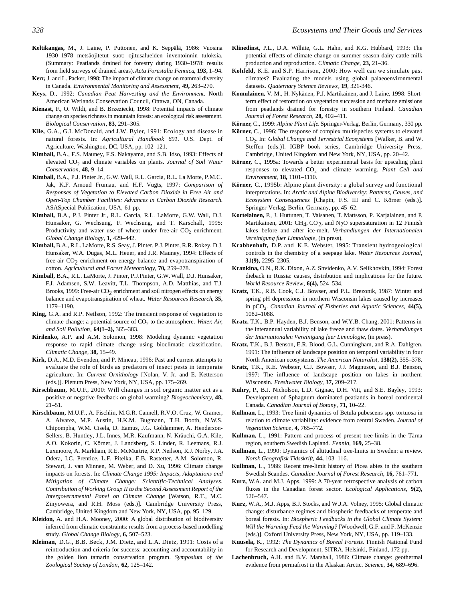- **Keltikangas,** M., J. Laine, P. Puttonen, and K. Seppälä, 1986: Vuosina 1930–1978 metsäojitetut suot: ojitusalueiden inventoinnin tuloksia. (Summary: Peatlands drained for forestry during 1930–1978: results from field surveys of drained areas). *Acta Forestalia Fennica*, **193,** 1–94.
- **Kerr, J.** and L. Packer, 1998: The impact of climate change on mammal diversity in Canada. *Environmental Monitoring and Assessment*, **49,** 263–270.
- **Keys,** D., 1992: *Canadian Peat Harvesting and the Environment*. North American Wetlands Conservation Council, Ottawa, ON, Canada.
- **Kienast,** F., O. Wildi, and B. Brzeziecki, 1998: Potential impacts of climate change on species richness in mountain forests: an ecological risk assessment. *Biological Conservation*, **83,** 291–305.
- Kile, G.A., G.I. McDonald, and J.W. Byler, 1991: Ecology and disease in n a tural forests. In: *Agricultural Handbook 691*. U.S. Dept. of Agriculture, Washington, DC, USA, pp. 102–121.
- **Kimball,** B.A., F.S. Mauney, F.S. Nakayama, and S.B. Idso, 1993: Effects of elevated CO<sub>2</sub> and climate variables on plants. *Journal of Soil Water Conservation*, **48,** 9–14.
- **Kimball,** B.A., P.J. Pinter Jr., G.W. Wall, R.L. Garcia, R.L. La Morte, P.M.C. Jak, K.F. Arnoud Frumau, and H.F. Vugts, 1997: *Comparison of Responses of Vegetation to Elevated Carbon Dioxide in Free Air and Open-Top Chamber Facilities: Advances in Carbon Dioxide Research*. ASASpecial Publication, USA, 61 pp.
- **Kimball,** B.A., P.J. Pinter Jr., R.L. Garcia, R.L. LaMorte, G.W. Wall, D.J. Hunsaker, G. Wechsung, F. Wechsung, and T. Karschall, 1995: Productivity and water use of wheat under free-air  $CO_2$  enrichment. *Global Change Biology*, **1,** 429–442.
- **Kimball,** B.A., R.L. LaMorte, R.S. Seay, J. Pinter, P.J. Pinter, R.R. Rokey, D.J. Hunsaker, W.A. Dugas, M.L. Heuer, and J.R. Mauney, 1994: Effects of free-air  $CO_2$  enrichment on energy balance and evapotranspiration of cotton. *Agricultural and Forest Meteorology*, **70,** 259–278.
- **Kimball,** B.A., R.L. LaMorte, J. Pinter, P.J.Pinter, G.W. Wall, D.J. Hunsaker, F.J. Adamsen, S.W. Leavitt, T.L. Thompson, A.D. Matthias, and T.J. Brooks, 1999: Free-air CO<sub>2</sub> enrichment and soil nitrogen effects on energy balance and evapotranspiration of wheat. *Water Resources Research*, **35,** 1179–1190.
- King, G.A. and R.P. Neilson, 1992: The transient response of vegetation to climate change: a potential source of CO<sub>2</sub> to the atmosphere. *Water, Air, and Soil Pollution*, **64(1–2),** 365–383.
- **Kirilenko,** A.P. and A.M. Solomon, 1998: Modeling dynamic vegetation response to rapid climate change using bioclimatic classification. *Climatic Change*, **38,** 15–49.
- **Kirk,** D.A., M.D. Evenden, and P. Mineau, 1996: Past and current attempts to evaluate the role of birds as predators of insect pests in temperate agriculture. In: *Current Ornithology* [Nolan, V. Jr. and E. Ketterson (eds.)]. Plenum Press, New York, NY, USA, pp. 175–269.
- Kirschbaum, M.U.F., 2000: Will changes in soil organic matter act as a positive or negative feedback on global warming? *Biogeochemistry*, 48, 21–51.
- **Kirschbaum,** M.U.F., A. Fischlin, M.G.R. Cannell, R.V.O. Cruz, W. Cramer, A. Alvarez, M.P. Austin, H.K.M. Bugmann, T.H. Booth, N.W.S. Chipompha, W.M. Cisela, D. Eamus, J.G. Goldammer, A. Henderson-Sellers, B. Huntley, J.L. Innes, M.R. Kaufmann, N. Kräuchi, G.A. Kile, A.O. Kokorin, C. Körner, J. Landsberg, S. Linder, R. Leemans, R.J. Luxmoore, A. Markham, R.E. McMurtrie, R.P. Neilson, R.J. Norby, J.A. Odera, I.C. Prentice, L.F. Pitelka, E.B. Rastetter, A.M. Solomon, R. Stewart, J. van Minnen, M. Weber, and D. Xu, 1996: Climate change impacts on forests. In: *Climate Change 1995: Impacts, Adaptations and Mitigation of Climate Change: Scientific-Technical Analyses. Contribution of Working Group II to the Second Assessment Report of the Intergovernmental Panel on Climate Change* [Watson, R.T., M.C. Zinyowera, and R.H. Moss (eds.)]. Cambridge University Press, Cambridge, United Kingdom and New York, NY, USA, pp. 95–129.
- **Kleidon,** A. and H.A. Mooney, 2000: A global distribution of biodiversity inferred from climatic constraints: results from a process-based modelling study. *Global Change Biology*, **6,** 507–523.
- **Kleiman,** D.G., B.B. Beck, J.M. Dietz, and L.A. Dietz, 1991: Costs of a reintroduction and criteria for success: accounting and accountability in the golden lion tamarin conservation program. *Symposium of the Zoological Society of London*, **62,** 125–142.
- **Klinedinst,** P.L., D.A. Wilhite, G.L. Hahn, and K.G. Hubbard, 1993: The potential effects of climate change on summer season dairy cattle milk production and reproduction. *Climatic Change*, **23,** 21–36.
- Kohfeld, K.E. and S.P. Harrison, 2000: How well can we simulate past climates? Evaluating the models using global palaeoenvironmental datasets. *Quaternary Science Reviews*, **19**, 321-346.
- **Komulainen,** V.-M., H. Nykänen, P.J. Martikainen, and J. Laine, 1998: Shortterm effect of restoration on vegetation succession and methane emissions from peatlands drained for forestry in southern Finland. *Canadian Journal of Forest Research*, **28,** 402–411.

Körner, C., 1999: Alpine Plant Life. Springer-Verlag, Berlin, Germany, 330 pp.

- **Körner,** C., 1996: The response of complex multispecies systems to elevated CO<sup>2</sup> . In: *Global Change and Terrestrial Ecosystems* [Walker, B. and W. Steffen (eds.)]. IGBP book series, Cambridge University Press, Cambridge, United Kingdom and New York, NY, USA, pp. 20–42.
- **Körner,** C., 1995a: Towards a better experimental basis for upscaling plant responses to elevated CO<sub>2</sub> and climate warming. *Plant Cell and Environment*, **18,** 1101–1110.
- Körner, C., 1995b: Alpine plant diversity: a global survey and functional interpretations. In: *Arctic and Alpine Biodiversity: Patterns, Causes, and Ecosystem Consequences* [Chapin, F.S. III and C. Körner (eds.)]. Springer-Verlag, Berlin, Germany, pp. 45–62.
- **Kortelainen,** P., J. Huttunen, T. Vaisanen, T. Mattsson, P. Karjalainen, and P. Martikainen, 2001: CH<sub>4</sub>, CO<sub>2</sub>, and N<sub>2</sub>O supersaturation in 12 Finnish lakes before and after ice-melt. *Verhandlungen der Internationalen Vereinigung fuer Limnologie*, (in press).
- Krabbenhoft, D.P. and K.E. Webster, 1995: Transient hydrogeological controls in the chemistry of a seepage lake. Water Resources Journal, **31(9),** 2295–2305.
- **Krankina,** O.N., R.K. Dixon, A.Z. Shvidenko, A.V. Selikhovkin, 1994: Forest dieback in Russia: causes, distribution and implications for the future. *World Resource Review*, **6(4),** 524–534.
- **Kratz,** T.K., R.B. Cook, C.J. Bowser, and P.L. Brezonik, 1987: Winter and spring pH depressions in northern Wisconsin lakes caused by increases in pCO<sup>2</sup> . *Canadian Journal of Fisheries and Aquatic Sciences*, **44(5),** 1082–1088.
- **Kratz,** T.K., B.P. Hayden, B.J. Benson, and W.Y.B. Chang, 2001: Patterns in the interannual variability of lake freeze and thaw dates. *Verhandlungen der Internationalen Vereinigung fuer Limnologie*, (in press).
- **Kratz,** T.K., B.J. Benson, E.R. Blood, G.L. Cunningham, and R.A. Dahlgren, 1991: The influence of landscape position on temporal variability in four North American ecosystems. *The American Naturalist*, **138(2),** 355–378.
- **Kratz,** T.K., K.E. Webster, C.J. Bowser, J.J. Magnuson, and B.J. Benson, 1997: The influence of landscape position on lakes in northern Wisconsin. *Freshwater Biology*, **37,** 209–217.
- **Kuhry,** P., B.J. Nicholson, L.D. Gignac, D.H. Vitt, and S.E. Bayley, 1993: Development of Sphagnum dominated peatlands in boreal continental Canada. *Canadian Journal of Botany*, **71,** 10–22.
- **Kullman,** L., 1993: Tree limit dynamics of Betula pubescens spp. tortuosa in relation to climate variability: evidence from central Sweden. *Journal of Vegetation Science*, **4,** 765–772.
- **Kullman,** L., 1991: Pattern and process of present tree-limits in the Tärna region, southern Swedish Lapland. *Fennia*, **169,** 25–38.
- **Kullman,** L., 1990: Dynamics of altitudinal tree-limits in Sweden: a review. *Norsk Geografisk Tidsskrift*, **44,** 103–116.
- **Kullman,** L., 1986: Recent tree-limit history of Picea abies in the southern Swedish Scandes. *Canadian Journal of Forest Research*, **16,** 761–771.
- **Kurz,** W.A. and M.J. Apps, 1999: A 70-year retrospective analysis of carbon fluxes in the Canadian forest sector. *Ecological Applications*, **9(2),** 526–547.
- Kurz, W.A., M.J. Apps, B.J. Stocks, and W.J.A. Volney, 1995: Global climatic change: disturbance regimes and biospheric feedbacks of temperate and boreal forests. In: *Biospheric Feedbacks in the Global Climate System: Will the Warming Feed the Warming?* [Woodwell, G.F. and F. McKenzie (eds.)]. Oxford University Press, New York, NY, USA, pp. 119–133.
- **Kuusela,** K., 1992: *The Dynamics of Boreal Forests*. Finnish National Fund for Research and Development, SITRA, Helsinki, Finland, 172 pp.
- **Lachenbruch,** A.H. and B.V. Marshall, 1986: Climate change: geothermal evidence from permafrost in the Alaskan Arctic. *Science*, **34,** 689–696.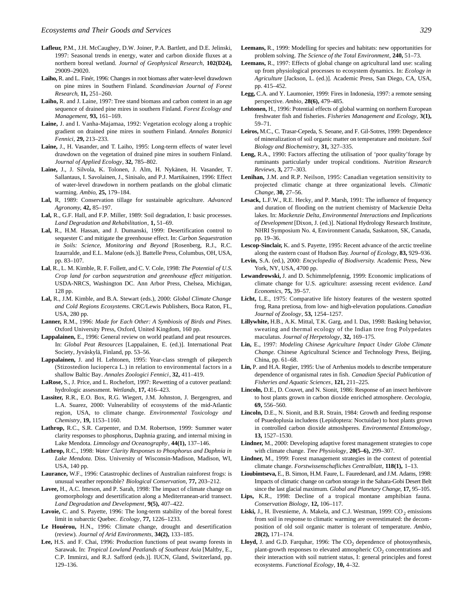- **Lafleur,** P.M., J.H. McCaughey, D.W. Joiner, P.A. Bartlett, and D.E. Jelinski, 1997: Seasonal trends in energy, water and carbon dioxide fluxes at a northern boreal wetland. *Journal of Geophysical Research*, **102(D24),** 29009–29020.
- Laiho, R. and L. Finér, 1996: Changes in root biomass after water-level drawdown on pine mires in Southern Finland. *Scandinavian Journal of Forest Research*, **11,** 251–260.
- **Laiho,** R. and J. Laine, 1997: Tree stand biomass and carbon content in an age sequence of drained pine mires in southern Finland. *Forest Ecology and Management*, **93,** 161–169.
- Laine, J. and I. Vanha-Majamaa, 1992: Vegetation ecology along a trophic gradient on drained pine mires in southern Finland. *Annales Botanici Fennici*, **29,** 213–233.
- **Laine,** J., H. Vasander, and T. Laiho, 1995: Long-term effects of water level drawdown on the vegetation of drained pine mires in southern Finland. *Journal of Applied Ecology*, **32,** 785–802.
- **Laine,** J., J. Silvola, K. Tolonen, J. Alm, H. Nykänen, H. Vasander, T. Sallantaus, I. Savolainen, J., Sinisalo, and P.J. Martikainen, 1996: Effect of water-level drawdown in northern peatlands on the global climatic warming. *Ambio*, **25,** 179–184.
- **Lal,** R, 1989: Conservation tillage for sustainable agriculture. *Advanced Agronomy*, **42,** 85–197.
- **Lal,** R., G.F. Hall, and F.P. Miller, 1989: Soil degradation, I: basic processes. *Land Degradation and Rehabilitation*, **1,** 51–69.
- **Lal,** R., H.M. Hassan, and J. Dumanski, 1999: Desertification control to sequester C and mitigate the greenhouse effect. In: *Carbon Sequestration in Soils: Science, Monitoring and Beyond* [Rosenberg, R.J., R.C. Izaurralde, and E.L. Malone (eds.)]. Battelle Press, Columbus, OH, USA, pp. 83–107.
- **Lal**, R., L. M. Kimble, R. F. Follett, and C. V. Cole, 1998: *The Potential of U.S. Crop land for carbon sequestration and greenhouse effect mitigation*. USDA-NRCS, Washington DC. Ann Arbor Press, Chelsea, Michigan, 128 pp.
- **Lal,** R., J.M. Kimble, and B.A. Stewart (eds.), 2000: *Global Climate Change and Cold Regions Ecosystems*. CRC/Lewis Publishers, Boca Raton, FL, USA, 280 pp.
- **Lanner,** R.M., 1996: *Made for Each Other: A Symbiosis of Birds and Pines*. Oxford University Press, Oxford, United Kingdom, 160 pp.
- **Lappalainen,** E., 1996: General review on world peatland and peat resources. In: *Global Peat Resources* [Lappalainen, E. (ed.)]. International Peat Society, Jyväskylä, Finland, pp. 53–56.
- **Lappalainen,** J. and H. Lehtonen, 1995: Year-class strength of pikeperch (Stizostedion lucioperca L.) in relation to environmental factors in a shallow Baltic Bay. Annales Zoologici Fennici, 32, 411-419.
- **LaRose,** S., J. Price, and L. Rochefort, 1997: Rewetting of a cutover peatland: hydrologic assessment. *Wetlands*, **17,** 416–423.
- **Lassiter,** R.R., E.O. Box, R.G. Wiegert, J.M. Johnston, J. Bergengren, and L.A. Suarez, 2000: Vulnerability of ecosystems of the mid-Atlantic region, USA, to climate change. *Environmental Toxicology and Chemistry*, **19,** 1153–1160.
- **Lathrop,** R.C., S.R. Carpenter, and D.M. Robertson, 1999: Summer water clarity responses to phosphorus, Daphnia grazing, and internal mixing in Lake Mendota. *Limnology and Oceanography*, **44(1),** 137–146.
- **Lathrop,** R.C., 1998: *Water Clarity Responses to Phosphorus and Daphnia in Lake Mendota*. Diss. University of Wisconsin-Madison, Madison, WI, USA, 140 pp.
- **Laurance,** W.F., 1996: Catastrophic declines of Australian rainforest frogs: is unusual weather reponsible? *Biological Conservation*, **77,** 203–212.
- **Lavee,** H., A.C. Imeson, and P. Sarah, 1998: The impact of climate change on geomorphology and desertification along a Mediterranean-arid transect. *Land Degradation and Development*, **9(5),** 407–422.
- **Lavoie,** C. and S. Payette, 1996: The long-term stability of the boreal forest limit in subarctic Quebec. *Ecology*, **77,** 1226–1233.
- Le Houérou, H.N., 1996: Climate change, drought and desertification (review). *Journal of Arid Environments*, **34(2),** 133–185.
- **Lee,** H.S. and F. Chai, 1996: Production functions of peat swamp forests in Sarawak. In: *Tropical Lowland Peatlands of Southeast Asia* [Maltby, E., C.P. Immirzi, and R.J. Safford (eds.)]. IUCN, Gland, Switzerland, pp. 129–136.
- **Leemans,** R., 1999: Modelling for species and habitats: new opportunities for problem solving. *The Science of the Total Environment*, **240,** 51–73.
- **Leemans,** R., 1997: Effects of global change on agricultural land use: scaling up from physiological processes to ecosystem dynamics. In: *Ecology in Agriculture* [Jackson, L. (ed.)]. Academic Press, San Diego, CA, USA, pp. 415–452.
- **Legg, C.A.** and Y. Laumonier, 1999: Fires in Indonesia, 1997: a remote sensing perspective. *Ambio*, **28(6),** 479–485.
- **Lehtonen,** H., 1996: Potential effects of global warming on northern European freshwater fish and fisheries. *Fisheries Management and Ecology*, **3(1),** 59–71.
- Leiros, M.C., C. Trasar-Cepeda, S. Seoane, and F. Gil-Sotres, 1999: Dependence of mineralization of soil organic matter on temperature and moisture. *Soil Biology and Biochemistry*, **31,** 327–335.
- **Leng,** R.A., 1990: Factors affecting the utilisation of 'poor quality'forage by ruminants particularly under tropical conditions. *Nutrition Research Reviews*, **3,** 277–303.
- Lenihan, J.M. and R.P. Neilson, 1995: Canadian vegetation sensitivity to projected climatic change at three organizational levels. *Climatic Change*, **30,** 27–56.
- **Lesack,** L.F.W., R.E. Hecky, and P. Marsh, 1991: The influence of frequency and duration of flooding on the nutrient chemistry of Mackenzie Delta lakes. In: *Mackenzie Delta, Environmental Interactions and Implications of Development* [Dixon, J. (ed.)]. National Hydrology Research Institute, NHRI Symposium No. 4, Environment Canada, Saskatoon, SK, Canada, pp. 19–36.
- **Lescop-Sinclair,** K. and S. Payette, 1995: Recent advance of the arctic treeline along the eastern coast of Hudson Bay. *Journal of Ecology*, **83,** 929–936.
- **Levin,** S.A. (ed.), 2000: *Encyclopedia of Biodiversity.* Academic Press, New York, NY, USA, 4700 pp.
- **Lewandrowski,** J. and D. Schimmelpfennig, 1999: Economic implications of climate change for U.S. agriculture: assessing recent evidence. *Land Economics*, **75,** 39–57.
- **Licht,** L.E., 1975: Comparative life history features of the western spotted frog, Rana pretiosa, from low- and high-elevation populations. *Canadian Journal of Zoology*, **53,** 1254–1257.
- **Lillywhite,** H.B., A.K. Mittal, T.K. Garg, and I. Das, 1998: Basking behavior, sweating and thermal ecology of the Indian tree frog Polypedates maculatus. *Journal of Herpetology*, 32, 169-175.
- **Lin,** E., 1997: *Modeling Chinese Agriculture Impact Under Globe Climate Change*. Chinese Agricultural Science and Technology Press, Beijing, China, pp. 61–68.
- Lin, P. and H.A. Regier, 1995: Use of Arrhenius models to describe temperature dependence of organismal rates in fish. *Canadian Special Publication of Fisheries and Aquatic Sciences*, **121,** 211–225.
- Lincoln, D.E., D. Couvet, and N. Sionit, 1986: Response of an insect herbivore to host plants grown in carbon dioxide enriched atmosphere. *Oecologia*, **69,** 556–560.
- **Lincoln,** D.E., N. Sionit, and B.R. Strain, 1984: Growth and feeding response of Psuedoplusia includens (Lepidoptera: Noctuidae) to host plants grown in controlled carbon dioxide atmoshperes. *Environmental Entomology*, **13,** 1527–1530.
- **Lindner,** M., 2000: Developing adaptive forest management strategies to cope with climate change. *Tree Physiology*, **20(5–6),** 299–307.
- **Lindner,** M., 1999: Forest management strategies in the context of potential climate change. *Forstwissenschafliches Centralblatt*, **118(1),** 1–13.
- Lioubimtseva, E., B. Simon, H.M. Faure, L. Fauredenard, and J.M. Adams, 1998: Impacts of climatic change on carbon storage in the Sahara-Gobi Desert Belt since the last glacial maximum. *Global and Planetary Change*, 17, 95-105.
- **Lips,** K.R., 1998: Decline of a tropical montane amphibian fauna. *Conservation Biology*, **12,** 106–117.
- **Liski,** J., H. llvesnieme, A. Makela, and C.J. Westman, 1999:  $CO_2$  emissions from soil in response to climatic warming are overestimated: the decomposition of old soil organic matter is tolerant of temperature. *Ambio*, **28(2),** 171–174.
- **Lloyd,** J. and G.D. Farquhar, 1996: The  $CO<sub>2</sub>$  dependence of photosynthesis, plant-growth responses to elevated atmospheric  $\mathrm{CO}_2$  concentrations and their interaction with soil nutrient status, I: general principles and forest ecosystems. *Functional Ecology*, **10,** 4–32.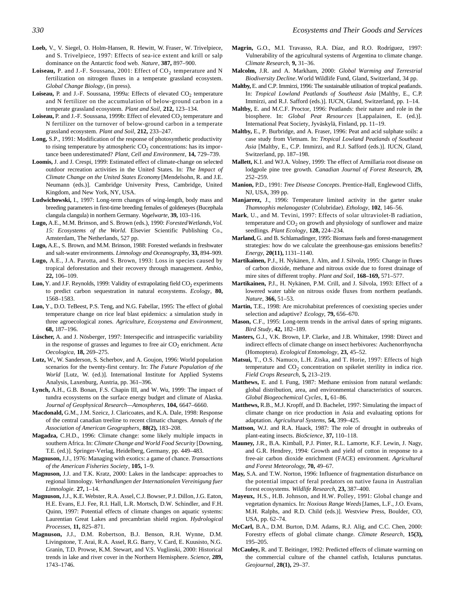- **Loeb,** V., V. Siegel, O. Holm-Hansen, R. Hewitt, W. Fraser, W. Trivelpiece, and S. Trivelpiece, 1997: Effects of sea-ice extent and krill or salp dominance on the Antarctic food web. *Nature*, 387, 897-900.
- **Loiseau,** P. and J.-F. Soussana, 2001: Effect of  $\mathrm{CO}_2$  temperature and N fertilization on nitrogen fluxes in a temperate grassland ecosystem. *Global Change Biology*, (in press).
- **Loiseau,** P. and J.-F. Soussana, 1999a: Effects of elevated  $CO_2$  temperature and N fertilizer on the accumulation of below-ground carbon in a temperate grassland ecosystem. *Plant and Soil*, 212, 123-134.
- $\bf{Loisean},$  P. and J.-F. Soussana, 1999 $b$ : Effect of elevated  $\rm{CO}_{2}$  temperature and N fertilizer on the turnover of below-ground carbon in a temperate grassland ecosystem. *Plant and Soil*, 212, 233-247.
- **Long,** S.P., 1991: Modification of the response of photosynthetic productivity to rising temperature by atmospheric  $CO<sub>2</sub>$  concentrations: has its importance been underestimated? *Plant, Cell and Environment*, **14,** 729–739.
- Loomis, J. and J. Crespi, 1999: Estimated effect of climate-change on selected outdoor recreation activities in the United States. In: *The Impact of Climate Change on the United States Economy* [Mendelsohn, R. and J.E. Neumann (eds.)]. Cambridge University Press, Cambridge, United Kingdom, and New York, NY, USA.
- **Ludwichowski,** I., 1997: Long-term changes of wing-length, body mass and breeding parameters in first-time breeding females of goldeneyes (Bucephala clangula clangula) in northern Germany. *Vogelwarte*, **39**, 103-116.
- **Lugo,** A.E., M.M. Brinson, and S. Brown (eds.), 1990: *Forested Wetlands, Vol.* 15: Ecosystems of the World. Elsevier Scientific Publishing Co., Amsterdam, The Netherlands, 527 pp.
- Lugo, A.E., S. Brown, and M.M. Brinson, 1988: Forested wetlands in freshwater and salt-water environments. *Limnology and Oceanography*, 33, 894-909.
- Lugo, A.E., J.A. Parotta, and S. Brown, 1993: Loss in species caused by tropical deforestation and their recovery through management. Ambio, **22,** 106–109.
- **Luo,** Y. and J.F. Reynolds, 1999: Validity of extrapolating field  $CO_2$  experiments to predict carbon sequestration in natural ecosystems. *Ecology*, **80,** 1568–1583.
- Luo, Y., D.O. TeBeest, P.S. Teng, and N.G. Fabellar, 1995: The effect of global temperature change on rice leaf blast epidemics: a simulation study in three agroecological zones. *Agriculture, Ecosystema and Environment*, **68,** 187–196.
- **Lüscher,** A. and J. Nösberger, 1997: Interspecific and intraspecific variability in the response of grasses and legumes to free air CO<sub>2</sub> enrichment. Acta *Oecologica*, **18,** 269–275.
- **Lutz,** W., W. Sanderson, S. Scherbov, and A. Goujon, 1996: World population scenarios for the twenty-first century. In: *The Future Population of the World* [Lutz, W. (ed.)]. International Institute for Applied Systems Analysis, Laxenburg, Austria, pp. 361–396.
- **Lynch,** A.H., G.B. Bonan, F.S. Chapin III, and W. Wu, 1999: The impact of tundra ecosystems on the surface energy budget and climate of Alaska. *Journal of Geophysical Research—Atmospheres*, **104,** 6647–6660.
- **Macdonald,** G.M., J.M. Szeicz, J. Claricoates, and K.A. Dale, 1998: Response of the central canadian treeline to recent climatic changes. *Annals of the Association of American Geographers*, **88(2),** 183–208.
- **Magadza,** C.H.D., 1996: Climate change: some likely multiple impacts in southern Africa. In: *Climate Change and World Food Security* [Downing, T.E. (ed.)]. Springer-Verlag, Heidelberg, Germany, pp. 449–483.
- **Magnuson,** J.J., 1976: Managing with exotics: a game of chance. *Transactions of the American Fisheries Society*, **105,** 1–9.
- **Magnuson,** J.J. and T.K. Kratz, 2000: Lakes in the landscape: approaches to regional limnology. *Verhandlungen der Internationalen Vereinigung fuer Limnologie.* **27,** 1–14.
- **Magnuson,** J.J., K.E. Webster, R.A. Assel, C.J. Bowser, P.J. Dillon, J.G. Eaton, H.E. Evans, E.J. Fee, R.I. Hall, L.R. Mortsch, D.W. Schindler, and F.H. Quinn, 1997: Potential effects of climate changes on aquatic systems: Laurentian Great Lakes and precambrian shield region. *Hydrological Processes*, **11,** 825–871.
- **Magnuson,** J.J., D.M. Robertson, B.J. Benson, R.H. Wynne, D.M. Livingstone, T. Arai, R.A. Assel, R.G. Barry, V. Card, E. Kuusisto, N.G. Granin, T.D. Prowse, K.M. Stewart, and V.S. Vuglinski, 2000: Historical trends in lake and river cover in the Northern Hemisphere. *Science*, **289,** 1743–1746.
- Magrin, G.O., M.I. Travasso, R.A. Díaz, and R.O. Rodríguez, 1997: Vulnerability of the agricultural systems of Argentina to climate change. *Climate Research*, **9,** 31–36.
- **Malcolm,** J.R. and A. Markham, 2000: *Global Warming and Terrestrial Biodiversity Decline*. World Wildlife Fund, Gland, Switzerland, 34 pp.
- Maltby, E. and C.P. Immirzi, 1996: The sustainable utilisation of tropical peatlands. In: *Tropical Lowland Peatlands of Southeast Asia* [Maltby, E., C.P. Immirzi, and R.J. Safford (eds.)]. IUCN, Gland, Switzerland, pp. 1–14.
- **Maltby,** E. and M.C.F. Proctor, 1996: Peatlands: their nature and role in the biosphere. In: *Global Peat Resources* [Lappalainen, E. (ed.)]. International Peat Society, Jyväskylä, Finland, pp. 11–19.
- **Maltby,** E., P. Burbridge, and A. Fraser, 1996: Peat and acid sulphate soils: a case study from Vietnam. In: *Tropical Lowland Peatlands of Southeast Asia* [Maltby, E., C.P. Immirzi, and R.J. Safford (eds.)]. IUCN, Gland, Switzerland, pp. 187–198.
- **Mallett,** K.I. and WJ.A. Volney, 1999: The effect of Armillaria root disease on lodgpole pine tree growth. *Canadian Journal of Forest Research*, **29,** 252–259.
- **Manion,** P.D., 1991: *Tree Disease Concepts*. Prentice-Hall, Englewood Cliffs, NJ, USA, 399 pp.
- Manjarrez, J., 1996: Temperature limited activity in the garter snake *Thamnophis melanogaster* (Colubridae). *Ethology*, **102**, 146–56.
- Mark, U., and M. Tevini, 1997: Effects of solar ultraviolet-B radiation, temperature and  $CO<sub>2</sub>$  on growth and physiology of sunflower and maize seedlings*. Plant Ecology*, **128,** 224–234.
- Marland, G. and B. Schlamadinger, 1995: Biomass fuels and forest-management strategies: how do we calculate the greenhouse-gas emissions benefits? *Energy*, **20(11),** 1131–1140.
- Martikainen, P.J., H. Nykänen, J. Alm, and J. Silvola, 1995: Change in fluxes of carbon dioxide, methane and nitrous oxide due to forest drainage of mire sites of different trophy. *Plant and Soil*, **168–169,** 571–577.
- **Martikainen,** P.J., H. Nykänen, P.M. Crill, and J. Silvola, 1993: Effect of a lowered water table on nitrous oxide fluxes from northern peatlands. *Nature*, **366,** 51–53.
- **Martin,** T.E., 1998: Are microhabitat preferences of coexisting species under selection and adaptive? *Ecology*, **79,** 656–670.
- **Mason,** C.F., 1995: Long-term trends in the arrival dates of spring migrants. *Bird Study*, **42,** 182–189.
- **Masters,** G.J., V.K. Brown, I.P. Clarke, and J.B. Whittaker, 1998: Direct and indirect effects of climate change on insect herbivores: Auchenorrhyncha (Homoptera). *Ecological Entomology*, **23,** 45–52.
- Matsui, T., O.S. Namuco, L.H. Ziska, and T. Horie, 1997: Effects of high temperature and  $CO_2$  concentration on spikelet sterility in indica rice. *Field Crops Research*, **5,** 213–219.
- **Matthews,** E. and I. Fung, 1987: Methane emission from natural wetlands: global distribution, area, and environmental characteristics of sources. *Global Biogeochemical Cycles*, **1,** 61–86.
- **Matthews,** R.B., M.J. Kropff, and D. Bachelet, 1997: Simulating the impact of climate change on rice production in Asia and evaluating options for adaptation. *Agricultural Systems*, **54,** 399–425.
- **Mattson,** W.J. and R.A. Haack, 1987: The role of drought in outbreaks of plant-eating insects. *BioScience*, **37,** 110–118.
- **Mauney,** J.R., B.A. Kimball, P.J. Pinter, R.L. Lamorte, K.F. Lewin, J. Nagy, and G.R. Hendrey, 1994: Growth and yield of cotton in response to a free-air carbon dioxide enrichment (FACE) environment. *Agricultural and Forest Meteorology*, **70,** 49–67.
- **May,** S.A. and T.W. Norton, 1996: Influence of fragmentation disturbance on the potential impact of feral predators on native fauna in Australian forest ecosystems. *Wildlife Research*, 23, 387-400.
- Mayeux, H.S., H.B. Johnson, and H.W. Polley, 1991: Global change and v e getation dynamics. In: *Noxious Range Weeds*[James, L.F., J.O. Evans, M.H. Ralphs, and R.D. Child (eds.)]. Westview Press, Boulder, CO, USA, pp. 62–74.
- **McCarl,** B.A., D.M. Burton, D.M. Adams, R.J. Alig, and C.C. Chen, 2000: Forestry effects of global climate change. *Climate Research*, **15(3),** 195–205.
- **McCauley,** R. and T. Beitinger, 1992: Predicted effects of climate warming on the commercial culture of the channel catfish, Ictalurus punctatus. *Geojournal*, **28(1),** 29–37.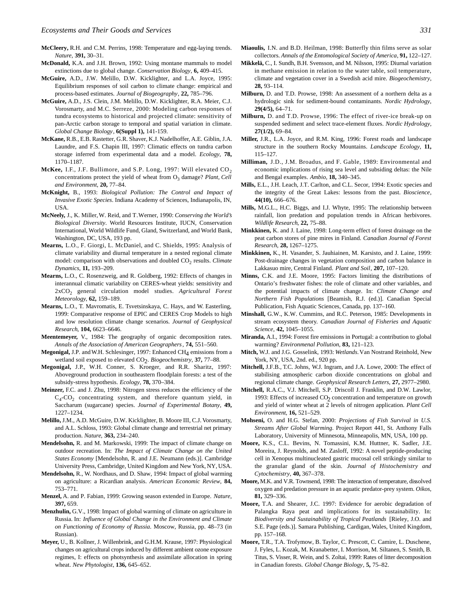**McCleery,** R.H. and C.M. Perrins, 1998: Temperature and egg-laying trends. *Nature*, **391,** 30–31.

- **McDonald,** K.A. and J.H. Brown, 1992: Using montane mammals to model extinctions due to global change. *Conservation Biology*, **6,** 409–415.
- **McGuire,** A.D., J.W. Melillo, D.W. Kicklighter, and L.A. Joyce, 1995: Equilibrium responses of soil carbon to climate change: empirical and process-based estimates. *Journal of Biogeography*, **22,** 785–796.
- **McGuire,** A.D., J.S. Clein, J.M. Melillo, D.W. Kicklighter, R.A. Meier, C.J. Vorosmarty, and M.C. Serreze, 2000: Modeling carbon responses of tundra ecosystems to historical and projected climate: sensitivity of pan-Arctic carbon storage to temporal and spatial variation in climate. *Global Change Biology*, **6(Suppl 1),** 141-159.
- **McKane,** R.B., E.B. Rastetter, G.R. Shaver, K.J. Nadelhoffer, A.E. Giblin, J.A. Laundre, and F.S. Chapin III, 1997: Climatic effects on tundra carbon storage inferred from experimental data and a model. *Ecology*, **78,** 1170–1187.
- McKee, I.F., J.F. Bullimore, and S.P. Long, 1997: Will elevated CO<sub>2</sub> concentrations protect the yield of wheat from O<sub>3</sub> damage? *Plant, Cell and Environment*, **20,** 77–84.
- **McKnight,** B., 1993: *Biological Pollution: The Control and Impact of Invasive Exotic Species*. Indiana Academy of Sciences, Indianapolis, IN, USA.
- **McNeely,** J., K. Miller, W. Reid, and T.Werner, 1990: *Conserving the World's Biological Diversity*. World Resources Institute, IUCN, Conservation International, World Wildlife Fund, Gland, Switzerland, and World Bank, Washington, DC, USA, 193 pp.
- Mearns, L.O., F. Giorgi, L. McDaniel, and C. Shields, 1995: Analysis of climate variability and diurnal temperature in a nested regional climate model: comparison with observations and doubled CO<sub>2</sub> results. *Climate Dynamics*, **11,** 193–209.
- **Mearns,** L.O., C. Rosenzweig, and R. Goldberg, 1992: Effects of changes in interannual climatic variability on CERES-wheat yields: sensitivity and 2xCO<sub>2</sub> general circulation model studies. Agricultural Forest *Meteorology*, **62,** 159–189.
- **Mearns,** L.O., T. Mavromatis, E. Tsvetsinskaya, C. Hays, and W. Easterling, 1999: Comparative response of EPIC and CERES Crop Models to high and low resolution climate change scenarios. *Journal of Geophysical Research*, **104,** 6623–6646.
- **Meentemeyer,** V., 1984: The geography of organic decomposition rates. *Annals of the Association of American Geographers*, **74,** 551–560.
- **Megonigal,** J.P. and W.H. Schlesinger, 1997: Enhanced CH<sub>4</sub> emissions from a wetland soil exposed to elevated CO<sub>2</sub>. *Biogeochemistry*, 37, 77–88.
- Megonigal, J.P., W.H. Conner, S. Kroeger, and R.R. Sharitz, 1997: Aboveground production in southeastern floodplain forests: a test of the subsidy-stress hypothesis. *Ecology*, **78,** 370–384.
- **Meinzer,** F.C. and J. Zhu, 1998: Nitrogen stress reduces the efficiency of the  $C_4$ - $CO_2$  concentrating system, and therefore quantum yield, in Saccharum (sugarcane) species. *Journal of Experimental Botany*, **49,** 1227–1234.
- **Melillo,** J.M., A.D. McGuire, D.W. Kicklighter, B. Moore III, C.J. Vorosmarty, and A.L. Schloss, 1993: Global climate change and terrestrial net primary production. *Nature*, **363,** 234–240.
- **Mendelsohn,** R. and M. Markowski, 1999: The impact of climate change on outdoor recreation. In: *The Impact of Climate Change on the United States Economy* [Mendelsohn, R. and J.E. Neumann (eds.)]. Cambridge University Press, Cambridge, United Kingdom and New York, NY, USA.
- **Mendelsohn,** R., W. Nordhaus, and D. Shaw, 1994: Impact of global warming on agriculture: a Ricardian analysis. *American Economic Review*, **84,** 753–771.
- **Menzel,** A. and P. Fabian, 1999: Growing season extended in Europe. *Nature*, **397,** 659.
- **Menzhulin,** G.V., 1998: Impact of global warming of climate on agriculture in Russia. In: *Influence of Global Change in the Environment and Climate on Functioning of Economy of Russia*. Moscow, Russia, pp. 48–73 (in Russian).
- Mever, U., B. Kollner, J. Willenbrink, and G.H.M. Krause, 1997: Physiological changes on agricultural crops induced by different ambient ozone exposure regimes, I: effects on photsynthesis and assimilate allocation in spring wheat. *New Phytologist*, **136,** 645–652.
- **Miaoulis,** I.N. and B.D. Heilman, 1998: Butterfly thin films serve as solar collectors. Annals of the Entomological Society of America, 91, 122-127.
- Mikkelä, C., I. Sundh, B.H. Svensson, and M. Nilsson, 1995: Diurnal variation in methane emission in relation to the water table, soil temperature, climate and vegetation cover in a Swedish acid mire. *Biogeochemistry*, **28,** 93–114.
- **Milburn,** D. and T.D. Prowse, 1998: An assessment of a northern delta as a hydrologic sink for sediment-bound contaminants. *Nordic Hydrology*, **29(4/5),** 64–71.
- **Milburn,** D. and T.D. Prowse, 1996: The effect of river-ice break-up on suspended sediment and select trace-element fluxes. *Nordic Hydrology*, **27(1/2),** 69–84.
- **Miller,** J.R., L.A. Joyce, and R.M. King, 1996: Forest roads and landscape structure in the southern Rocky Mountains. *Landscape Ecology*, **11,** 115–127.
- **Milliman,** J.D., J.M. Broadus, and F. Gable, 1989: Environmental and economic implications of rising sea level and subsiding deltas: the Nile and Bengal examples. *Ambio*, **18,** 340–345.
- **Mills,** E.L., J.H. Leach, J.T. Carlton, and C.L. Secor, 1994: Exotic species and the integrity of the Great Lakes: lessons from the past. *Bioscience*, **44(10),** 666–676.
- **Mills,** M.G.L., H.C. Biggs, and I.J. Whyte, 1995: The relationship between rainfall, lion predation and population trends in African herbivores. *Wildlife Research*, **22,** 75–88.
- **Minkkinen,** K. and J. Laine, 1998: Long-term effect of forest drainage on the peat carbon stores of pine mires in Finland. *Canadian Journal of Forest Research*, **28,** 1267–1275.
- **Minkkinen,** K., H. Vasander, S. Jauhiainen, M. Karsisto, and J. Laine, 1999: Post-drainage changes in vegetation composition and carbon balance in Lakkasuo mire, Central Finland. *Plant and Soil*, **207,** 107–120.
- **Minns,** C.K. and J.E. Moore, 1995: Factors limiting the distributions of Ontario's freshwater fishes: the role of climate and other variables, and the potential impacts of climate change. In: *Climate Change and Northern Fish Populations* [Beamish, R.J. (ed.)]. Canadian Special Publication, Fish Aquatic Sciences, Canada, pp. 137–160.
- **Minshall,** G.W., K.W. Cummins, and R.C. Peterson, 1985: Developments in stream ecosystem theory. *Canadian Journal of Fisheries and Aquatic Science*, **42,** 1045–1055.
- Miranda, A.I., 1994: Forest fire emissions in Portugal: a contribution to global warming? *Environmenal Pollution*, **83,** 121–123.
- **Mitch,** W.J. and J.G. Gosselink, 1993: *Wetlands*.Van Nostrand Reinhold, New York, NY, USA, 2nd. ed., 920 pp.
- **Mitchell,** J.F.B., T.C. Johns, W.J. Ingram, and J.A. Lowe, 2000: The effect of stabilising atmospheric carbon dioxide concentrations on global and regional climate change. *Geophysical Research Letters*, **27,** 2977–2980.
- **Mitchell,** R.A.C., V.J. Mitchell, S.P. Driscoll J. Franklin, and D.W. Lawlor, 1993: Effects of increased  $CO<sub>2</sub>$  concentration and temperature on growth and yield of winter wheat at 2 levels of nitrogen application. *Plant Cell Environment*, **16,** 521–529.
- **Mohseni,** O. and H.G. Stefan, 2000: *Projections of Fish Survival in U.S. Streams After Global Warming*. Project Report 441, St. Anthony Falls Laboratory, University of Minnesota, Minneapolis, MN, USA, 100 pp.
- **Moore,** K.S., C.L. Bevins, N. Tomassini, K.M. Huttner, K. Sadler, J.E. Moreira, J. Reynolds, and M. Zasloff, 1992: A novel peptide-producing cell in Xenopus multinucleated gastric mucosal cell strikingly similar to the granular gland of the skin. *Journal of Histochemistry and Cytochemistry*, **40,** 367–378.
- Moore, M.K. and V.R. Townsend, 1998: The interaction of temperature, dissolved oxygen and predation pressure in an aquatic predator-prey system. *Oikos*, **81,** 329–336.
- **Moore,** T.A. and Shearer, J.C. 1997: Evidence for aerobic degradation of Palangka Raya peat and implications for its sustainability. In: *Biodiversity and Sustainability of Tropical Peatlands* [Rieley, J.O. and S.E. Page (eds.)]. Samara Publishing, Cardigan, Wales, United Kingdom, pp. 157–168.
- **Moore,** T.R., T.A. Trofymow, B. Taylor, C. Prescott, C. Camire, L. Duschene, J. Fyles, L. Kozak, M. Kranabetter, I. Morrison, M. Siltanen, S. Smith, B. Titus, S. Visser, R. Wein, and S. Zoltai, 1999: Rates of litter decomposition in Canadian forests. *Global Change Biology*, **5,** 75–82.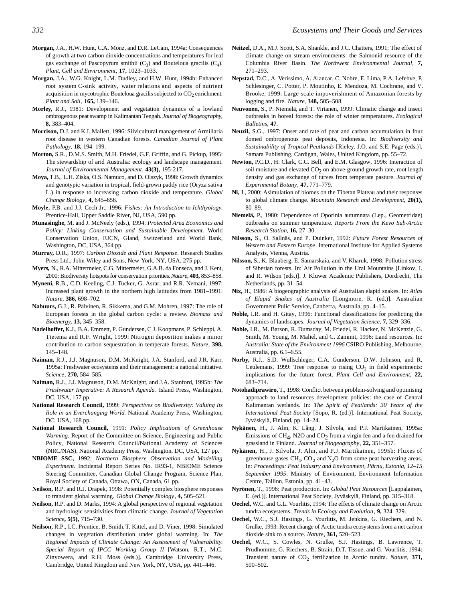- **Morgan, J.A., H.W. Hunt, C.A. Monz, and D.R. LeCain, 1994a: Consequences** of growth at two carbon dioxide concentrations and temperatures for leaf gas exchange of Pascopyrum smithii  $(C_3)$  and Bouteloua gracilis  $(C_4)$ . *Plant, Cell and Environment*, **17,** 1023–1033.
- **Morgan,** J.A., W.G. Knight, L.M. Dudley, and H.W. Hunt, 1994b: Enhanced root system C-sink activity, water relations and aspects of nutrient acquisition in mycotrophic Bouteloua gracilis subjected to  $\mathrm{CO}_2$  enrichment. *Plant and Soil*, **165,** 139–146.
- **Morley,** R.J., 1981: Development and vegetation dynamics of a lowland ombrogenous peat swamp in Kalimantan Tengah. *Journal of Biogeography*, **8,** 383–404.
- **Morrison,** D.J. and K.I. Mallett, 1996: Silvicultural management of Armillaria root disease in western Canadian forests. *Canadian Journal of Plant Pathology*, **18,** 194–199.
- **Morton,** S.R., D.M.S. Smith, M.H. Friedel, G.F. Griffin, and G. Pickup, 1995: The stewardship of arid Australia: ecology and landscape management. *Journal of Environmental Management*, **43(3),** 195-217.
- Mova, T.B., L.H. Ziska, O.S. Namuco, and D. Olszyk, 1998: Growth dynamics and genotypic variation in tropical, field-grown paddy rice (Oryza sativa L.) in response to increasing carbon dioxide and temperature. *Global Change Biology*, **4,** 645–656.
- **Moyle,** P.B. and J.J. Cech Jr., 1996: *Fishes: An Introduction to Ichthyology*. Prentice-Hall, Upper Saddle River, NJ, USA, 590 pp.
- **Munasinghe,** M. and J. McNeely (eds.), 1994: *Protected Area Economics and Policy: Linking Conservation and Sustainable Development.* World Conservation Union, IUCN, Gland, Switzerland and World Bank, Washington, DC, USA, 364 pp.
- **Murray,** D.R., 1997: *Carbon Dioxide and Plant Response*. Research Studies Press Ltd., John Wiley and Sons, New York, NY, USA, 275 pp.
- **Myers,** N., R.A. Mittermeier, C.G. Mittermeier, G.A.B. da Fonseca, and J. Kent, 2000: Biodiversity hotspots for conservation priorities. *Nature*, **403**, 853-858.
- **Myneni,** R.B., C.D. Keeling, C.J. Tucker, G. Asrar, and R.R. Nemani, 1997: Increased plant growth in the northern high latitudes from 1981–1991. *Nature*, **386,** 698–702.
- **Nabuurs,** G.J., R. Päivinen, R. Sikkema, and G.M. Mohren, 1997: The role of European forests in the global carbon cycle: a review. *Biomass and Bioenergy*, **13,** 345–358.
- **Nadelhoffer,** K.J., B.A. Emmett, P. Gundersen, C.J. Koopmans, P. Schleppi, A. Tietema and R.F. Wright, 1999: Nitrogen deposition makes a minor contribution to carbon sequestration in temperate forests. *Nature*, 398, 145–148.
- **Naiman,** R.J., J.J. Magnuson, D.M. McKnight, J.A. Stanford, and J.R. Karr, 1995a: Freshwater ecosystems and their management: a national initiative. *Science*, **270,** 584–585.
- **Naiman,** R.J., J.J. Magnuson, D.M. McKnight, and J.A. Stanford, 1995b: *The Freshwater Imperative: A Research Agenda*. Island Press, Washington, DC, USA, 157 pp.
- **National Research Council,** 1999: *Perspectives on Biodiversity: Valuing Its Role in an Everchanging World*. National Academy Press, Washington, DC, USA, 168 pp.
- **National Research Council,** 1991: *Policy Implications of Greenhouse Warming*. Report of the Committee on Science, Engineering and Public Policy, National Research Council/National Academy of Sciences (NRC/NAS), National Academy Press, Washington, DC, USA, 127 pp.
- **NBIOME SSC,** 1992: *Northern Biosphere Observation and Modelling Experiment*. Incidental Report Series No. IR93-1, NBIOME Science Steering Committee, Canadian Global Change Program, Science Plan, Royal Society of Canada, Ottawa, ON, Canada, 61 pp.
- **Neilson,** R.P. and R.J. Drapek, 1998: Potentially complex biosphere responses to transient global warming. *Global Change Biology*, **4,** 505–521.
- **Neilson,** R.P. and D. Marks, 1994: A global perspective of regional vegetation and hydrologic sensitivities from climatic change. *Journal of Vegetation Science***, 5(5),** 715–730.
- **Neilson,** R.P., I.C. Prentice, B. Smith, T. Kittel, and D. Viner, 1998: Simulated changes in vegetation distribution under global warming. In: The *Regional Impacts of Climate Change: An Assessment of Vulnerability.* Special Report of IPCC Working Group II [Watson, R.T., M.C. Zinyowera, and R.H. Moss (eds.)]. Cambridge University Press, Cambridge, United Kingdom and New York, NY, USA, pp. 441–446.
- **Neitzel,** D.A., M.J. Scott, S.A. Shankle, and J.C. Chatters, 1991: The effect of climate change on stream environments: the Salmonid resource of the Columbia River Basin. *The Northwest Environmental Journal*, 7, 271–293.
- **Nepstad,** D.C., A. Verissimo, A. Alancar, C. Nobre, E. Lima, P.A. Lefebve, P. Schlesinger, C. Potter, P. Moutinho, E. Mendoza, M. Cochrane, and V. Brooke, 1999: Large-scale impoverishment of Amazonian forests by logging and fire. *Nature*, 348, 505-508.
- **Neuvonen,** S., P. Niemelä, and T. Virtanen, 1999: Climatic change and insect outbreaks in boreal forests: the role of winter temperatures. *Ecological Bulletins*, **47**.
- **Neuzil,** S.G., 1997: Onset and rate of peat and carbon accumulation in four domed ombrogenous peat deposits, Indonesia. In: *Biodiversity and Sustainability of Tropical Peatlands* [Rieley, J.O. and S.E. Page (eds.)]. Samara Publishing, Cardigan, Wales, United Kingdom, pp. 55–72.
- **Newton,** P.C.D., H. Clark, C.C. Bell, and E.M. Glasgow, 1996: Interaction of soil moisture and elevated  $\mathrm{CO}_2$  on above-ground growth rate, root length density and gas exchange of turves from temperate pasture. *Journal of Experimental Botany*, **47,** 771–779.
- Ni, J., 2000: Asimulation of biomes on the Tibetan Plateau and their responses to global climate change. *Mountain Research and Development*, **20(1),** 80–89.
- **Niemelä,** P., 1980: Dependence of Oporinia autumnata (Lep., Geometridae) outbreaks on summer temperature. *Reports From the Kevo Sub-Arctic Research Station*, **16,** 27–30.
- **Nilsson,** S., O. Sallnäs, and P. Duinker, 1992: *Future Forest Resources of Western and Eastern Europe*. International Institute for Applied Systems Analysis, Vienna, Austria.
- **Nilsson,** S., K. Blauberg, E. Samarskaia, and V. Kharuk, 1998: Pollution stress of Siberian forests. In: Air Pollution in the Ural Mountains [Linkov, I. and R. Wilson (eds.)]. J. Kluwer Academic Publishers, Dordrecht, The Netherlands, pp. 31–54.
- **Nix,** H., 1986: A biogeographic analysis of Australian elapid snakes. In: *Atlas of Elapid Snakes of Australia* [Longmore, R. (ed.)]. Australian Government Pulic Service, Canberra, Australia, pp. 4–15.
- **Noble,** I.R. and H. Gitay, 1996: Functional classifications for predicting the dynamics of landscapes. *Journal of Vegetation Science*, **7,** 329–336.
- **Noble,** I.R., M. Barson, R. Dumsday, M. Friedel, R. Hacker, N. McKenzie, G. Smith, M. Young, M. Maliel, and C. Zammit, 1996: Land resources. In: *Australia: State of the Environment 1996* CSIRO Publishing, Melbourne, Australia, pp. 6.1–6.55.
- **Norby,** R.J., S.D. Wullschleger, C.A. Gunderson, D.W. Johnson, and R. Ceulemans, 1999: Tree response to rising  $CO<sub>2</sub>$  in field experiments: implications for the future forest. *Plant Cell and Environment*, **22,** 683–714.
- **Notohadiprawiro,** T., 1998: Conflict between problem-solving and optimising approach to land resources development policies: the case of Central Kalimantan wetlands. In: *The Spirit of Peatlands: 30 Years of the International Peat Society* [Sopo, R. (ed.)]. International Peat Society, Jyväskylä, Finland, pp. 14–24.
- **Nykänen,** H., J. Alm, K. Lång, J. Silvola, and P.J. Martikainen, 1995a: Emissions of  $\text{CH}_4$ , N2O and  $\text{CO}_2$  from a virgin fen and a fen drained for grassland in Finland. *Journal of Biogeography*, **22,** 351–357.
- Nykänen, H., J. Silvola, J. Alm, and P.J. Martikainen, 1995b: Fluxes of greenhouse gases  $CH_4$ ,  $CO_2$  and  $N_2O$  from some peat harvesting areas. In: *Proceedings: Peat Industry and Environment, Pärnu, Estonia, 12–15 September 1995*. Ministry of Environment, Environment Information Centre, Tallinn, Estonia, pp. 41–43.
- **Nyrönen,** T., 1996: Peat production. In: *Global Peat Resources* [Lappalainen, E. (ed.)]. International Peat Society, Jyväskylä, Finland, pp. 315–318.
- **Oechel,** W.C. and G.L. Vourlitis, 1994: The effects of climate change on Arctic tundra ecosystems. *Trends in Ecology and Evolution*, **9,** 324–329.
- **Oechel,** W.C., S.J. Hastings, G. Vourlitis, M. Jenkins, G. Riechers, and N. Grulke, 1993: Recent change of Arctic tundra ecosystems from a net carbon dioxide sink to a source. *Nature*, **361,** 520–523.
- **Oechel, W.C., S. Cowles, N. Grulke, S.J. Hastings, B. Lawrence, T.** Prudhomme, G. Riechers, B. Strain, D.T. Tissue, and G. Vourlitis, 1994: Transient nature of CO<sub>2</sub> fertilization in Arctic tundra. *Nature*, 371, 500–502.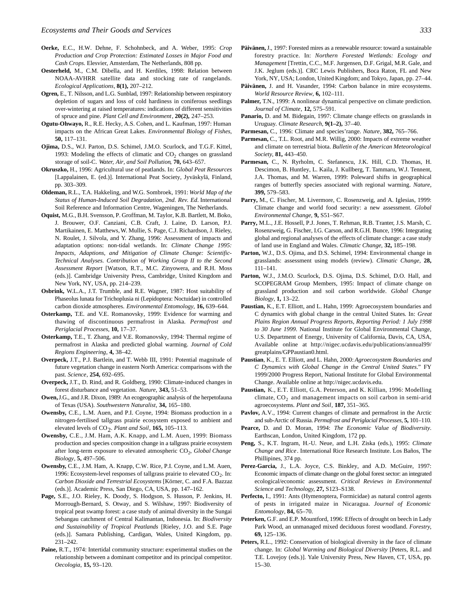- **Oerke,** E.C., H.W. Dehne, F. Schohnbeck, and A. Weber, 1995: *Crop Production and Crop Protection: Estimated Losses in Major Food and Cash Crops.* Elesvier, Amsterdam, The Netherlands, 808 pp.
- **Oesterheld,** M., C.M. Dibella, and H. Kerdiles, 1998: Relation between NOAA-AVHRR satellite data and stocking rate of rangelands. *Ecological Applications*, **8(1),** 207–212.
- **Ogren,** E., T. Nilsson, and L.G. Sunblad, 1997: Relationship between respiratory depletion of sugars and loss of cold hardiness in coniferous seedlings over-wintering at raised temperatures: indications of different sensitivities of spruce and pine. *Plant Cell and Environment*, **20(2),** 247–253.
- **Ogutu-Ohwayo,** R., R.E. Hecky, A.S. Cohen, and L. Kaufman, 1997: Human impacts on the African Great Lakes. *Environmental Biology of Fishes*, **50,** 117–131.
- **Ojima,** D.S., W.J. Parton, D.S. Schimel, J.M.O. Scurlock, and T.G.F. Kittel, 1993: Modeling the effects of climatic and  $CO<sub>2</sub>$  changes on grassland storage of soil-C. *Water, Air, and Soil Pollution*, **70,** 643–657.
- **Okruszko,** H., 1996: Agricultural use of peatlands. In: *Global Peat Resources* [Lappalainen, E. (ed.)]. International Peat Society, Jyväskylä, Finland, pp. 303–309.
- **Oldeman,** R.L., T.A. Hakkeling, and W.G. Sombroek, 1991: *World Map of the Status of Human-Induced Soil Degradation, 2nd. Rev. Ed*. International Soil Reference and Information Centre, Wageningen, The Netherlands.
- **Oquist,** M.G., B.H. Svensson, P. Groffman, M. Taylor, K.B. Bartlett, M. Boko, J. Brouwer, O.F. Canziani, C.B. Craft, J. Laine, D. Larson, P.J. Martikainen, E. Matthews, W. Mullie, S. Page, C.J. Richardson, J. Rieley, N. Roulet, J. Silvola, and Y. Zhang, 1996: Assessment of impacts and adaptation options: non-tidal wetlands. In: *Climate Change 1995: Impacts, Adaptions, and Mitigation of Climate Change: Scientific-Technical Analyses. Contribution of Working Group II to the Second Assessment Report* [Watson, R.T., M.C. Zinyowera, and R.H. Moss (eds.)]. Cambridge University Press, Cambridge, United Kingdom and New York, NY, USA, pp. 214–239.
- **Osbrink,** W.L.A., J.T. Trumble, and R.E. Wagner, 1987: Host suitability of Phaseolus lunata for Trichoplusia ni (Lepidoptera: Noctuidae) in controlled carbon dioxide atmospheres. *Environmental Entomology*, **16,** 639–644.
- **Osterkamp,** T.E. and V.E. Romanovsky, 1999: Evidence for warming and thawing of discontinuous permafrost in Alaska. Permafrost and *Periglacial Processes*, **10,** 17–37.
- **Osterkamp,** T.E., T. Zhang, and V.E. Romanovsky, 1994: Thermal regime of permafrost in Alaska and predicted global warming. *Journal of Cold Regions Engineering*, **4,** 38–42.
- **Overpeck,** J.T., P.J. Bartlein, and T. Webb III, 1991: Potential magnitude of future vegetation change in eastern North America: comparisons with the past. *Science*, **254,** 692–695.
- **Overpeck,** J.T., D. Rind, and R. Goldberg, 1990: Climate-induced changes in forest disturbance and vegetation. *Nature*, **343,** 51–53.
- **Owen,** J.G., and J.R. Dixon, 1989: An ecogeographic analysis of the herpetofauna of Texas (USA). *Southwestern Naturalist*, **34,** 165–180.
- **Owensby,** C.E., L.M. Auen, and P.I. Coyne, 1994: Biomass production in a nitrogen-fertilised tallgrass prairie ecosystem exposed to ambient and elevated levels of CO2 . *Plant and Soil*, **165,** 105–113.
- Owensby, C.E., J.M. Ham, A.K. Knapp, and L.M. Auen, 1999: Biomass production and species composition change in a tallgrass prairie ecosystem after long-term exposure to elevated atmospheric CO<sub>2</sub>, Global Change *Biology*, **5,** 497–506.
- **Owensby,** C.E., J.M. Ham, A. Knapp, C.W. Rice, P.I. Coyne, and L.M. Auen, 1996: Ecosystem-level responses of tallgrass prairie to elevated  $CO_2$ . In: *Carbon Dioxide and Terrestrial Ecosystems* [Körner, C. and F.A. Bazzaz (eds.)]. Academic Press, San Diego, CA, USA, pp. 147–162.
- **Page,** S.E., J.O. Rieley, K. Doody, S. Hodgson, S. Husson, P. Jenkins, H. Morrough-Bernard, S. Otway, and S. Wilshaw, 1997: Biodiversity of tropical peat swamp forest: a case study of animal diversity in the Sungai Sebangau catchment of Central Kalimantan, Indonesia. In: *Biodiversity and Sustainability of Tropical Peatlands* [Rieley, J.O. and S.E. Page (eds.)]. Samara Publishing, Cardigan, Wales, United Kingdom, pp. 231–242.
- **Paine,** R.T., 1974: Intertidal community structure: experimental studies on the relationship between a dominant competitor and its principal competitor. *Oecologia*, **15,** 93–120.
- Päivänen, J., 1997: Forested mires as a renewable resource: toward a sustainable forestry practice. In: *Northern Forested Wetlands: Ecology and Management* [Trettin, C.C., M.F. Jurgensen, D.F. Grigal, M.R. Gale, and J.K. Jeglum (eds.)]. CRC Lewis Publishers, Boca Raton, FL and New York, NY, USA; London, United Kingdom; and Tokyo, Japan, pp. 27–44.
- **Päivänen,** J. and H. Vasander, 1994: Carbon balance in mire ecosystems. *World Resource Review*, **6,** 102–111.
- Palmer, T.N., 1999: A nonlinear dynamical perspective on climate prediction. *Journal of Climate*, **12,** 575–591.
- **Panario,** D. and M. Bidegain, 1997: Climate change effects on grasslands in Uruguay. *Climate Research*, **9(1–2),** 37–40.
- **Parmesan,** C., 1996: Climate and species'range. *Nature*, **382,** 765–766.
- **Parmesan,** C., T.L. Root, and M.R. Willig, 2000: Impacts of extreme weather and climate on terrestrial biota. *Bulletin of the American Meteorological Society*, **81,** 443–450.
- **Parmesan,** C., N. Ryrholm, C. Stefanescu, J.K. Hill, C.D. Thomas, H. Descimon, B. Huntley, L. Kaila, J. Kullberg, T. Tammaru, W.J. Tennent, J.A. Thomas, and M. Warren, 1999: Poleward shifts in geographical ranges of butterfly species associated with regional warming. *Nature*, **399,** 579–583.
- **Parry,** M., C. Fischer, M. Livermore, C. Rosenzweig, and A. Iglesias, 1999: Climate change and world food security: a new assessment. *Global Environmental Change*, **9,** S51–S67.
- Parry, M.L., J.E. Hossell, P.J. Jones, T. Rehman, R.B. Tranter, J.S. Marsh, C. Rosenzweig, G. Fischer, I.G. Carson, and R.G.H. Bunce, 1996: Integrating global and regional analyses of the effects of climate change: a case study of land use in England and Wales. *Climatic Change*, **32,** 185–198.
- **Parton,** W.J., D.S. Ojima, and D.S. Schimel, 1994: Environmental change in grasslands: assessment using models (review). *Climatic Change*, **28,** 111–141.
- **Parton,** W.J., J.M.O. Scurlock, D.S. Ojima, D.S. Schimel, D.O. Hall, and SCOPEGRAM Group Members, 1995: Impact of climate change on grassland production and soil carbon worldwide. *Global Change Biology*, **1,** 13–22.
- **Paustian,** K., E.T. Elliott, and L. Hahn, 1999: Agroecosystem boundaries and C dynamics with global change in the central United States*.* In: *Great Plains Region Annual Progress Reports, Reporting Period: 1 July 1998 to 30 June 1999*. National Institute for Global Environmental Change, U.S. Department of Energy, University of California, Davis, CA, USA, Available online at http://nigec.ucdavis.edu/publications/annual99/ greatplains/GPPaustian0.html.
- **Paustian**, K., E. T. Elliott, and L. Hahn, 2000: *Agroecosystem Boundaries and C Dynamics with Global Change in the Central United States*." FY 1999/2000 Progress Report, National Institute for Global Environmental Change. Available online at http://nigec.ucdavis.edu.
- Paustian, K., E.T. Elliott, G.A. Peterson, and K. Killian, 1996: Modelling climate,  $CO_2$  and management impacts on soil carbon in semi-arid agroecosystems. Plant and Soil, 187, 351-365.
- **Pavlov,** A.V., 1994: Current changes of climate and permafrost in the Arctic and sub-Arctic of Russia. *Permafrost and Periglacial Processes*, 5, 101-110.
- **Pearce,** D. and D. Moran, 1994: *The Economic Value of Biodiversity*. Earthscan, London, United Kingdom, 172 pp.
- **Peng,** S., K.T. Ingram, H.-U. Neue, and L.H. Ziska (eds.), 1995: *Climate Change and Rice*. International Rice Research Institute. Los Baños, The Phillipines, 374 pp.
- Perez-Garcia, J., L.A. Joyce, C.S. Binkley, and A.D. McGuire, 1997: Economic impacts of climate change on the global forest sector: an integrated ecological/economic assessment. *Critical Reviews in Environmental Science and Technology*, **27,** S123–S138.
- **Perfecto,** I., 1991: Ants (Hymenoptera, Formicidae) as natural control agents of pests in irrigated maize in Nicaragua. *Journal of Economic Entomology*, **84,** 65–70.
- **Peterken,** G.F. and E.P. Mountford, 1996: Effects of drought on beech in Lady Park Wood, an unmanaged mixed deciduous forest woodland. *Forestry*, **69,** 125–136.
- **Peters,** R.L., 1992: Conservation of biological diversity in the face of climate change. In: *Global Warming and Biological Diversity* [Peters, R.L. and T.E. Lovejoy (eds.)]. Yale University Press, New Haven, CT, USA, pp. 15–30.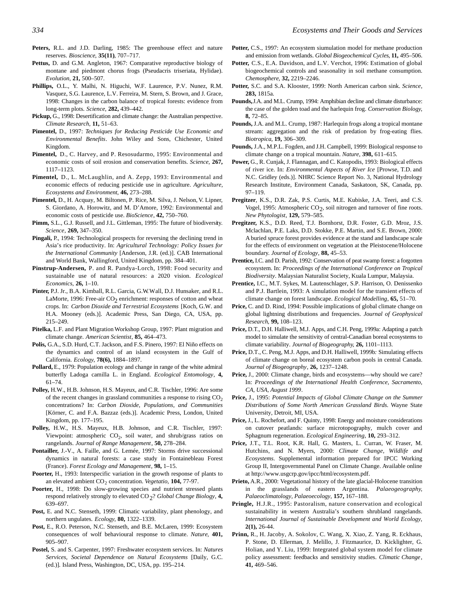- **Peters,** R.L. and J.D. Darling, 1985: The greenhouse effect and nature reserves. *Bioscience*, **35(11)**, 707–717.
- Pettus, D. and G.M. Angleton, 1967: Comparative reproductive biology of montane and piedmont chorus frogs (Pseudacris triseriata, Hylidae). *Evolution*, **21,** 500–507.
- **Phillips,** O.L., Y. Malhi, N. Higuchi, W.F. Laurence, P.V. Nunez, R.M. Vasquez, S.G. Laurence, L.V. Ferreira, M. Stern, S. Brown, and J. Grace, 1998: Changes in the carbon balance of tropical forests: evidence from long-term plots. *Science*, **282,** 439–442.
- Pickup, G., 1998: Desertification and climate change: the Australian perspective. *Climate Research*, **11,** 51–63.
- **Pimentel,** D., 1997: *Techniques for Reducing Pesticide Use Economic and Environmental Benefits*. John Wiley and Sons, Chichester, United Kingdom.
- **Pimentel,** D., C. Harvey, and P. Resosudarmo, 1995: Environmental and economic costs of soil erosion and conservation benefits. *Science*, 267, 1117–1123.
- **Pimentel,** D., L. McLaughlin, and A. Zepp, 1993: Environmental and e c onomic effects of reducing pesticide use in agriculture. *Agriculture, Ecosystems and Environment*, **46,** 273–288.
- **Pimentel,** D., H. Acquay, M. Biltonen, P. Rice, M. Silva, J. Nelson, V. Lipner, S. Giordano, A. Horowitz, and M. D'Amore, 1992: Environmental and economic costs of pesticide use. *BioScience*, **42,** 750–760.
- **Pimm,** S.L., G.J. Russell, and J.L. Gittleman, 1995: The future of biodiversity. *Science*, **269,** 347–350.
- **Pingali,** P., 1994: Technological prospects for reversing the declining trend in Asia's rice productivity. In: *Agricultural Technology: Policy Issues for the International Community* [Anderson, J.R. (ed.)]. CAB International and World Bank, Wallingford, United Kingdom, pp. 384–401.
- Pinstrup-Andersen, P. and R. Pandya-Lorch, 1998: Food security and sustainable use of natural resources: a 2020 vision. *Ecological Economics*, **26,** 1–10.
- **Pinter,** P.J. Jr., B.A. Kimball, R.L. Garcia, G.W.Wall, D.J. Hunsaker, and R.L. LaMorte, 1996: Free-air  $\mathrm{CO}_2$  enrichment: responses of cotton and wheat crops. In: *Carbon Dioxide and Terrestrial Ecosystems* [Koch, G.W. and H.A. Mooney (eds.)]. Academic Press, San Diego, CA, USA, pp. 215–249.
- **Pitelka,** L.F. and Plant Migration Workshop Group, 1997: Plant migration and climate change. *American Scientist*, **85,** 464–473.
- **Polis,** G.A., S.D. Hurd, C.T. Jackson, and F.S. Pinero, 1997: El Niño effects on the dynamics and control of an island ecosystem in the Gulf of California. *Ecology*, **78(6),** 1884–1897.
- **Pollard,** E., 1979: Population ecology and change in range of the white admiral butterfly Ladoga camilla L. in England. *Ecological Entomology*, **4,** 61–74.
- **Polley,** H.W., H.B. Johnson, H.S. Mayeux, and C.R. Tischler, 1996: Are some of the recent changes in grassland communities a response to rising  $CO<sub>2</sub>$ concentrations? In: *Carbon Dioxide, Populations, and Communities* [Körner, C. and F.A. Bazzaz (eds.)]. Academic Press, London, United Kingdom, pp. 177–195.
- Polley, H.W., H.S. Mayeux, H.B. Johnson, and C.R. Tischler, 1997: Viewpoint: atmospheric CO<sub>2</sub>, soil water, and shrub/grass ratios on rangelands. *Journal of Range Management*, **50**, 278-284.
- Pontailler, J.-V., A. Faille, and G. Lemée, 1997: Storms drive successional dynamics in natural forests: a case study in Fontainebleau Forest (France). *Forest Ecology and Management*, **98,** 1–15.
- **Poorter,** H., 1993: Interspecific variation in the growth response of plants to an elevated ambient CO<sub>2</sub> concentration. *Vegetatio*, **104,** 77-97.
- **Poorter,** H., 1998: Do slow-growing species and nutrient stressed plants respond relatively strongly to elevated CO2 ? *Global Change Biology*, **4,** 639–697.
- Post, E. and N.C. Stenseth, 1999: Climatic variability, plant phenology, and northern ungulates. *Ecology*, **80,** 1322–1339.
- Post, E., R.O. Peterson, N.C. Stenseth, and B.E. McLaren, 1999: Ecosystem consequences of wolf behavioural response to climate. *Nature*, **401,** 905–907.
- **Postel,** S. and S. Carpenter, 1997: Freshwater ecosystem services. In: *Natures Services, Societal Dependence on Natural Ecosystems* [Daily, G.C. (ed.)]*.* Island Press, Washington, DC, USA, pp. 195–214.
- **Potter,** C.S., 1997: An ecosystem siumulation model for methane production and emission from wetlands. *Global Biogeochemical Cycles*, 11, 495–506.
- Potter, C.S., E.A. Davidson, and L.V. Verchot, 1996: Estimation of global biogeochemical controls and seasonality in soil methane consumption. *Chemosphere*, **32,** 2219–2246.
- **Potter,** S.C. and S.A. Klooster, 1999: North American carbon sink. *Science*, **283,** 1815a.
- **Pounds,** J.A. and M.L. Crump, 1994: Amphibian decline and climate disturbance: the case of the golden toad and the harlequin frog. *Conservation Biology*, **8,** 72–85.
- **Pounds,** J.A. and M.L. Crump, 1987: Harlequin frogs along a tropical montane stream: aggregation and the risk of predation by frog-eating flies. *Biotropica*, **19,** 306–309.
- **Pounds,** J.A., M.P.L. Fogden, and J.H. Campbell, 1999: Biological response to climate change on a tropical mountain. *Nature*, **398,** 611–615.
- **Power,** G., R. Cunjak, J. Flannagan, and C. Katopodis, 1993: Biological effects of river ice. In: *Environmental Aspects of River Ice* [Prowse, T.D. and N.C. Gridley (eds.)]. NHRC Science Report No. 3, National Hydrology Research Institute, Environment Canada, Saskatoon, SK, Canada, pp. 97–119.
- **Pregitzer**, K.S., D.R. Zak, P.S. Curtis, M.E. Kubiske, J.A. Teeri, and C.S. Vogel, 1995: Atmospheric  $CO_2$ , soil nitrogen and turnover of fine roots. *New Phytologist*, **129,** 579–585.
- **Pregitzer,** K.S., D.D. Reed, T.J. Bornhorst, D.R. Foster, G.D. Mroz, J.S. Mclachlan, P.E. Laks, D.D. Stokke, P.E. Martin, and S.E. Brown, 2000: A buried spruce forest provides evidence at the stand and landscape scale for the effects of environment on vegetation at the Pleistocene/Holocene boundary. *Journal of Ecology*, **88,** 45–53.
- **Prentice, I.C.** and D. Parish, 1992: Conservation of peat swamp forest: a forgotten ecosystem. In: *Proceedings of the International Conference on Tropical Biodiversity*. Malaysian Naturalist Society, Kuala Lumpur, Malaysia.
- **Prentice,** I.C., M.T. Sykes, M. Lautenschlager, S.P. Harrison, O. Denissenko and P.J. Bartlein, 1993: A simulation model for the transient effects of climate change on forest landscape. *Ecological Modelling*, **65**, 51–70.
- **Price,** C. and D. Rind, 1994: Possible implications of global climate change on global lightning distributions and frequencies. *Journal of Geophysical Research*, **99,** 108–123.
- Price, D.T., D.H. Halliwell, M.J. Apps, and C.H. Peng, 1999a: Adapting a patch model to simulate the sensitivity of central-Canadian boreal ecosystems to climate variability. *Journal of Biogeography*, 26, 1101-1113.
- **Price,** D.T., C. Peng, M.J. Apps, and D.H. Halliwell, 1999b*:* Simulating effects of climate change on boreal ecosystem carbon pools in central Canada. *Journal of Biogeography*, **26,** 1237–1248.
- **Price,** J., 2000: Climate change, birds and ecosystems—why should we care? In: *Proceedings of the International Health Conference, Sacramento, CA, USA, August 1999*.
- **Price,** J., 1995: *Potential Impacts of Global Climate Change on the Summer Distributions of Some North American Grassland Birds*. Wayne State University, Detroit, MI, USA.
- Price, J., L. Rochefort, and F. Quinty, 1998: Energy and moisture considerations on cutover peatlands: surface microtopography, mulch cover and Sphagnum regeneration. *Ecological Engineering*, **10,** 293–312.
- **Price,** J.T., T.L. Root, K.R. Hall, G. Masters, L. Curran, W. Fraser, M. Hutchins, and N. Myers, 2000: *Climate Change, Wildlife and Ecosystems*. Supplemental information prepared for IPCC Working Group II, Intergovernmental Panel on Climate Change. Available online at http://www.usgcrp.gov/ipcc/html/ecosystem.pdf.
- **Prieto,** A.R., 2000: Vegetational history of the late glacial-Holocene transition in the grasslands of eastern Argentina. *Palaeogeography*, *Palaeoclimatology, Palaeoecology*, **157,** 167–188.
- **Pringle, H.J.R., 1995: Pastoralism, nature conservation and ecological** sustainability in western Australia's southern shrubland rangelands. *International Journal of Sustainable Development and World Ecology*, **2(1),** 26-44.
- Prinn, R., H. Jacoby, A. Sokolov, C. Wang, X. Xiao, Z. Yang, R. Eckhaus, P. Stone, D. Ellerman, J. Melillo, J. Fitzmaurice, D. Kicklighter, G. Holian, and Y. Liu, 1999: Integrated global system model for climate policy assessment: feedbacks and sensitivity studies. *Climatic Change*, **41,** 469–546.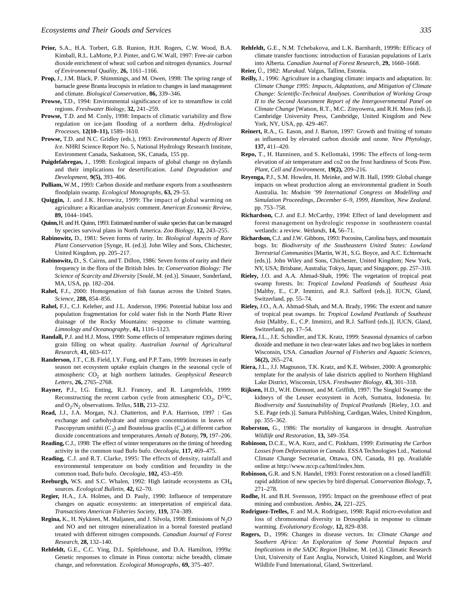- **Prior,** S.A., H.A. Torbert, G.B. Runion, H.H. Rogers, C.W. Wood, B.A. Kimball, R.L. LaMorte, P.J. Pinter, and G.W.Wall, 1997: Free-air carbon dioxide enrichment of wheat: soil carbon and nitrogen dynamics. *Journal of Environmental Quality*, **26,** 1161–1166.
- **Prop,** J., J.M. Black, P. Shimmings, and M. Owen, 1998: The spring range of barnacle geese Branta leucopsis in relation to changes in land management and climate. *Biological Conservation*, **86,** 339–346.
- **Prowse,** T.D., 1994: Environmental significance of ice to streamflow in cold regions. *Freshwater Biology*, **32,** 241–259.
- **Prowse,** T.D. and M. Conly, 1998: Impacts of climatic variability and flow regulation on ice-jam flooding of a northern delta. *Hydrological Processes*, **12(10–11),** 1589–1610.
- **Prowse,** T.D. and N.C. Gridley (eds.), 1993: *Environmental Aspects of River Ice*. NHRI Science Report No. 5, National Hydrology Research Institute, Environment Canada, Saskatoon, SK, Canada, 155 pp.
- **Puigdefabregas,** J., 1998: Ecological impacts of global change on drylands and their implications for desertification. *Land Degradation and Development*, **9(5),** 393–406.
- Pulliam, W.M., 1993: Carbon dioxide and methane exports from a southeastern floodplain swamp. *Ecological Monographs*, **63,** 29–53.
- Quiggin, J. and J.K. Horowitz, 1999: The impact of global warming on agriculture: a Ricardian analysis: comment. American Economic Review, **89,** 1044–1045.
- **Quinn,** H. and H. Quinn, 1993: Estimated number of snake species that can be managed by species survival plans in North America. *Zoo Biology*, **12,** 243–255.
- **Rabinowitz,** D., 1981: Seven forms of rarity. In: *Biological Aspects of Rare Plant Conservation* [Synge, H. (ed.)]. John Wiley and Sons, Chichester, United Kingdom, pp. 205–217.
- **Rabinowitz,** D., S. Cairns, and T. Dillon, 1986: Seven forms of rarity and their frequency in the flora of the British Isles. In: *Conservation Biology: The Science of Scarcity and Diversity* [Soulé, M. (ed.)]. Sinauer, Sunderland, MA, USA, pp. 182–204.
- **Rahel,** F.J., 2000: Homogenation of fish faunas across the United States. *Science*, **288,** 854–856.
- **Rahel,** F.J., C.J. Keleher, and J.L. Anderson, 1996: Potential habitat loss and population fragmentation for cold water fish in the North Platte River drainage of the Rocky Mountains: response to climate warming. *Limnology and Oceanography*, **41,** 1116–1123.
- **Randall, P.J.** and H.J. Moss, 1990: Some effects of temperature regimes during grain filling on wheat quality. Australian Journal of Agricultural *Research*, **41,** 603–617.
- **Randerson,** J.T., C.B. Field, I.Y. Fung, and P.P. Tans, 1999: Increases in early season net ecosystem uptake explain changes in the seasonal cycle of atmospheric CO<sup>2</sup> at high northern latitudes. *Geophysical Research Letters*, **26,** 2765–2768.
- **Rayner,** P.J., I.G. Enting, R.J. Francey, and R. Langenfelds, 1999: Reconstructing the recent carbon cycle from atmospheric  $CO_2$ ,  $D^{13}C$ , and O<sup>2</sup> /N<sup>2</sup> observations. *Tellus*, **51B,** 213–232.
- **Read,** J.J., J.A. Morgan, N.J. Chatterton, and P.A. Harrison, 1997 : Gas exchange and carbohydrate and nitrogen concentrations in leaves of Pascopyrum smithii  $(C_3)$  and Bouteloua gracilis  $(C_4)$  at different carbon dioxide concentrations and temperatures. *Annals of Botany*, **79,** 197–206.
- **Reading,** C.J., 1998: The effect of winter temperatures on the timing of breeding activity in the common toad Bufo bufo. *Oecologia*, **117,** 469–475.
- **Reading,** C.J. and R.T. Clarke, 1995: The effects of density, rainfall and environmental temperature on body condition and fecundity in the common toad, Bufo bufo. Oecologia, 102, 453-459.
- **Reeburgh,** W.S. and S.C. Whalen, 1992: High latitude ecosystems as CH<sub>4</sub> sources. *Ecological Bulletin*, **42,** 62–70.
- **Regier,** H.A., J.A. Holmes, and D. Pauly, 1990: Influence of temperature changes on aquatic ecosystems: an interpretation of empirical data. *Transactions American Fisheries Society*, **119,** 374–389.
- **Regina,** K., H. Nykänen, M. Maljanen, and J. Silvola, 1998: Emissions of N2O and NO and net nitrogen mineralization in a boreal forested peatland treated with different nitrogen compounds. *Canadian Journal of Forest Research*, **28,** 132–140.
- **Rehfeldt,** G.E., C.C. Ying, D.L. Spittlehouse, and D.A. Hamilton, 1999a: Genetic responses to climate in Pinus contorta: niche breadth, climate change, and reforestation. *Ecological Monographs*, **69,** 375–407.
- **Rehfeldt,** G.E., N.M. Tchebakova, and L.K. Barnhardt, 1999b: Efficacy of climate transfer functions: introduction of Eurasian populations of Larix into Alberta. *Canadian Journal of Forest Research*, **29,** 1660–1668.
- **Reier,** Ü., 1982: *Murakad*. Valgus, Tallinn, Estonia.
- **Reilly,** J., 1996: Agriculture in a changing climate: impacts and adaptation. In: *Climate Change 1995: Impacts, Adaptations, and Mitigation of Climate Change: Scientific-Technical Analyses. Contribution of Working Group II to the Second Assessment Report of the Intergovernmental Panel on Climate Change* [Watson, R.T., M.C. Zinyowera, and R.H. Moss (eds.)]. Cambridge University Press, Cambridge, United Kingdom and New York, NY, USA, pp. 429–467.
- **Reinert,** R.A., G. Eason, and J. Barton, 1997: Growth and fruiting of tomato as influenced by elevated carbon dioxide and ozone. *New Phytology*, **137,** 411–420.
- Repo, T., H. Hanninen, and S. Kellomaki, 1996: The effects of long-term elevation of air temperature and co2 on the frost hardiness of Scots Pine. *Plant, Cell and Environment*, **19(2),** 209–216.
- **Reyenga,** P.J., S.M. Howden, H. Meinke, and W.B. Hall, 1999: Global change impacts on wheat production along an environmental gradient in South Australia. In: *Modsim '99 International Congress on Modelling and Simulation Proceedings, December 6–9, 1999, Hamilton, New Zealand*. pp. 753–758.
- **Richardson,** C.J. and E.J. McCarthy, 1994: Effect of land development and forest management on hydrologic response in southeastern coastal wetlands: a review. Wetlands, 14, 56-71.
- Richardson, C.J. and J.W. Gibbons, 1993: Pocosins, Carolina bays, and mountain bogs. In: *Biodiversity of the Southeastern United States: Lowland Te rrestrial Communities* [Martin, W.H., S.G. Boyce, and A.C. Echternacht (eds.)]. John Wiley and Sons, Chichester, United Kingdom; New York, N Y, USA; Brisbane, Australia; Tokyo, Japan; and Singapore, pp. 257–310.
- **Rieley,** J.O. and A.A. Ahmad-Shah, 1996: The vegetation of tropical peat swamp forests. In: *Tropical Lowland Peatlands of Southeast Asia* [Maltby, E., C.P. Immirzi, and R.J. Safford (eds.)]. IUCN, Gland, Switzerland, pp. 55–74.
- **Rieley,** J.O., A.A. Ahmad-Shah, and M.A. Brady, 1996: The extent and nature of tropical peat swamps. In: *Tropical Lowland Peatlands of Southeast Asia* [Maltby, E., C.P. Immirzi, and R.J. Safford (eds.)]. IUCN, Gland, Switzerland, pp. 17–54.
- **Riera,** J.L., J.E. Schindler, and T.K. Kratz, 1999: Seasonal dynamics of carbon dioxide and methane in two clear-water lakes and two bog lakes in northern Wisconsin, USA. *Canadian Journal of Fisheries and Aquatic Sciences*, **56(2),** 265–274.
- **Riera,** J.L., J.J. Magnuson, T.K. Kratz, and K.E. Webster, 2000: A geomorphic template for the analysis of lake districts applied to Northern Highland Lake District, Wisconsin, USA. *Freshwater Biology*, **43,** 301–318.
- **Rijksen,** H.D., W.H. Diemont, and M. Griffith, 1997: The Singkil Swamp: the kidneys of the Leuser ecosystem in Aceh, Sumatra, Indonesia. In: *Biodiversity and Sustainability of Tropical Peatlands* [Rieley, J.O. and S.E. Page (eds.)]. Samara Publishing, Cardigan, Wales, United Kingdom, pp. 355–362.
- **Roberston,** G., 1986: The mortality of kangaroos in drought. *Australian Wildlife and Restoration*, **13,** 349–354.
- **Robinson,** D.C.E., W.A. Kurz, and C. Pinkham, 1999: *Estimating the Carbon Losses from Deforestation in Canada*. ESSA Technologies Ltd., National Climate Change Secretariat, Ottawa, ON, Canada, 81 pp. Available online at http://www.nccp.ca/html/index.htm.
- **Robinson,** G.R. and S.N. Handel, 1993: Forest restoration on a closed landfill: rapid addition of new species by bird dispersal. *Conservation Biology*, **7,** 271–278.
- **Rodhe,** H. and B.H. Svensson, 1995: Impact on the greenhouse effect of peat mining and combustion. *Ambio*, **24,** 221–225.
- **Rodriguez-Trelles,** F. and M.A. Rodriguez, 1998: Rapid micro-evolution and loss of chromosomal diversity in Drosophila in response to climate warming. *Evolutionary Ecology*, **12,** 829–838.
- **Rogers,** D., 1996: Changes in disease vectors. In: *Climate Change and Southern Africa: An Exploration of Some Potential Impacts and Implications in the SADC Region* [Hulme, M. (ed.)]. Climatic Research Unit, University of East Anglia, Norwich, United Kingdom, and World Wildlife Fund International, Gland, Switzerland.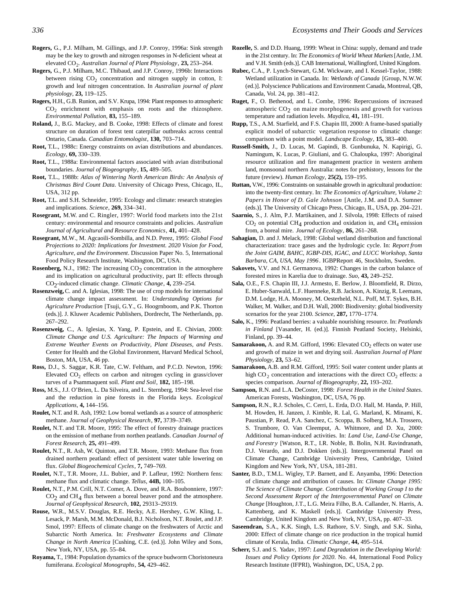- **Rogers,** G., P.J. Milham, M. Gillings, and J.P. Conroy, 1996a: Sink strength may be the key to growth and nitrogen responses in N-deficient wheat at elevated CO<sub>2</sub>. Australian Journal of Plant Physiology, 23, 253–264.
- **Rogers,** G., P.J. Milham, M.C. Thibaud, and J.P. Conroy, 1996b: Interactions between rising  $CO<sub>2</sub>$  concentration and nitrogen supply in cotton, I: growth and leaf nitrogen concentration. In *Australian journal of plant physiology*, **23,** 119–125.
- **Rogers, H.H., G.B. Runion, and S.V. Krupa, 1994: Plant responses to atmospheric** C O<sup>2</sup> enrichment with emphasis on roots and the rhizosphere. *Environmental Pollution*, **83,** 155–189.
- **Roland,** J., B.G. Mackey, and B. Cooke, 1998: Effects of climate and forest structure on duration of forest tent caterpillar outbreaks across central Ontario, Canada. *Canadian Entomologist*, **130,** 703–714.
- **Root,** T.L., 1988c: Energy constraints on avian distributions and abundances. *Ecology*, **69,** 330–339.
- **Root,** T.L., 1988a: Environmental factors associated with avian distributional boundaries. *Journal of Biogeography*, **15,** 489–505.
- **Root,** T.L., 1988b: *Atlas of Wintering North American Birds: An Analysis of Christmas Bird Count Data*. University of Chicago Press, Chicago, IL, USA, 312 pp.
- **Root,** T.L. and S.H. Schneider, 1995: Ecology and climate: research strategies and implications. *Science*, **269,** 334–341.
- **Rosegrant,** M.W. and C. Ringler, 1997: World food markets into the 21st century: environmental and resource constraints and policies. Australian *Journal of Agricultural and Resource Economics*, **41,** 401–428.
- **Rosegrant,** M.W., M. Agcaoili-Sombilla, and N.D. Perez, 1995: *Global Food Projections to 2020: Implications for Investment. 2020 Vision for Food, Agriculture, and the Environment*. Discussion Paper No. 5, International Food Policy Research Institute, Washington, DC, USA.
- **Rosenberg, N.J., 1982: The increasing CO<sub>2</sub> concentration in the atmosphere** and its implication on agricultural productivity, part II: effects through CO2 -induced climatic change. *Climatic Change*, **4,** 239–254.
- **Rosenzweig, C.** and A. Iglesias, 1998: The use of crop models for international climate change impact assessment. In: *Understanding Options for Agriculture Production* [Tsuji, G.Y., G. Hoogrnboom, and P.K. Thorton (eds.)]. J. Kluwer Academic Publishers, Dordrecht, The Netherlands, pp. 267–292.
- **Rosenzweig,** C., A. Iglesias, X. Yang, P. Epstein, and E. Chivian, 2000: *Climate Change and U.S. Agriculture: The Impacts of Warming and Extreme Weather Events on Productivity, Plant Diseases, and Pests*. Center for Health and the Global Environment, Harvard Medical School, Boston, MA, USA, 46 pp.
- **Ross,** D.J., S. Saggar, K.R. Tate, C.W. Feltham, and P.C.D. Newton, 1996: Elevated  $CO_2$  effects on carbon and nitrogen cycling in grass/clover turves of a Psammaquent soil. *Plant and Soil*, **182,** 185–198.
- **Ross,** M.S., J.J. O'Brien, L. Da Silveira, and L. Sternberg, 1994: Sea-level rise and the reduction in pine forests in the Florida keys. *Ecological Applications*, **4,** 144–156.
- **Roulet, N.T.** and R. Ash, 1992: Low boreal wetlands as a source of atmospheric methane. *Journal of Geophysical Research*, **97,** 3739–3749.
- **Roulet,** N.T. and T.R. Moore, 1995: The effect of forestry drainage practices on the emission of methane from northen peatlands. *Canadian Journal of Forest Research*, **25,** 491–499.
- **Roulet,** N.T., R. Ash, W. Quinton, and T.R. Moore, 1993: Methane flux from drained northern peatland: effect of persistent water table lowering on flux. *Global Biogeochemical Cycles*, **7,** 749–769.
- **Roulet,** N.T., T.R. Moore, J.L. Bubier, and P. Lafleur, 1992: Northern fens: methane flux and climatic change. *Tellus*, **44B,** 100–105.
- **Roulet,** N.T., P.M. Crill, N.T. Comer, A. Dove, and R.A. Boubonniere, 1997: CO2 and CH4 flux between a boreal beaver pond and the atmosphere. *Journal of Geophysical Research*, **102,** 29313–29319.
- **Rouse,** W.R., M.S.V. Douglas, R.E. Hecky, A.E. Hershey, G.W. Kling, L. Lesack, P. Marsh, M.M. McDonald, B.J. Nicholson, N.T. Roulet, and J.P. Smol, 1997: Effects of climate change on the freshwaters of Arctic and Subarctic North America. In: **Freshwater Ecosystems and Climate** *Change in North America* [Cushing, C.E. (ed.)]. John Wiley and Sons, New York, NY, USA, pp. 55–84.
- **Royama,** T., 1984: Population dynamics of the spruce budworm Choristoneura fumiferana. *Ecological Monographs*, **54,** 429–462.
- **Rozelle,** S. and D.D. Huang, 1999: Wheat in China: supply, demand and trade in the 21st century. In: *The Economics of World Wheat Markets*[Antle, J.M. and V.H. Smith (eds.)]. CAB International, Wallingford, United Kingdom.
- **Rubec,** C.A., P. Lynch-Stewart, G.M. Wickware, and I. Kessel-Taylor, 1988: Wetland utilization in Canada. In: *Wetlands of Canada* [Group, N.W.W. (ed.)]. Polyscience Publications and Environment Canada, Montreal, QB, Canada, Vol. 24, pp. 381–412.
- **Ruget,** F., O. Bethenod, and L. Combe, 1996: Repercussions of increased atmospheric  $CO<sub>2</sub>$  on maize morphogenesis and growth for various temperature and radiation levels. *Maydica*, 41, 181-191.
- **Rupp,** T.S., A.M. Starfield, and F.S. Chapin III, 2000: A frame-based spatially explicit model of subarctic vegetation response to climatic change: comparison with a point model. *Landscape Ecology*, **15**, 383-400.
- **Russell-Smith,** J., D. Lucas, M. Gapindi, B. Gunbunuka, N. Kapirigi, G. Namingum, K. Lucas, P. Giuliani, and G. Chaloupka, 1997: Aboriginal resource utilization and fire management practice in western arnhem land, monsoonal northern Australia: notes for prehistory, lessons for the future (review). *Human Ecology*, **25(2),** 159–195.
- Ruttan, V.W., 1996: Constraints on sustainable growth in agricultural production: into the twenty-first century. In: *The Economics of Agriculture, Volume 2: Papers in Honor of D. Gale Johnson* [Antle, J.M. and D.A. Sumner (eds.)]. The University of Chicago Press, Chicago, IL, USA, pp. 204-221.
- **Saarnio,** S., J. Alm, P.J. Martikainen, and J. Silvola, 1998: Effects of raised  $CO<sub>2</sub>$  on potential CH<sub>4</sub> production and oxidation in, and CH<sub>4</sub> emission from, a boreal mire. *Journal of Ecology*, **86,** 261–268.
- **Sahagian,** D. and J. Melack, 1998: Global wetland distribution and functional characterization: trace gases and the hydrologic cycle. In: *Report from the Joint GAIM, BAHC, IGBP-DIS, IGAC, and LUCC Workshop, Santa Barbara, CA, USA, May 1996*. IGBPReport 46, Stockholm, Sweden.
- **Sakovets,** V.V. and N.I. Germanova, 1992: Changes in the carbon balance of forested mires in Karelia due to drainage. *Suo*, **43,** 249–252.
- **Sala,** O.E., F.S. Chapin III, J.J. Armesto, E. Berlow, J. Bloomfield, R. Dirzo, E. Huber-Sanwald, L.F. Huenneke, R.B. Jackson, A. Kinzig, R. Leemans, D.M. Lodge, H.A. Mooney, M. Oesterheld, N.L. Poff, M.T. Sykes, B.H. Walker, M. Walker, and D.H. Wall, 2000: Biodiversity: global biodiversity scenarios for the year 2100. *Science*, **287,** 1770–1774.
- **Salo,** K., 1996: Peatland berries: a valuable nourishing resource. In: *Peatlands in Finland* [Vasander, H. (ed.)]. Finnish Peatland Society, Helsinki, Finland, pp. 39–44.
- **Samarakoon,** A. and R.M. Gifford, 1996: Elevated  $CO_2$  effects on water use and growth of maize in wet and drying soil. *Australian Journal of Plant Physiology*, **23,** 53–62.
- **Samarakoon,** A.B. and R.M. Gifford, 1995: Soil water content under plants at high  $CO_2$  concentration and interactions with the direct  $CO_2$  effects: a species comparison. *Journal of Biogeography*, **22,** 193–202.
- **Sampson,** R.N. and L.A. DeCoster, 1998: *Forest Health in the United States*. American Forests, Washington, DC, USA, 76 pp.
- **Sampson,** R.N., R.J. Scholes, C. Cerri, L. Erda, D.O. Hall, M. Handa, P. Hill, M. Howden, H. Janzen, J. Kimble, R. Lal, G. Marland, K. Minami, K. Paustian, P. Read, P.A. Sanchez, C. Scoppa, B. Solberg, M.A. Trossero, S. Trumbore, O. Van Cleemput, A. Whitmore, and D. Xu, 2000: Additional human-induced activities. In: *Land Use, Land-Use Change, and Forestr y* [Watson, R.T., I.R. Noble, B. Bolin, N.H. Ravindranath, D.J. Verardo, and D.J. Dokken (eds.)]. Intergovernmental Panel on Climate Change, Cambridge University Press, Cambridge, United Kingdom and New York, NY, USA, 181-281.
- **Santer,** B.D., T.M.L. Wigley, T.P. Barnett, and E. Anyamba, 1996: Detection of climate change and attribution of causes. In: *Climate Change 1995: The Science of Climate Change. Contribution of Working Group I to the Second Assessment Report of the Intergovernmental Panel on Climate Change* [Houghton, J.T., L.G. Meira Filho, B.A. Callander, N. Harris, A. Kattenberg, and K. Maskell (eds.)]. Cambridge University Press, Cambridge, United Kingdom and New York, NY, USA, pp. 407–33.
- **Saseendran,** S.A., K.K. Singh, L.S. Rathore, S.V. Singh, and S.K. Sinha, 2000: Effect of climate change on rice production in the tropical humid climate of Kerala, India. *Climatic Change*, **44,** 495–514.
- **Scherr,** S.J. and S. Yadav, 1997: *Land Degradation in the Developing World: Issues and Policy Options for 2020*. No. 44, International Food Policy Research Institute (IFPRI), Washington, DC, USA, 2 pp.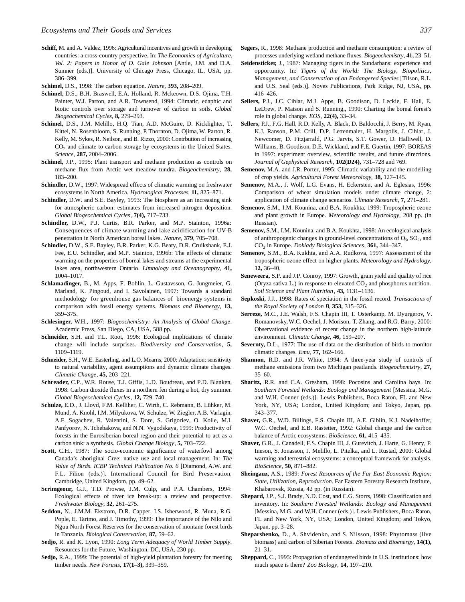- **Schiff,** M. and A. Valdez, 1996: Agricultural incentives and growth in developing countries: a cross-country perspective. In: *The Economics of Agriculture, Vol. 2: Papers in Honor of D. Gale Johnson* [Antle, J.M. and D.A. Sumner (eds.)]. University of Chicago Press, Chicago, IL, USA, pp. 386–399.
- **Schimel,** D.S., 1998: The carbon equation. *Nature*, **393,** 208–209.
- **Schimel,** D.S., B.H. Braswell, E.A. Holland, R. Mckeown, D.S. Ojima, T.H. Painter, W.J. Parton, and A.R. Townsend, 1994: Climatic, edaphic and biotic controls over storage and turnover of carbon in soils. *Global Biogeochemical Cycles*, **8,** 279–293.
- **Schimel,** D.S., J.M. Melillo, H.Q. Tian, A.D. McGuire, D. Kicklighter, T. Kittel, N. Rosenbloom, S. Running, P. Thornton, D. Ojima, W. Parton, R. Kelly, M. Sykes, R. Neilson, and B. Rizzo, 2000: Contrbution of increasing CO<sup>2</sup> and climate to carbon storage by ecosystems in the United States. *Science*, **287,** 2004–2006.
- **Schimel,** J.P., 1995: Plant transport and methane production as controls on methane flux from Arctic wet meadow tundra. *Biogeochemistry*, **28,** 183–200.
- **Schindler,** D.W., 1997: Widespread effects of climatic warming on freshwater ecosystems in North America. *Hydrological Processes*, **11,** 825–871.
- **Schindler,** D.W. and S.E. Bayley, 1993: The biosphere as an increasing sink for atmospheric carbon: estimates from increased nitrogen deposition. *Global Biogeochemical Cycles*, **7(4),** 717–733.
- Schindler, D.W., P.J. Curtis, B.R. Parker, and M.P. Stainton, 1996a: Consequences of climate warming and lake acidification for UV-B penetration in North American boreal lakes. *Nature*, 379, 705-708.
- **Schindler,** D.W., S.E. Bayley, B.R. Parker, K.G. Beaty, D.R. Cruikshank, E.J. Fee, E.U. Schindler, and M.P. Stainton, 1996b: The effects of climatic warming on the properties of boreal lakes and streams at the experimental lakes area, northwestern Ontario. *Limnology and Oceanography*, **41,** 1004–1017.
- **Schlamadinger,** B., M. Apps, F. Bohlin, L. Gustavsson, G. Jungmeier, G. Marland, K. Pingoud, and I. Savolainen, 1997: Towards a standard methodology for greenhouse gas balances of bioenergy systems in comparison with fossil energy systems. *Biomass and Bioenergy*, 13, 359–375.
- **Schlesinger,** W.H., 1997: *Biogeochemistry: An Analysis of Global Change*. Academic Press, San Diego, CA, USA, 588 pp.
- **Schneider,** S.H. and T.L. Root, 1996: Ecological implications of climate change will include surprises. *Biodiversity and Conservation*, 5, 1109–1119.
- Schneider, S.H., W.E. Easterling, and L.O. Mearns, 2000: Adaptation: sensitivity to natural variability, agent assumptions and dynamic climate changes. *Climatic Change*, **45,** 203–221.
- **Schreader,** C.P., W.R. Rouse, T.J. Giffis, L.D. Boudreau, and P.D. Blanken, 1998: Carbon dioxide fluxes in a northern fen during a hot, dry summer. *Global Biogeochemical Cycles*, **12,** 729–740.
- **Schulze,** E.D., J. Lloyd, F.M. Kelliher, C. Wirth, C. Rebmann, B. Lühker, M. Mund, A. Knohl, I.M. Milyukova, W. Schulze, W. Ziegler, A.B. Varlagin, A.F. Sogachev, R. Valentini, S. Dore, S. Grigoriev, O. Kolle, M.I. Panfyorov, N. Tchebakova, and N.N. Vygodskaya, 1999: Productivity of forests in the Eurosiberian boreal region and their potential to act as a carbon sink: a synthesis. *Global Change Biology*, **5,** 703–722.
- Scott, C.H., 1987: The socio-economic significance of waterfowl among Canada's aboriginal Cree: native use and local management. In: *The Value of Birds. ICBP Technical Publication No. 6* [Diamond, A.W. and F.L. Filion (eds.)]. International Council for Bird Preservation, Cambridge, United Kingdom, pp. 49–62.
- Scrimgeour, G.J., T.D. Prowse, J.M. Culp, and P.A. Chambers, 1994: Ecological effects of river ice break-up: a review and perspective. *Freshwater Biology*, **32,** 261–275.
- **Seddon,** N., J.M.M. Ekstrom, D.R. Capper, I.S. Isherwood, R. Muna, R.G. Pople, E. Tarimo, and J. Timothy, 1999: The importance of the Nilo and Nguu North Forest Reserves for the conservation of montane forest birds in Tanzania. *Biological Conservation*, **87,** 59–62.
- **Sedjo,** R. and K. Lyon, 1990: *Long Term Adequacy of World Timber Supply*. Resources for the Future, Washington, DC, USA, 230 pp.
- **Sedjo,** R.A., 1999: The potential of high-yield plantation forestry for meeting timber needs. *New Forests*, **17(1–3),** 339–359.
- **Segers,** R., 1998: Methane production and methane consumption: a review of processes underlying wetland methane fluxes. *Biogeochemistry*, 41, 23–51.
- **Seidensticker,** J., 1987: Managing tigers in the Sundarbans: experience and opportunity. In: *Tigers of the World: The Biology, Biopolitics, Management, and Conservation of an Endangered Species* [Tilson, R.L. and U.S. Seal (eds.)]. Noyes Publications, Park Ridge, NJ, USA, pp. 416–426.
- **Sellers,** P.J., J.C. Cihlar, M.J. Apps, B. Goodison, D. Leckie, F. Hall, E. LeDrew, P. Matson and S. Running,, 1990: Charting the boreal forest's role in global change. *EOS*, **22(4),** 33–34.
- **Sellers,** P.J., F.G. Hall, R.D. Kelly, A. Black, D. Baldocchi, J. Berry, M. Ryan, K.J. Ranson, P.M. Crill, D.P. Lettenmaier, H. Margolis, J. Cihlar, J. Newcomer, D. Fitzjarrald, P.G. Jarvis, S.T. Gower, D. Halliwell, D. Williams, B. Goodison, D.E. Wickland, and F.E. Guertin, 1997: BOREAS in 1997: experiment overview, scientific results, and future directions. *Journal of Gephysical Research*, **102(D24),** 731–728 and 769.
- **Semenov,** M.A. and J.R. Porter, 1995: Climatic variability and the modelling of crop yields. *Agricultural Forest Meteorology*, **38,** 127–145.
- **Semenov,** M.A., J. Wolf, L.G. Evans, H. Eckersten, and A. Eglesias, 1996: Comparison of wheat simulation models under climate change, 2: application of climate change scenarios. *Climate Research*, **7**, 271-281.
- **Semenov,** S.M., I.M. Kounina, and B.A. Koukhta, 1999: Tropospheric ozone and plant growth in Europe. *Meteorology and Hydrology*, 208 pp. (in Russian).
- Semenov, S.M., I.M. Kounina, and B.A. Koukhta, 1998: An ecological analysis of anthropogenic changes in ground-level concentrations of  $O_3$ ,  $SO_2$ , and CO<sup>2</sup> in Europe. *Doklady Biological Sciences*, **361,** 344–347.
- **Semenov, S.M., B.A. Kukhta, and A.A. Rudkova, 1997: Assessment of the** tropospheric ozone effect on higher plants. *Meteorology and Hydrology*, **12,** 36–40.
- **Seneweera,** S.P. and J.P. Conroy, 1997: Growth, grain yield and quality of rice (Oryza sativa L.) in response to elevated  $CO<sub>2</sub>$  and phosphorus nutrition. *Soil Science and Plant Nutrition*, **43,** 1131–1136.
- **Sepkoski,** J.J., 1998: Rates of speciation in the fossil record. *Transactions of the Royal Society of London B*, **353,** 315–326.
- **Serreze,** M.C., J.E. Walsh, F.S. Chapin III, T. Osterkamp, M. Dyurgerov, V. Romanovsky, W.C. Oechel, J. Morison, T. Zhang, and R.G. Barry, 2000: Observational evidence of recent change in the northern high-latitude environment. *Climatic Change*, **46,** 159–207.
- **Severnty,** D.L., 1977: The use of data on the distribution of birds to monitor climatic changes. *Emu*, **77,** 162–166.
- **Shannon,** R.D. and J.R. White, 1994: A three-year study of controls of methane emissions from two Michigan peatlands. *Biogeochemistry*, **27,** 35–60.
- **Sharitz,** R.R. and C.A. Gresham, 1998: Pocosins and Carolina bays. In: *Southern Forested Wetlands: Ecology and Management* [Messina, M.G. and W.H. Conner (eds.)]. Lewis Publishers, Boca Raton, FL and New York, NY, USA; London, United Kingdom; and Tokyo, Japan, pp. 343–377.
- **Shaver,** G.R., W.D. Billings, F.S. Chapin III, A.E. Giblin, K.J. Nadelhoffer, W.C. Oechel, and E.B. Rastetter, 1992: Global change and the carbon balance of Arctic ecosystems. *BioScience*, **61,** 415–435.
- **Shaver,** G.R., J. Canadell, F.S. Chapin III, J. Gurevitch, J. Harte, G. Henry, P. Ineson, S. Jonasson, J. Melillo, L. Pitelka, and L. Rustad, 2000: Global warming and terrestrial ecosystems: a conceptual framework for analysis. *BioScience*, **50,** 871–882.
- **Sheingauz,** A.S., 1989: *Forest Resources of the Far East Economic Region: State, Utilization, Reproduction*. Far Eastern Forestry Research Institute, Khabarovsk, Russia, 42 pp. (in Russian).
- **Shepard,** J.P., S.J. Brady, N.D. Cost, and C.G. Storrs, 1998: Classification and inventory. In: *Southern Forested Wetlands: Ecology and Management* [Messina, M.G. and W.H. Conner (eds.)]. Lewis Publishers, Boca Raton, FL and New York, NY, USA; London, United Kingdom; and Tokyo, Japan, pp. 3–28.
- Sheparshenko, D., A. Shvidenko, and S. Nilsson, 1998: Phytomass (live biomass) and carbon of Siberian Forests. *Biomass and Bioenergy*, 14(1), 21–31.
- **Sheppard,** C., 1995: Propagation of endangered birds in U.S. institutions: how much space is there? *Zoo Biology*, **14,** 197–210.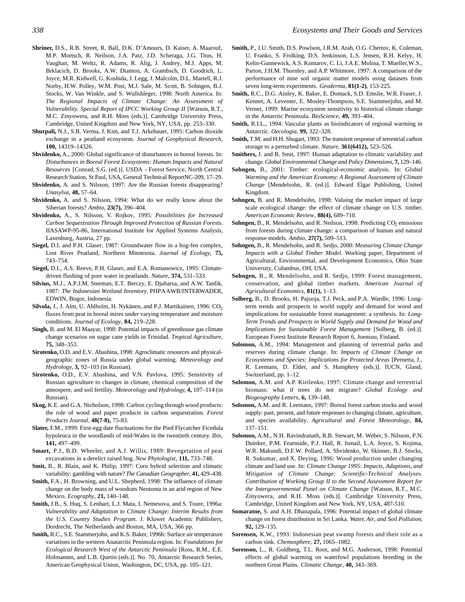- **Shriner,** D.S., R.B. Street, R. Ball, D.K. D'Amours, D. Kaiser, A. Maarouf, M.P. Mortsch, R. Neilson, J.A. Patz, J.D. Scheraga, J.G. Titus, H. Vaughan, M. Weltz, R. Adams, R. Alig, J. Andrey, M.J. Apps, M. Brklacich, D. Brooks, A.W. Diamon, A. Grambsch, D. Goodrich, L. Joyce, M.R. Kidwell, G. Koshida, J. Legg, J. Malcolm, D.L. Martell, R.J. Norby, H.W. Polley, W.M. Post, M.J. Sale, M. Scott, B. Sohngen, B.J. Stocks, W. Van Winkle, and S. Wullshleger, 1998: North America. In: *The Regional Impacts of Climate Change: An Assessment of Vulnerability. Special Report of IPCC Working Group II* [Watson, R.T., M.C. Zinyowera, and R.H. Moss (eds.)]. Cambridge University Press, Cambridge, United Kingdom and New York, NY, USA, pp. 253–330.
- **Shurpali,** N.J., S.B. Verma, J. Kim, and T.J. Arkebauer, 1995: Carbon dioxide exchange in a peatland ecosystem. *Journal of Geophysical Research*, **100,** 14319–14326.
- **Shvidenko,** A., 2000: Global significance of disturbances in boreal forests. In: *Disturbances in Boreal Forest Ecosystems: Human Impacts and Natural Resources* [Conrad, S.G. (ed.)]. USDA - Forest Service, North Central Research Station, St Paul, USA, General Technical ReportNC-209, 17–29.
- **Shvidenko,** A. and S. Nilsson, 1997: Are the Russian forests disappearing? *Unasylva,* **48,** 57–64.
- **Shvidenko,** A. and S. Nilsson, 1994: What do we really know about the Siberian forests? *Ambio*, **23(7),** 396–404.
- **Shvidenko,** A., S. Nilsson, V. Rojkov, 1995: *Possibilities for Increased Carbon Sequestration Through Improved Protection of Russian Forests*. IIASAWP-95-86, International Institute for Applied Systems Analysis, Laxenburg, Austria, 27 pp.
- **Siegel,** D.I. and P.H. Glaser, 1987: Groundwater flow in a bog-fen complex, Lost River Peatland, Northern Minnesota. *Journal of Ecology*, **75,** 743–754.
- **Siegel,** D.I., A.S. Reeve, P.H. Glaser, and E.A. Romanowicz, 1995: Climatedriven flushing of pore water in peatlands. *Nature*, **374,** 531–533.
- **Silvius,** M.J., A.P.J.M. Steeman, E.T. Berczy, E. Djuharsa, and A.W. Tanfik, 1987: *The Indonesian Wetland Inventory*. PHPAAWB/INTERWADER, EDWIN, Bogor, Indonesia.
- Silvola, J., J. Alm, U. Ahlholm, H. Nykänen, and P.J. Martikainen, 1996: CO<sub>2</sub> fluxes from peat in boreal mires under varying temperature and moisture conditions. *Journal of Ecology*, **84,** 219–228.
- **Singh,** B. and M. El Maayar, 1998: Potential impacts of greenhouse gas climate change scenarios on sugar cane yields in Trinidad. *Tropical Agriculture*, **75,** 348–353.
- Sirotenko, O.D. and E.V. Abashina, 1998: Agroclimatic resources and physicalgeographic zones of Russia under global warming. *Meteorology and Hydrology*, **3,** 92–103 (in Russian).
- **Sirotenko,** O.D., E.V. Abashina, and V.N. Pavlova, 1995: Sensitivity of Russian agriculture to changes in climate, chemical composition of the atmospere, and soil fertility. *Meteorology and Hydrology*, **4,** 107–114 (in Russian).
- **Skog,** K.E. and G.A. Nicholson, 1998: Carbon cycling through wood products: the role of wood and paper products in carbon sequestration. *Forest Products Journal*, **48(7-8),** 75-83.
- **Slater,** F.M., 1999: First-egg date fluctuations for the Pied Flycatcher Ficedula hypoleuca in the woodlands of mid-Wales in the twentieth century. *Ibis*, **141,** 497–499.
- Smart, P.J., B.D. Wheeler, and A.J. Willis, 1989: Revegetation of peat excavations in a derelict raised bog. *New Phytologist*, 111, 733-748.
- **Smit,** B., R. Blain, and K. Philip, 1997: Corn hybrid selection and climatic variability: gambling with nature? *The Canadian Geographer*, 41, 429-438.
- **Smith,** F.A., H. Browning, and U.L. Shepherd, 1998: The influence of climate change on the body mass of woodrats Neotoma in an arid region of New Mexico. *Ecography*, **21,** 140–148.
- **Smith,** J.B., S. Huq, S. Lenhart, L.J. Mata, I. Nemesova, and S. Toure, 1996a: *Vulnerability and Adaptation to Climate Change: Interim Results from the U.S. Country Studies Program*. J. Kluwer Academic Publishers, Dordrecht, The Netherlands and Boston, MA, USA, 366 pp.
- Smith, R.C., S.E. Stammerjohn, and K.S. Baker, 1996b: Surface air temperature variations in the western Anatarctic Peninsula region. In: *Foundations for Ecological Research West of the Antarctic Peninsula* [Ross, R.M., E.E. Hofmannm, and L.B. Quetin (eds.)]. No. 70, Antarctic Research Series, American Geophysical Union, Washington, DC, USA, pp. 105–121.
- **Smith,** P., J.U. Smith, D.S. Powlson, J.R.M. Arah, O.G. Chertov, K. Coleman, U. Franko, S. Frolking, D.S. Jenkinson, L.S. Jensen, R.H. Kelyy, H. Kelin-Gunnewick, A.S. Komarov, C. Li, J.A.E. Molina, T. Mueller,W.S., Parton, J.H.M. Thornley, and A.P. Whitmore, 1997: A comparison of the performance of nine soil organic matter models using datasets from seven long-term experiments. *Geoderma,* **81(1-2)**, 153-225.
- **Smith,** R.C., D.G. Ainley, K. Baker, E. Domack, S.D. Emslie, W.R. Fraser, J. Kennet, A. Leventer, E. Mosley-Thompson, S.E. Stammerjohn, and M. Vernet, 1999: Marine ecosystem sensitivity to historical climate change in the Antarctic Peninsula. *BioScience*, **49,** 393–404.
- **Smith,** R.I.L., 1994: Vascular plants as bioindicators of regional warming in Antarctic. *Oecologia*, **99,** 322–328.
- **Smith,** T.M. and H.H. Shugart, 1993: The transient response of terrestrial carbon storage to a perturbed climate. *Nature*, **361(6412),** 523–526.
- **Smithers,** J. and B. Smit, 1997: Human adaptation to climatic variability and change. *Global Environmental Change and Policy Dimensions*, **7**, 129-146.
- Sohngen, B., 2001: Timber: ecological-economic analysis. In: *Global Warming and the American Economy: A Regional Assessment of Climate* Change [Mendelsohn, R. (ed.)]. Edward Elgar Publishing, United Kingdom.
- **Sohngen,** B. and R. Mendelsohn, 1998: Valuing the market impact of large scale ecological change: the effect of climate change on U.S. timber. *American Economic Review*, **88(4),** 689–710.
- Sohngen, B., R. Mendelsohn, and R. Neilson, 1998: Predicting CO<sub>2</sub> emissions from forests during climate change: a comparison of human and natural response models. *Ambio*, **27(7),** 509–513.
- **Sohngen,** B., R. Mendelsohn, and R. Sedjo, 2000: *Measuring Climate Change Impacts with a Global Timber Model*. Working paper, Department of Agricultural, Environmental, and Development Economics, Ohio State University, Columbus, OH, USA.
- Sohngen, B., R. Mendelsohn, and R. Sedjo, 1999: Forest management, c o nservation, and global timber markets. *American Journal of Agricultural Economics*, **81(1),** 1–13.
- **Solberg,** B., D. Brooks, H. Pajuoja, T.J. Peck, and P.A. Wardle, 1996: Longterm trends and prospects in world supply and demand for wood and impolications for sustainable forest management: a synthesis. In: *Long-Term Trends and Prospects in World Supply and Demand for Wood and Implications for Sustainable Forest Management* [Solberg, B. (ed.)]. European Forest Institute Research Report 6, Joensuu, Finland.
- **Solomon,** A.M., 1994: Management and planning of terrestrial parks and reserves during climate change. In: *Impacts of Climate Change on Ecosystems and Species: Implications for Protected Areas* [Pernetta, J., R. Leemans, D. Elder, and S. Humphrey (eds.)]. IUCN, Gland, Switzerland, pp. 1–12.
- Solomon, A.M. and A.P. Kirilenko, 1997: Climate change and terrestrial biomass: what if trees do not migrate? *Global Ecology and Biogeography Letters*, **6,** 139–148.
- **Solomon,** A.M. and R. Leemans, 1997: Boreal forest carbon stocks and wood supply: past, present, and future responses to changing climate, agriculture, and species availability. *Agricultural and Forest Meteorology*, 84, 137–151.
- **Solomon,** A.M., N.H. Ravindranath, R.B. Stewart, M. Weber, S. Nilsson, P.N. Duinker, P.M. Fearnside, P.J. Hall, R. Ismail, L.A. Joyce, S. Kojima, W.R. Makundi, D.F.W. Pollard, A. Shvidenko, W. Skinner, B.J. Stocks, R. Sukumar, and X. Deying, 1996: Wood production under changing climate and land use. In: *Climate Change 1995: Impacts, Adaptions, and Mitigation of Climate Change: Scientific-Technical Analyses. Contribution of Working Group II to the Second Assessment Report for the Intergovernmental Panel on Climate Change* [Watson, R.T., M.C. Zinyowera, and R.H. Moss (eds.)]. Cambridge University Press, Cambridge, United Kingdom and New York, NY, USA, 487-510.
- **Somaratne,** S. and A.H. Dhanapala, 1996: Potential impact of global climate change on forest distribution in Sri Lanka. *Water, Air, and Soil Pollution*, **92,** 129–135.
- Sorensen, K.W., 1993: Indonesian peat swamp forests and their role as a c a rbon sink. *Chemosphere*, **27,** 1065–1082.
- **Sorenson,** L., R. Goldberg, T.L. Root, and M.G. Anderson, 1998: Potential effects of global warming on waterfowl populations breeding in the northern Great Plains. *Climatic Change*, **40,** 343–369.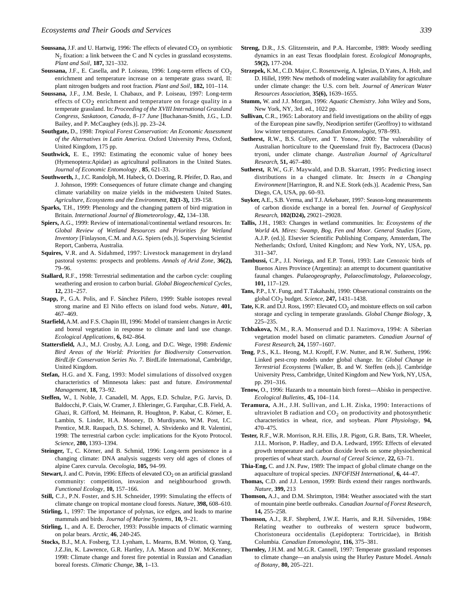- **Soussana, J.F. and U. Hartwig, 1996: The effects of elevated CO<sub>2</sub> on symbiotic**  $N_2$  fixation: a link between the C and N cycles in grassland ecosystems. *Plant and Soil*, **187,** 321–332.
- **Soussana,** J.F., E. Casella, and P. Loiseau, 1996: Long-term effects of CO<sub>2</sub> enrichment and temperature increase on a temperate grass sward, II: plant nitrogen budgets and root fraction*. Plant and Soil*, **182,** 101–114.
- **Soussana,** J.F., J.M. Besle, I. Chabaux, and P. Loiseau, 1997: Long-term effects of  $\mathrm{CO}_2$  enrichment and temperature on forage quality in a temperate grassland. In: Proceeding of the XVIII International Grassland *Congress, Saskatoon, Canada, 8–17 June* [Buchanan-Smith, J.G., L.D. Bailey, and P. McCaughey (eds.)]. pp. 23–24.
- **Southgate,** D., 1998: *Tropical Forest Conservation: An Economic Assessment of the Alternatives in Latin America*. Oxford University Press, Oxford, United Kingdom, 175 pp.
- **Southwick,** E. E., 1992: Estimating the economic value of honey bees (Hymenoptera:Apidae) as agricultural pollinators in the United States. *Journal of Economic Entomology* , **85**, 621-33.
- Southworth, J., J.C. Randolph, M. Habeck, O. Doering, R. Pfeifer, D. Rao, and J. Johnson, 1999: Consequences of future climate change and changing climate variability on maize yields in the midwestern United States. *Agriculture, Ecosystems and the Environment,* **82(1-3),** 139-158.
- **Sparks,** T.H., 1999: Phenology and the changing pattern of bird migration in Britain. *International Journal of Biometeorology*, **42,** 134–138.
- **Spiers,** A.G., 1999: Review of international/continental wetland resources. In: Global Review of Wetland Resources and Priorities for Wetland *Inventory* [Finlayson, C.M. and A.G. Spiers (eds.)]. Supervising Scientist Report, Canberra, Australia.
- **Squires,** V.R. and A. Sidahmed, 1997: Livestock management in dryland pastoral systems: prospects and problems. *Annals of Arid Zone*, 36(2), 79–96.
- **Stallard,** R.F., 1998: Terrestrial sedimentation and the carbon cycle: coupling weathering and erosion to carbon burial. *Global Biogeochemical Cycles*, **12,** 231–257.
- **Stapp,** P., G.A. Polis, and F. Sánchez Piñero, 1999: Stable isotopes reveal strong marine and El Niño effects on island food webs. *Nature*, **401,** 467–469.
- **Starfield,** A.M. and F.S. Chapin III, 1996: Model of transient changes in Arctic and boreal vegetation in response to climate and land use change. *Ecological Applications*, **6,** 842–864.
- **Stattersfield,** A.J., M.J. Crosby, A.J. Long, and D.C. Wege, 1998: *Endemic Bird Areas of the World: Priorities for Biodiversity Conservation. BirdLife Conservation Series No. 7*. BirdLife International, Cambridge, United Kingdom.
- Stefan, H.G. and X. Fang, 1993: Model simulations of dissolved oxygen characteristics of Minnesota lakes: past and future. *Environmental Management*, **18,** 73–92.
- **Steffen,** W., I. Noble, J. Canadell, M. Apps, E.D. Schulze, P.G. Jarvis, D. Baldocchi, P. Ciais, W. Cramer, J. Ehleringer, G. Farquhar, C.B. Field, A. Ghazi, R. Gifford, M. Heimann, R. Houghton, P. Kabat, C. Körner, E. Lambin, S. Linder, H.A. Mooney, D. Murdiyarso, W.M. Post, I.C. Prentice, M.R. Raupach, D.S. Schimel, A. Shvidenko and R. Valentini, 1998: The terrestrial carbon cycle: implications for the Kyoto Protocol. *Science*, **280,** 1393–1394.
- **Steinger,** T., C. Körner, and B. Schmid, 1996: Long-term persistence in a changing climate: DNA analysis suggests very old ages of clones of alpine Carex curvula*. Oecologia*, **105,** 94–99.
- **Stewart, J.** and C. Potvin, 1996: Effects of elevated CO<sub>2</sub> on an artificial grassland community: competition, invasion and neighbourhood growth. *Functional Ecology*, **10,** 157–166.
- Still, C.J., P.N. Foster, and S.H. Schneider, 1999: Simulating the effects of climate change on tropical montane cloud forests. *Nature*, **398**, 608–610.
- **Stirling,** I., 1997: The importance of polynas, ice edges, and leads to marine mammals and birds. *Journal of Marine Systems*, **10,** 9–21.
- **Stirling,** I., and A. E. Derocher, 1993: Possible impacts of climatic warming on polar bears. *Arctic*, **46**, 240-245.
- **Stocks,** B.J., M.A. Fosberg, T.J. Lynham, L. Mearns, B.M. Wotton, Q. Yang, J.Z.Jin, K. Lawrence, G.R. Hartley, J.A. Mason and D.W. McKenney, 1998: Climate change and forest fire potential in Russian and Canadian boreal forests. *Climatic Change*, **38,** 1–13.
- **Streng,** D.R., J.S. Glitzenstein, and P.A. Harcombe, 1989: Woody seedling dynamics in an east Texas floodplain forest. *Ecological Monographs*, **59(2),** 177-204.
- **Strzepek,** K.M., C.D. Major, C. Rosenzweig, A. Iglesias, D.Yates, A. Holt, and D. Hillel, 1999: New methods of modeling water availability for agriculture under climate change: the U.S. corn belt. *Journal of American Water Resources Association*, **35(6),** 1639–1655.
- **Stumm,** W. and J.J. Morgan, 1996: *Aquatic Chemistry*. John Wiley and Sons, New York, NY, 3rd. ed., 1022 pp.
- **Sullivan,** C.R., 1965: Laboratory and field investigations on the ability of eggs of the European pine sawfly, Neodiprion sertifer (Geoffroy) to withstand low winter temperatures. *Canadian Entomologist*, 978–993.
- **Sutherst,** R.W., B.S. Collyer, and T. Yonow, 2000: The vulnerability of Australian horticulture to the Queensland fruit fly, Bactrocera (Dacus) tryoni, under climate change. Australian Journal of Agricultural *Research*, **51,** 467–480.
- Sutherst, R.W., G.F. Maywald, and D.B. Skarratt, 1995: Predicting insect distributions in a changed climate. In: *Insects in a Changing Environment*[Harrington, R. and N.E. Stork (eds.)]. Academic Press, San Diego, CA, USA, pp. 60–93.
- Suyker, A.E., S.B. Verma, and T.J. Arkebauer, 1997: Season-long measurements of carbon dioxide exchange in a boreal fen. *Journal of Geophysical Research*, **102(D24),** 29021–29028.
- **Tallis,** J.H., 1983: Changes in wetland communities. In: *Ecosystems of the World 4A. Mires: Swamp, Bog, Fen and Moor. General Studies* [Gore, A.J.P. (ed.)]. Elsevier Scientific Publishing Company, Amsterdam, The Netherlands; Oxford, United Kingdom; and New York, NY, USA, pp. 311–347.
- **Tambussi,** C.P., J.I. Noriega, and E.P. Tonni, 1993: Late Cenozoic birds of Buenos Aires Province (Argentina): an attempt to document quantitative faunal changes. *Palaeogeography, Palaeoclimatology, Palaeoecology*, **101,** 117–129.
- **Tans,** P.P., I.Y. Fung, and T.Takahashi, 1990: Observational constraints on the global CO2 budget. *Science*, **247,** 1431–1438.
- **Tate,** K.R. and D.J. Ross, 1997: Elevated CO<sub>2</sub> and moisture effects on soil carbon storage and cycling in temperate grasslands. *Global Change Biology*, **3,** 225–235.
- Tchbakova, N.M., R.A. Monserud and D.I. Nazimova, 1994: A Siberian vegetation model based on climatic parameters. *Canadian Journal of Forest Research*, **24,** 1597–1607.
- **Teng**, P.S., K.L. Heong, M.J. Kropff, F.W. Nutter, and R.W. Sutherst, 1996: Linked pest-crop models under global change. In: *Global Change in Terrestrial Ecosystems* [Walker, B. and W. Steffen (eds.)]. Cambridge University Press, Cambridge, United Kingdom and New York, NY, USA, pp. 291–316.
- **Tenow,** O., 1996: Hazards to a mountain birch forest—Abisko in perspective. *Ecological Bulletins*, **45,** 104–114.
- Teramura, A.H., J.H. Sullivan, and L.H. Ziska, 1990: Interactions of ultraviolet B radiation and  $CO<sub>2</sub>$  on productivity and photosynthetic characteristics in wheat, rice, and soybean. *Plant Physiology*, 94, 470–475.
- **Tester,** R.F., W.R. Morrison, R.H. Ellis, J.R. Pigott, G.R. Batts, T.R. Wheeler, J.I.L. Morison, P. Hadley, and D.A. Ledward, 1995: Effects of elevated growth temperature and carbon dioxide levels on some physiochemical properties of wheat starch. *Journal of Cereal Science*, **22,** 63–71.
- **Thia-Eng,** C. and J.N. Paw, 1989: The impact of global climate change on the aquaculture of tropical species. *INFOFISH International*, **6,** 44–47.
- **Thomas,** C.D. and J.J. Lennon, 1999: Birds extend their ranges northwards. *Nature*, **399,** 213
- **Thomson,** A.J., and D.M. Shrimpton, 1984: Weather associated with the start of mountain pine beetle outbreaks. *Canadian Journal of Forest Research*, **14,** 255–258.
- **Thomson,** A.J., R.F. Shepherd, J.W.E. Harris, and R.H. Silversides, 1984: Relating weather to outbreaks of western spruce budworm, Choristoneura occidentalis (Lepidoptera: Tortricidae), in British Columbia. *Canadian Entomologist*, **116,** 375–381.
- **Thornley,** J.H.M. and M.G.R. Cannell, 1997: Temperate grassland responses to climate change—an analysis using the Hurley Pasture Model. *Annals of Botany*, **80,** 205–221.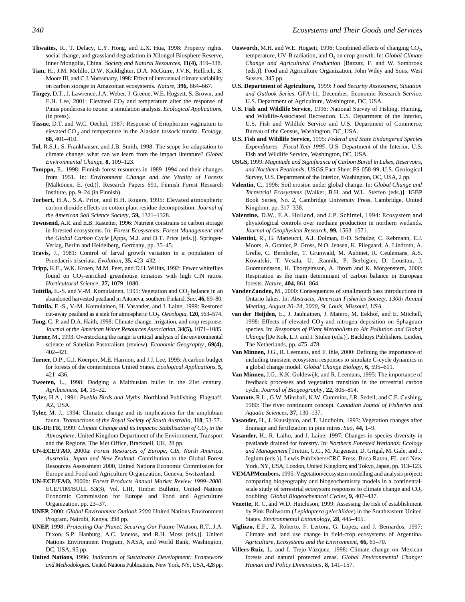- **Thwaites,** R., T. Delacy, L.Y. Hong, and L.X. Hua, 1998: Property rights, social change, and grassland degradation in Xilongol Biosphere Reserve, Inner Mongolia, China. *Society and Natural Resources*, **11(4),** 319–338.
- **Tian,** H., J.M. Melillo, D.W. Kicklighter, D.A. McGuire, J.V.K. Helfrich, B. Moore III, and C.J. Vorosmarty, 1998: Effect of interannual climate variability on carbon storage in Amazonian ecosystems. *Nature*, **396,** 664–667.
- **Tingey,** D.T., J. Lawrence, J.A. Weber, J. Greene, W.E. Hogsett, S, Brown, and E.H. Lee, 2001: Elevated  $CO<sub>2</sub>$  and temperature alter the response of Pinus ponderosa to ozone: a simulation analysis. *Ecological Applications*, (in press).
- **Tissue,** D.T. and W.C. Oechel, 1987: Response of Eriophorum vaginatum to elevated CO<sub>2</sub> and temperature in the Alaskan tussock tundra. *Ecology*, **68,** 401–410.
- **Tol,** R.S.J., S. Frankhauser, and J.B. Smith, 1998: The scope for adaptation to climate change: what can we learn from the impact literature? *Global Environmental Change*, **8,** 109–123.
- **Tomppo,** E., 1998: Finnish forest resources in 1989–1994 and their changes from 1951. In: *Environment Change and the Vitality of Forests* [Mälkönen, E. (ed.)]. Research Papers 691, Finnish Forest Research Institute, pp. 9–24 (in Finnish).
- Torbert, H.A., S.A. Prior, and H.H. Rogers, 1995: Elevated atmospheric carbon dioxide effects on cotton plant residue decomposition. *Journal of the American Soil Science Society*, **59,** 1321–1328.
- Townsend, A.R. and E.B. Rastetter, 1996: Nutrient constrains on carbon storage in forested ecosystems. In: *Forest Ecosystems, Forest Management and the Global Carbon Cycle* [Apps, M.J. and D.T. Price (eds.)]. Springer-Verlag, Berlin and Heidelberg, Germany, pp. 35–45.
- **Travis,** J., 1981: Control of larval growth variation in a population of Psuedacris triseriata. *Evolution*, **35,** 423–432.
- **Tripp,** K.E., W.K. Kroen, M.M. Peet, and D.H. Willits, 1992: Fewer whiteflies found on  $CO_2$ -enriched greenhouse tomatoes with high C:N ratios. *Horticultural Science*, **27,** 1079–1080.
- Tuittila, E.-S. and V.-M. Komulainen, 1995: Vegetation and CO<sub>2</sub> balance in an abandoned harvested peatland in Aitoneva, southern Finland. *Suo*, **46**, 69–80.
- **Tuittila,** E.-S., V.-M. Komulainen, H. Vasander, and J. Laine, 1999: Restored cut-away peatland as a sink for atmospheric CO<sub>2</sub>. *Oecologia*, **120**, 563-574.
- Tung, C.-P. and D.A. Haith, 1998: Climate change, irrigation, and crop response. *Journal of the American Water Resources Association*, 34(5), 1071-1085.
- Turner, M., 1993: Overstocking the range: a critical analysis of the environmental science of Sahelian Pastoralism (review). *Economic Geography* , **69(4),** 402–421.
- **Turner,** D.P., G.J. Koerper, M.E. Harmon, and J.J. Lee, 1995: A carbon budget for forests of the conterminous United States. *Ecological Applications*, **5,** 421–436.
- **Tweeten,** L., 1998: Dodging a Malthusian bullet in the 21st century. *Agribusiness*, **14,** 15–32.
- **Tyler,** H.A., 1991: *Pueblo Birds and Myths*. Northland Publishing, Flagstaff, AZ, USA.
- **Tyler,** M. J., 1994: Climatic change and its implications for the amphibian fauna. *Transactions of the Royal Society of South Australia*, **118**, 53-57.
- **UK-DETR,** 1999: *Climate Change and its Impacts: Stabilisation of CO<sup>2</sup> in the Atmosphere*. United Kingdom Department of the Environment, Transport and the Regions, The Met Office, Bracknell, UK, 28 pp.
- **UN-ECE/FAO,** 2000a: *Forest Resources of Europe, CIS, North America, Australia, Japan and New Zealand*. Contribution to the Global Forest Resources Assessment 2000, United Nations Economic Commission for Europe and Food and Agriculture Organization, Geneva, Switzerland.
- **UN-ECE/FAO,** 2000b: *Forest Products Annual Market Review 1999–2000*. ECE/TIM/BULL 53(3), Vol. LIII, Timber Bulletin, United Nations Economic Commission for Europe and Food and Agriculture Organization, pp. 23–37.
- **UNEP,** 2000: *Global Environment Outlook 2000*. United Nations Environment Program, Nairobi, Kenya, 398 pp.
- **UNEP,** 1998: *Protecting Our Planet, Securing Our Future* [Watson, R.T., J.A. Dixon, S.P. Hanburg, A.C. Janetos, and R.H. Moss (eds.)]. United Nations Environment Program, NASA, and World Bank, Washington, DC, USA, 95 pp.
- **United Nations,** 1996: *Indicators of Sustainable Development: Framework and Methodologies*. United Nations Publications, New York, NY, USA, 428 pp.
- Unsworth, M.H. and W.E. Hogsett, 1996: Combined effects of changing CO<sub>2</sub>, temperature, UV-B radiation, and O<sub>3</sub> on crop growth. In: *Global Climate Change and Agricultural Production* [Bazzaz, F. and W. Sombroek (eds.)]. Food and Agriculture Organization, John Wiley and Sons, West Sussex, 345 pp.
- **U.S. Department of Agriculture,** 1999: *Food Security Assessment, Situation and Outlook Series*. GFA-11, December, Economic Research Service, U.S. Department of Agriculture, Washington, DC, USA.
- **U.S. Fish and Wildlife Service,** 1996: National Survey of Fishing, Hunting, and Wildlife-Associated Recreation. U.S. Department of the Interior, U.S. Fish and Wildlife Service and U.S. Department of Commerce, Bureau of the Census, Washington, DC, USA.
- **U.S. Fish and Wildlife Service,** 1995: *Federal and State Endangered Species Expenditures—Fiscal Year 1995*. U.S. Department of the Interior, U.S. Fish and Wildlife Service, Washington, DC, USA.
- USGS, 1999: Magnitude and Significance of Carbon Burial in Lakes, Reservoirs, *and Northern Peatlands*. USGS Fact Sheet FS-058-99, U.S. Geological Survey, U.S. Department of the Interior, Washington, DC, USA, 2 pp.
- **Valentin,** C., 1996: Soil erosion under global change. In: *Global Change and Terrestrial Ecosystems* [Walker, B.H. and W.L. Steffen (eds.)]. IGBP Book Series, No. 2, Cambridge University Press, Cambridge, United Kingdom, pp. 317–338.
- Valentine, D.W., E.A. Holland, and J.P. Schimel, 1994: Ecosystem and physiological controls over methane production in northern wetlands. *Journal of Geophysical Research*, **99,** 1563–1571.
- **Valentini,** R., G. Matteucci, A.J. Dolman, E-D. Schulze, C. Rebmann, E.J. Moors, A. Granier, P. Gross, N.O. Jensen, K. Pilegaard, A. Lindroth, A. Grelle, C. Bernhofer, T. Grunwald, M. Aubinet, R. Ceulemans, A.S. Kowalski, T. Vesala, U. .Rannik, P. Berbigier, D. Loustau, J. Guomundsson, H. Thorgeirsson, A. Ibrom and K. Morgenstern, 2000: Respiration as the main determinant of carbon balance in European forests. *Nature*, **404,** 861–864.
- **VanderZanden,** M., 2000: Consequences of smallmouth bass introductions in Ontario lakes. In: *Abstracts, American Fisheries Society, 130th Annual Meeting, August 20–24, 2000, St. Louis, Missouri, USA*.
- **van der Heijden,** E., J. Jauhiainen, J. Matero, M. Eekhof, and E. Mitchell, 1998: Effects of elevated  $CO<sub>2</sub>$  and nitrogen deposition on Sphagnum species. In: *Responses of Plant Metabolism to Air Pollution and Global Change* [De Kok, L.J. and I. Stulen (eds.)]. Backhuys Publishers, Leiden, The Netherlands, pp. 475–478.
- **Van Minnen,** J.G., R. Leemans, and F. Ihle, 2000: Defining the importance of including transient ecosystem responses to simulate C-cycle dynamics in a global change model. *Global Change Biology*, **6,** 595–611.
- **Van Minnen,**J.G., K.K. Goldewijk, and R. Leemans, 1995: The importance of feedback processes and vegetation transition in the terrestrial carbon cycle. *Journal of Biogeography*, **22,** 805–814.
- **Vannote,** R.L., G.W. Minshall, K.W. Cummins, J.R. Sedell, and C.E. Cushing, 1980: The river continuum concept*. Canadian Jounal of Fisheries and Aquatic Sciences*, **37,** 130–137.
- **Vasander,** H., J. Kuusipalo, and T. Lindholm, 1993: Vegetation changes after drainage and fertilization in pine mires. *Suo*, **44,** 1–9.
- **Vasander,** H., R. Laiho, and J. Laine, 1997: Changes in species diversity in peatlands drained for forestry. In: *Northern Forested Wetlands: Ecology and Management* [Trettin, C.C., M. Jurgensen, D. Grigal, M. Gale, and J. Jeglum (eds.)]. Lewis Publishers/CRC Press, Boca Raton, FL and New York, NY, USA; London, United Kingdom; and Tokyo, Japan, pp. 113–123.
- **VEMAPMembers,** 1995: Vegetation/ecosystem modelling and analysis project: comparing biogeography and biogeochemistry models in a continentalscale study of terrestrial ecosystem responses to climate change and  $CO<sub>2</sub>$ doubling. *Global Biogeochemical Cycles*, **9,** 407–437.
- **Venette,** R. C, and W.D. Hutchison, 1999: Assessing the risk of establishment by Pink Bollworm (*Lepidoptera gelechiidae*) in the Southeastern United States. *Environmental Entomology*, **28**, 445–455.
- **Viglizzo,** E.F., Z. Roberto, F. Lertora, G. Lopez, and J. Bernardos, 1997: Climate and land use change in field-crop ecosystems of Argentina. *Agriculture, Ecosystems and the Environment*, **66,** 61–70.
- **Villers-Ruíz,** L. and I. Trejo-Vázquez, 1998: Climate change on Mexican forests and natural protected areas. *Global Environmental Change: Human and Policy Dimensions*, **8,** 141–157.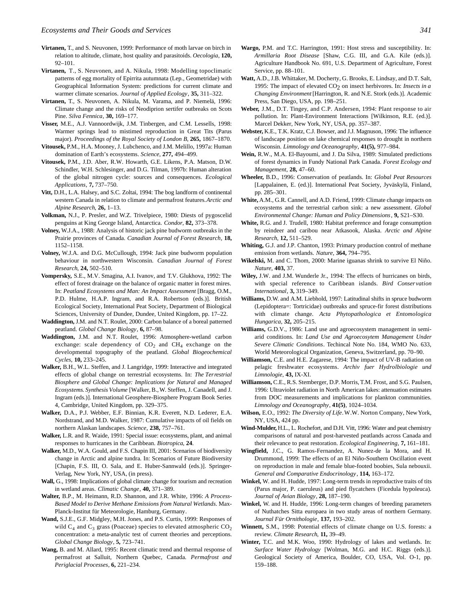- **Virtanen,** T., and S. Neuvonen, 1999: Performance of moth larvae on birch in relation to altitude, climate, host quality and parasitoids. *Oecologia*, **120,** 92–101.
- Virtanen, T., S. Neuvonen, and A. Nikula, 1998: Modelling topoclimatic patterns of egg mortality of Epirrita autumnata (Lep., Geometridae) with Geographical Information System: predictions for current climate and warmer climate scenarios. *Journal of Applied Ecology*, **35,** 311–322.
- **Virtanen,** T., S. Neuvonen, A. Nikula, M. Varama, and P. Niemelä, 1996: Climate change and the risks of Neodiprion sertifer outbreaks on Scots Pine. *Silva Fennica*, **30,** 169–177.
- **Visser,** M.E., A.J. Vannoordwijk, J.M. Tinbergen, and C.M. Lessells, 1998: Warmer springs lead to mistimed reproduction in Great Tits (Parus major). *Proceedings of the Royal Society of London B*, **265,** 1867–1870.
- **Vitousek,** P.M., H.A. Mooney, J. Lubchenco, and J.M. Melillo, 1997a: Human domination of Earth's ecosystems. *Science*, **277,** 494–499.
- **Vitousek,** P.M., J.D. Aber, R.W. Howarth, G.E. Likens, P.A. Matson, D.W. Schindler, W.H. Schlesinger, and D.G. Tilman, 1997b: Human alteration of the global nitrogen cycle: sources and consequences. *Ecological Applications*, **7,** 737–750.
- Vitt, D.H., L.A. Halsey, and S.C. Zoltai, 1994: The bog landform of continental western Canada in relation to climate and permafrost features. *Arctic and Alpine Research*, **26,** 1–13.
- **Volkman,** N.J., P. Presler, and W.Z. Trivelpiece, 1980: Diests of pygoscelid penguins at King George Island, Antarctica. *Condor*, **82,** 373–378.
- **Volney,** W.J.A., 1988: Analysis of historic jack pine budworm outbreaks in the Prairie provinces of Canada. *Canadian Journal of Forest Research*, **18,** 1152–1158.
- **Volney,** W.J.A. and D.G. McCullough, 1994: Jack pine budworm population behaviour in northwestern Wisconsin. *Canadian Journal of Forest Research*, **24,** 502–510.
- **Vompersky,** S.E., M.V. Smagina, A.I. Ivanov, and T.V. Glukhova, 1992: The effect of forest drainage on the balance of organic matter in forest mires. In: *Peatland Ecosystems and Man: An Impact Assessment* [Bragg, O.M., P.D. Hulme, H.A.P. Ingram, and R.A. Robertson (eds.)]. British Ecological Society, International Peat Society, Department of Biological Sciences, University of Dundee, Dundee, United Kingdom, pp. 17–22.
- Waddington, J.M. and N.T. Roulet, 2000: Carbon balance of a boreal patterned peatland. *Global Change Biology*, **6,** 87–98.
- Waddington, J.M. and N.T. Roulet, 1996: Atmosphere-wetland carbon exchange: scale dependency of  $CO_2$  and  $CH_4$  exchange on the developmental topography of the peatland. *Global Biogeochemical Cycles*, **10,** 233–245.
- Walker, B.H., W.L. Steffen, and J. Langridge, 1999: Interactive and integrated effects of global change on terrestrial ecosystems. In: *The Terrestrial Biosphere and Global Change: Implications for Natural and Managed Ecosystems. Synthesis Volume* [Walker, B., W. Steffen, J. Canadell, and J. Ingram (eds.)]. International Geosphere-Biosphere Program Book Series 4, Cambridge, United Kingdom, pp. 329–375.
- **Walker,** D.A., P.J. Webber, E.F. Binnian, K.R. Everett, N.D. Lederer, E.A. Nordstrand, and M.D. Walker, 1987: Cumulative impacts of oil fields on northern Alaskan landscapes. *Science*, **238,** 757–761.
- Walker, L.R. and R. Waide, 1991: Special issue: ecosystems, plant, and animal responses to hurricanes in the Caribbean. *Biotropica*, **24**.
- Walker, M.D., W.A. Gould, and F.S. Chapin III, 2001: Scenarios of biodiversity change in Arctic and alpine tundra. In: Scenarios of Future Biodiversity [Chapin, F.S. III, O. Sala, and E. Huber-Sannwald (eds.)]. Springer-Verlag, New York, NY, USA, (in press).
- **Wall,** G., 1998: Implications of global climate change for tourism and recreation in wetland areas. *Climatic Change*, **40,** 371–389.
- **Walter,** B.P., M. Heimann, R.D. Shannon, and J.R. White, 1996: *A Process-Based Model to Derive Methane Emissions from Natural Wetlands*. Max-Planck-Institut für Meteorologie, Hamburg, Germany.
- **Wand,** S.J.E., G.F. Midgley, M.H. Jones, and P.S. Curtis, 1999: Responses of wild  $C_4$  and  $C_3$  grass (Poaceae) species to elevated atmospheric  $CO_2$ concentration: a meta-analytic test of current theories and perceptions. *Global Change Biology*, **5,** 723–741.
- **Wang,** B. and M. Allard, 1995: Recent climatic trend and thermal response of permafrost at Salluit, Northern Quebec, Canada. Permafrost and *Periglacial Processes*, **6,** 221–234.
- **Wargo,** P.M. and T.C. Harrington, 1991: Host stress and susceptibility. In: *Armillaria Root Disease* [Shaw, C.G. III, and G.A. Kile (eds.)]. Agriculture Handbook No. 691, U.S. Department of Agriculture, Forest Service, pp. 88–101.
- **Watt,** A.D., J.B. Whittaker, M. Docherty, G. Brooks, E. Lindsay, and D.T. Salt, 1995: The impact of elevated CO<sub>2</sub> on insect herbivores. In: *Insects in a Changing Environment* [Harrington, R. and N.E. Stork (eds.)]. Academic Press, San Diego, USA, pp. 198–251.
- Weber, J.M., D.T. Tingey, and C.P. Andersen, 1994: Plant response to air pollution. In: Plant-Environment Interactions [Wilkinson, R.E. (ed.)]. Marcel Dekker, New York, NY, USA, pp. 357–387.
- Webster, K.E., T.K. Kratz, C.J. Bowser, and J.J. Magnuson, 1996: The influence of landscape position on lake chemical responses to drought in northern Wisconsin. *Limnology and Oceanography*, **41(5),** 977–984.
- **Wein,** R.W., M.A. El-Bayoumi, and J. Da Silva, 1989: Simulated predictions of forest dynamics in Fundy National Park Canada. *Forest Ecology and Management*, **28,** 47–60.
- **Wheeler,** B.D., 1996: Conservation of peatlands. In: *Global Peat Resources* [Lappalainen, E. (ed.)]. International Peat Society, Jyväskylä, Finland, pp. 285–301.
- **White,** A.M., G.R. Cannell, and A.D. Friend, 1999: Climate change impacts on ecosystems and the terrestrial carbon sink: a new assessment. *Global Environmental Change: Human and Policy Dimensions*, **9,** S21–S30.
- **White,** R.G. and J. Trudell, 1980: Habitat preference and forage consumption by reindeer and caribou near Atkasook, Alaska. *Arctic and Alpine Research*, **12,** 511–529.
- **Whiting,** G.J. and J.P. Chanton, 1993: Primary production control of methane emission from wetlands. *Nature*, **364,** 794–795.
- **Wikelski,** M. and C. Thom, 2000: Marine iguanas shrink to survive El Niño. *Nature*, **403,** 37.
- **Wiley,** J.W. and J.M. Wunderle Jr., 1994: The effects of hurricanes on birds, with special reference to Caribbean islands. *Bird Conservation International*, **3,** 319–349.
- **Williams, D.W.** and A.M. Liebhold, 1997: Latitudinal shifts in spruce budworm (Lepidoptera=: Tortricidae) outbreaks and spruce-fir forest distributions with climate change. *Acta Phytopathologica et Entomologica Hungarica*, **32,** 205–215.
- **Williams,** G.D.V., 1986: Land use and agroecosystem management in semiarid conditions. In: *Land Use and Agroecosytem Management Under Severe Climatic Conditions*. Techincal Note No. 184, WMO No. 633, World Meteorological Organization, Geneva, Switzerland, pp. 70–90.
- **Williamson,** C.E. and H.E. Zagarese, 1994: The impact of UV-B radiation on pelagic freshwater ecosystems. *A rchiv fuer Hydrolbiologie und Limnologie*, **43,** IX-XI.
- **Williamson,** C.E., R.S. Stemberger, D.P. Morris, T.M. Frost, and S.G. Paulsen, 1996: Ultraviolet radiation in North American lakes: attenuation estimates from DOC measurements and implications for plankton communities. *Limnology and Oceanography*, **41(5)**, 1024–1034.
- **Wilson,** E.O., 1992: *The Diversity of Life*. W.W. Norton Company, New York, NY, USA, 424 pp.
- **Wind-Mulder, H.L., L. Rochefort, and D.H. Vitt, 1996: Water and peat chemistry** comparisons of natural and post-harvested peatlands across Canada and their relevance to peat restoration. *Ecological Engineering*, **7,** 161–181.
- **Wingfield,** J.C., G. Ramos-Fernandez, A. Nunez-de la Mora, and H. Drummond, 1999: The effects of an El Niño-Southern Oscillation event on reproduction in male and female blue-footed boobies, Sula nebouxii. *General and Comparative Endocrinology*, **114,** 163–172.
- **Winkel,** W. and H. Hudde, 1997: Long-term trends in reproductive traits of tits (Parus major, P. caeruleus) and pied flycatchers (Ficedula hypoleuca)*. Journal of Avian Biology*, **28,** 187–190.
- **Winkel,** W. and H. Hudde, 1996: Long-term changes of breeding parameters of Nuthatches Sitta europaea in two study areas of northern Germany. *Journal Für Ornithologie*, **137,** 193–202.
- **Winnett,** S.M., 1998: Potential effects of climate change on U.S. forests: a review. *Climate Research*, **11,** 39–49.
- **Winter,** T.C. and M.K. Woo, 1990: Hydrology of lakes and wetlands. In: *Surface Water Hydrology* [Wolman, M.G. and H.C. Riggs (eds.)]. Geological Society of America, Boulder, CO, USA, Vol. O-1, pp. 159–188.